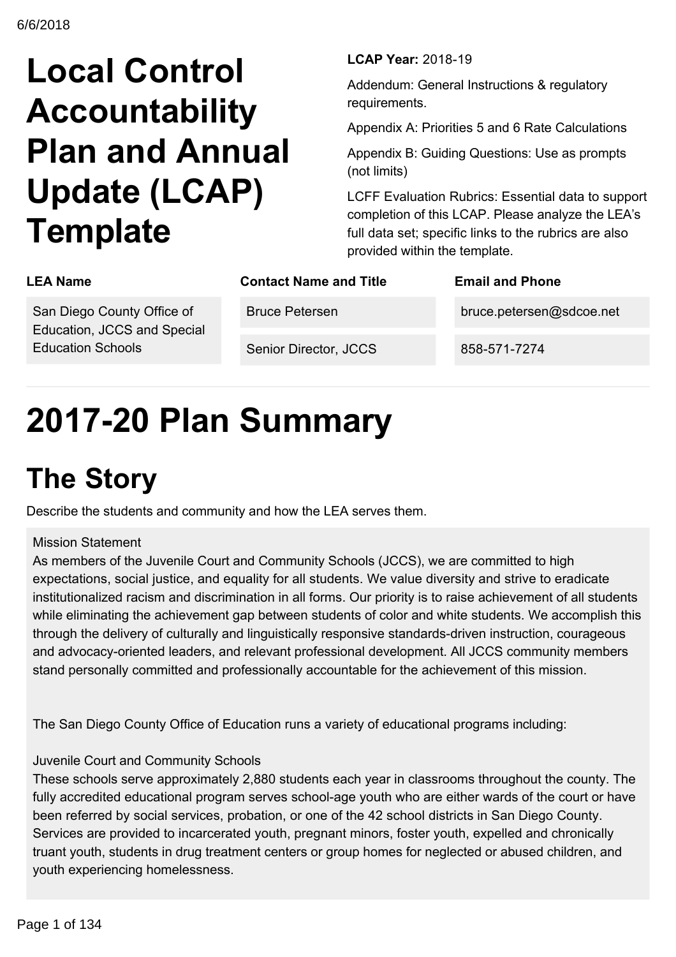# **Local Control Accountability Plan and Annual Update (LCAP) Template**

**LCAP Year: 2018-19** 

Addendum: General Instructions & regulatory requirements.

Appendix A: Priorities 5 and 6 Rate Calculations

Appendix B: Guiding Questions: Use as prompts (not limits)

LCFF Evaluation Rubrics: Essential data to support completion of this LCAP. Please analyze the LEA's full data set; specific links to the rubrics are also provided within the template.

| <b>LEA Name</b>                                                                       | <b>Contact Name and Title</b> | <b>Email and Phone</b>   |
|---------------------------------------------------------------------------------------|-------------------------------|--------------------------|
| San Diego County Office of<br>Education, JCCS and Special<br><b>Education Schools</b> | <b>Bruce Petersen</b>         | bruce.petersen@sdcoe.net |
|                                                                                       | Senior Director, JCCS         | 858-571-7274             |

# **201720 Plan Summary**

# **The Story**

Describe the students and community and how the LEA serves them.

### Mission Statement

As members of the Juvenile Court and Community Schools (JCCS), we are committed to high expectations, social justice, and equality for all students. We value diversity and strive to eradicate institutionalized racism and discrimination in all forms. Our priority is to raise achievement of all students while eliminating the achievement gap between students of color and white students. We accomplish this through the delivery of culturally and linguistically responsive standards-driven instruction, courageous and advocacy-oriented leaders, and relevant professional development. All JCCS community members stand personally committed and professionally accountable for the achievement of this mission.

The San Diego County Office of Education runs a variety of educational programs including:

### Juvenile Court and Community Schools

These schools serve approximately 2,880 students each year in classrooms throughout the county. The fully accredited educational program serves school-age youth who are either wards of the court or have been referred by social services, probation, or one of the 42 school districts in San Diego County. Services are provided to incarcerated youth, pregnant minors, foster youth, expelled and chronically truant youth, students in drug treatment centers or group homes for neglected or abused children, and youth experiencing homelessness.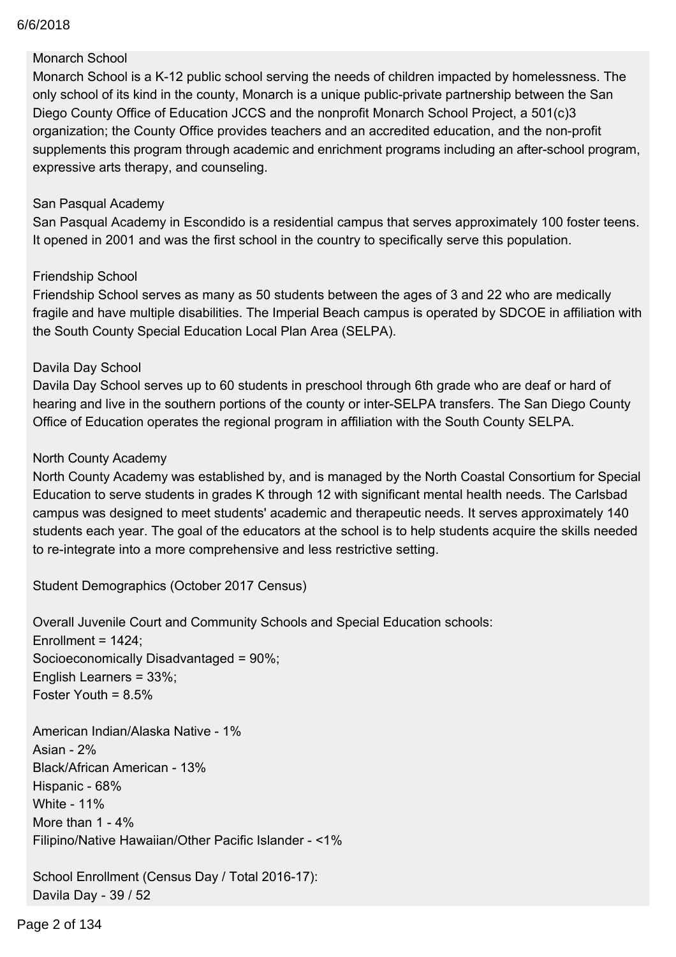### youth experiencing homelessness. 6/6/2018

### Monarch School

Monarch School is a K-12 public school serving the needs of children impacted by homelessness. The only school of its kind in the county, Monarch is a unique public-private partnership between the San Diego County Office of Education JCCS and the nonprofit Monarch School Project, a 501(c)3 organization; the County Office provides teachers and an accredited education, and the non-profit supplements this program through academic and enrichment programs including an after-school program, expressive arts therapy, and counseling.

#### San Pasqual Academy

San Pasqual Academy in Escondido is a residential campus that serves approximately 100 foster teens. It opened in 2001 and was the first school in the country to specifically serve this population.

#### Friendship School

Friendship School serves as many as 50 students between the ages of 3 and 22 who are medically fragile and have multiple disabilities. The Imperial Beach campus is operated by SDCOE in affiliation with the South County Special Education Local Plan Area (SELPA).

### Davila Day School

Davila Day School serves up to 60 students in preschool through 6th grade who are deaf or hard of hearing and live in the southern portions of the county or inter-SELPA transfers. The San Diego County Office of Education operates the regional program in affiliation with the South County SELPA.

### North County Academy

North County Academy was established by, and is managed by the North Coastal Consortium for Special Education to serve students in grades K through 12 with significant mental health needs. The Carlsbad campus was designed to meet students' academic and therapeutic needs. It serves approximately 140 students each year. The goal of the educators at the school is to help students acquire the skills needed to re-integrate into a more comprehensive and less restrictive setting.

Student Demographics (October 2017 Census)

Overall Juvenile Court and Community Schools and Special Education schools: Enrollment =  $1424$ ; Socioeconomically Disadvantaged = 90%; English Learners = 33%; Foster Youth = 8.5%

American Indian/Alaska Native - 1% Asian -  $2%$ Black/African American - 13% Hispanic - 68% White - 11% More than  $1 - 4\%$ Filipino/Native Hawaiian/Other Pacific Islander <1%

School Enrollment (Census Day / Total 2016-17): Davila Day - 39 / 52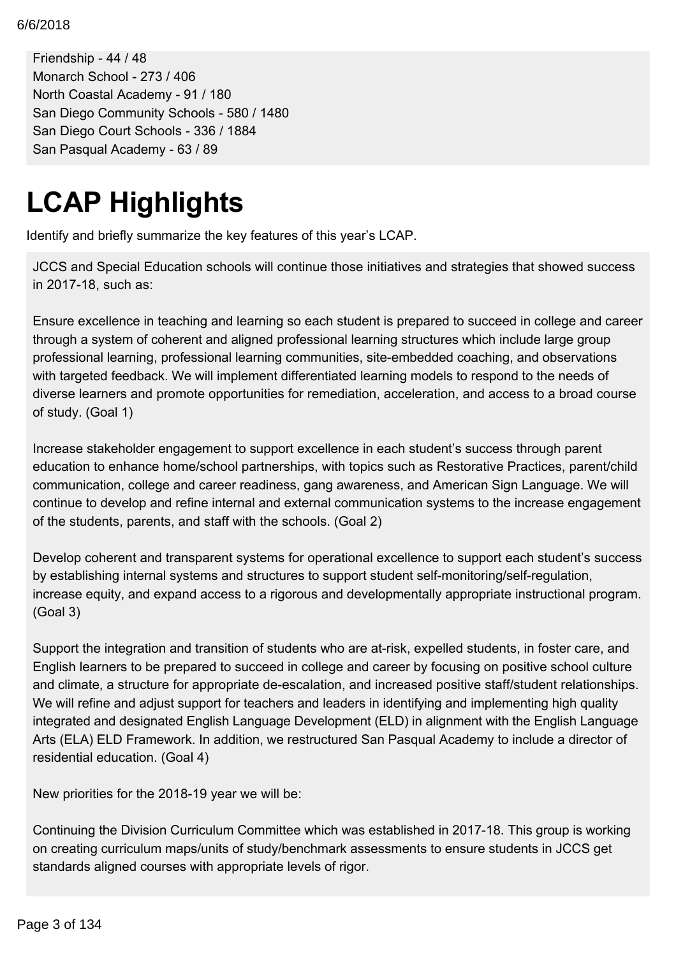School Enrollment (Census Day / Total 201617): 6/6/2018

Friendship - 44 / 48 Monarch School - 273 / 406 North Coastal Academy - 91 / 180 San Diego Community Schools - 580 / 1480 San Diego Court Schools - 336 / 1884 San Pasqual Academy - 63 / 89

# **LCAP Highlights**

Identify and briefly summarize the key features of this year's LCAP.

JCCS and Special Education schools will continue those initiatives and strategies that showed success in 2017-18, such as:

Ensure excellence in teaching and learning so each student is prepared to succeed in college and career through a system of coherent and aligned professional learning structures which include large group professional learning, professional learning communities, site-embedded coaching, and observations with targeted feedback. We will implement differentiated learning models to respond to the needs of diverse learners and promote opportunities for remediation, acceleration, and access to a broad course of study. (Goal 1)

Increase stakeholder engagement to support excellence in each student's success through parent education to enhance home/school partnerships, with topics such as Restorative Practices, parent/child communication, college and career readiness, gang awareness, and American Sign Language. We will continue to develop and refine internal and external communication systems to the increase engagement of the students, parents, and staff with the schools. (Goal 2)

Develop coherent and transparent systems for operational excellence to support each student's success by establishing internal systems and structures to support student self-monitoring/self-regulation, increase equity, and expand access to a rigorous and developmentally appropriate instructional program. (Goal 3)

Support the integration and transition of students who are at-risk, expelled students, in foster care, and English learners to be prepared to succeed in college and career by focusing on positive school culture and climate, a structure for appropriate de-escalation, and increased positive staff/student relationships. We will refine and adjust support for teachers and leaders in identifying and implementing high quality integrated and designated English Language Development (ELD) in alignment with the English Language Arts (ELA) ELD Framework. In addition, we restructured San Pasqual Academy to include a director of residential education. (Goal 4)

New priorities for the 2018-19 year we will be:

Continuing the Division Curriculum Committee which was established in 2017-18. This group is working on creating curriculum maps/units of study/benchmark assessments to ensure students in JCCS get standards aligned courses with appropriate levels of rigor.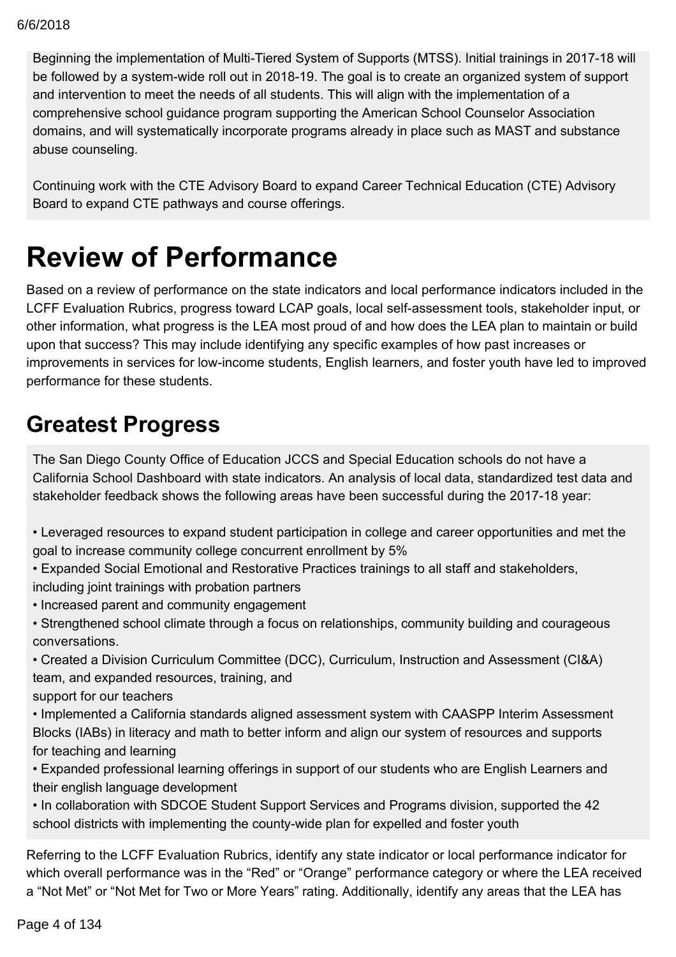Beginning the implementation of Multi-Tiered System of Supports (MTSS). Initial trainings in 2017-18 will be followed by a system-wide roll out in 2018-19. The goal is to create an organized system of support and intervention to meet the needs of all students. This will align with the implementation of a comprehensive school guidance program supporting the American School Counselor Association domains, and will systematically incorporate programs already in place such as MAST and substance abuse counseling.

Continuing work with the CTE Advisory Board to expand Career Technical Education (CTE) Advisory Board to expand CTE pathways and course offerings.

## **Review of Performance**

Based on a review of performance on the state indicators and local performance indicators included in the LCFF Evaluation Rubrics, progress toward LCAP goals, local self-assessment tools, stakeholder input, or other information, what progress is the LEA most proud of and how does the LEA plan to maintain or build upon that success? This may include identifying any specific examples of how past increases or improvements in services for low-income students, English learners, and foster youth have led to improved performance for these students.

## **Greatest Progress**

The San Diego County Office of Education JCCS and Special Education schools do not have a California School Dashboard with state indicators. An analysis of local data, standardized test data and stakeholder feedback shows the following areas have been successful during the 2017-18 year:

- Leveraged resources to expand student participation in college and career opportunities and met the goal to increase community college concurrent enrollment by 5%
- Expanded Social Emotional and Restorative Practices trainings to all staff and stakeholders, including joint trainings with probation partners
- Increased parent and community engagement
- Strengthened school climate through a focus on relationships, community building and courageous conversations.
- Created a Division Curriculum Committee (DCC), Curriculum, Instruction and Assessment (CI&A) team, and expanded resources, training, and
- support for our teachers
- Implemented a California standards aligned assessment system with CAASPP Interim Assessment Blocks (IABs) in literacy and math to better inform and align our system of resources and supports for teaching and learning
- Expanded professional learning offerings in support of our students who are English Learners and their english language development
- In collaboration with SDCOE Student Support Services and Programs division, supported the 42 school districts with implementing the county-wide plan for expelled and foster youth

Referring to the LCFF Evaluation Rubrics, identify any state indicator or local performance indicator for which overall performance was in the "Red" or "Orange" performance category or where the LEA received a "Not Met" or "Not Met for Two or More Years" rating. Additionally, identify any areas that the LEA has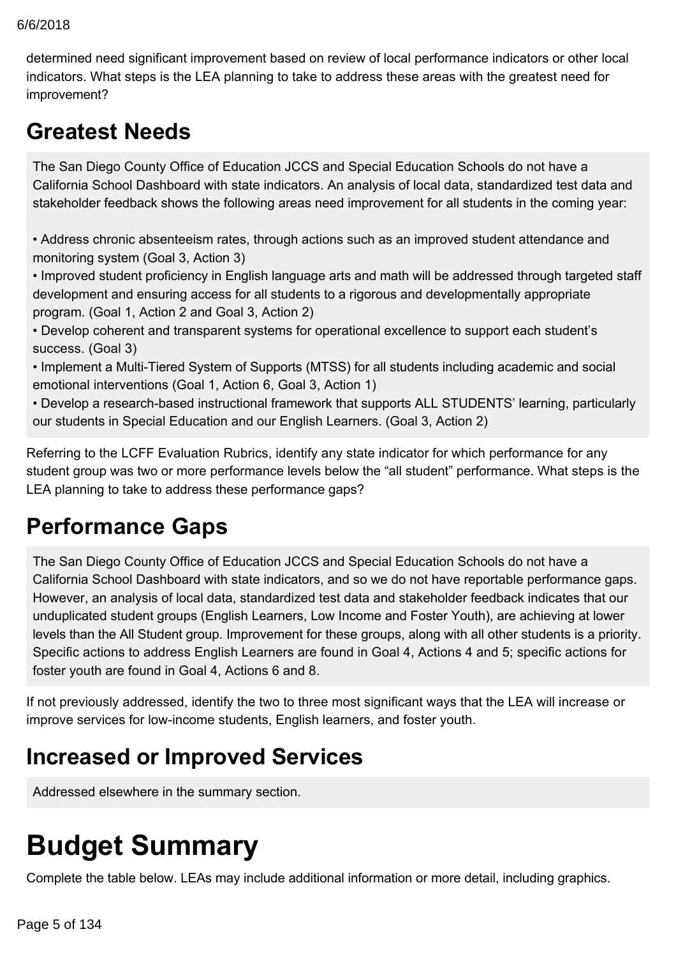#### $\omega$  6/2018 6/6/2018

determined need significant improvement based on review of local performance indicators or other local indicators. What steps is the LEA planning to take to address these areas with the greatest need for improvement?

## **Greatest Needs**

The San Diego County Office of Education JCCS and Special Education Schools do not have a California School Dashboard with state indicators. An analysis of local data, standardized test data and stakeholder feedback shows the following areas need improvement for all students in the coming year:

• Address chronic absenteeism rates, through actions such as an improved student attendance and monitoring system (Goal 3, Action 3)

• Improved student proficiency in English language arts and math will be addressed through targeted staff development and ensuring access for all students to a rigorous and developmentally appropriate program. (Goal 1, Action 2 and Goal 3, Action 2)

• Develop coherent and transparent systems for operational excellence to support each student's success. (Goal 3)

• Implement a Multi-Tiered System of Supports (MTSS) for all students including academic and social emotional interventions (Goal 1, Action 6, Goal 3, Action 1)

• Develop a research-based instructional framework that supports ALL STUDENTS' learning, particularly our students in Special Education and our English Learners. (Goal 3, Action 2)

Referring to the LCFF Evaluation Rubrics, identify any state indicator for which performance for any student group was two or more performance levels below the "all student" performance. What steps is the LEA planning to take to address these performance gaps?

## **Performance Gaps**

The San Diego County Office of Education JCCS and Special Education Schools do not have a California School Dashboard with state indicators, and so we do not have reportable performance gaps. However, an analysis of local data, standardized test data and stakeholder feedback indicates that our unduplicated student groups (English Learners, Low Income and Foster Youth), are achieving at lower levels than the All Student group. Improvement for these groups, along with all other students is a priority. Specific actions to address English Learners are found in Goal 4, Actions 4 and 5; specific actions for foster youth are found in Goal 4, Actions 6 and 8.

If not previously addressed, identify the two to three most significant ways that the LEA will increase or improve services for low-income students, English learners, and foster youth.

## **Increased or Improved Services**

Addressed elsewhere in the summary section.

# **Budget Summary**

Complete the table below. LEAs may include additional information or more detail, including graphics.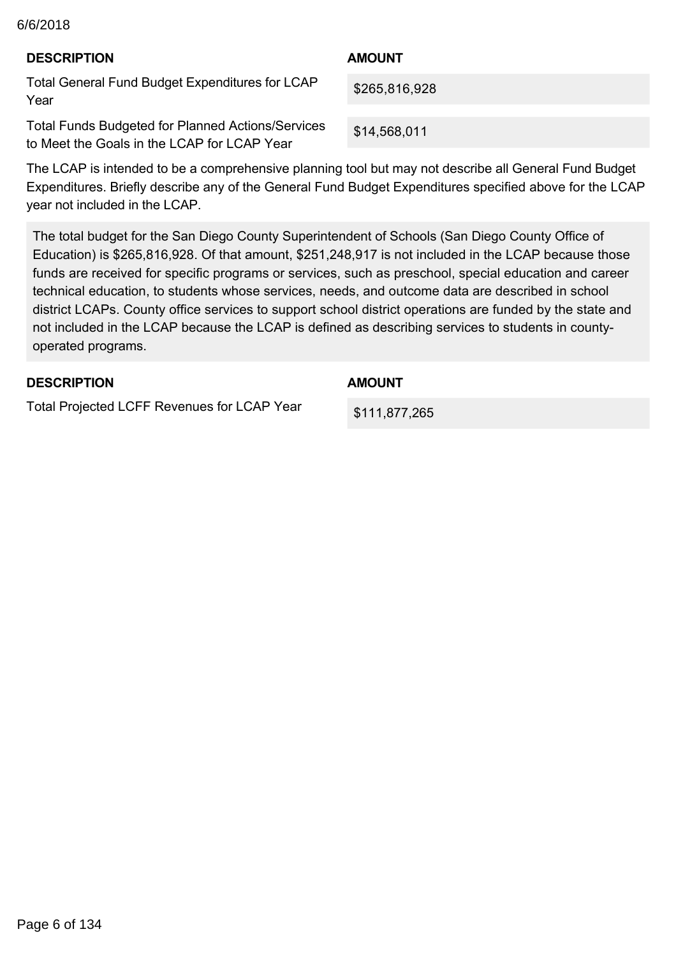#### $C_6/2018$ 6/6/2018

| <b>DESCRIPTION</b>                                                                                      | <b>AMOUNT</b> |
|---------------------------------------------------------------------------------------------------------|---------------|
| Total General Fund Budget Expenditures for LCAP<br>Year                                                 | \$265,816,928 |
| <b>Total Funds Budgeted for Planned Actions/Services</b><br>to Meet the Goals in the LCAP for LCAP Year | \$14,568,011  |

The LCAP is intended to be a comprehensive planning tool but may not describe all General Fund Budget Expenditures. Briefly describe any of the General Fund Budget Expenditures specified above for the LCAP year not included in the LCAP.

The total budget for the San Diego County Superintendent of Schools (San Diego County Office of Education) is \$265,816,928. Of that amount, \$251,248,917 is not included in the LCAP because those funds are received for specific programs or services, such as preschool, special education and career technical education, to students whose services, needs, and outcome data are described in school district LCAPs. County office services to support school district operations are funded by the state and not included in the LCAP because the LCAP is defined as describing services to students in countyoperated programs.

### **DESCRIPTION**

**AMOUNT**

Total Projected LCFF Revenues for LCAP Year

\$111,877,265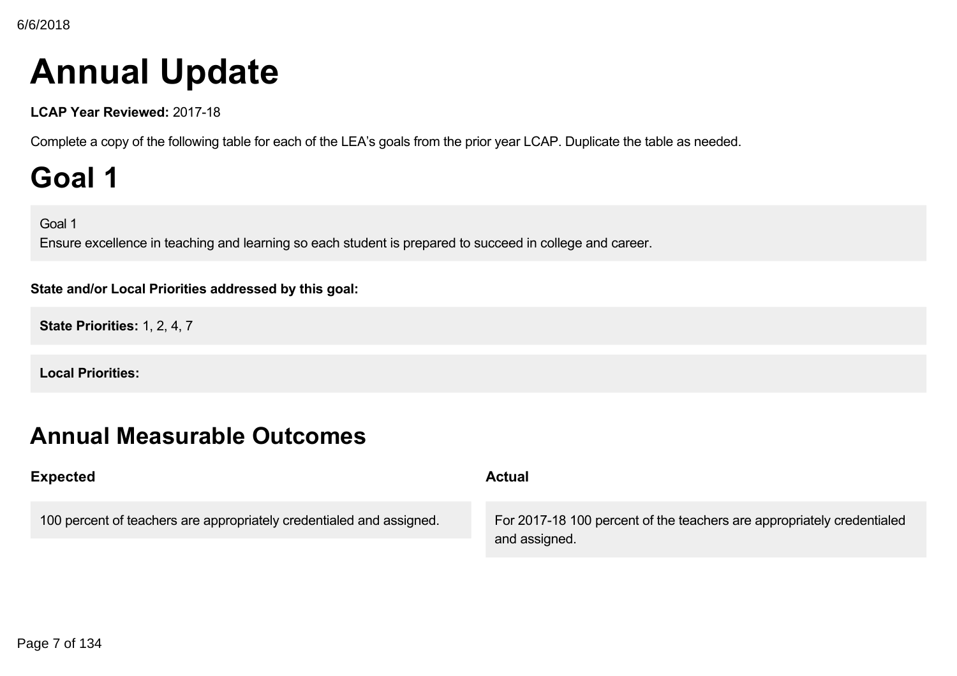# **Annual Update**

**LCAP Year Reviewed: 2017-18** 

Complete a copy of the following table for each of the LEA's goals from the prior year LCAP. Duplicate the table as needed.

# **Goal 1**

Goal 1

Ensure excellence in teaching and learning so each student is prepared to succeed in college and career.

### **State and/or Local Priorities addressed by this goal:**

**State Priorities:** 1, 2, 4, 7

**Local Priorities:**

## **Annual Measurable Outcomes**

| <b>Expected</b>                                                      | <b>Actual</b>                                                                           |  |
|----------------------------------------------------------------------|-----------------------------------------------------------------------------------------|--|
| 100 percent of teachers are appropriately credentialed and assigned. | For 2017-18 100 percent of the teachers are appropriately credentialed<br>and assigned. |  |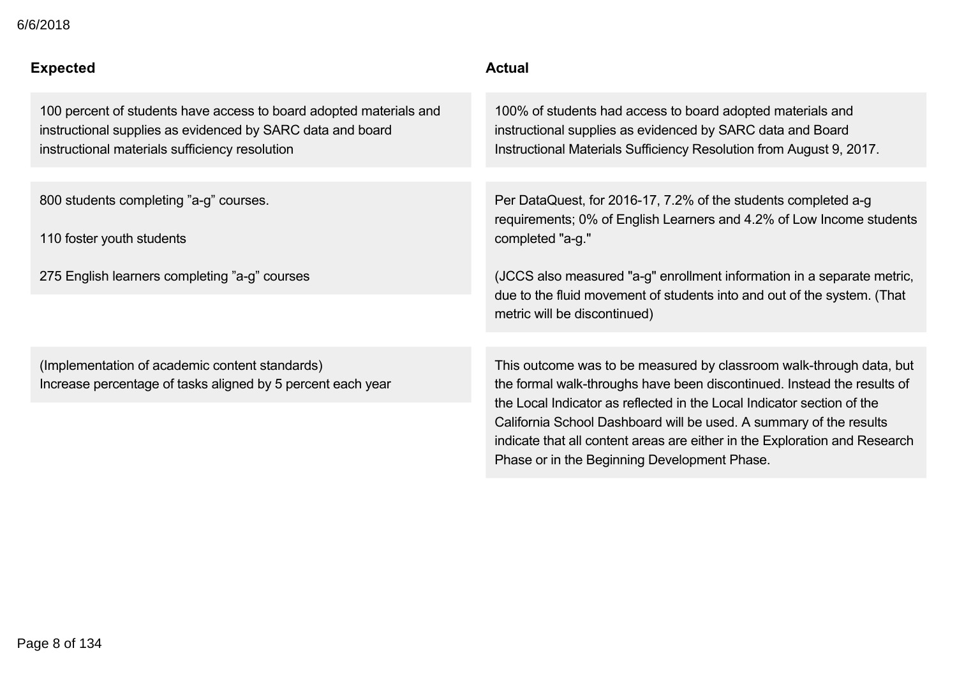| 6/6/2018 |  |
|----------|--|
|----------|--|

| Expected                                                                                                                                                                           | <b>Actual</b>                                                                                                                                                                                                                                                                                                                                                                                                                |
|------------------------------------------------------------------------------------------------------------------------------------------------------------------------------------|------------------------------------------------------------------------------------------------------------------------------------------------------------------------------------------------------------------------------------------------------------------------------------------------------------------------------------------------------------------------------------------------------------------------------|
| 100 percent of students have access to board adopted materials and<br>instructional supplies as evidenced by SARC data and board<br>instructional materials sufficiency resolution | 100% of students had access to board adopted materials and<br>instructional supplies as evidenced by SARC data and Board<br>Instructional Materials Sufficiency Resolution from August 9, 2017.                                                                                                                                                                                                                              |
|                                                                                                                                                                                    |                                                                                                                                                                                                                                                                                                                                                                                                                              |
| 800 students completing "a-g" courses.                                                                                                                                             | Per DataQuest, for 2016-17, 7.2% of the students completed a-g<br>requirements; 0% of English Learners and 4.2% of Low Income students                                                                                                                                                                                                                                                                                       |
| 110 foster youth students                                                                                                                                                          | completed "a-g."                                                                                                                                                                                                                                                                                                                                                                                                             |
| 275 English learners completing "a-g" courses                                                                                                                                      | (JCCS also measured "a-g" enrollment information in a separate metric,<br>due to the fluid movement of students into and out of the system. (That<br>metric will be discontinued)                                                                                                                                                                                                                                            |
|                                                                                                                                                                                    |                                                                                                                                                                                                                                                                                                                                                                                                                              |
| (Implementation of academic content standards)<br>Increase percentage of tasks aligned by 5 percent each year                                                                      | This outcome was to be measured by classroom walk-through data, but<br>the formal walk-throughs have been discontinued. Instead the results of<br>the Local Indicator as reflected in the Local Indicator section of the<br>California School Dashboard will be used. A summary of the results<br>indicate that all content areas are either in the Exploration and Research<br>Phase or in the Beginning Development Phase. |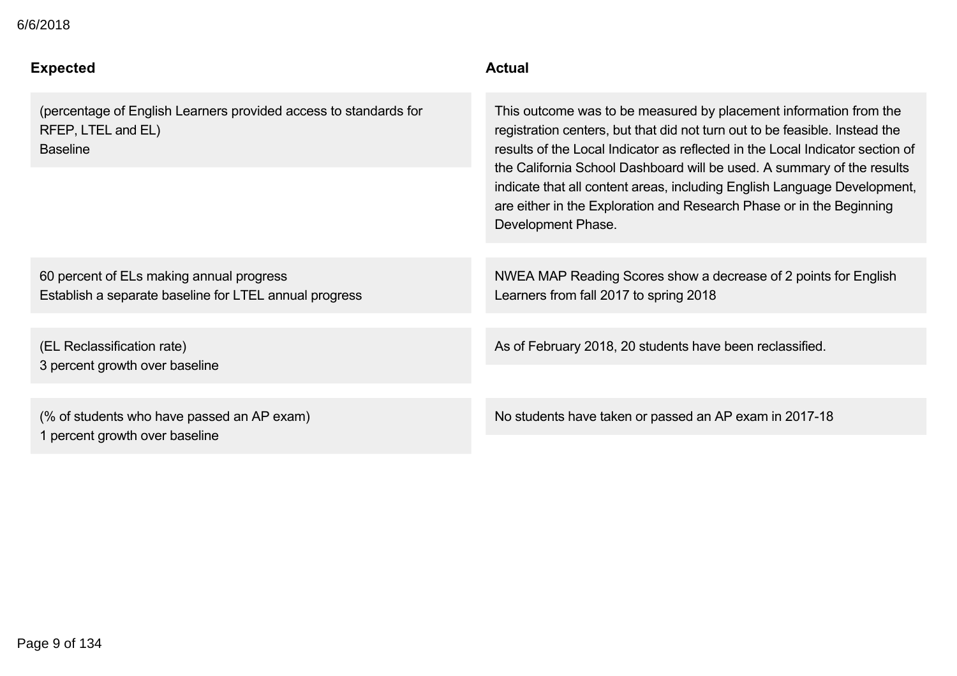### **Expected Actual**

(percentage of English Learners provided access to standards for RFEP, LTEL and EL) Baseline

This outcome was to be measured by placement information from the registration centers, but that did not turn out to be feasible. Instead the results of the Local Indicator as reflected in the Local Indicator section of the California School Dashboard will be used. A summary of the results indicate that all content areas, including English Language Development, are either in the Exploration and Research Phase or in the Beginning Development Phase.

60 percent of ELs making annual progress Establish a separate baseline for LTEL annual progress

(EL Reclassification rate) 3 percent growth over baseline

(% of students who have passed an AP exam) 1 percent growth over baseline

NWEA MAP Reading Scores show a decrease of 2 points for English Learners from fall 2017 to spring 2018

As of February 2018, 20 students have been reclassified.

Phase or in the Beginning Development Phase.

No students have taken or passed an AP exam in 2017-18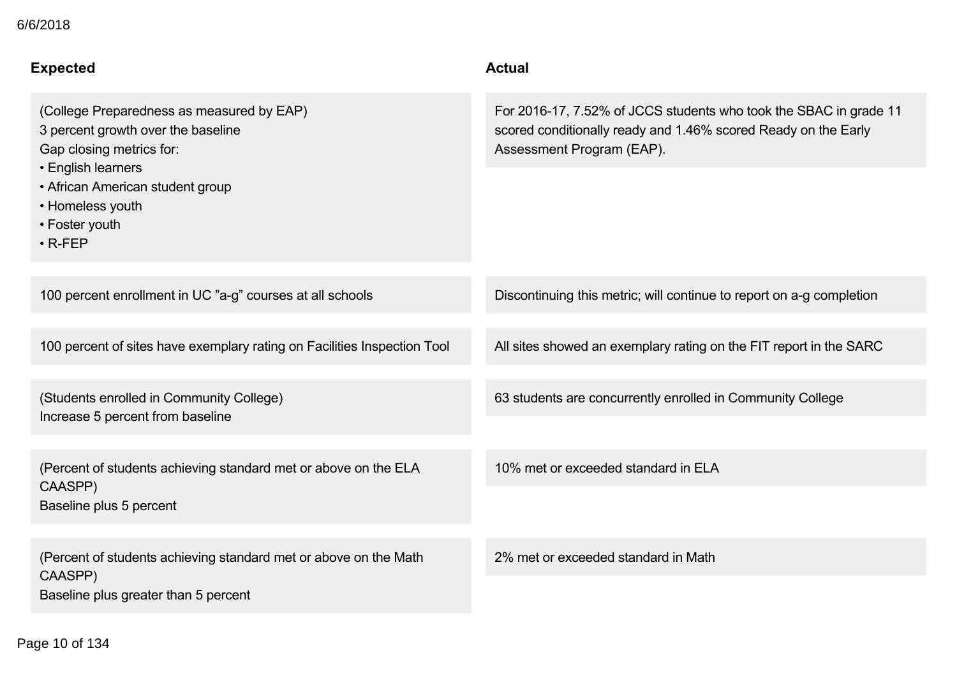| <b>Expected</b>                                                                                                     | <b>Actual</b>                                                                                                                                                    |
|---------------------------------------------------------------------------------------------------------------------|------------------------------------------------------------------------------------------------------------------------------------------------------------------|
| (College Preparedness as measured by EAP)<br>3 percent growth over the baseline<br>Gap closing metrics for:         | For 2016-17, 7.52% of JCCS students who took the SBAC in grade 11<br>scored conditionally ready and 1.46% scored Ready on the Early<br>Assessment Program (EAP). |
| • English learners<br>• African American student group<br>• Homeless youth<br>• Foster youth<br>$\cdot$ R-FEP       |                                                                                                                                                                  |
| 100 percent enrollment in UC "a-g" courses at all schools                                                           | Discontinuing this metric; will continue to report on a-g completion                                                                                             |
| 100 percent of sites have exemplary rating on Facilities Inspection Tool                                            | All sites showed an exemplary rating on the FIT report in the SARC                                                                                               |
| (Students enrolled in Community College)<br>Increase 5 percent from baseline                                        | 63 students are concurrently enrolled in Community College                                                                                                       |
| (Percent of students achieving standard met or above on the ELA<br>CAASPP)<br>Baseline plus 5 percent               | 10% met or exceeded standard in ELA                                                                                                                              |
|                                                                                                                     |                                                                                                                                                                  |
| (Percent of students achieving standard met or above on the Math<br>CAASPP)<br>Baseline plus greater than 5 percent | 2% met or exceeded standard in Math                                                                                                                              |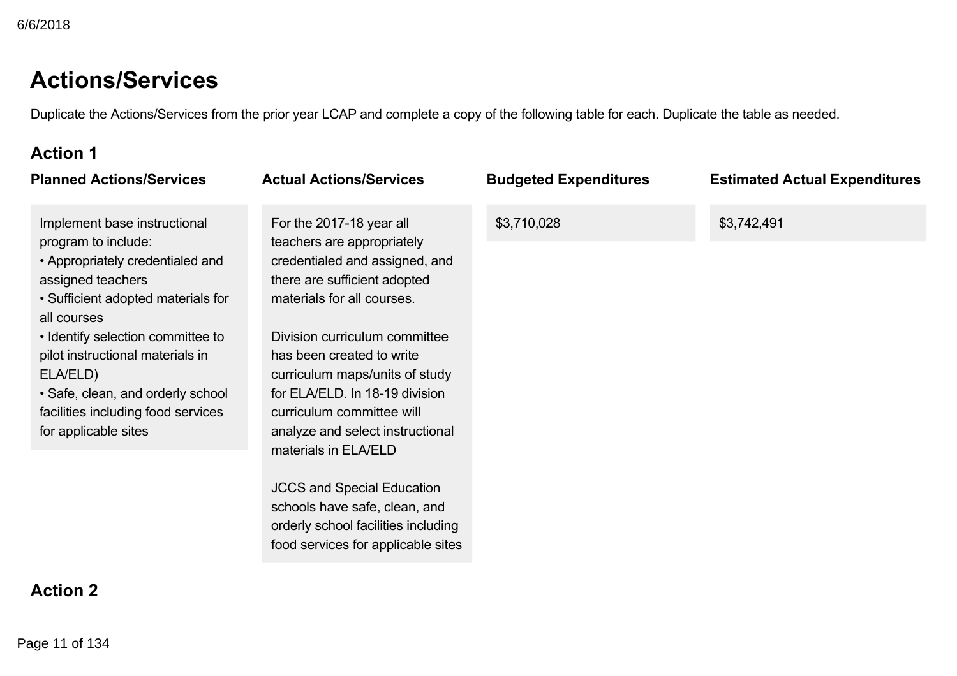## **Actions/Services**

Duplicate the Actions/Services from the prior year LCAP and complete a copy of the following table for each. Duplicate the table as needed.

## **Action 1**

| <b>Planned Actions/Services</b>                                                                                                                                                                                                                                                                                                                           | <b>Actual Actions/Services</b>                                                                                                                                                                                                                                                                                                                                                                                                                                                                                                       | <b>Budgeted Expenditures</b> | <b>Estimated Actual Expenditures</b> |
|-----------------------------------------------------------------------------------------------------------------------------------------------------------------------------------------------------------------------------------------------------------------------------------------------------------------------------------------------------------|--------------------------------------------------------------------------------------------------------------------------------------------------------------------------------------------------------------------------------------------------------------------------------------------------------------------------------------------------------------------------------------------------------------------------------------------------------------------------------------------------------------------------------------|------------------------------|--------------------------------------|
| Implement base instructional<br>program to include:<br>• Appropriately credentialed and<br>assigned teachers<br>• Sufficient adopted materials for<br>all courses<br>• Identify selection committee to<br>pilot instructional materials in<br>ELA/ELD)<br>• Safe, clean, and orderly school<br>facilities including food services<br>for applicable sites | For the 2017-18 year all<br>teachers are appropriately<br>credentialed and assigned, and<br>there are sufficient adopted<br>materials for all courses.<br>Division curriculum committee<br>has been created to write<br>curriculum maps/units of study<br>for ELA/ELD. In 18-19 division<br>curriculum committee will<br>analyze and select instructional<br>materials in ELA/ELD<br><b>JCCS and Special Education</b><br>schools have safe, clean, and<br>orderly school facilities including<br>food services for applicable sites | \$3,710,028                  | \$3,742,491                          |
| <b>Action 2</b>                                                                                                                                                                                                                                                                                                                                           |                                                                                                                                                                                                                                                                                                                                                                                                                                                                                                                                      |                              |                                      |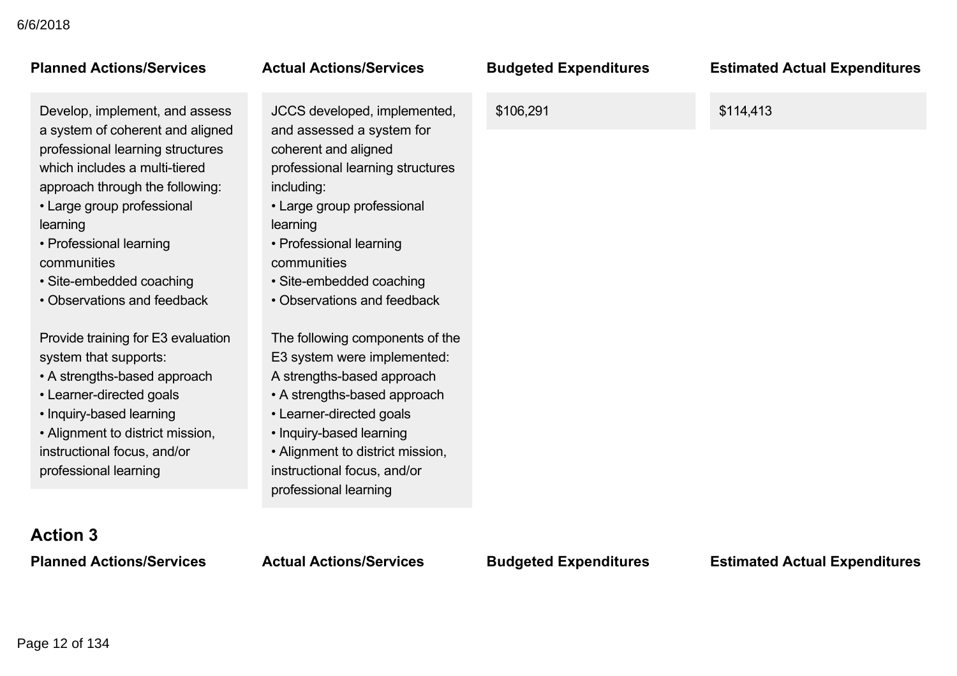Develop, implement, and assess a system of coherent and aligned professional learning structures which includes a multi-tiered approach through the following: • Large group professional learning

• Professional learning communities

• Site-embedded coaching

• Observations and feedback

Provide training for E3 evaluation system that supports:

• A strengths-based approach

• Learner-directed goals

• Inquiry-based learning

• Alignment to district mission, instructional focus, and/or professional learning

JCCS developed, implemented, and assessed a system for coherent and aligned professional learning structures including:

• Large group professional learning

- Professional learning communities
- Site-embedded coaching
- Observations and feedback

The following components of the E3 system were implemented: A strengths-based approach

- A strengths-based approach
- Learner-directed goals
- Inquiry-based learning
- Alignment to district mission, instructional focus, and/or professional learning

**Planned Actions/Services Actual Actions/Services Budgeted Expenditures Estimated Actual Expenditures**

\$106,291 \$114,413

**Action 3**

**Planned Actions/Services Actual Actions/Services Budgeted Expenditures Estimated Actual Expenditures**

### Page 12 of 134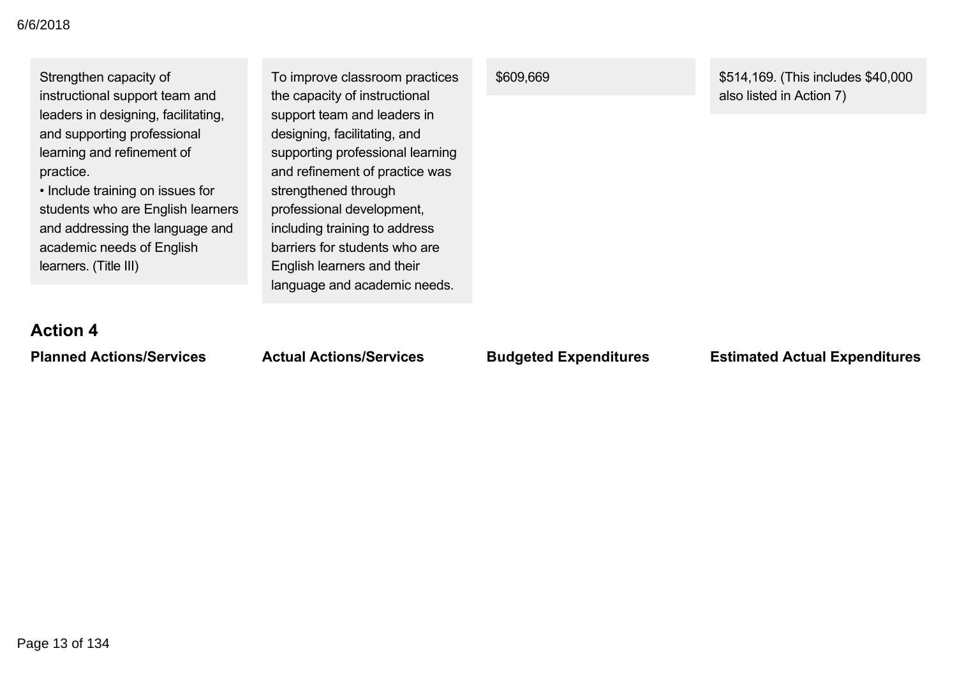| Strengthen capacity of<br>instructional support team and<br>leaders in designing, facilitating,<br>and supporting professional<br>learning and refinement of<br>practice.<br>• Include training on issues for<br>students who are English learners<br>and addressing the language and<br>academic needs of English<br>learners. (Title III) | To improve classroom practices<br>the capacity of instructional<br>support team and leaders in<br>designing, facilitating, and<br>supporting professional learning<br>and refinement of practice was<br>strengthened through<br>professional development,<br>including training to address<br>barriers for students who are<br>English learners and their<br>language and academic needs. | \$609,669                    | \$514,169. (This includes \$40,000<br>also listed in Action 7) |
|---------------------------------------------------------------------------------------------------------------------------------------------------------------------------------------------------------------------------------------------------------------------------------------------------------------------------------------------|-------------------------------------------------------------------------------------------------------------------------------------------------------------------------------------------------------------------------------------------------------------------------------------------------------------------------------------------------------------------------------------------|------------------------------|----------------------------------------------------------------|
| <b>Action 4</b>                                                                                                                                                                                                                                                                                                                             |                                                                                                                                                                                                                                                                                                                                                                                           |                              |                                                                |
| <b>Planned Actions/Services</b>                                                                                                                                                                                                                                                                                                             | <b>Actual Actions/Services</b>                                                                                                                                                                                                                                                                                                                                                            | <b>Budgeted Expenditures</b> | <b>Estimated Actual Expenditures</b>                           |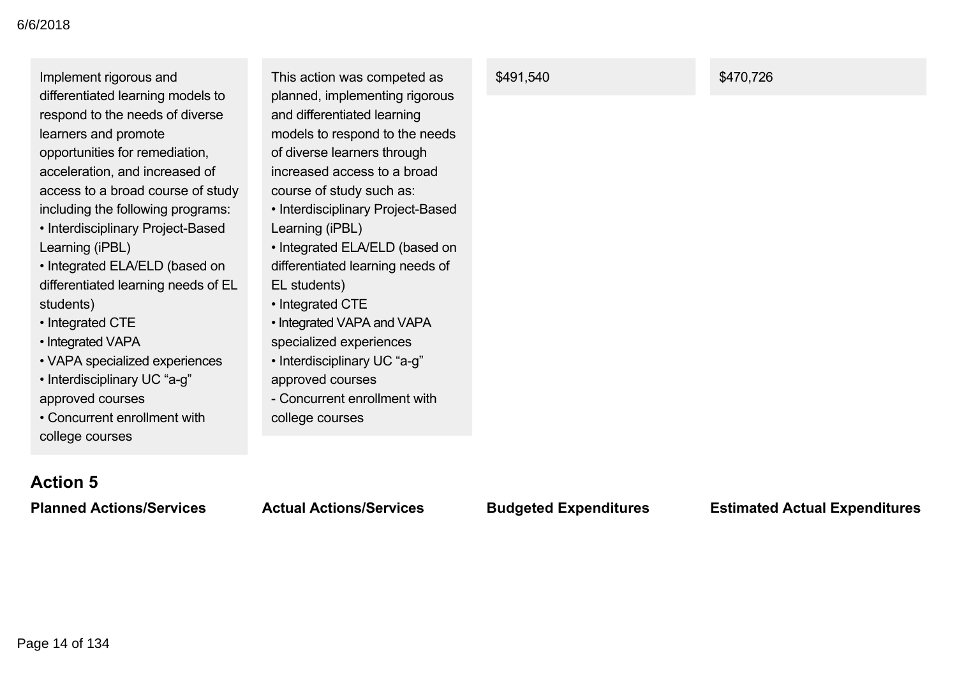Implement rigorous and differentiated learning models to respond to the needs of diverse learners and promote opportunities for remediation, acceleration, and increased of access to a broad course of study including the following programs: • Interdisciplinary Project-Based Learning (iPBL)

• Integrated ELA/ELD (based on differentiated learning needs of EL students)

- Integrated CTE
- Integrated VAPA
- VAPA specialized experiences
- Interdisciplinary UC "a-g" approved courses

• Concurrent enrollment with college courses

This action was competed as planned, implementing rigorous and differentiated learning models to respond to the needs of diverse learners through increased access to a broad course of study such as:

- Interdisciplinary Project-Based Learning (iPBL)
- Integrated ELA/ELD (based on differentiated learning needs of EL students)
- Integrated CTE
- Integrated VAPA and VAPA specialized experiences
- Interdisciplinary UC "a-g" approved courses
- Concurrent enrollment with college courses

\$491,540 \$470,726

## **Action 5**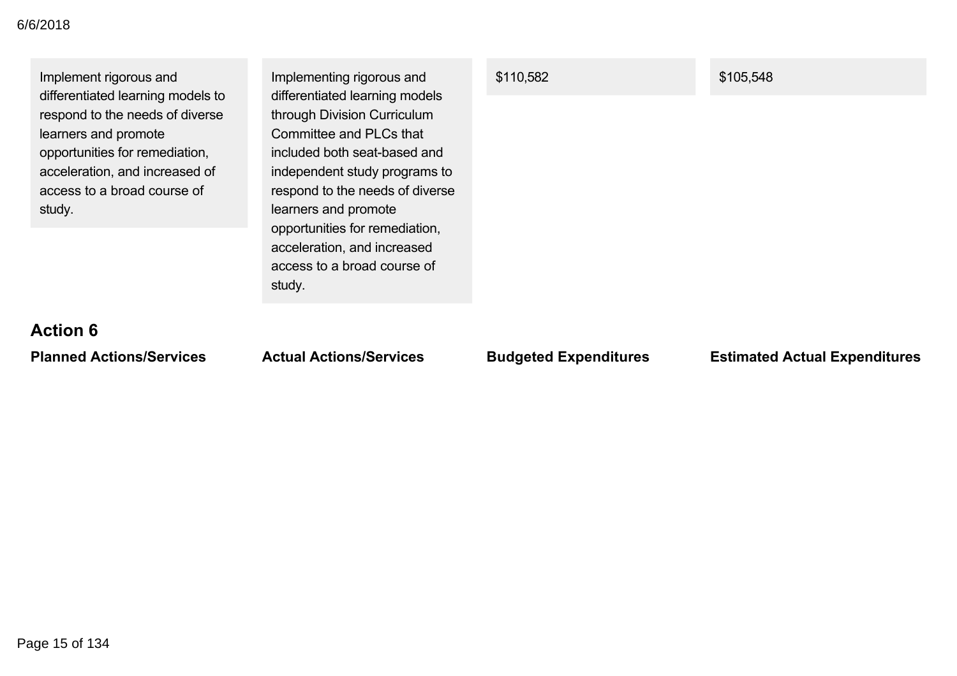| Implement rigorous and<br>differentiated learning models to | Implementing rigorous and<br>differentiated learning models | \$110,582 | \$105,548 |
|-------------------------------------------------------------|-------------------------------------------------------------|-----------|-----------|
| respond to the needs of diverse                             | through Division Curriculum                                 |           |           |
| learners and promote                                        | Committee and PLCs that                                     |           |           |
| opportunities for remediation,                              | included both seat-based and                                |           |           |
| acceleration, and increased of                              | independent study programs to                               |           |           |
| access to a broad course of                                 | respond to the needs of diverse                             |           |           |
| study.                                                      | learners and promote                                        |           |           |
|                                                             | opportunities for remediation,                              |           |           |
|                                                             | acceleration, and increased                                 |           |           |
|                                                             | access to a broad course of                                 |           |           |
|                                                             | study.                                                      |           |           |
|                                                             |                                                             |           |           |

# **Action 6**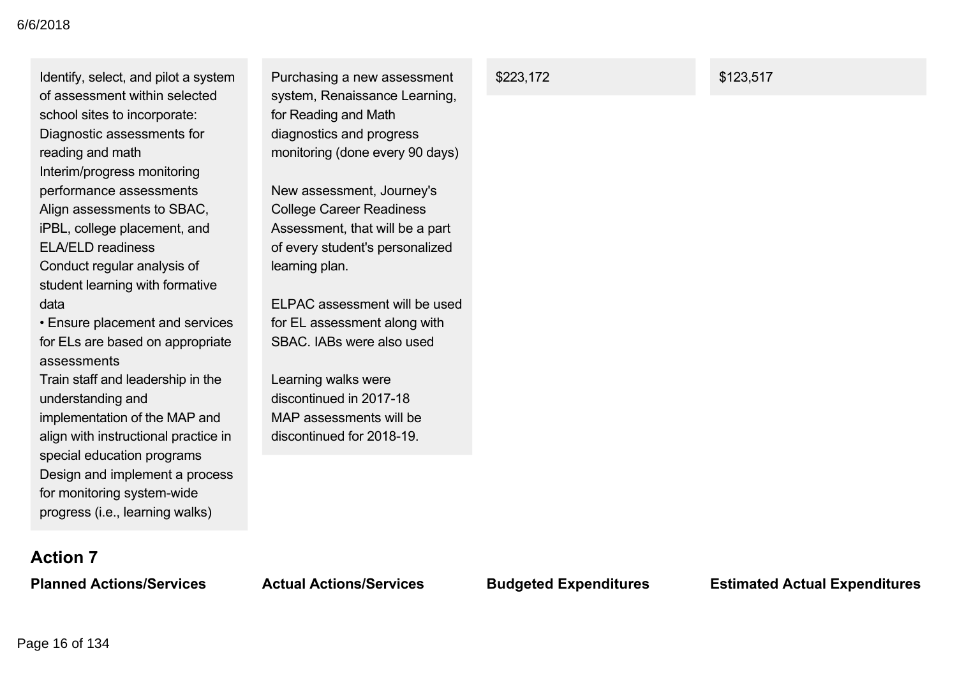Identify, select, and pilot a system of assessment within selected school sites to incorporate: Diagnostic assessments for reading and math Interim/progress monitoring performance assessments Align assessments to SBAC, iPBL, college placement, and ELA/ELD readiness Conduct regular analysis of student learning with formative data

• Ensure placement and services for ELs are based on appropriate assessments

Train staff and leadership in the understanding and implementation of the MAP and align with instructional practice in special education programs Design and implement a process for monitoring system-wide progress (i.e., learning walks)

Purchasing a new assessment system, Renaissance Learning, for Reading and Math diagnostics and progress monitoring (done every 90 days)

New assessment, Journey's College Career Readiness Assessment, that will be a part of every student's personalized learning plan.

ELPAC assessment will be used for EL assessment along with SBAC. IABs were also used

Learning walks were discontinued in 2017-18 MAP assessments will be discontinued for 2018-19

\$223,172 \$123,517

## **Action 7**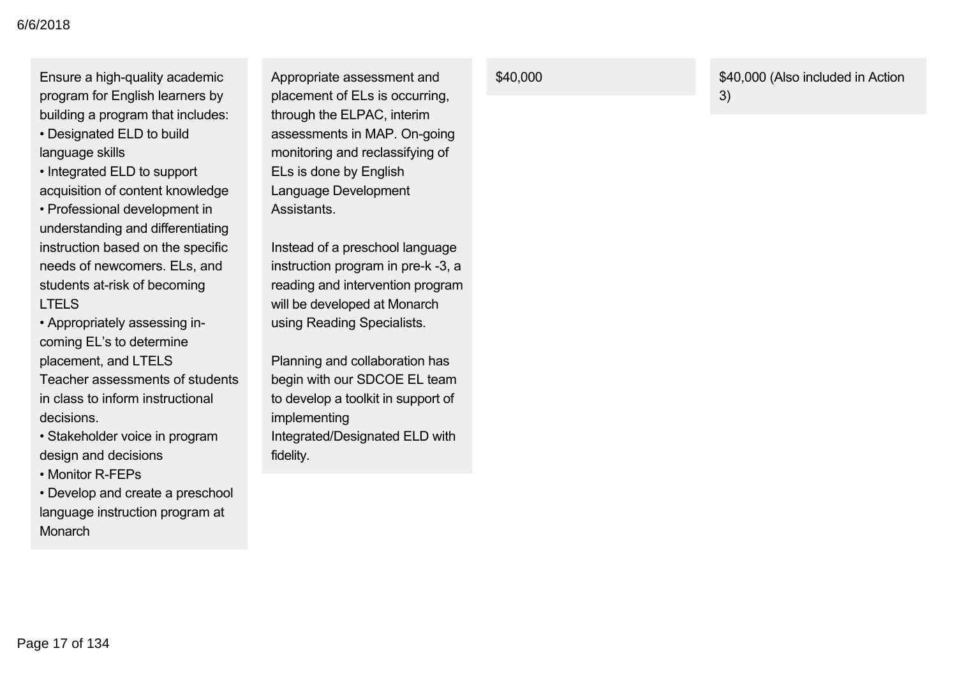Ensure a high-quality academic program for English learners by building a program that includes:

• Designated ELD to build language skills

• Integrated ELD to support acquisition of content knowledge • Professional development in understanding and differentiating instruction based on the specific needs of newcomers. ELs, and students at-risk of becoming LTELS

• Appropriately assessing incoming EL's to determine placement, and LTELS

Teacher assessments of students in class to inform instructional decisions.

• Stakeholder voice in program design and decisions

• Monitor R-FEPs

• Develop and create a preschool language instruction program at **Monarch** 

Appropriate assessment and placement of ELs is occurring, through the ELPAC, interim assessments in MAP. On-going monitoring and reclassifying of ELs is done by English Language Development Assistants.

Instead of a preschool language instruction program in pre-k -3, a reading and intervention program will be developed at Monarch using Reading Specialists.

Planning and collaboration has begin with our SDCOE EL team to develop a toolkit in support of implementing Integrated/Designated ELD with fidelity.

\$40,000 \$40,000 (Also included in Action 3)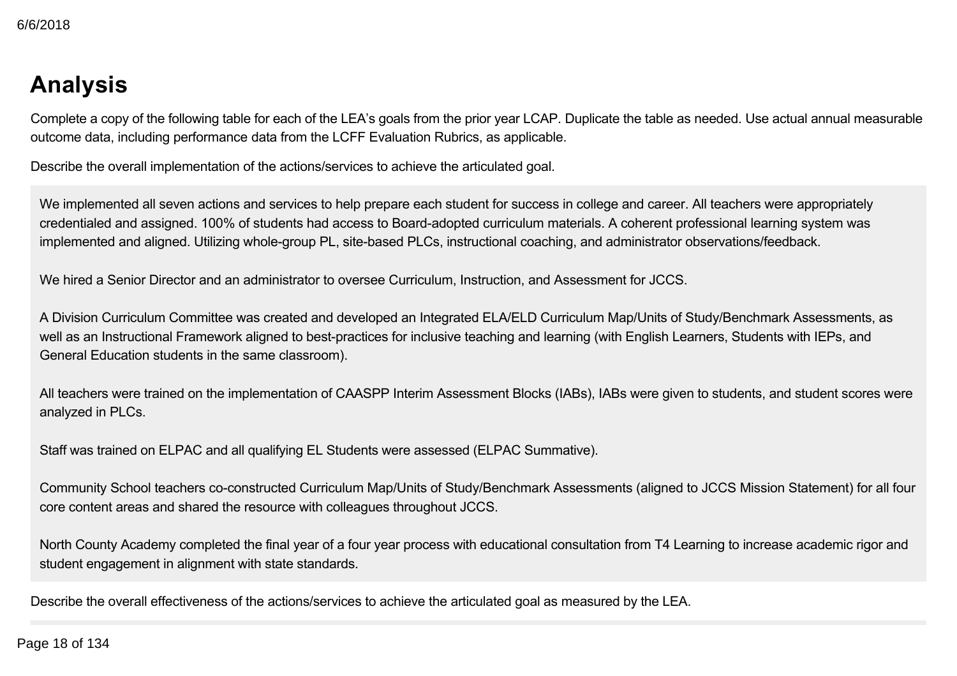## **Analysis**

Complete a copy of the following table for each of the LEA's goals from the prior year LCAP. Duplicate the table as needed. Use actual annual measurable outcome data, including performance data from the LCFF Evaluation Rubrics, as applicable.

Describe the overall implementation of the actions/services to achieve the articulated goal.

We implemented all seven actions and services to help prepare each student for success in college and career. All teachers were appropriately credentialed and assigned. 100% of students had access to Board-adopted curriculum materials. A coherent professional learning system was implemented and aligned. Utilizing whole-group PL, site-based PLCs, instructional coaching, and administrator observations/feedback.

We hired a Senior Director and an administrator to oversee Curriculum, Instruction, and Assessment for JCCS.

A Division Curriculum Committee was created and developed an Integrated ELA/ELD Curriculum Map/Units of Study/Benchmark Assessments, as well as an Instructional Framework aligned to best-practices for inclusive teaching and learning (with English Learners, Students with IEPs, and General Education students in the same classroom).

All teachers were trained on the implementation of CAASPP Interim Assessment Blocks (IABs), IABs were given to students, and student scores were analyzed in PLCs.

Staff was trained on ELPAC and all qualifying EL Students were assessed (ELPAC Summative).

Community School teachers co-constructed Curriculum Map/Units of Study/Benchmark Assessments (aligned to JCCS Mission Statement) for all four core content areas and shared the resource with colleagues throughout JCCS.

North County Academy completed the final year of a four year process with educational consultation from T4 Learning to increase academic rigor and student engagement in alignment with state standards.

Describe the overall effectiveness of the actions/services to achieve the articulated goal as measured by the LEA.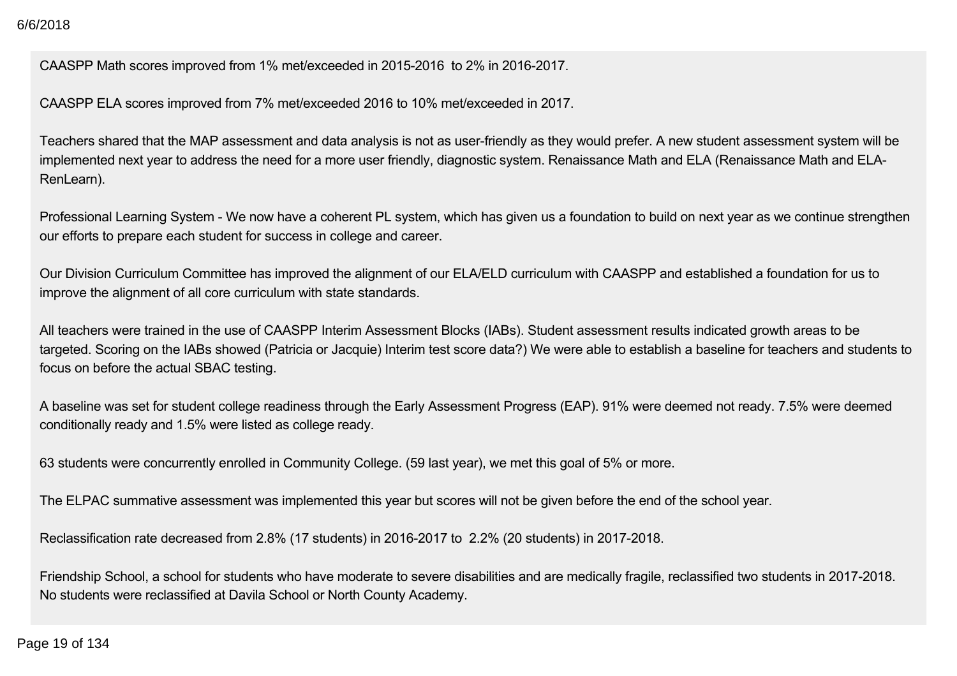CAASPP Math scores improved from 1% met/exceeded in 2015-2016 to 2% in 2016-2017.

CAASPP ELA scores improved from 7% met/exceeded 2016 to 10% met/exceeded in 2017.

Teachers shared that the MAP assessment and data analysis is not as user-friendly as they would prefer. A new student assessment system will be implemented next year to address the need for a more user friendly, diagnostic system. Renaissance Math and ELA (Renaissance Math and ELA-RenLearn).

Professional Learning System - We now have a coherent PL system, which has given us a foundation to build on next year as we continue strengthen our efforts to prepare each student for success in college and career.

Our Division Curriculum Committee has improved the alignment of our ELA/ELD curriculum with CAASPP and established a foundation for us to improve the alignment of all core curriculum with state standards.

All teachers were trained in the use of CAASPP Interim Assessment Blocks (IABs). Student assessment results indicated growth areas to be targeted. Scoring on the IABs showed (Patricia or Jacquie) Interim test score data?) We were able to establish a baseline for teachers and students to focus on before the actual SBAC testing.

A baseline was set for student college readiness through the Early Assessment Progress (EAP). 91% were deemed not ready. 7.5% were deemed conditionally ready and 1.5% were listed as college ready.

63 students were concurrently enrolled in Community College. (59 last year), we met this goal of 5% or more.

The ELPAC summative assessment was implemented this year but scores will not be given before the end of the school year.

Reclassification rate decreased from 2.8% (17 students) in 2016-2017 to 2.2% (20 students) in 2017-2018.

Friendship School, a school for students who have moderate to severe disabilities and are medically fragile, reclassified two students in 2017-2018. No students were reclassified at Davila School or North County Academy.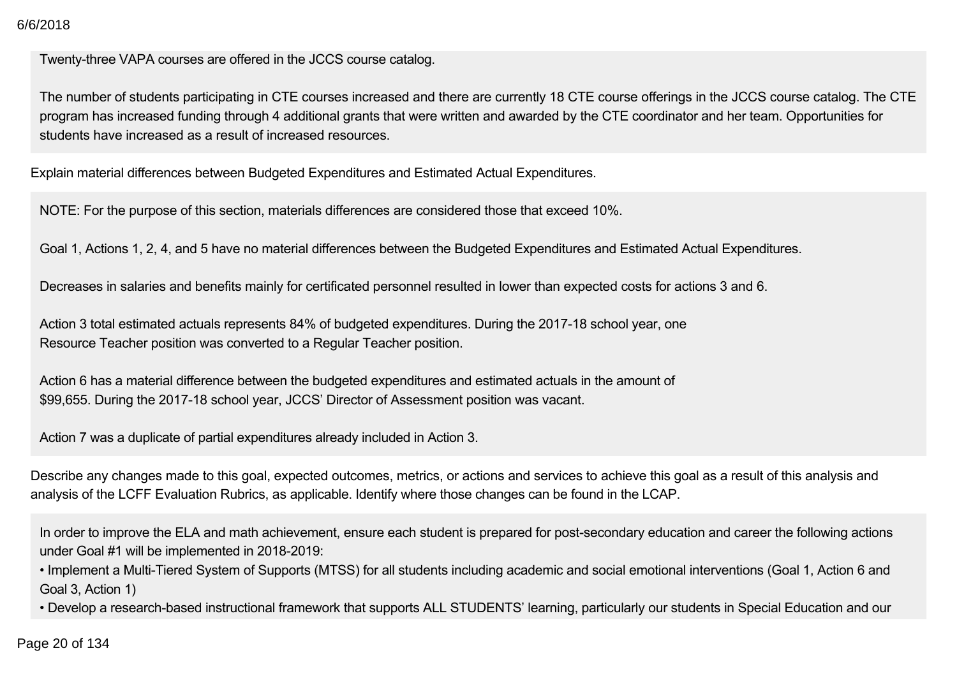#### $2018$ 6/6/2018

Twenty-three VAPA courses are offered in the JCCS course catalog.

The number of students participating in CTE courses increased and there are currently 18 CTE course offerings in the JCCS course catalog. The CTE program has increased funding through 4 additional grants that were written and awarded by the CTE coordinator and her team. Opportunities for students have increased as a result of increased resources.

Explain material differences between Budgeted Expenditures and Estimated Actual Expenditures.

NOTE: For the purpose of this section, materials differences are considered those that exceed 10%.

Goal 1, Actions 1, 2, 4, and 5 have no material differences between the Budgeted Expenditures and Estimated Actual Expenditures.

Decreases in salaries and benefits mainly for certificated personnel resulted in lower than expected costs for actions 3 and 6.

Action 3 total estimated actuals represents 84% of budgeted expenditures. During the 2017-18 school year, one Resource Teacher position was converted to a Regular Teacher position.

Action 6 has a material difference between the budgeted expenditures and estimated actuals in the amount of \$99,655. During the 2017-18 school year, JCCS' Director of Assessment position was vacant.

Action 7 was a duplicate of partial expenditures already included in Action 3.

Describe any changes made to this goal, expected outcomes, metrics, or actions and services to achieve this goal as a result of this analysis and analysis of the LCFF Evaluation Rubrics, as applicable. Identify where those changes can be found in the LCAP.

In order to improve the ELA and math achievement, ensure each student is prepared for post-secondary education and career the following actions under Goal #1 will be implemented in 2018-2019:

• Implement a Multi-Tiered System of Supports (MTSS) for all students including academic and social emotional interventions (Goal 1, Action 6 and Goal 3, Action 1)

• Develop a research-based instructional framework that supports ALL STUDENTS' learning, particularly our students in Special Education and our

 $\rm \sim 20$  of 134  $\rm \sim 20$ Page 20 of 134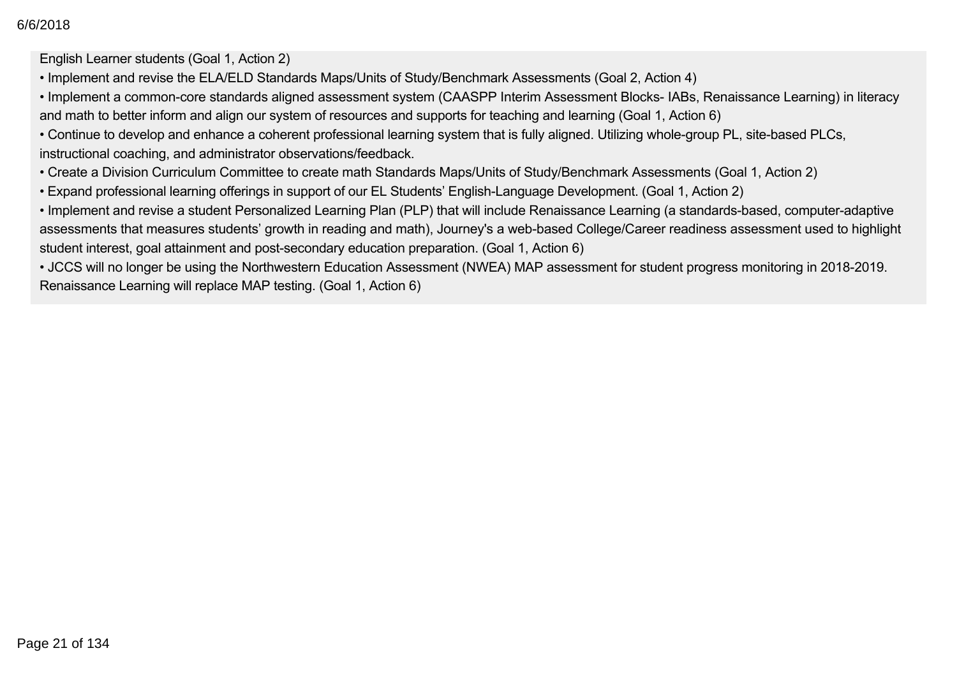English Learner students (Goal 1, Action 2)

- Implement and revise the ELA/ELD Standards Maps/Units of Study/Benchmark Assessments (Goal 2, Action 4)
- Implement a common-core standards aligned assessment system (CAASPP Interim Assessment Blocks- IABs, Renaissance Learning) in literacy and math to better inform and align our system of resources and supports for teaching and learning (Goal 1, Action 6)
- Continue to develop and enhance a coherent professional learning system that is fully aligned. Utilizing whole-group PL, site-based PLCs, instructional coaching, and administrator observations/feedback.
- Create a Division Curriculum Committee to create math Standards Maps/Units of Study/Benchmark Assessments (Goal 1, Action 2)
- Expand professional learning offerings in support of our EL Students' EnglishLanguage Development. (Goal 1, Action 2)
- Implement and revise a student Personalized Learning Plan (PLP) that will include Renaissance Learning (a standards-based, computer-adaptive assessments that measures students' growth in reading and math), Journey's a web-based College/Career readiness assessment used to highlight student interest, goal attainment and post-secondary education preparation. (Goal 1, Action 6)

• JCCS will no longer be using the Northwestern Education Assessment (NWEA) MAP assessment for student progress monitoring in 2018-2019. Renaissance Learning will replace MAP testing. (Goal 1, Action 6)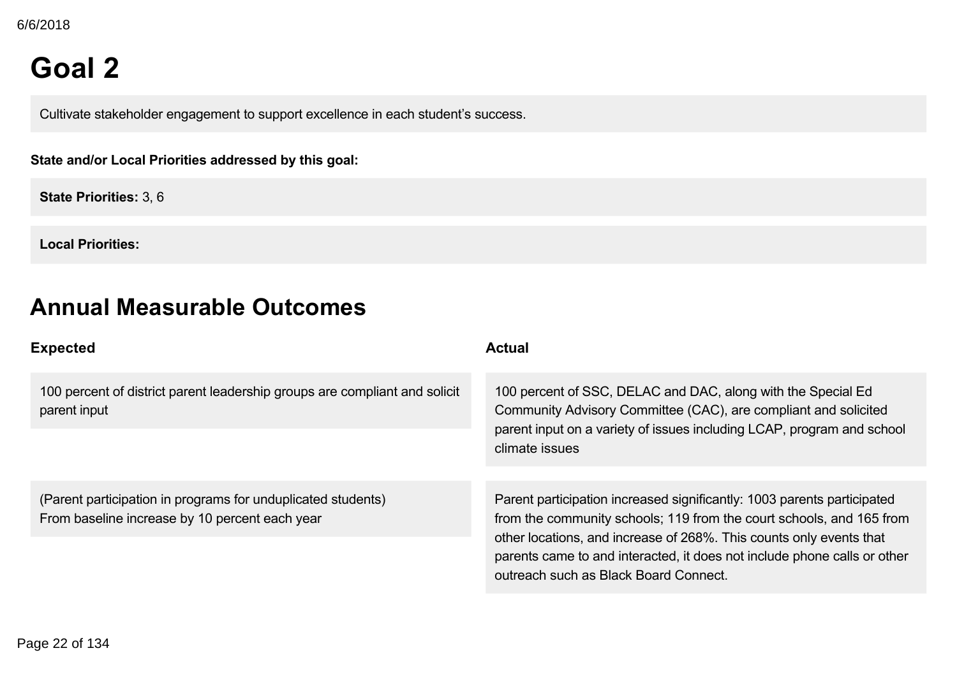## **Goal 2**

Cultivate stakeholder engagement to support excellence in each student's success.

**State and/or Local Priorities addressed by this goal:**

**State Priorities:** 3, 6

**Local Priorities:**

## **Annual Measurable Outcomes**

| <b>Expected</b>                                                                                                | <b>Actual</b>                                                                                                                                                                                                                                                                                                                               |
|----------------------------------------------------------------------------------------------------------------|---------------------------------------------------------------------------------------------------------------------------------------------------------------------------------------------------------------------------------------------------------------------------------------------------------------------------------------------|
| 100 percent of district parent leadership groups are compliant and solicit<br>parent input                     | 100 percent of SSC, DELAC and DAC, along with the Special Ed<br>Community Advisory Committee (CAC), are compliant and solicited<br>parent input on a variety of issues including LCAP, program and school<br>climate issues                                                                                                                 |
| (Parent participation in programs for unduplicated students)<br>From baseline increase by 10 percent each year | Parent participation increased significantly: 1003 parents participated<br>from the community schools; 119 from the court schools, and 165 from<br>other locations, and increase of 268%. This counts only events that<br>parents came to and interacted, it does not include phone calls or other<br>outreach such as Black Board Connect. |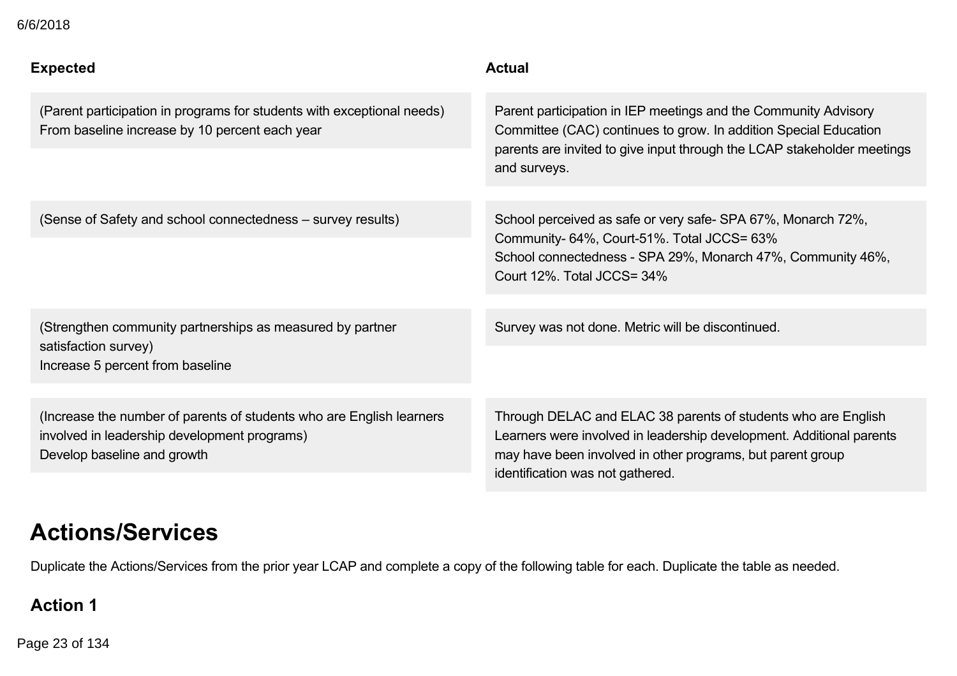| 6/6/2018                                                                                                                 |                                                                                                                                                                                                                                |
|--------------------------------------------------------------------------------------------------------------------------|--------------------------------------------------------------------------------------------------------------------------------------------------------------------------------------------------------------------------------|
| <b>Expected</b>                                                                                                          | <b>Actual</b>                                                                                                                                                                                                                  |
| (Parent participation in programs for students with exceptional needs)<br>From baseline increase by 10 percent each year | Parent participation in IEP meetings and the Community Advisory<br>Committee (CAC) continues to grow. In addition Special Education<br>parents are invited to give input through the LCAP stakeholder meetings<br>and surveys. |
| (Sense of Safety and school connectedness - survey results)                                                              | School perceived as safe or very safe-SPA 67%, Monarch 72%,<br>Community- 64%, Court-51%. Total JCCS= 63%<br>School connectedness - SPA 29%, Monarch 47%, Community 46%,<br>Court 12%. Total JCCS= 34%                         |
| (Strengthen community partnerships as measured by partner<br>satisfaction survey)<br>Increase 5 percent from baseline    | Survey was not done. Metric will be discontinued.                                                                                                                                                                              |
|                                                                                                                          |                                                                                                                                                                                                                                |
| (Increase the number of parents of students who are English learners<br>involved in leadership development programs)     | Through DELAC and ELAC 38 parents of students who are English<br>Learners were involved in leadership development. Additional parents                                                                                          |

Develop baseline and growth

Learners were involved in leadership development. Additional parents may have been involved in other programs, but parent group identification was not gathered.

## **Actions/Services**

Duplicate the Actions/Services from the prior year LCAP and complete a copy of the following table for each. Duplicate the table as needed.

## **Action 1**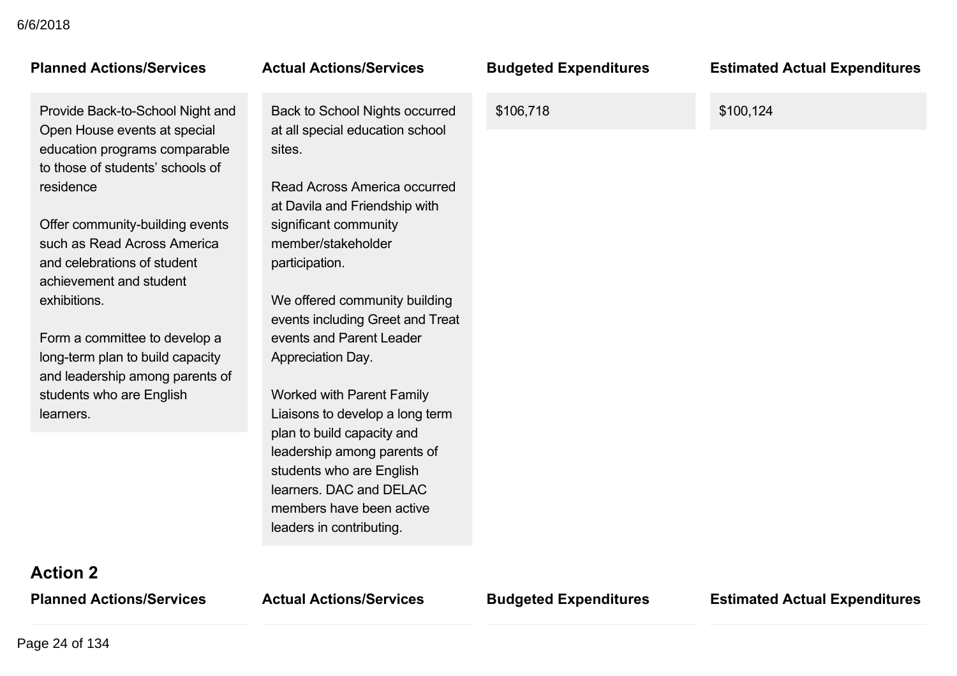## **Planned Actions/Services Actual Actions/Services Budgeted Expenditures Estimated Actual Expenditures**

Provide Back-to-School Night and Open House events at special education programs comparable to those of students' schools of residence

Offer community-building events such as Read Across America and celebrations of student achievement and student exhibitions.

Form a committee to develop a long-term plan to build capacity and leadership among parents of students who are English learners.

Back to School Nights occurred at all special education school sites.

Read Across America occurred at Davila and Friendship with significant community member/stakeholder participation.

We offered community building events including Greet and Treat events and Parent Leader Appreciation Day.

Worked with Parent Family Liaisons to develop a long term plan to build capacity and leadership among parents of students who are English learners. DAC and DELAC members have been active leaders in contributing.

\$106,718 \$100,124

**Action 2**

**Planned Actions/Services Actual Actions/Services Budgeted Expenditures Estimated Actual Expenditures**

Page 24 of 134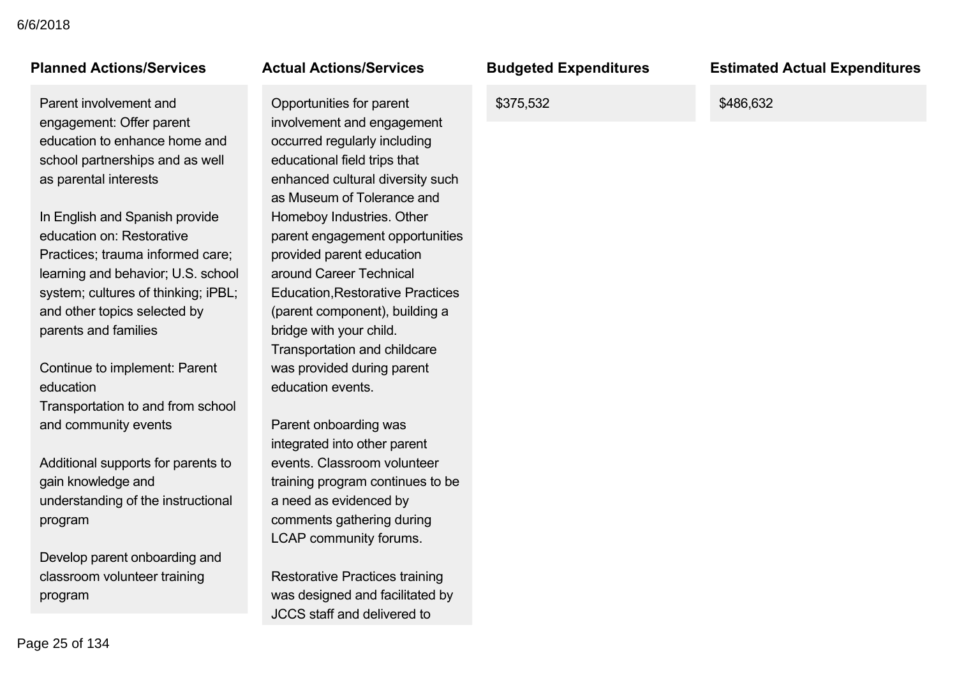Parent involvement and engagement: Offer parent education to enhance home and school partnerships and as well as parental interests

In English and Spanish provide education on: Restorative Practices; trauma informed care; learning and behavior; U.S. school system; cultures of thinking; iPBL; and other topics selected by parents and families

Continue to implement: Parent education Transportation to and from school and community events

Additional supports for parents to gain knowledge and understanding of the instructional program

Develop parent onboarding and classroom volunteer training program

Opportunities for parent involvement and engagement occurred regularly including educational field trips that enhanced cultural diversity such as Museum of Tolerance and Homeboy Industries. Other parent engagement opportunities provided parent education around Career Technical Education,Restorative Practices (parent component), building a bridge with your child. Transportation and childcare was provided during parent education events.

Parent onboarding was integrated into other parent events. Classroom volunteer training program continues to be a need as evidenced by comments gathering during LCAP community forums.

Restorative Practices training was designed and facilitated by JCCS staff and delivered to

\$375,532 \$486,632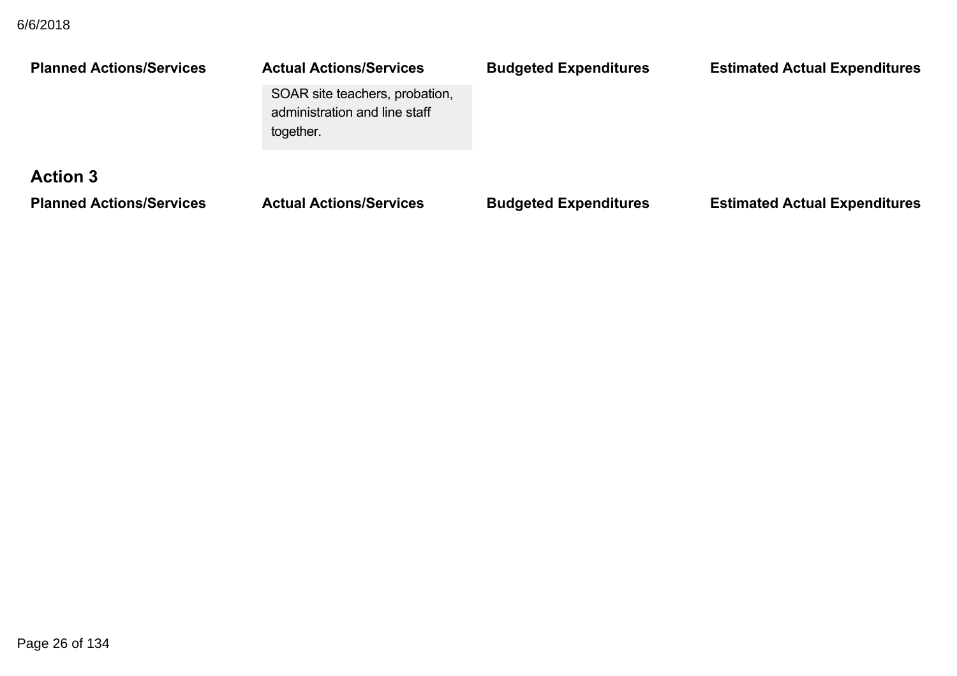| <b>Planned Actions/Services</b> | <b>Actual Actions/Services</b><br>SOAR site teachers, probation,<br>administration and line staff<br>together. | <b>Budgeted Expenditures</b> | <b>Estimated Actual Expenditures</b> |
|---------------------------------|----------------------------------------------------------------------------------------------------------------|------------------------------|--------------------------------------|
| <b>Action 3</b>                 |                                                                                                                |                              |                                      |
| <b>Planned Actions/Services</b> | <b>Actual Actions/Services</b>                                                                                 | <b>Budgeted Expenditures</b> | <b>Estimated Actual Expenditures</b> |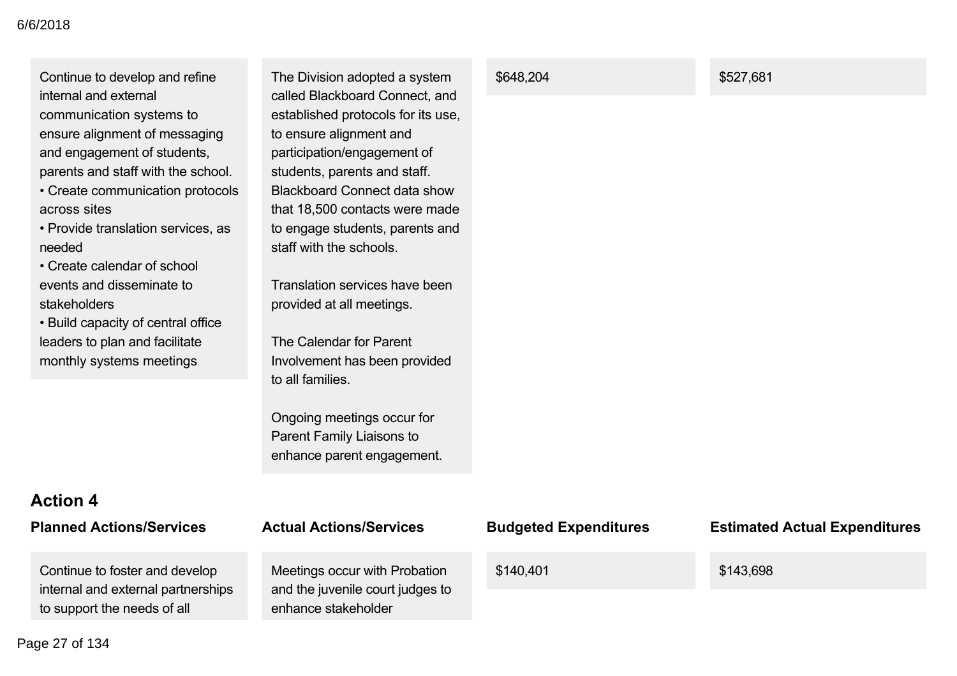Continue to develop and refine internal and external communication systems to ensure alignment of messaging and engagement of students, parents and staff with the school.

• Create communication protocols across sites

• Provide translation services, as needed

• Create calendar of school events and disseminate to stakeholders

• Build capacity of central office leaders to plan and facilitate monthly systems meetings

The Division adopted a system called Blackboard Connect, and established protocols for its use, to ensure alignment and participation/engagement of students, parents and staff. Blackboard Connect data show that 18,500 contacts were made to engage students, parents and staff with the schools.

Translation services have been provided at all meetings.

The Calendar for Parent Involvement has been provided to all families.

Ongoing meetings occur for Parent Family Liaisons to enhance parent engagement.

## **Action 4**

| <b>Planned Actions/Services</b> |
|---------------------------------|
|---------------------------------|

Continue to foster and develop internal and external partnerships to support the needs of all

## **Planned Actions/Services Actual Actions/Services Budgeted Expenditures Estimated Actual Expenditures**

Meetings occur with Probation and the juvenile court judges to enhance stakeholder

#### \$648.204 \$527,681

\$140,401 \$143,698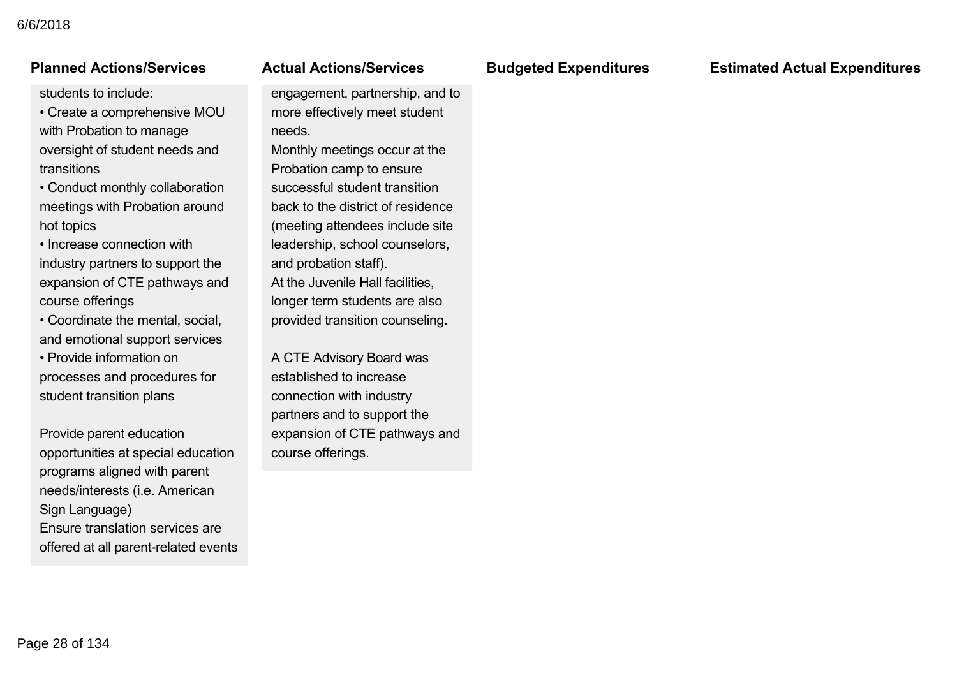### internal and external partnerships tanned Actions/Servic

students to include:

• Create a comprehensive MOU with Probation to manage oversight of student needs and transitions

• Conduct monthly collaboration meetings with Probation around hot topics

• Increase connection with industry partners to support the expansion of CTE pathways and course offerings

• Coordinate the mental, social, and emotional support services

• Provide information on processes and procedures for student transition plans

Provide parent education opportunities at special education programs aligned with parent needs/interests (i.e. American Sign Language) Ensure translation services are offered at all parent-related events

### and the juvenile court judges to ctual Actions/Serve

engagement, partnership, and to more effectively meet student needs.

Monthly meetings occur at the Probation camp to ensure successful student transition back to the district of residence (meeting attendees include site leadership, school counselors, and probation staff). At the Juvenile Hall facilities, longer term students are also provided transition counseling.

A CTE Advisory Board was established to increase connection with industry partners and to support the expansion of CTE pathways and course offerings.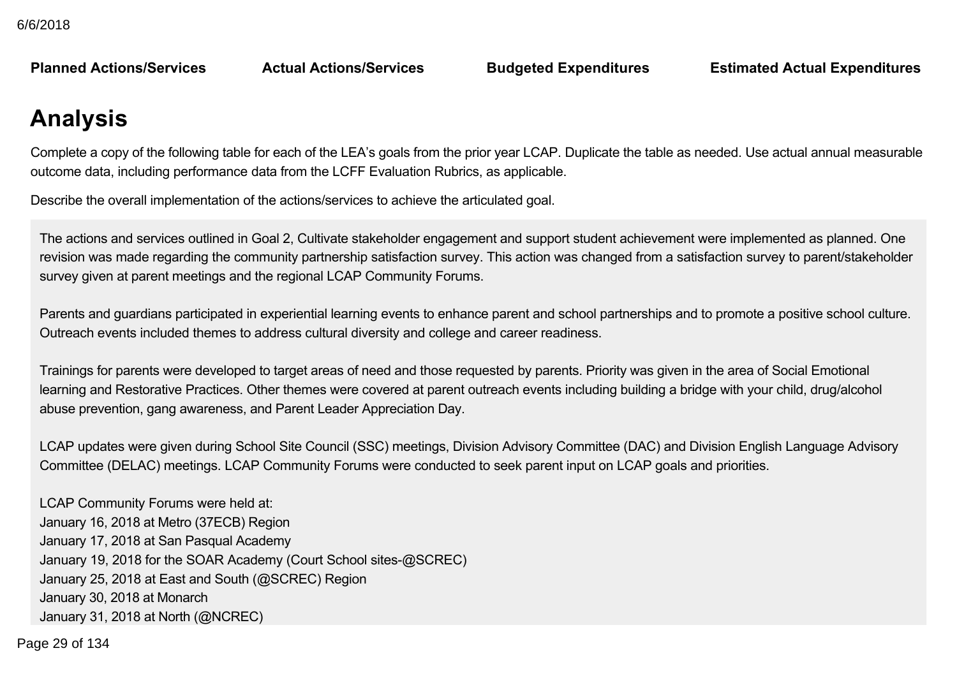**Planned Actions/Services** 

**Planned Actions/Services Actual Actions/Services Budgeted Expenditures Estimated Actual Expenditures**

## **Analysis**

Complete a copy of the following table for each of the LEA's goals from the prior year LCAP. Duplicate the table as needed. Use actual annual measurable outcome data, including performance data from the LCFF Evaluation Rubrics, as applicable.

Describe the overall implementation of the actions/services to achieve the articulated goal.

The actions and services outlined in Goal 2, Cultivate stakeholder engagement and support student achievement were implemented as planned. One revision was made regarding the community partnership satisfaction survey. This action was changed from a satisfaction survey to parent/stakeholder survey given at parent meetings and the regional LCAP Community Forums.

Parents and guardians participated in experiential learning events to enhance parent and school partnerships and to promote a positive school culture. Outreach events included themes to address cultural diversity and college and career readiness.

Trainings for parents were developed to target areas of need and those requested by parents. Priority was given in the area of Social Emotional learning and Restorative Practices. Other themes were covered at parent outreach events including building a bridge with your child, drug/alcohol abuse prevention, gang awareness, and Parent Leader Appreciation Day.

LCAP updates were given during School Site Council (SSC) meetings, Division Advisory Committee (DAC) and Division English Language Advisory Committee (DELAC) meetings. LCAP Community Forums were conducted to seek parent input on LCAP goals and priorities.

LCAP Community Forums were held at: January 16, 2018 at Metro (37ECB) Region January 17, 2018 at San Pasqual Academy January 19, 2018 for the SOAR Academy (Court School sites-@SCREC) January 25, 2018 at East and South (@SCREC) Region January 30, 2018 at Monarch January 31, 2018 at North (@NCREC)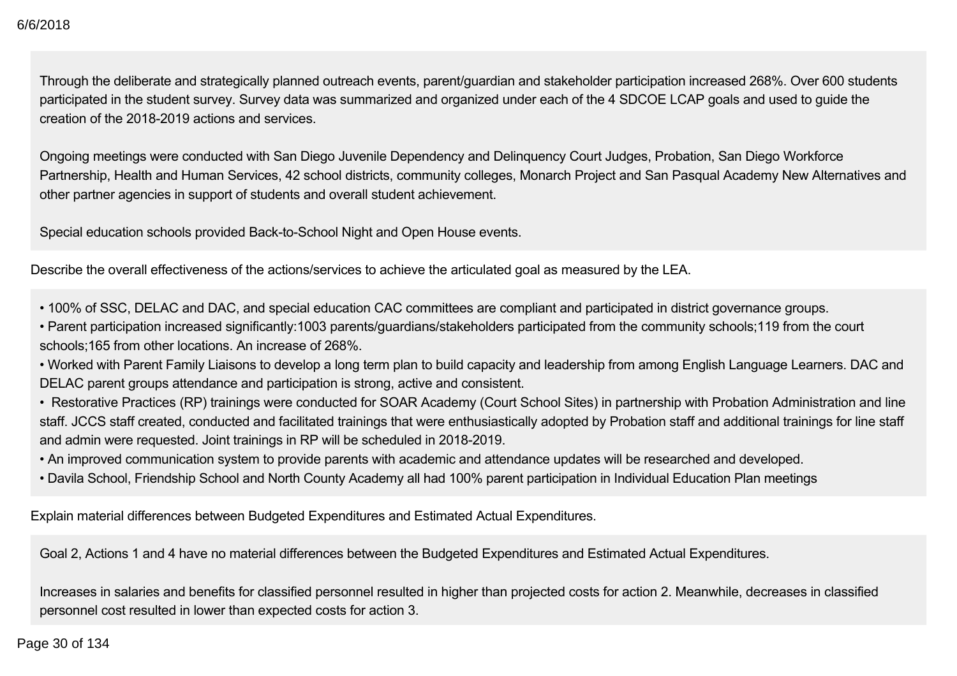Through the deliberate and strategically planned outreach events, parent/guardian and stakeholder participation increased 268%. Over 600 students participated in the student survey. Survey data was summarized and organized under each of the 4 SDCOE LCAP goals and used to guide the creation of the 2018-2019 actions and services

Ongoing meetings were conducted with San Diego Juvenile Dependency and Delinquency Court Judges, Probation, San Diego Workforce Partnership, Health and Human Services, 42 school districts, community colleges, Monarch Project and San Pasqual Academy New Alternatives and other partner agencies in support of students and overall student achievement.

Special education schools provided Back-to-School Night and Open House events.

Describe the overall effectiveness of the actions/services to achieve the articulated goal as measured by the LEA.

• 100% of SSC, DELAC and DAC, and special education CAC committees are compliant and participated in district governance groups.

• Parent participation increased significantly:1003 parents/guardians/stakeholders participated from the community schools;119 from the court schools;165 from other locations. An increase of 268%.

• Worked with Parent Family Liaisons to develop a long term plan to build capacity and leadership from among English Language Learners. DAC and DELAC parent groups attendance and participation is strong, active and consistent.

• Restorative Practices (RP) trainings were conducted for SOAR Academy (Court School Sites) in partnership with Probation Administration and line staff. JCCS staff created, conducted and facilitated trainings that were enthusiastically adopted by Probation staff and additional trainings for line staff and admin were requested. Joint trainings in RP will be scheduled in 2018-2019.

• An improved communication system to provide parents with academic and attendance updates will be researched and developed.

• Davila School, Friendship School and North County Academy all had 100% parent participation in Individual Education Plan meetings

Explain material differences between Budgeted Expenditures and Estimated Actual Expenditures.

Goal 2, Actions 1 and 4 have no material differences between the Budgeted Expenditures and Estimated Actual Expenditures.

Increases in salaries and benefits for classified personnel resulted in higher than projected costs for action 2. Meanwhile, decreases in classified personnel cost resulted in lower than expected costs for action 3.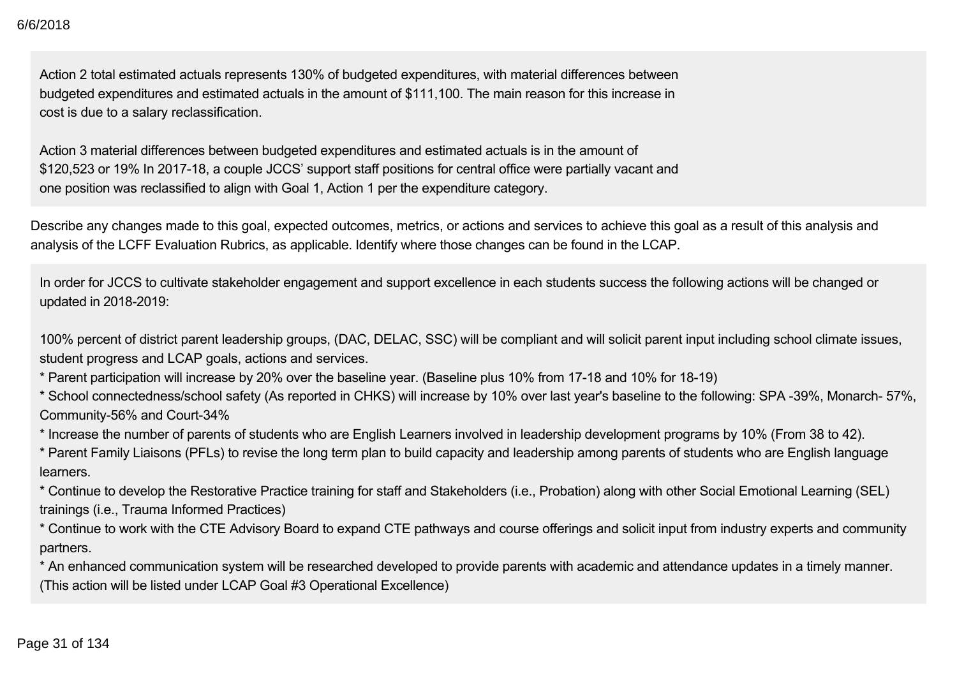Action 2 total estimated actuals represents 130% of budgeted expenditures, with material differences between budgeted expenditures and estimated actuals in the amount of \$111,100. The main reason for this increase in cost is due to a salary reclassification.

Action 3 material differences between budgeted expenditures and estimated actuals is in the amount of \$120,523 or 19% In 2017-18, a couple JCCS' support staff positions for central office were partially vacant and one position was reclassified to align with Goal 1, Action 1 per the expenditure category.

Describe any changes made to this goal, expected outcomes, metrics, or actions and services to achieve this goal as a result of this analysis and analysis of the LCFF Evaluation Rubrics, as applicable. Identify where those changes can be found in the LCAP.

In order for JCCS to cultivate stakeholder engagement and support excellence in each students success the following actions will be changed or updated in 2018-2019:

100% percent of district parent leadership groups, (DAC, DELAC, SSC) will be compliant and will solicit parent input including school climate issues, student progress and LCAP goals, actions and services.

\* Parent participation will increase by 20% over the baseline year. (Baseline plus 10% from 17-18 and 10% for 18-19)

\* School connectedness/school safety (As reported in CHKS) will increase by 10% over last year's baseline to the following: SPA 39%, Monarch 57%, Community-56% and Court-34%

\* Increase the number of parents of students who are English Learners involved in leadership development programs by 10% (From 38 to 42).

\* Parent Family Liaisons (PFLs) to revise the long term plan to build capacity and leadership among parents of students who are English language learners.

\* Continue to develop the Restorative Practice training for staff and Stakeholders (i.e., Probation) along with other Social Emotional Learning (SEL) trainings (i.e., Trauma Informed Practices)

\* Continue to work with the CTE Advisory Board to expand CTE pathways and course offerings and solicit input from industry experts and community partners.

\* An enhanced communication system will be researched developed to provide parents with academic and attendance updates in a timely manner. (This action will be listed under LCAP Goal #3 Operational Excellence)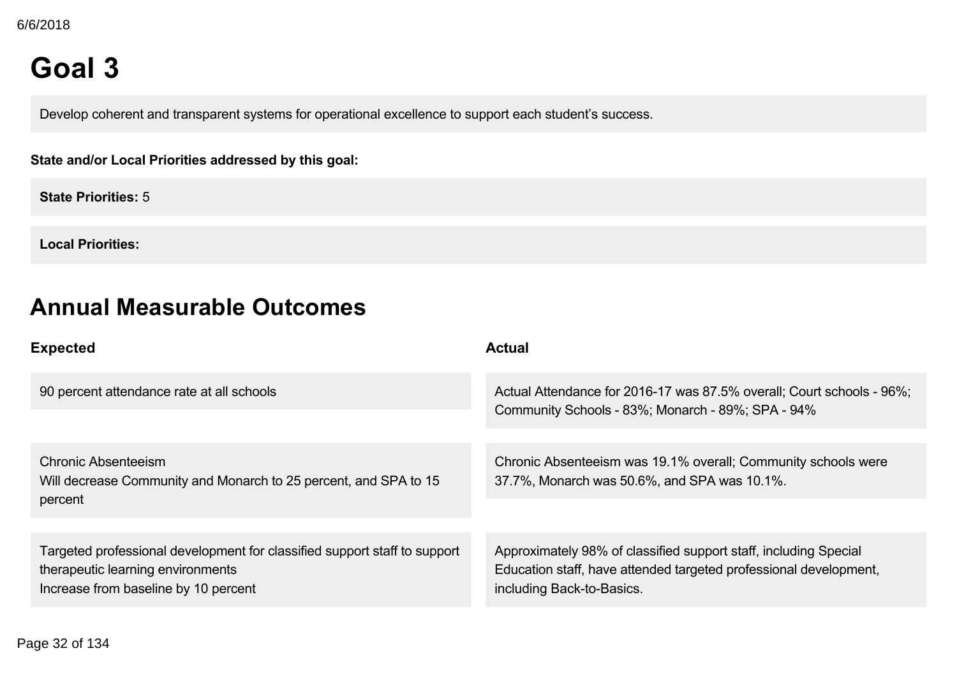## **Goal 3**

Develop coherent and transparent systems for operational excellence to support each student's success.

### **State and/or Local Priorities addressed by this goal:**

**State Priorities:** 5

**Local Priorities:**

## **Annual Measurable Outcomes**

| <b>Expected</b>                                                                                                                                        | <b>Actual</b>                                                                                                                                                      |
|--------------------------------------------------------------------------------------------------------------------------------------------------------|--------------------------------------------------------------------------------------------------------------------------------------------------------------------|
| 90 percent attendance rate at all schools                                                                                                              | Actual Attendance for 2016-17 was 87.5% overall; Court schools - 96%;<br>Community Schools - 83%; Monarch - 89%; SPA - 94%                                         |
|                                                                                                                                                        |                                                                                                                                                                    |
| <b>Chronic Absenteeism</b><br>Will decrease Community and Monarch to 25 percent, and SPA to 15<br>percent                                              | Chronic Absenteeism was 19.1% overall; Community schools were<br>37.7%, Monarch was 50.6%, and SPA was 10.1%.                                                      |
|                                                                                                                                                        |                                                                                                                                                                    |
| Targeted professional development for classified support staff to support<br>therapeutic learning environments<br>Increase from baseline by 10 percent | Approximately 98% of classified support staff, including Special<br>Education staff, have attended targeted professional development,<br>including Back-to-Basics. |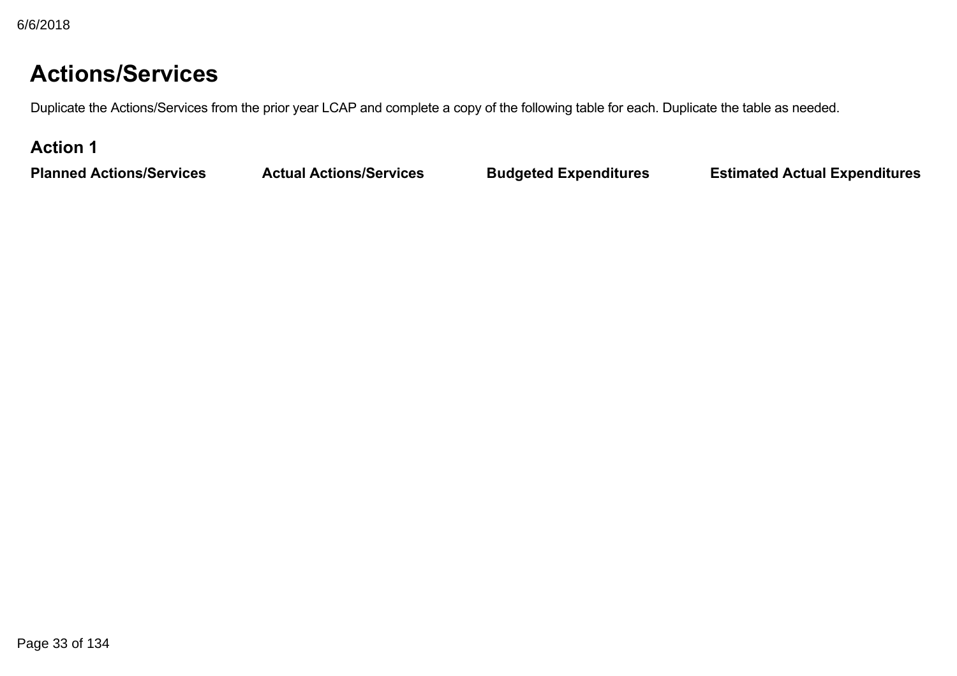## **Actions/Services**

Duplicate the Actions/Services from the prior year LCAP and complete a copy of the following table for each. Duplicate the table as needed.

## **Action 1**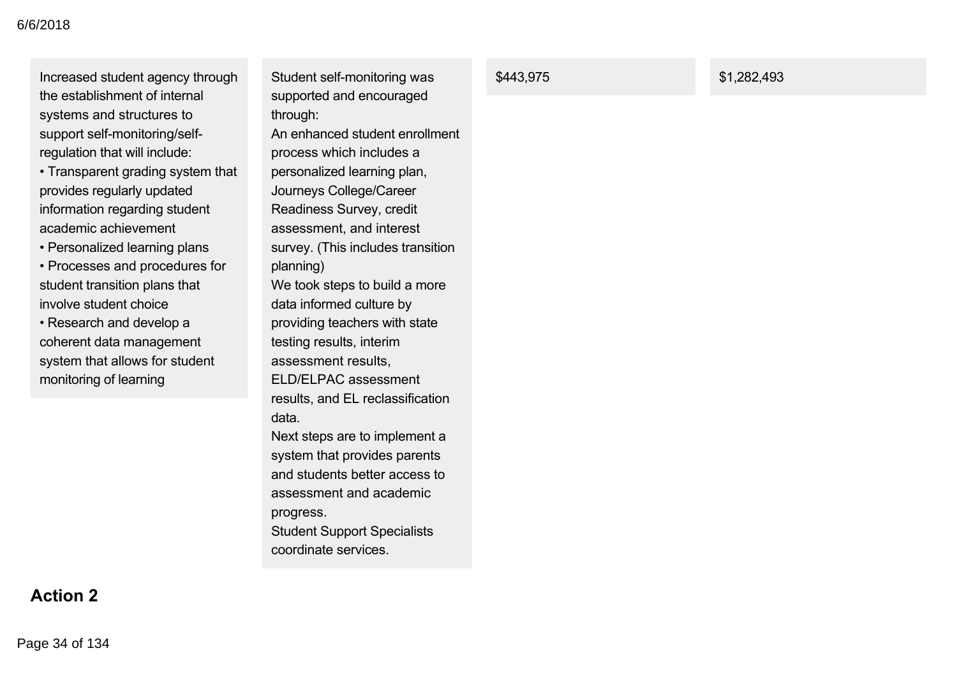Increased student agency through the establishment of internal systems and structures to support self-monitoring/selfregulation that will include:

• Transparent grading system that provides regularly updated information regarding student academic achievement

• Personalized learning plans

• Processes and procedures for student transition plans that involve student choice

• Research and develop a coherent data management system that allows for student monitoring of learning

Student self-monitoring was supported and encouraged through: An enhanced student enrollment process which includes a personalized learning plan, Journeys College/Career Readiness Survey, credit assessment, and interest survey. (This includes transition planning) We took steps to build a more data informed culture by providing teachers with state testing results, interim assessment results, ELD/ELPAC assessment results, and EL reclassification data. Next steps are to implement a system that provides parents and students better access to assessment and academic progress. Student Support Specialists coordinate services.

**\$443,975** \$1,282,493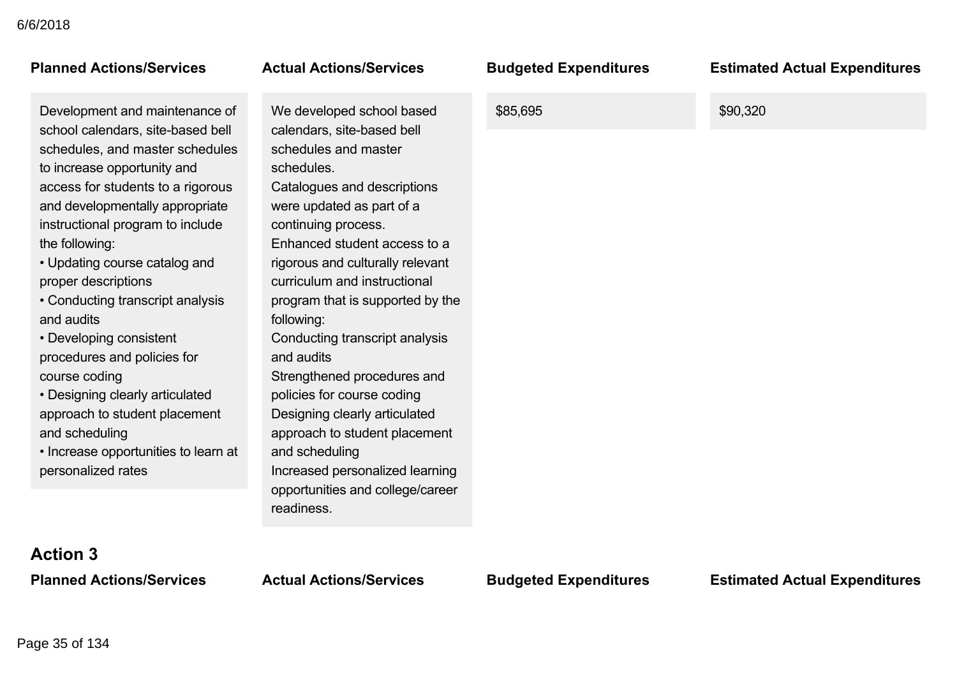## **Planned Actions/Services Actual Actions/Services Budgeted Expenditures Estimated Actual Expenditures**

Development and maintenance of school calendars, site-based bell schedules, and master schedules to increase opportunity and access for students to a rigorous and developmentally appropriate instructional program to include the following:

- Updating course catalog and proper descriptions
- Conducting transcript analysis and audits
- Developing consistent procedures and policies for course coding
- Designing clearly articulated approach to student placement and scheduling
- Increase opportunities to learn at personalized rates

We developed school based calendars, site-based bell schedules and master schedules. Catalogues and descriptions were updated as part of a continuing process. Enhanced student access to a rigorous and culturally relevant curriculum and instructional program that is supported by the following: Conducting transcript analysis and audits Strengthened procedures and policies for course coding Designing clearly articulated approach to student placement and scheduling Increased personalized learning opportunities and college/career readiness.

\$85,695 \$90,320

# **Action 3**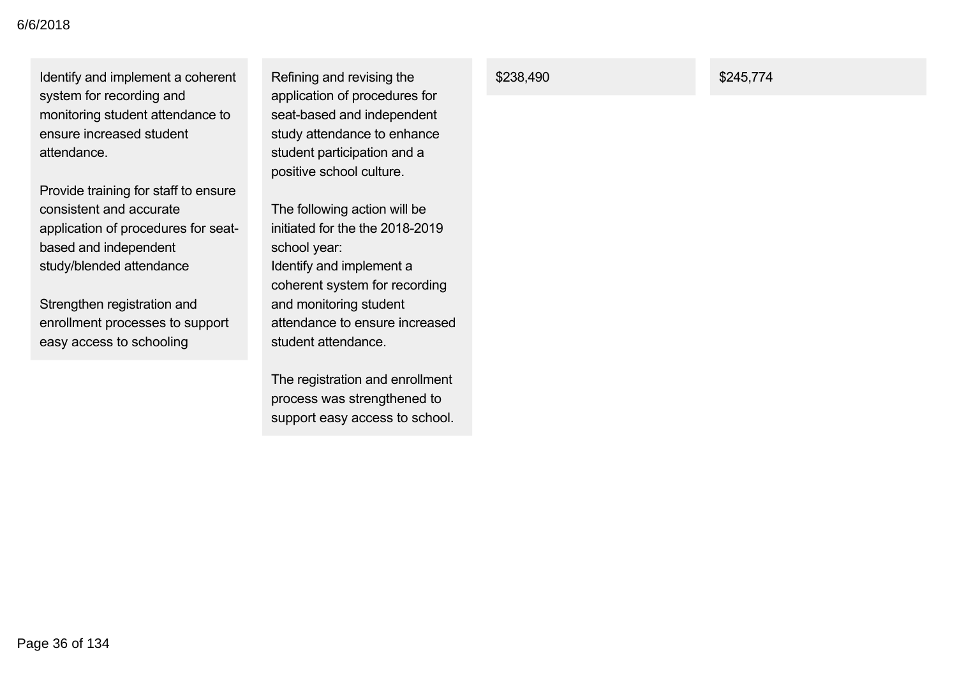Identify and implement a coherent system for recording and monitoring student attendance to ensure increased student attendance.

Provide training for staff to ensure consistent and accurate application of procedures for seatbased and independent study/blended attendance

Strengthen registration and enrollment processes to support easy access to schooling

Refining and revising the application of procedures for seat-based and independent study attendance to enhance student participation and a positive school culture.

The following action will be initiated for the the  $2018-2019$ school year: Identify and implement a coherent system for recording and monitoring student attendance to ensure increased student attendance.

The registration and enrollment process was strengthened to support easy access to school.

### **\$238,490** \$245,774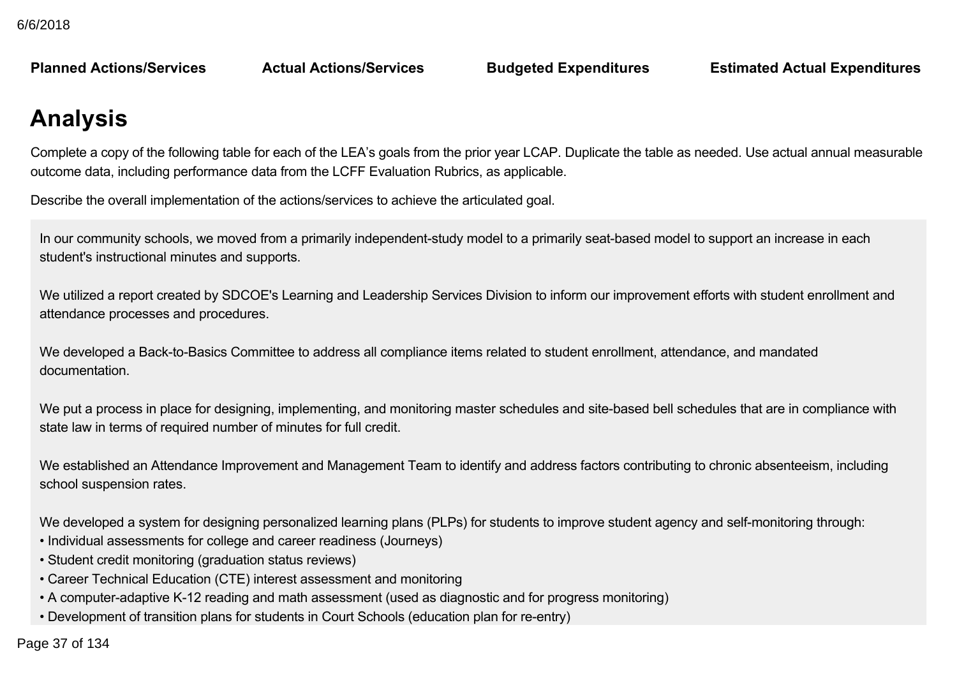**Planned Actions/Services Actual Actions/Services Budgeted Expenditures Estimated Actual Expenditures**

# **Analysis**

Complete a copy of the following table for each of the LEA's goals from the prior year LCAP. Duplicate the table as needed. Use actual annual measurable outcome data, including performance data from the LCFF Evaluation Rubrics, as applicable.

Describe the overall implementation of the actions/services to achieve the articulated goal.

In our community schools, we moved from a primarily independent-study model to a primarily seat-based model to support an increase in each student's instructional minutes and supports.

We utilized a report created by SDCOE's Learning and Leadership Services Division to inform our improvement efforts with student enrollment and attendance processes and procedures.

We developed a Back-to-Basics Committee to address all compliance items related to student enrollment, attendance, and mandated documentation.

We put a process in place for designing, implementing, and monitoring master schedules and site-based bell schedules that are in compliance with state law in terms of required number of minutes for full credit.

We established an Attendance Improvement and Management Team to identify and address factors contributing to chronic absenteeism, including school suspension rates.

We developed a system for designing personalized learning plans (PLPs) for students to improve student agency and self-monitoring through:

- Individual assessments for college and career readiness (Journeys)
- Student credit monitoring (graduation status reviews)
- Career Technical Education (CTE) interest assessment and monitoring
- A computer-adaptive K-12 reading and math assessment (used as diagnostic and for progress monitoring)
- Development of transition plans for students in Court Schools (education plan for re-entry)

 $\frac{10.27 \text{ of } 4.24}{\pi}$  $\mathbf{r} = \mathbf{r}_\mathrm{c}$  resources and connections to community based services, supports based on student need on student need on student need on student need on student need on student need on student need on student need on Page 37 of 134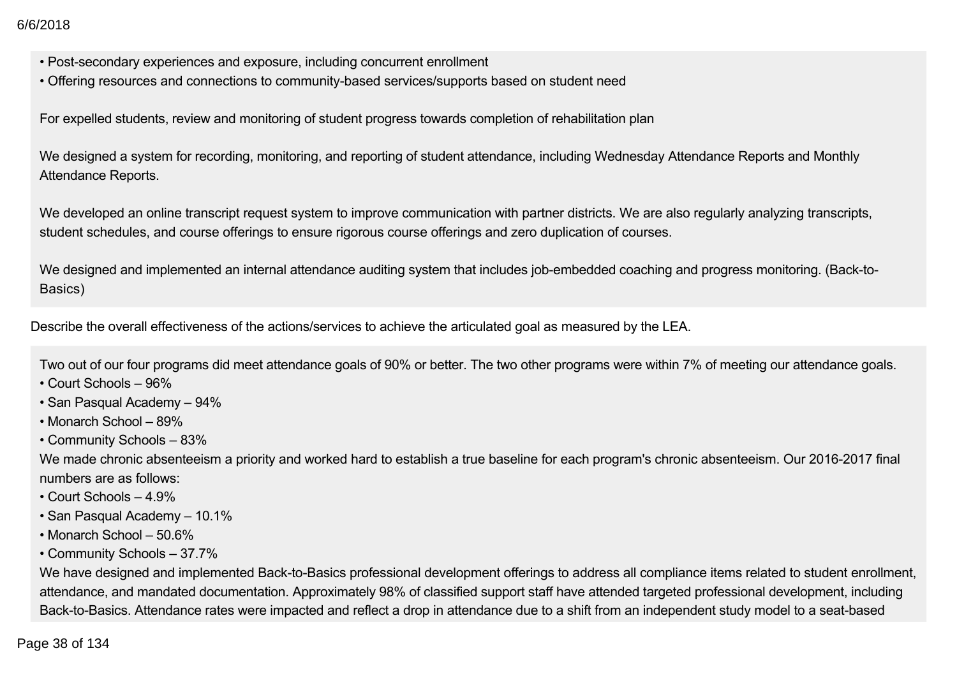- Post-secondary experiences and exposure, including concurrent enrollment
- Offering resources and connections to community-based services/supports based on student need

For expelled students, review and monitoring of student progress towards completion of rehabilitation plan

We designed a system for recording, monitoring, and reporting of student attendance, including Wednesday Attendance Reports and Monthly Attendance Reports.

We developed an online transcript request system to improve communication with partner districts. We are also regularly analyzing transcripts, student schedules, and course offerings to ensure rigorous course offerings and zero duplication of courses.

We designed and implemented an internal attendance auditing system that includes job-embedded coaching and progress monitoring. (Back-to-Basics)

Describe the overall effectiveness of the actions/services to achieve the articulated goal as measured by the LEA.

Two out of our four programs did meet attendance goals of 90% or better. The two other programs were within 7% of meeting our attendance goals.

- Court Schools 96%
- San Pasqual Academy 94%
- Monarch School 89%
- Community Schools 83%

We made chronic absenteeism a priority and worked hard to establish a true baseline for each program's chronic absenteeism. Our 2016-2017 final numbers are as follows:

- Court Schools 4.9%
- San Pasqual Academy 10.1%
- Monarch School 50.6%
- Community Schools 37.7%

We have designed and implemented Back-to-Basics professional development offerings to address all compliance items related to student enrollment, attendance, and mandated documentation. Approximately 98% of classified support staff have attended targeted professional development, including Back-to-Basics. Attendance rates were impacted and reflect a drop in attendance due to a shift from an independent study model to a seat-based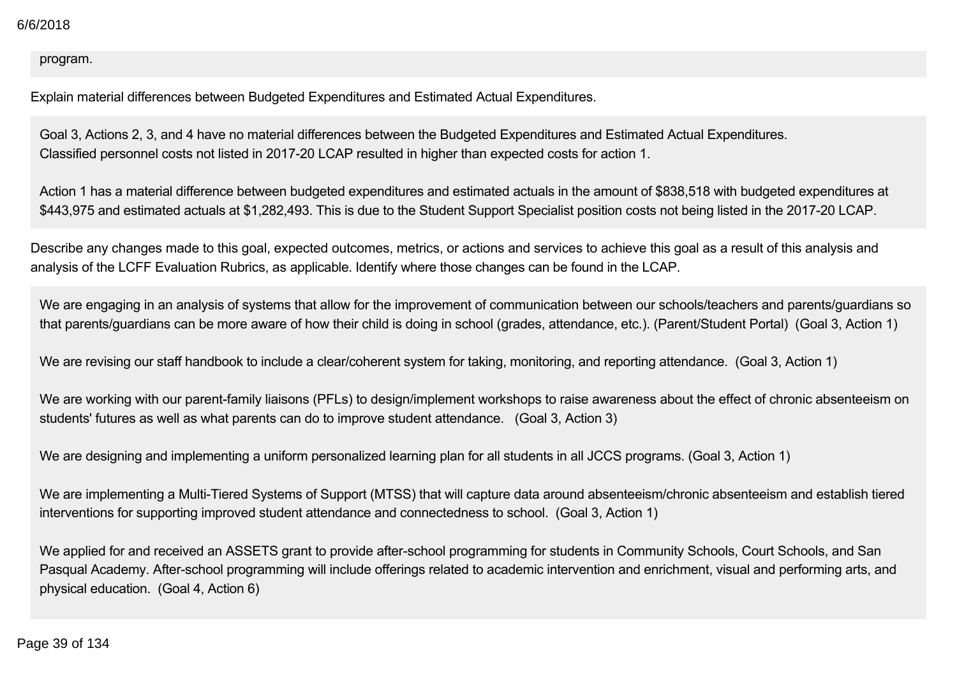#### program.

Explain material differences between Budgeted Expenditures and Estimated Actual Expenditures.

Goal 3, Actions 2, 3, and 4 have no material differences between the Budgeted Expenditures and Estimated Actual Expenditures. Classified personnel costs not listed in 2017-20 LCAP resulted in higher than expected costs for action 1.

Action 1 has a material difference between budgeted expenditures and estimated actuals in the amount of \$838,518 with budgeted expenditures at \$443,975 and estimated actuals at \$1,282,493. This is due to the Student Support Specialist position costs not being listed in the 2017-20 LCAP.

Describe any changes made to this goal, expected outcomes, metrics, or actions and services to achieve this goal as a result of this analysis and analysis of the LCFF Evaluation Rubrics, as applicable. Identify where those changes can be found in the LCAP.

We are engaging in an analysis of systems that allow for the improvement of communication between our schools/teachers and parents/guardians so that parents/guardians can be more aware of how their child is doing in school (grades, attendance, etc.). (Parent/Student Portal) (Goal 3, Action 1)

We are revising our staff handbook to include a clear/coherent system for taking, monitoring, and reporting attendance. (Goal 3, Action 1)

We are working with our parent-family liaisons (PFLs) to design/implement workshops to raise awareness about the effect of chronic absenteeism on students' futures as well as what parents can do to improve student attendance. (Goal 3, Action 3)

We are designing and implementing a uniform personalized learning plan for all students in all JCCS programs. (Goal 3, Action 1)

We are implementing a Multi-Tiered Systems of Support (MTSS) that will capture data around absenteeism/chronic absenteeism and establish tiered interventions for supporting improved student attendance and connectedness to school. (Goal 3, Action 1)

We applied for and received an ASSETS grant to provide after-school programming for students in Community Schools, Court Schools, and San Pasqual Academy. After-school programming will include offerings related to academic intervention and enrichment, visual and performing arts, and physical education. (Goal 4, Action 6)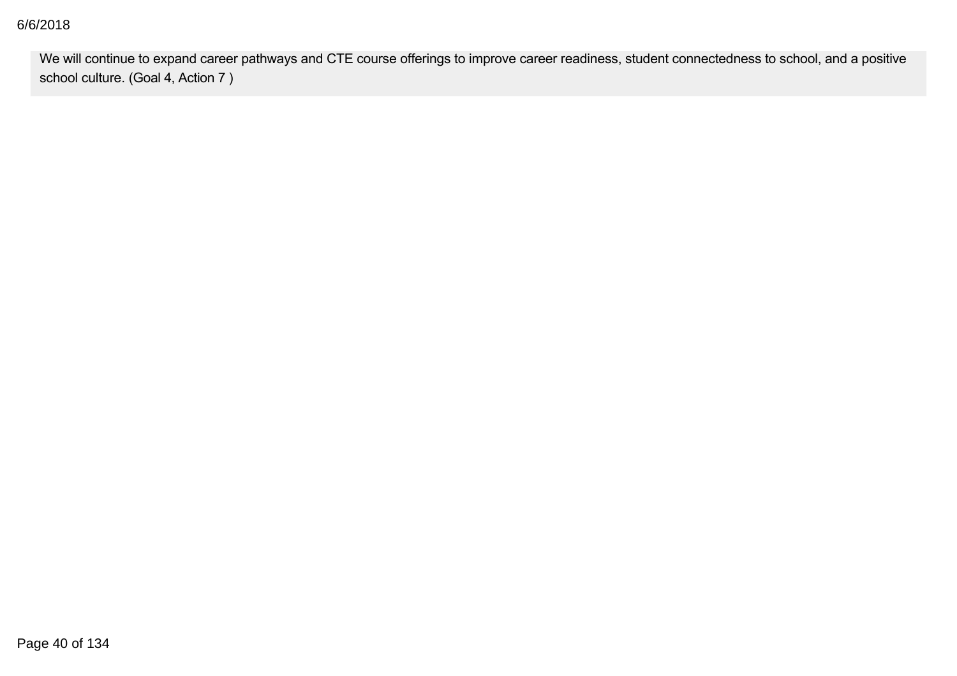#### physical education. (Goal 4, Action 6) 6/6/2018

We will continue to expand career pathways and CTE course offerings to improve career readiness, student connectedness to school, and a positive school culture. (Goal 4, Action 7 )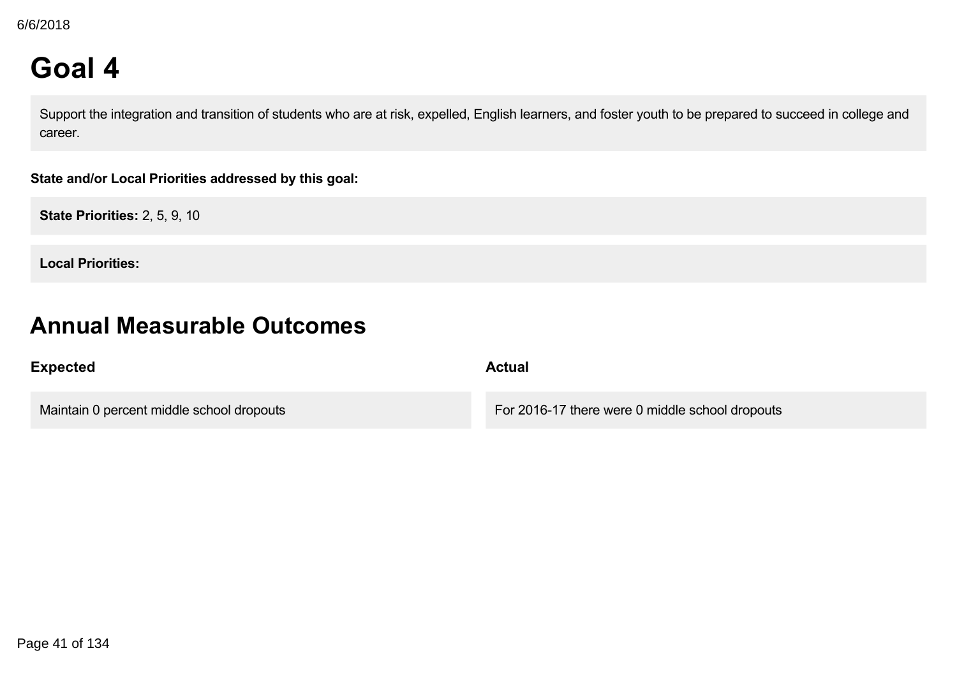# **Goal 4**

Support the integration and transition of students who are at risk, expelled, English learners, and foster youth to be prepared to succeed in college and career.

**State and/or Local Priorities addressed by this goal:**

**State Priorities:** 2, 5, 9, 10

**Local Priorities:**

## **Annual Measurable Outcomes**

| <b>Expected</b>                           | <b>Actual</b>                                   |
|-------------------------------------------|-------------------------------------------------|
| Maintain 0 percent middle school dropouts | For 2016-17 there were 0 middle school dropouts |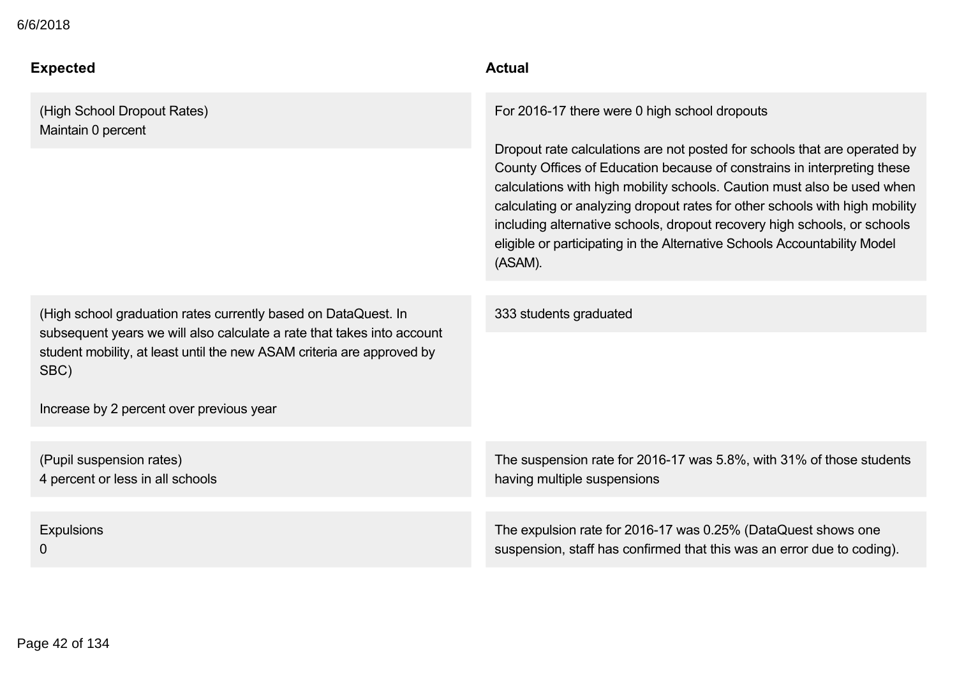#### **Expected Actual**  $\Delta$  percent middle school dropouts  $\Delta$  at 201617 there were  $\Delta$

(High School Dropout Rates) Maintain 0 percent

(High school graduation rates currently based on DataQuest. In subsequent years we will also calculate a rate that takes into account student mobility, at least until the new ASAM criteria are approved by SBC)

Increase by 2 percent over previous year

(Pupil suspension rates) 4 percent or less in all schools

**Expulsions** 0

For 2016-17 there were 0 high school dropouts

Dropout rate calculations are not posted for schools that are operated by County Offices of Education because of constrains in interpreting these calculations with high mobility schools. Caution must also be used when calculating or analyzing dropout rates for other schools with high mobility including alternative schools, dropout recovery high schools, or schools eligible or participating in the Alternative Schools Accountability Model (ASAM).

333 students graduated

The suspension rate for 2016-17 was 5.8%, with 31% of those students having multiple suspensions

The expulsion rate for 2016-17 was 0.25% (DataQuest shows one suspension, staff has confirmed that this was an error due to coding).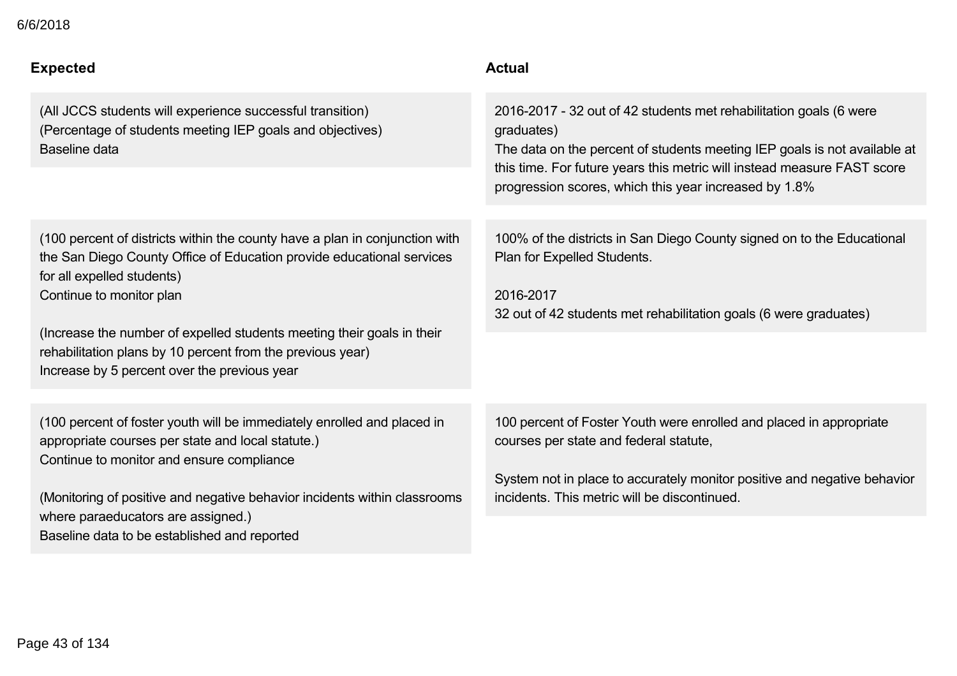|  | 6/6/2018 |  |
|--|----------|--|
|--|----------|--|

| <b>Expected</b>                                                                                                                                                                                                                                                                                                                                                                                        | <b>Actual</b>                                                                                                                                                                                                                                                                                     |
|--------------------------------------------------------------------------------------------------------------------------------------------------------------------------------------------------------------------------------------------------------------------------------------------------------------------------------------------------------------------------------------------------------|---------------------------------------------------------------------------------------------------------------------------------------------------------------------------------------------------------------------------------------------------------------------------------------------------|
| (All JCCS students will experience successful transition)<br>(Percentage of students meeting IEP goals and objectives)<br>Baseline data                                                                                                                                                                                                                                                                | 2016-2017 - 32 out of 42 students met rehabilitation goals (6 were<br>graduates)<br>The data on the percent of students meeting IEP goals is not available at<br>this time. For future years this metric will instead measure FAST score<br>progression scores, which this year increased by 1.8% |
| (100 percent of districts within the county have a plan in conjunction with<br>the San Diego County Office of Education provide educational services<br>for all expelled students)<br>Continue to monitor plan<br>(Increase the number of expelled students meeting their goals in their<br>rehabilitation plans by 10 percent from the previous year)<br>Increase by 5 percent over the previous year | 100% of the districts in San Diego County signed on to the Educational<br>Plan for Expelled Students.<br>2016-2017<br>32 out of 42 students met rehabilitation goals (6 were graduates)                                                                                                           |
| (100 percent of foster youth will be immediately enrolled and placed in<br>appropriate courses per state and local statute.)<br>Continue to monitor and ensure compliance<br>(Monitoring of positive and negative behavior incidents within classrooms<br>where paraeducators are assigned.)<br>Baseline data to be established and reported                                                           | 100 percent of Foster Youth were enrolled and placed in appropriate<br>courses per state and federal statute,<br>System not in place to accurately monitor positive and negative behavior<br>incidents. This metric will be discontinued.                                                         |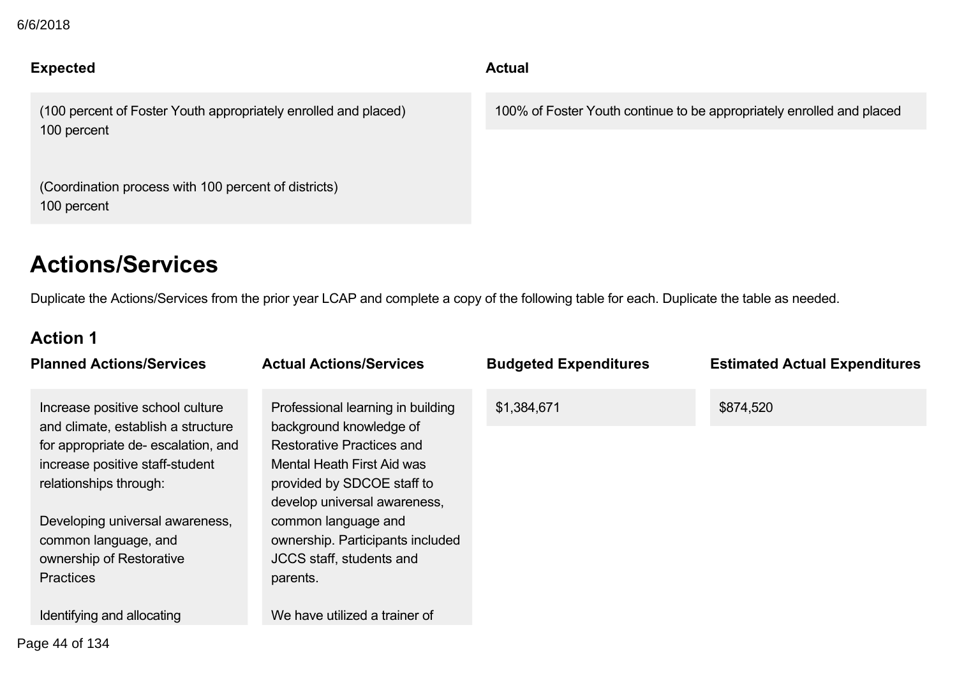## **Expected Actual**

(100 percent of Foster Youth appropriately enrolled and placed) 100 percent

(Coordination process with 100 percent of districts) 100 percent

100% of Foster Youth continue to be appropriately enrolled and placed

# **Actions/Services**

Duplicate the Actions/Services from the prior year LCAP and complete a copy of the following table for each. Duplicate the table as needed.

### **Action 1**

| <b>Planned Actions/Services</b>                                        | <b>Actual Actions/Services</b>                               | <b>Budgeted Expenditures</b> | <b>Estimated Actual Expenditures</b> |
|------------------------------------------------------------------------|--------------------------------------------------------------|------------------------------|--------------------------------------|
| Increase positive school culture<br>and climate, establish a structure | Professional learning in building<br>background knowledge of | \$1,384,671                  | \$874,520                            |
| for appropriate de-escalation, and                                     | <b>Restorative Practices and</b>                             |                              |                                      |
| increase positive staff-student                                        | Mental Heath First Aid was                                   |                              |                                      |
| relationships through:                                                 | provided by SDCOE staff to                                   |                              |                                      |
|                                                                        | develop universal awareness,                                 |                              |                                      |
| Developing universal awareness,                                        | common language and                                          |                              |                                      |
| common language, and                                                   | ownership. Participants included                             |                              |                                      |
| ownership of Restorative                                               | JCCS staff, students and                                     |                              |                                      |
| <b>Practices</b>                                                       | parents.                                                     |                              |                                      |
|                                                                        |                                                              |                              |                                      |
| Identifying and allocating                                             | We have utilized a trainer of                                |                              |                                      |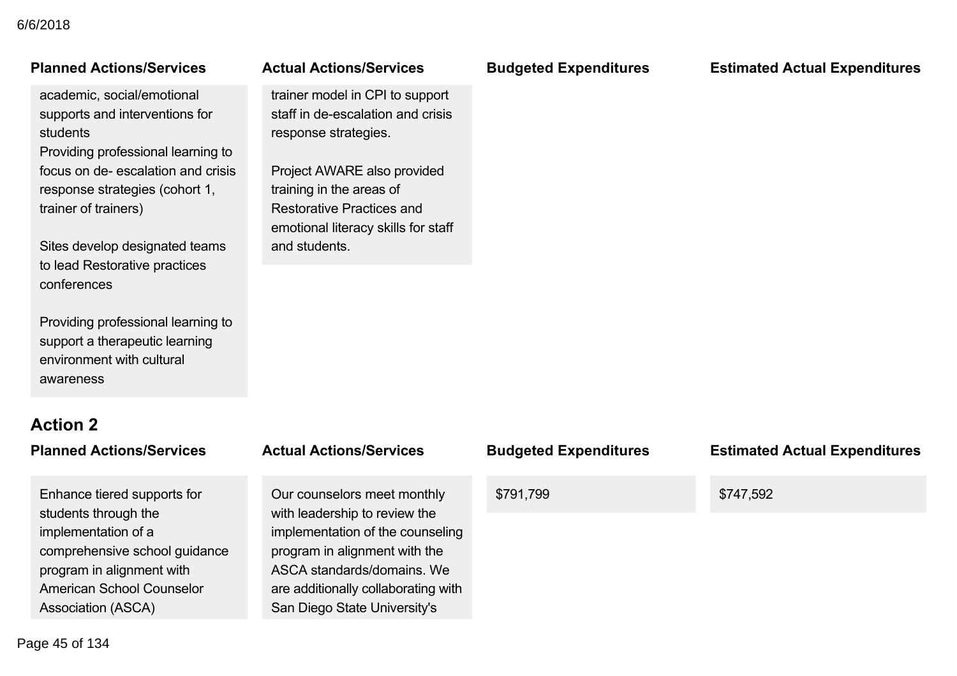## Idinica Actions/Corvi

academic, social/emotional supports and interventions for students

Providing professional learning to focus on de-escalation and crisis response strategies (cohort 1, trainer of trainers)

Sites develop designated teams to lead Restorative practices conferences

Providing professional learning to support a therapeutic learning environment with cultural awareness

# **Action 2**

Enhance tiered supports for students through the implementation of a comprehensive school guidance program in alignment with American School Counselor Association (ASCA)

## Our counselors meet monthly with leadership to review the program in alignment with the ASCA standards/domains. We are additionally collaborating with

San Diego State University's

# We have not to the training of the training of the training of the training of the training of the training of

trainer model in CPI to support staff in de-escalation and crisis response strategies.

Project AWARE also provided training in the areas of Restorative Practices and emotional literacy skills for staff and students.

**Planned Actions/Services Actual Actions/Services Budgeted Expenditures Estimated Actual Expenditures**

# **Planned Actions/Services Actual Actions/Services Budgeted Expenditures Estimated Actual Expenditures** implementation of the counseling \$791,799 \$747,592

Page 45 of 134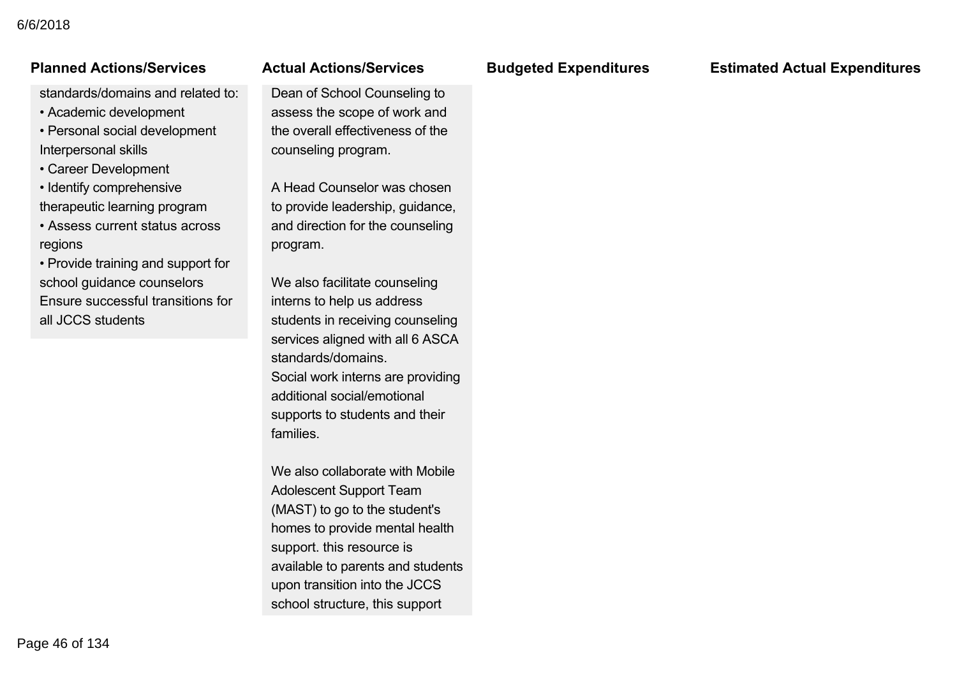#### American School Counselor ASSOCIATION CONTROL

standards/domains and related to:

- Academic development
- Personal social development Interpersonal skills
- Career Development
- Identify comprehensive therapeutic learning program
- Assess current status across regions
- Provide training and support for school guidance counselors Ensure successful transitions for all JCCS students

#### are additionally collaborating with Gual Actions/Services

Dean of School Counseling to assess the scope of work and the overall effectiveness of the counseling program.

A Head Counselor was chosen to provide leadership, guidance, and direction for the counseling program.

We also facilitate counseling interns to help us address students in receiving counseling services aligned with all 6 ASCA standards/domains. Social work interns are providing additional social/emotional supports to students and their families.

We also collaborate with Mobile Adolescent Support Team (MAST) to go to the student's homes to provide mental health support. this resource is available to parents and students upon transition into the JCCS school structure, this support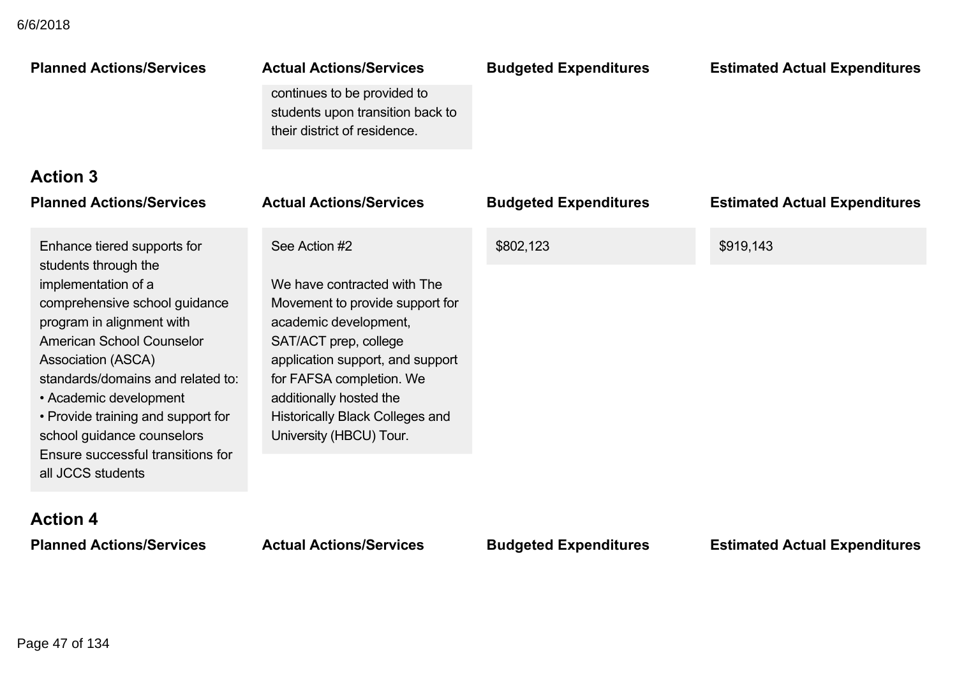| <b>Planned Actions/Services</b>                                                                                                                                                                                                                                                                                                                                                                 | <b>Actual Actions/Services</b><br>continues to be provided to<br>students upon transition back to<br>their district of residence.                                                                                                                                                                 | <b>Budgeted Expenditures</b> | <b>Estimated Actual Expenditures</b> |
|-------------------------------------------------------------------------------------------------------------------------------------------------------------------------------------------------------------------------------------------------------------------------------------------------------------------------------------------------------------------------------------------------|---------------------------------------------------------------------------------------------------------------------------------------------------------------------------------------------------------------------------------------------------------------------------------------------------|------------------------------|--------------------------------------|
| <b>Action 3</b>                                                                                                                                                                                                                                                                                                                                                                                 |                                                                                                                                                                                                                                                                                                   |                              |                                      |
| <b>Planned Actions/Services</b>                                                                                                                                                                                                                                                                                                                                                                 | <b>Actual Actions/Services</b>                                                                                                                                                                                                                                                                    | <b>Budgeted Expenditures</b> | <b>Estimated Actual Expenditures</b> |
| Enhance tiered supports for<br>students through the<br>implementation of a<br>comprehensive school guidance<br>program in alignment with<br><b>American School Counselor</b><br>Association (ASCA)<br>standards/domains and related to:<br>• Academic development<br>• Provide training and support for<br>school guidance counselors<br>Ensure successful transitions for<br>all JCCS students | See Action #2<br>We have contracted with The<br>Movement to provide support for<br>academic development,<br>SAT/ACT prep, college<br>application support, and support<br>for FAFSA completion. We<br>additionally hosted the<br><b>Historically Black Colleges and</b><br>University (HBCU) Tour. | \$802,123                    | \$919,143                            |
| <b>Action 4</b><br><b>Planned Actions/Services</b>                                                                                                                                                                                                                                                                                                                                              | <b>Actual Actions/Services</b>                                                                                                                                                                                                                                                                    | <b>Budgeted Expenditures</b> | <b>Estimated Actual Expenditures</b> |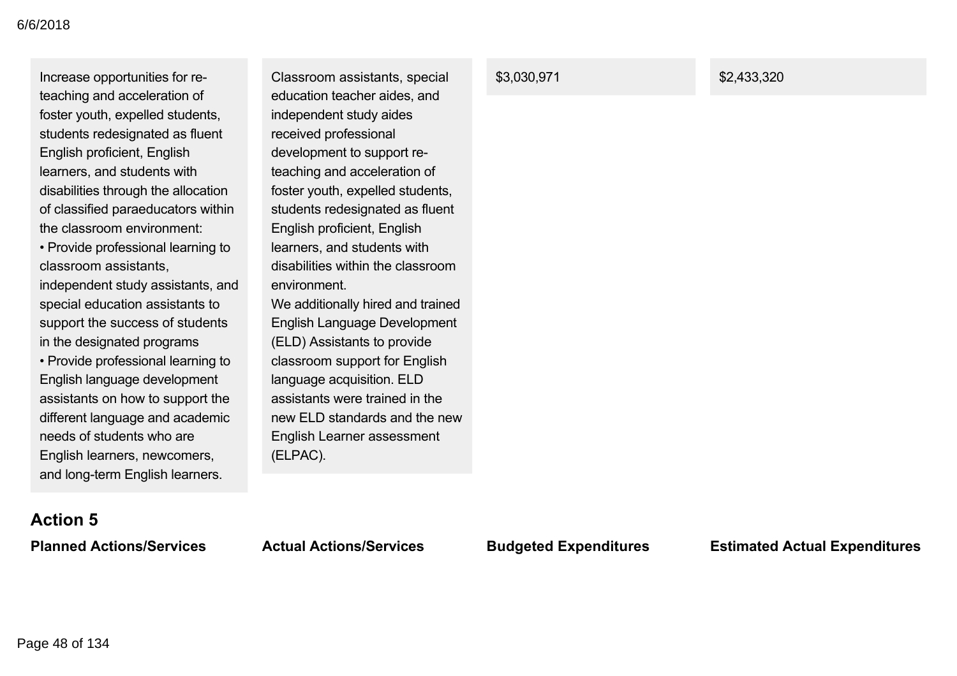Increase opportunities for reteaching and acceleration of foster youth, expelled students, students redesignated as fluent English proficient, English learners, and students with disabilities through the allocation of classified paraeducators within the classroom environment:

• Provide professional learning to classroom assistants, independent study assistants, and special education assistants to support the success of students in the designated programs

• Provide professional learning to English language development assistants on how to support the different language and academic needs of students who are English learners, newcomers, and long-term English learners.

Classroom assistants, special education teacher aides, and independent study aides received professional development to support reteaching and acceleration of foster youth, expelled students, students redesignated as fluent English proficient, English learners, and students with disabilities within the classroom environment. We additionally hired and trained

English Language Development (ELD) Assistants to provide classroom support for English language acquisition. ELD assistants were trained in the new ELD standards and the new English Learner assessment (ELPAC).

#### \$3,030,971 \$2,433,320

# **Action 5**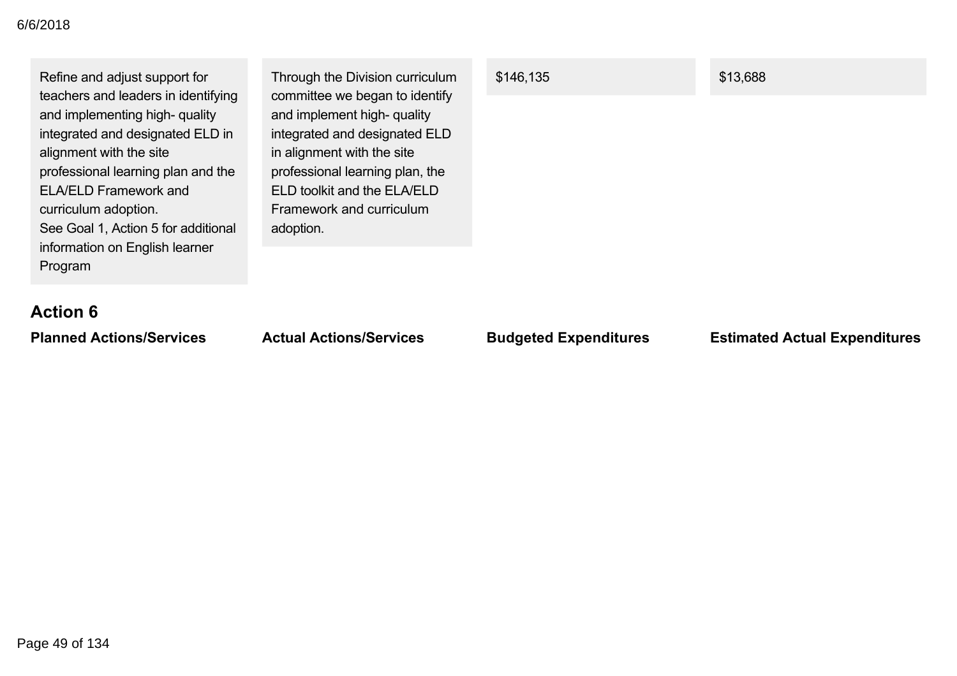| Refine and adjust support for<br>teachers and leaders in identifying<br>and implementing high- quality<br>integrated and designated ELD in<br>alignment with the site<br>professional learning plan and the<br><b>ELA/ELD Framework and</b><br>curriculum adoption.<br>See Goal 1, Action 5 for additional<br>information on English learner<br>Program | Through the Division curriculum<br>committee we began to identify<br>and implement high- quality<br>integrated and designated ELD<br>in alignment with the site<br>professional learning plan, the<br>ELD toolkit and the ELA/ELD<br>Framework and curriculum<br>adoption. | \$146,135 | \$13,688 |
|---------------------------------------------------------------------------------------------------------------------------------------------------------------------------------------------------------------------------------------------------------------------------------------------------------------------------------------------------------|----------------------------------------------------------------------------------------------------------------------------------------------------------------------------------------------------------------------------------------------------------------------------|-----------|----------|
| <b>Action 6</b>                                                                                                                                                                                                                                                                                                                                         |                                                                                                                                                                                                                                                                            |           |          |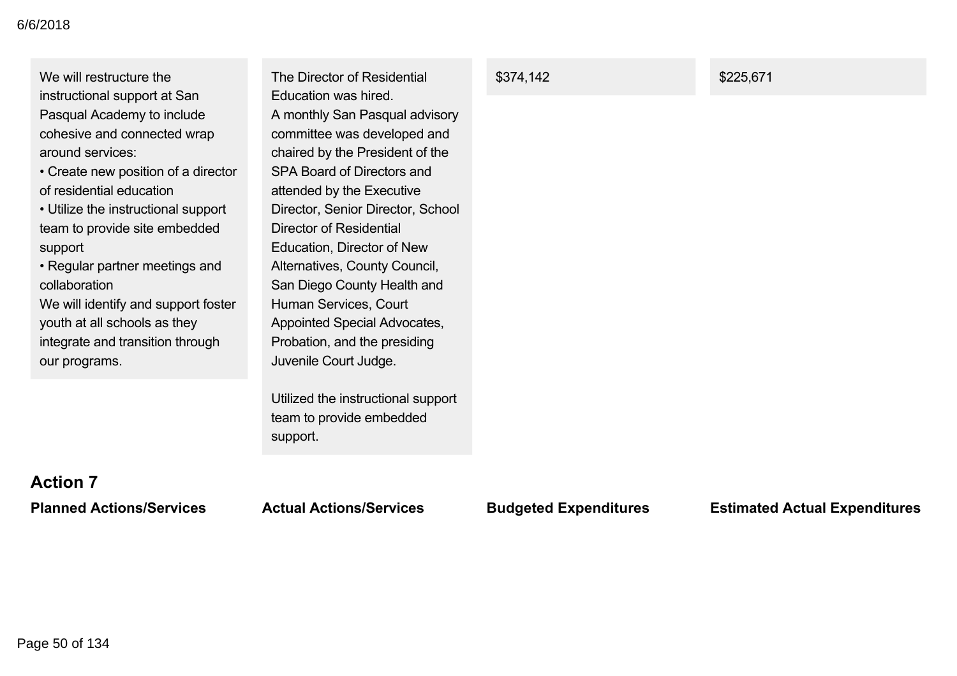| We will restructure the<br>instructional support at San<br>Pasqual Academy to include<br>cohesive and connected wrap<br>around services:<br>• Create new position of a director<br>of residential education<br>• Utilize the instructional support<br>team to provide site embedded<br>support<br>• Regular partner meetings and | The Director of Residential<br>Education was hired.<br>A monthly San Pasqual advisory<br>committee was developed and<br>chaired by the President of the<br>SPA Board of Directors and<br>attended by the Executive<br>Director, Senior Director, School<br>Director of Residential<br>Education, Director of New<br>Alternatives, County Council, | \$374,142 | \$225,671 |
|----------------------------------------------------------------------------------------------------------------------------------------------------------------------------------------------------------------------------------------------------------------------------------------------------------------------------------|---------------------------------------------------------------------------------------------------------------------------------------------------------------------------------------------------------------------------------------------------------------------------------------------------------------------------------------------------|-----------|-----------|
| collaboration<br>We will identify and support foster<br>youth at all schools as they<br>integrate and transition through<br>our programs.                                                                                                                                                                                        | San Diego County Health and<br>Human Services, Court<br>Appointed Special Advocates,<br>Probation, and the presiding<br>Juvenile Court Judge.                                                                                                                                                                                                     |           |           |
|                                                                                                                                                                                                                                                                                                                                  | Utilized the instructional support<br>team to provide embedded<br>support.                                                                                                                                                                                                                                                                        |           |           |

## **Action 7**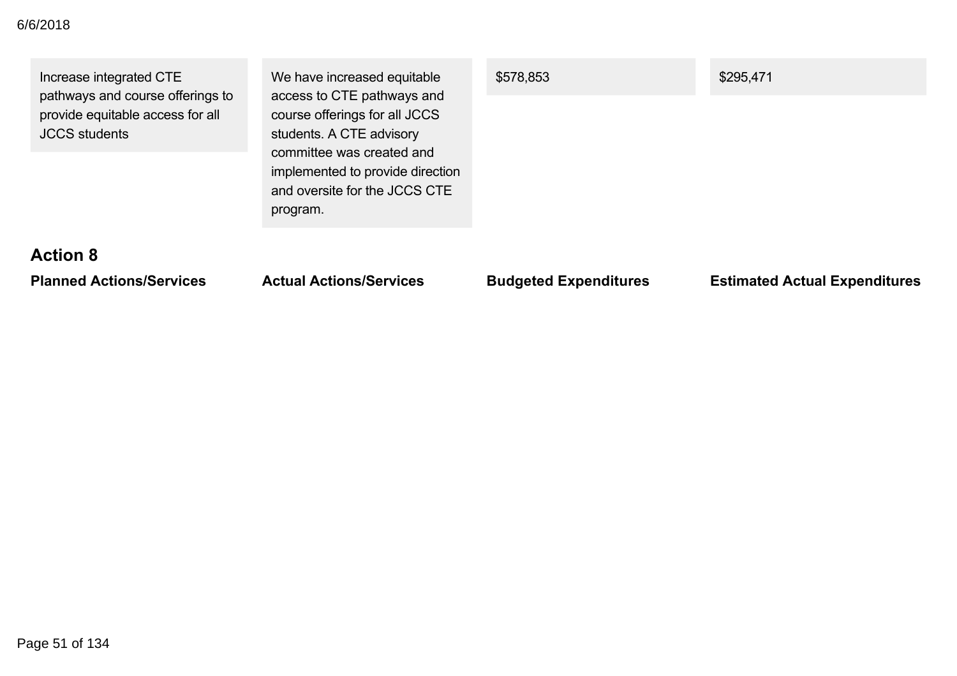| <b>Action 8</b>                                                                                                         | implemented to provide direction<br>and oversite for the JCCS CTE<br>program.                                                                       |           |           |
|-------------------------------------------------------------------------------------------------------------------------|-----------------------------------------------------------------------------------------------------------------------------------------------------|-----------|-----------|
| Increase integrated CTE<br>pathways and course offerings to<br>provide equitable access for all<br><b>JCCS</b> students | We have increased equitable<br>access to CTE pathways and<br>course offerings for all JCCS<br>students. A CTE advisory<br>committee was created and | \$578,853 | \$295,471 |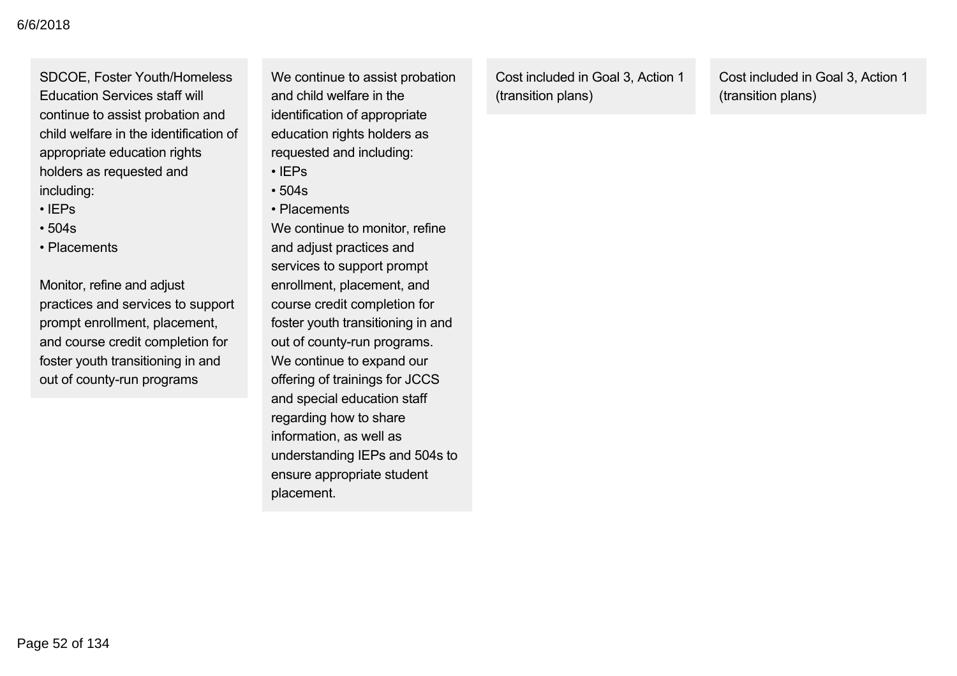SDCOE, Foster Youth/Homeless Education Services staff will continue to assist probation and child welfare in the identification of appropriate education rights holders as requested and including:

- IEPs
- 504s
- Placements

Monitor, refine and adjust practices and services to support prompt enrollment, placement, and course credit completion for foster youth transitioning in and out of county-run programs

We continue to assist probation and child welfare in the identification of appropriate education rights holders as requested and including:

- IEPs
- 504s • Placements

We continue to monitor, refine and adjust practices and services to support prompt enrollment, placement, and course credit completion for foster youth transitioning in and out of county-run programs. We continue to expand our offering of trainings for JCCS and special education staff regarding how to share information, as well as understanding IEPs and 504s to ensure appropriate student placement.

Cost included in Goal 3, Action 1 (transition plans)

Cost included in Goal 3, Action 1 (transition plans)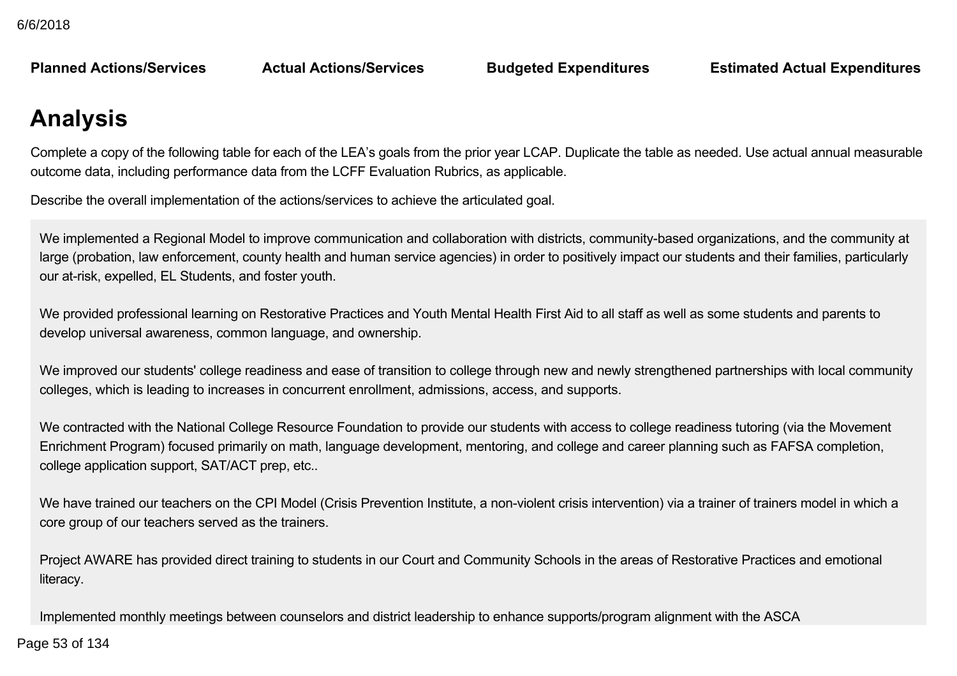**Planned Actions/Services Actual Actions/Services Budgeted Expenditures Estimated Actual Expenditures**

# **Analysis**

Complete a copy of the following table for each of the LEA's goals from the prior year LCAP. Duplicate the table as needed. Use actual annual measurable outcome data, including performance data from the LCFF Evaluation Rubrics, as applicable.

Describe the overall implementation of the actions/services to achieve the articulated goal.

We implemented a Regional Model to improve communication and collaboration with districts, community-based organizations, and the community at large (probation, law enforcement, county health and human service agencies) in order to positively impact our students and their families, particularly our at-risk, expelled, EL Students, and foster youth.

We provided professional learning on Restorative Practices and Youth Mental Health First Aid to all staff as well as some students and parents to develop universal awareness, common language, and ownership.

We improved our students' college readiness and ease of transition to college through new and newly strengthened partnerships with local community colleges, which is leading to increases in concurrent enrollment, admissions, access, and supports.

We contracted with the National College Resource Foundation to provide our students with access to college readiness tutoring (via the Movement Enrichment Program) focused primarily on math, language development, mentoring, and college and career planning such as FAFSA completion, college application support, SAT/ACT prep, etc..

We have trained our teachers on the CPI Model (Crisis Prevention Institute, a non-violent crisis intervention) via a trainer of trainers model in which a core group of our teachers served as the trainers.

Project AWARE has provided direct training to students in our Court and Community Schools in the areas of Restorative Practices and emotional literacy.

Implemented monthly meetings between counselors and district leadership to enhance supports/program alignment with the ASCA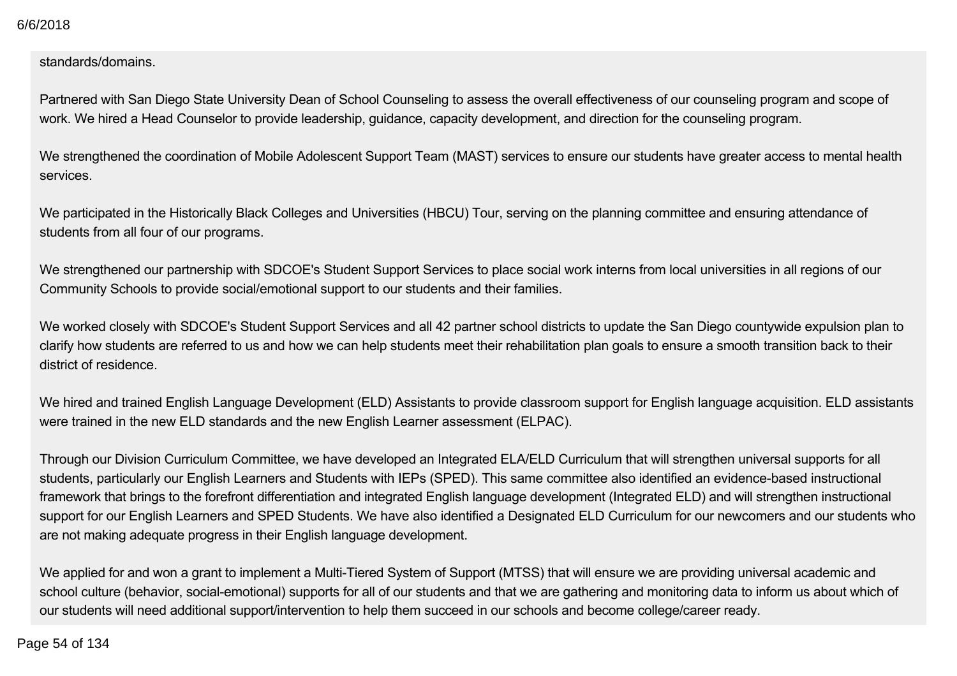standards/domains.

Partnered with San Diego State University Dean of School Counseling to assess the overall effectiveness of our counseling program and scope of work. We hired a Head Counselor to provide leadership, guidance, capacity development, and direction for the counseling program.

We strengthened the coordination of Mobile Adolescent Support Team (MAST) services to ensure our students have greater access to mental health services.

We participated in the Historically Black Colleges and Universities (HBCU) Tour, serving on the planning committee and ensuring attendance of students from all four of our programs.

We strengthened our partnership with SDCOE's Student Support Services to place social work interns from local universities in all regions of our Community Schools to provide social/emotional support to our students and their families.

We worked closely with SDCOE's Student Support Services and all 42 partner school districts to update the San Diego countywide expulsion plan to clarify how students are referred to us and how we can help students meet their rehabilitation plan goals to ensure a smooth transition back to their district of residence.

We hired and trained English Language Development (ELD) Assistants to provide classroom support for English language acquisition. ELD assistants were trained in the new ELD standards and the new English Learner assessment (ELPAC).

Through our Division Curriculum Committee, we have developed an Integrated ELA/ELD Curriculum that will strengthen universal supports for all students, particularly our English Learners and Students with IEPs (SPED). This same committee also identified an evidence-based instructional framework that brings to the forefront differentiation and integrated English language development (Integrated ELD) and will strengthen instructional support for our English Learners and SPED Students. We have also identified a Designated ELD Curriculum for our newcomers and our students who are not making adequate progress in their English language development.

We applied for and won a grant to implement a Multi-Tiered System of Support (MTSS) that will ensure we are providing universal academic and school culture (behavior, social-emotional) supports for all of our students and that we are gathering and monitoring data to inform us about which of our students will need additional support/intervention to help them succeed in our schools and become college/career ready.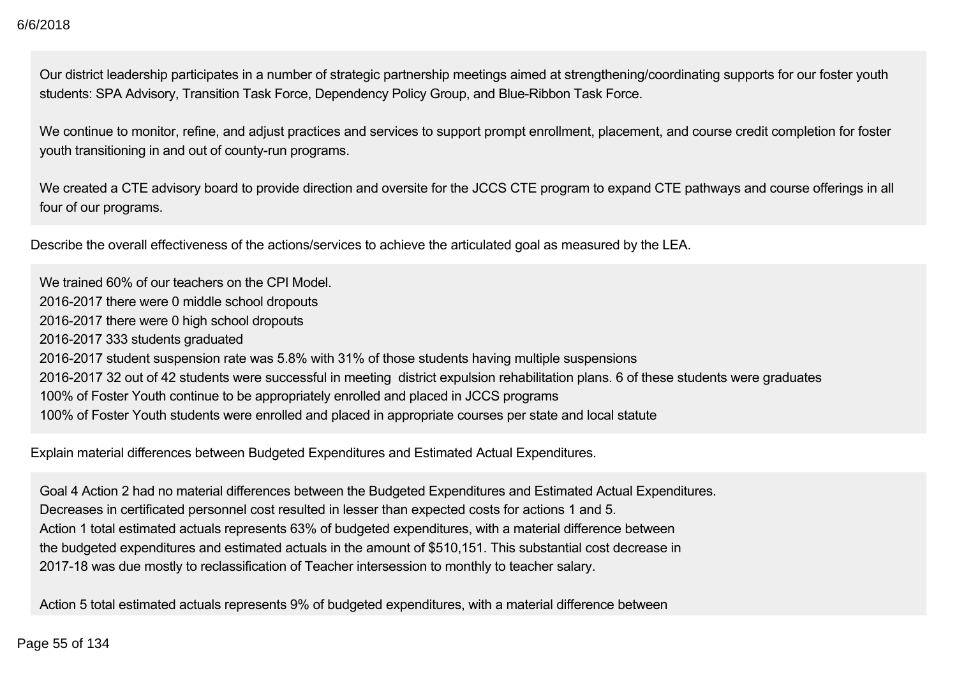Our district leadership participates in a number of strategic partnership meetings aimed at strengthening/coordinating supports for our foster youth students: SPA Advisory, Transition Task Force, Dependency Policy Group, and Blue-Ribbon Task Force.

We continue to monitor, refine, and adjust practices and services to support prompt enrollment, placement, and course credit completion for foster youth transitioning in and out of county-run programs.

We created a CTE advisory board to provide direction and oversite for the JCCS CTE program to expand CTE pathways and course offerings in all four of our programs.

Describe the overall effectiveness of the actions/services to achieve the articulated goal as measured by the LEA.

We trained 60% of our teachers on the CPI Model. 2016-2017 there were 0 middle school dropouts 2016-2017 there were 0 high school dropouts 2016-2017 333 students graduated 2016-2017 student suspension rate was 5.8% with 31% of those students having multiple suspensions 2016-2017 32 out of 42 students were successful in meeting district expulsion rehabilitation plans. 6 of these students were graduates 100% of Foster Youth continue to be appropriately enrolled and placed in JCCS programs 100% of Foster Youth students were enrolled and placed in appropriate courses per state and local statute

Explain material differences between Budgeted Expenditures and Estimated Actual Expenditures.

Goal 4 Action 2 had no material differences between the Budgeted Expenditures and Estimated Actual Expenditures. Decreases in certificated personnel cost resulted in lesser than expected costs for actions 1 and 5. Action 1 total estimated actuals represents 63% of budgeted expenditures, with a material difference between the budgeted expenditures and estimated actuals in the amount of \$510,151. This substantial cost decrease in 2017-18 was due mostly to reclassification of Teacher intersession to monthly to teacher salary.

Action 5 total estimated actuals represents 9% of budgeted expenditures, with a material difference between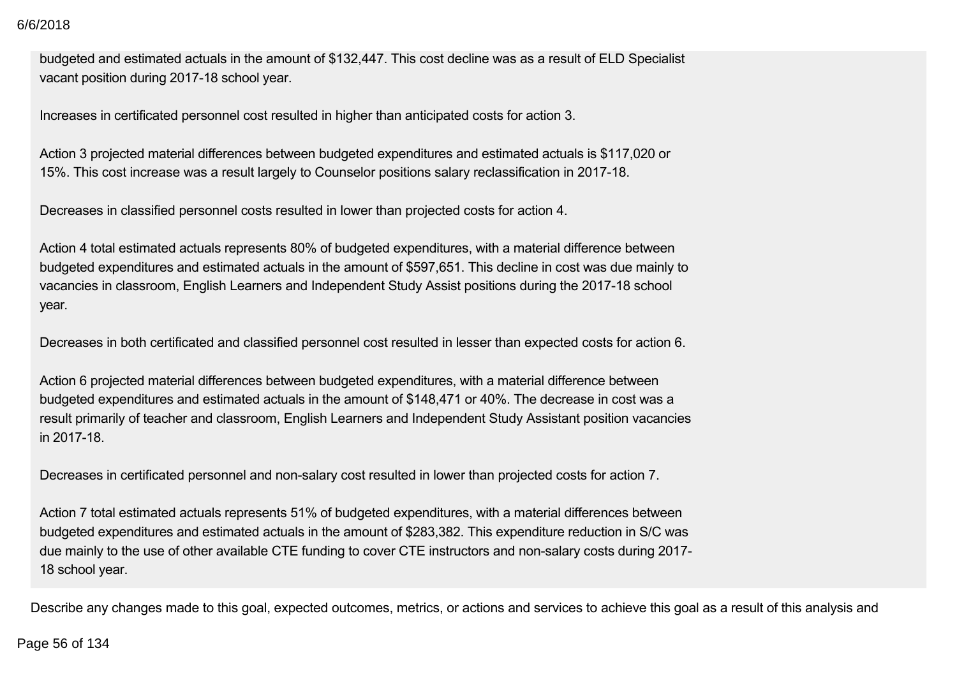budgeted and estimated actuals in the amount of \$132,447. This cost decline was as a result of ELD Specialist vacant position during 2017-18 school year.

Increases in certificated personnel cost resulted in higher than anticipated costs for action 3.

Action 3 projected material differences between budgeted expenditures and estimated actuals is \$117,020 or 15%. This cost increase was a result largely to Counselor positions salary reclassification in 2017-18.

Decreases in classified personnel costs resulted in lower than projected costs for action 4.

Action 4 total estimated actuals represents 80% of budgeted expenditures, with a material difference between budgeted expenditures and estimated actuals in the amount of \$597,651. This decline in cost was due mainly to vacancies in classroom, English Learners and Independent Study Assist positions during the 2017-18 school year.

Decreases in both certificated and classified personnel cost resulted in lesser than expected costs for action 6.

Action 6 projected material differences between budgeted expenditures, with a material difference between budgeted expenditures and estimated actuals in the amount of \$148,471 or 40%. The decrease in cost was a result primarily of teacher and classroom, English Learners and Independent Study Assistant position vacancies in 2017-18.

Decreases in certificated personnel and non-salary cost resulted in lower than projected costs for action 7.

Action 7 total estimated actuals represents 51% of budgeted expenditures, with a material differences between budgeted expenditures and estimated actuals in the amount of \$283,382. This expenditure reduction in S/C was due mainly to the use of other available CTE funding to cover CTE instructors and non-salary costs during 2017-18 school year.

Describe any changes made to this goal, expected outcomes, metrics, or actions and services to achieve this goal as a result of this analysis and

#### Page 56 of 134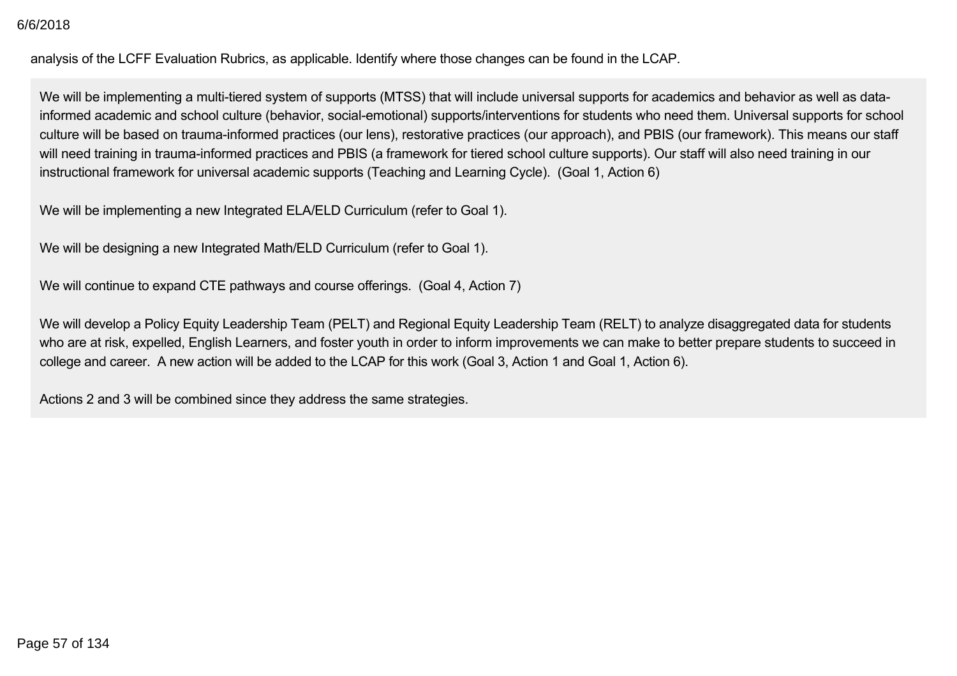analysis of the LCFF Evaluation Rubrics, as applicable. Identify where those changes can be found in the LCAP.

We will be implementing a multi-tiered system of supports (MTSS) that will include universal supports for academics and behavior as well as datainformed academic and school culture (behavior, social-emotional) supports/interventions for students who need them. Universal supports for school culture will be based on trauma-informed practices (our lens), restorative practices (our approach), and PBIS (our framework). This means our staff will need training in trauma-informed practices and PBIS (a framework for tiered school culture supports). Our staff will also need training in our instructional framework for universal academic supports (Teaching and Learning Cycle). (Goal 1, Action 6)

We will be implementing a new Integrated ELA/ELD Curriculum (refer to Goal 1).

We will be designing a new Integrated Math/ELD Curriculum (refer to Goal 1).

We will continue to expand CTE pathways and course offerings. (Goal 4, Action 7)

We will develop a Policy Equity Leadership Team (PELT) and Regional Equity Leadership Team (RELT) to analyze disaggregated data for students who are at risk, expelled, English Learners, and foster youth in order to inform improvements we can make to better prepare students to succeed in college and career. A new action will be added to the LCAP for this work (Goal 3, Action 1 and Goal 1, Action 6).

Actions 2 and 3 will be combined since they address the same strategies.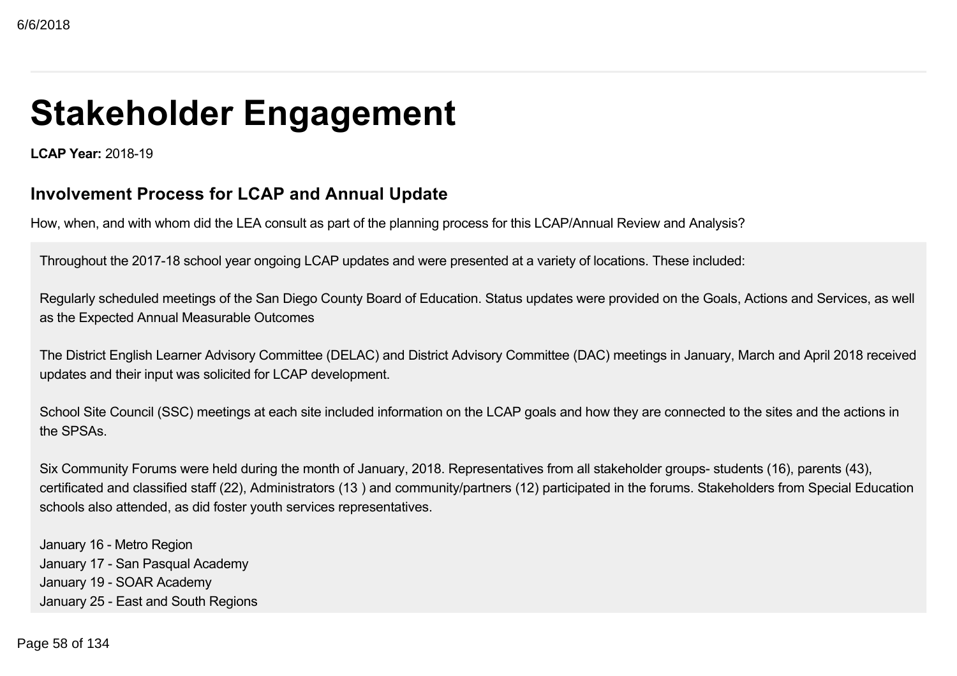# **Stakeholder Engagement**

**LCAP Year: 2018-19** 

### **Involvement Process for LCAP and Annual Update**

How, when, and with whom did the LEA consult as part of the planning process for this LCAP/Annual Review and Analysis?

Throughout the 2017-18 school year ongoing LCAP updates and were presented at a variety of locations. These included:

Regularly scheduled meetings of the San Diego County Board of Education. Status updates were provided on the Goals, Actions and Services, as well as the Expected Annual Measurable Outcomes

The District English Learner Advisory Committee (DELAC) and District Advisory Committee (DAC) meetings in January, March and April 2018 received updates and their input was solicited for LCAP development.

School Site Council (SSC) meetings at each site included information on the LCAP goals and how they are connected to the sites and the actions in the SPSAs.

Six Community Forums were held during the month of January, 2018. Representatives from all stakeholder groups- students (16), parents (43), certificated and classified staff (22), Administrators (13 ) and community/partners (12) participated in the forums. Stakeholders from Special Education schools also attended, as did foster youth services representatives.

January 16 - Metro Region January 17 - San Pasqual Academy January 19 - SOAR Academy January 25 - East and South Regions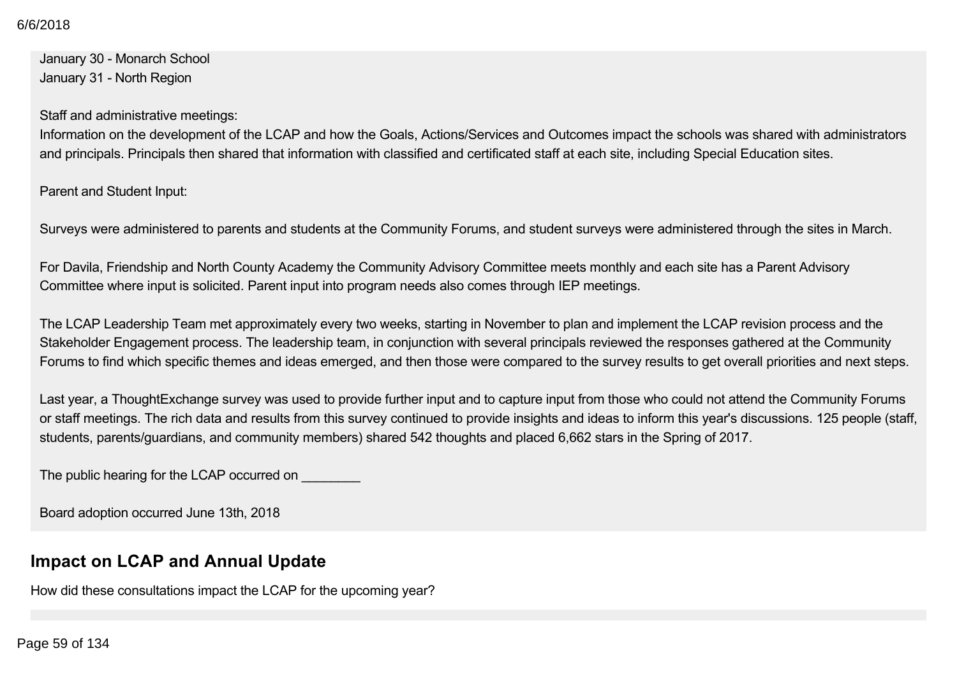January 30 - Monarch School January 31 - North Region

Staff and administrative meetings:

Information on the development of the LCAP and how the Goals, Actions/Services and Outcomes impact the schools was shared with administrators and principals. Principals then shared that information with classified and certificated staff at each site, including Special Education sites.

Parent and Student Input:

Surveys were administered to parents and students at the Community Forums, and student surveys were administered through the sites in March.

For Davila, Friendship and North County Academy the Community Advisory Committee meets monthly and each site has a Parent Advisory Committee where input is solicited. Parent input into program needs also comes through IEP meetings.

The LCAP Leadership Team met approximately every two weeks, starting in November to plan and implement the LCAP revision process and the Stakeholder Engagement process. The leadership team, in conjunction with several principals reviewed the responses gathered at the Community Forums to find which specific themes and ideas emerged, and then those were compared to the survey results to get overall priorities and next steps.

Last year, a ThoughtExchange survey was used to provide further input and to capture input from those who could not attend the Community Forums or staff meetings. The rich data and results from this survey continued to provide insights and ideas to inform this year's discussions. 125 people (staff, students, parents/guardians, and community members) shared 542 thoughts and placed 6,662 stars in the Spring of 2017.

The public hearing for the LCAP occurred on

Board adoption occurred June 13th, 2018

### **Impact on LCAP and Annual Update**

How did these consultations impact the LCAP for the upcoming year?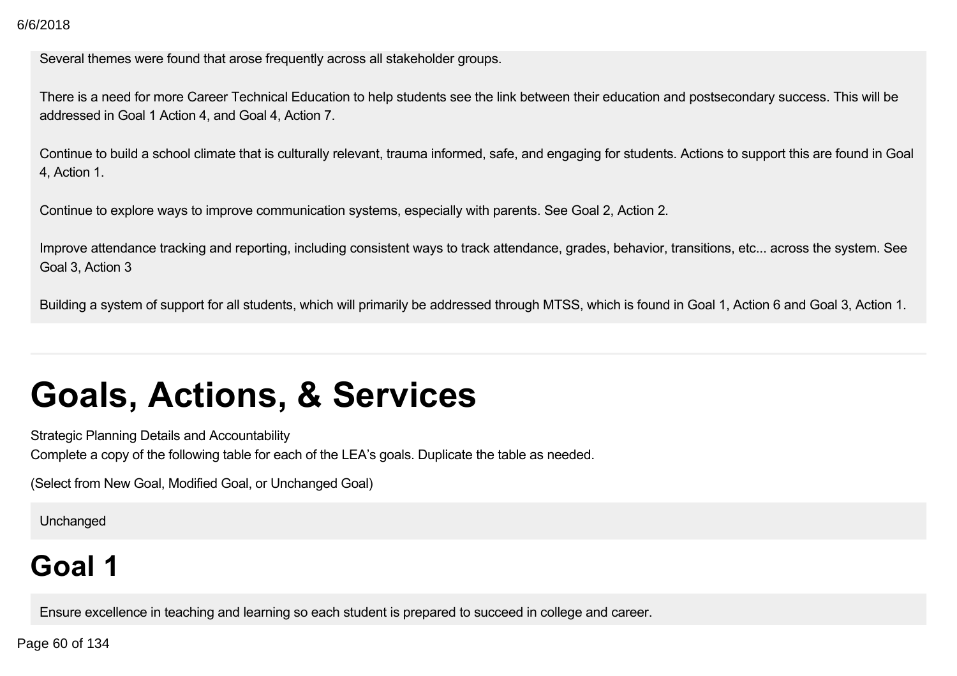Several themes were found that arose frequently across all stakeholder groups.

There is a need for more Career Technical Education to help students see the link between their education and postsecondary success. This will be addressed in Goal 1 Action 4, and Goal 4, Action 7.

Continue to build a school climate that is culturally relevant, trauma informed, safe, and engaging for students. Actions to support this are found in Goal 4, Action 1.

Continue to explore ways to improve communication systems, especially with parents. See Goal 2, Action 2.

Improve attendance tracking and reporting, including consistent ways to track attendance, grades, behavior, transitions, etc... across the system. See Goal 3, Action 3

Building a system of support for all students, which will primarily be addressed through MTSS, which is found in Goal 1, Action 6 and Goal 3, Action 1.

# **Goals, Actions, & Services**

Strategic Planning Details and Accountability

Complete a copy of the following table for each of the LEA's goals. Duplicate the table as needed.

(Select from New Goal, Modified Goal, or Unchanged Goal)

Unchanged

# **Goal 1**

Ensure excellence in teaching and learning so each student is prepared to succeed in college and career.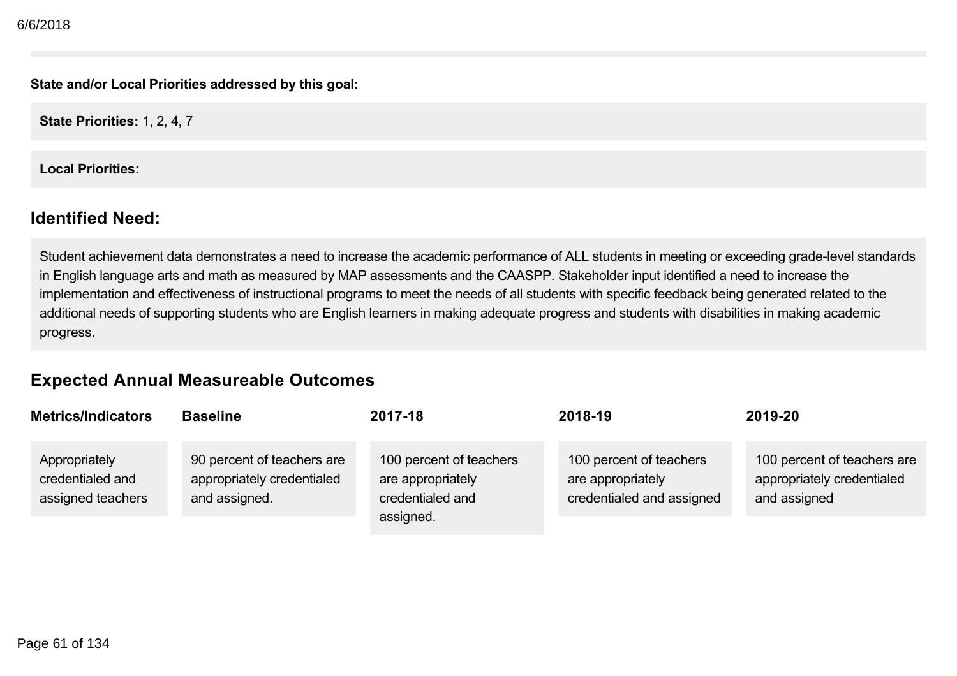**State and/or Local Priorities addressed by this goal:**

**State Priorities:** 1, 2, 4, 7

**Local Priorities:**

#### **Identified Need:**

Student achievement data demonstrates a need to increase the academic performance of ALL students in meeting or exceeding grade-level standards in English language arts and math as measured by MAP assessments and the CAASPP. Stakeholder input identified a need to increase the implementation and effectiveness of instructional programs to meet the needs of all students with specific feedback being generated related to the additional needs of supporting students who are English learners in making adequate progress and students with disabilities in making academic progress.

### **Expected Annual Measureable Outcomes**

| <b>Metrics/Indicators</b>                              | <b>Baseline</b>                                                           | 2017-18                                                                       | 2018-19                                                                   | 2019-20                                                                   |
|--------------------------------------------------------|---------------------------------------------------------------------------|-------------------------------------------------------------------------------|---------------------------------------------------------------------------|---------------------------------------------------------------------------|
| Appropriately<br>credentialed and<br>assigned teachers | 90 percent of teachers are<br>appropriately credentialed<br>and assigned. | 100 percent of teachers<br>are appropriately<br>credentialed and<br>assigned. | 100 percent of teachers<br>are appropriately<br>credentialed and assigned | 100 percent of teachers are<br>appropriately credentialed<br>and assigned |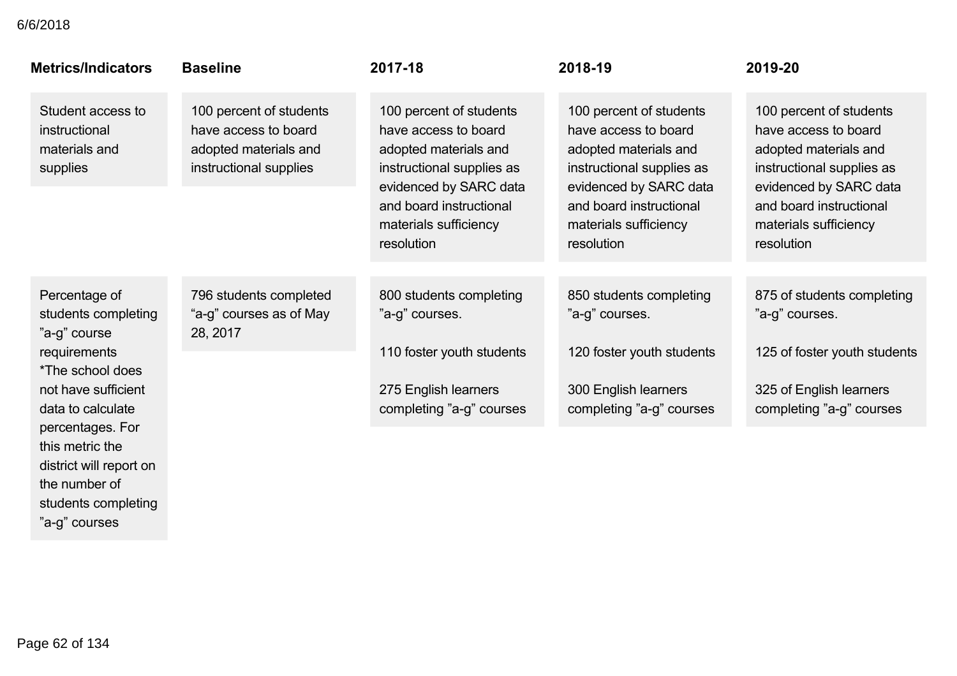#### credentialed and 6/6/2018

| <b>Metrics/Indicators</b>                                                                                                            | <b>Baseline</b>                                                                                    | 2017-18                                                                                                                                                                                           | 2018-19                                                                                                                                                                                           | 2019-20                                                                                                                                                                                           |
|--------------------------------------------------------------------------------------------------------------------------------------|----------------------------------------------------------------------------------------------------|---------------------------------------------------------------------------------------------------------------------------------------------------------------------------------------------------|---------------------------------------------------------------------------------------------------------------------------------------------------------------------------------------------------|---------------------------------------------------------------------------------------------------------------------------------------------------------------------------------------------------|
| Student access to<br>instructional<br>materials and<br>supplies                                                                      | 100 percent of students<br>have access to board<br>adopted materials and<br>instructional supplies | 100 percent of students<br>have access to board<br>adopted materials and<br>instructional supplies as<br>evidenced by SARC data<br>and board instructional<br>materials sufficiency<br>resolution | 100 percent of students<br>have access to board<br>adopted materials and<br>instructional supplies as<br>evidenced by SARC data<br>and board instructional<br>materials sufficiency<br>resolution | 100 percent of students<br>have access to board<br>adopted materials and<br>instructional supplies as<br>evidenced by SARC data<br>and board instructional<br>materials sufficiency<br>resolution |
| Percentage of<br>students completing<br>"a-g" course<br>requirements<br>*The school does<br>not have sufficient<br>data to calculate | 796 students completed<br>"a-g" courses as of May<br>28, 2017                                      | 800 students completing<br>"a-g" courses.<br>110 foster youth students<br>275 English learners<br>completing "a-g" courses                                                                        | 850 students completing<br>"a-g" courses.<br>120 foster youth students<br>300 English learners<br>completing "a-g" courses                                                                        | 875 of students completing<br>"a-g" courses.<br>125 of foster youth students<br>325 of English learners<br>completing "a-g" courses                                                               |
| percentages. For<br>this metric the<br>district will report on                                                                       |                                                                                                    |                                                                                                                                                                                                   |                                                                                                                                                                                                   |                                                                                                                                                                                                   |

the number of

"a-g" courses

students completing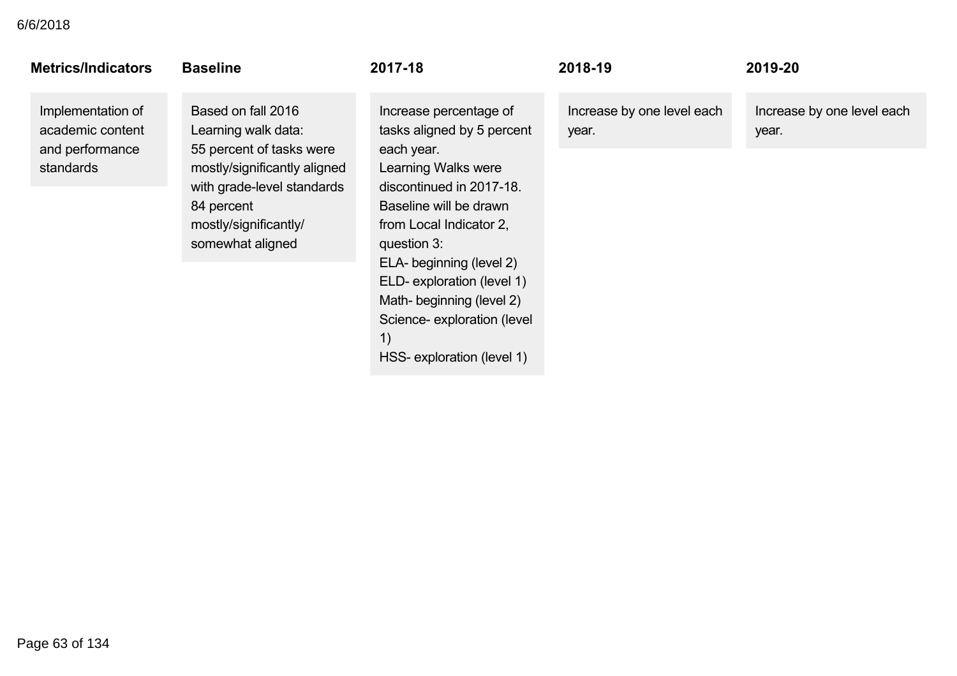| <b>Metrics/Indicators</b>                                             | <b>Baseline</b>                                                                                                                                                                                | 2017-18                                                                                                                                                                                                                                                    | 2018-19                             | 2019-20                             |
|-----------------------------------------------------------------------|------------------------------------------------------------------------------------------------------------------------------------------------------------------------------------------------|------------------------------------------------------------------------------------------------------------------------------------------------------------------------------------------------------------------------------------------------------------|-------------------------------------|-------------------------------------|
| Implementation of<br>academic content<br>and performance<br>standards | Based on fall 2016<br>Learning walk data:<br>55 percent of tasks were<br>mostly/significantly aligned<br>with grade-level standards<br>84 percent<br>mostly/significantly/<br>somewhat aligned | Increase percentage of<br>tasks aligned by 5 percent<br>each year.<br><b>Learning Walks were</b><br>discontinued in 2017-18.<br>Baseline will be drawn<br>from Local Indicator 2,<br>question 3:<br>ELA- beginning (level 2)<br>ELD- exploration (level 1) | Increase by one level each<br>year. | Increase by one level each<br>year. |
|                                                                       |                                                                                                                                                                                                | Math- beginning (level 2)<br>Science- exploration (level<br>1)<br>HSS- exploration (level 1)                                                                                                                                                               |                                     |                                     |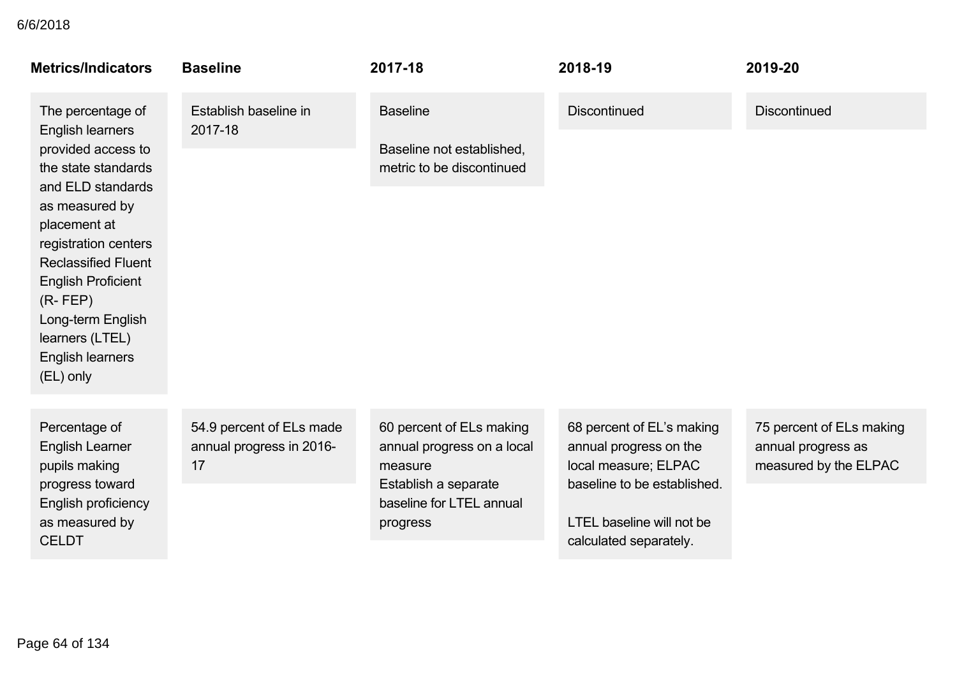| Establish baseline in<br>The percentage of                                                                                                                                                                                                                                            |                                                      |                                                                                                                                   |                                                                                                                                                                          |                                                                         |
|---------------------------------------------------------------------------------------------------------------------------------------------------------------------------------------------------------------------------------------------------------------------------------------|------------------------------------------------------|-----------------------------------------------------------------------------------------------------------------------------------|--------------------------------------------------------------------------------------------------------------------------------------------------------------------------|-------------------------------------------------------------------------|
| <b>English learners</b><br>2017-18                                                                                                                                                                                                                                                    |                                                      | <b>Baseline</b>                                                                                                                   | <b>Discontinued</b>                                                                                                                                                      | <b>Discontinued</b>                                                     |
| provided access to<br>the state standards<br>and ELD standards<br>as measured by<br>placement at<br>registration centers<br><b>Reclassified Fluent</b><br><b>English Proficient</b><br>$(R$ - FEP $)$<br>Long-term English<br>learners (LTEL)<br><b>English learners</b><br>(EL) only |                                                      | Baseline not established,<br>metric to be discontinued                                                                            |                                                                                                                                                                          |                                                                         |
| Percentage of<br><b>English Learner</b><br>pupils making<br>17<br>progress toward<br>English proficiency<br>as measured by<br><b>CELDT</b>                                                                                                                                            | 54.9 percent of ELs made<br>annual progress in 2016- | 60 percent of ELs making<br>annual progress on a local<br>measure<br>Establish a separate<br>baseline for LTEL annual<br>progress | 68 percent of EL's making<br>annual progress on the<br>local measure; ELPAC<br>baseline to be established.<br><b>LTEL baseline will not be</b><br>calculated separately. | 75 percent of ELs making<br>annual progress as<br>measured by the ELPAC |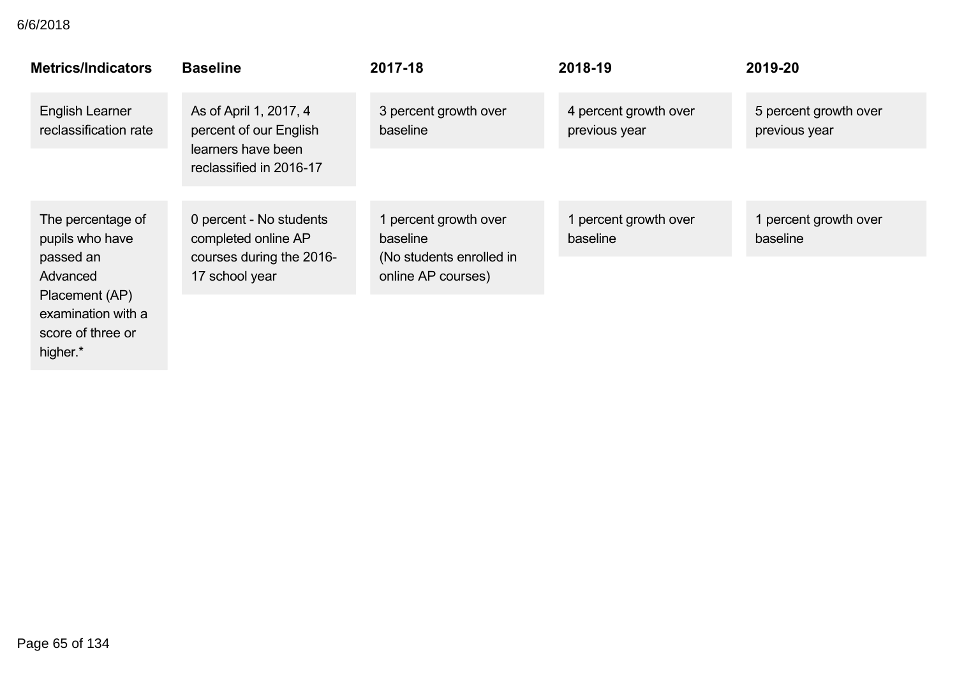| <b>Metrics/Indicators</b>                                 | <b>Baseline</b>                                  | 2017-18                                        | 2018-19                                | 2019-20                                |
|-----------------------------------------------------------|--------------------------------------------------|------------------------------------------------|----------------------------------------|----------------------------------------|
| <b>English Learner</b><br>reclassification rate           | As of April 1, 2017, 4<br>percent of our English | 3 percent growth over<br>baseline              | 4 percent growth over<br>previous year | 5 percent growth over<br>previous year |
|                                                           | learners have been<br>reclassified in 2016-17    |                                                |                                        |                                        |
| The percentage of<br>pupils who have                      | 0 percent - No students<br>completed online AP   | 1 percent growth over<br>baseline              | 1 percent growth over<br>baseline      | 1 percent growth over<br>baseline      |
| passed an<br>Advanced                                     | courses during the 2016-<br>17 school year       | (No students enrolled in<br>online AP courses) |                                        |                                        |
| Placement (AP)<br>examination with a<br>score of three or |                                                  |                                                |                                        |                                        |

Page 65 of 134

higher.\*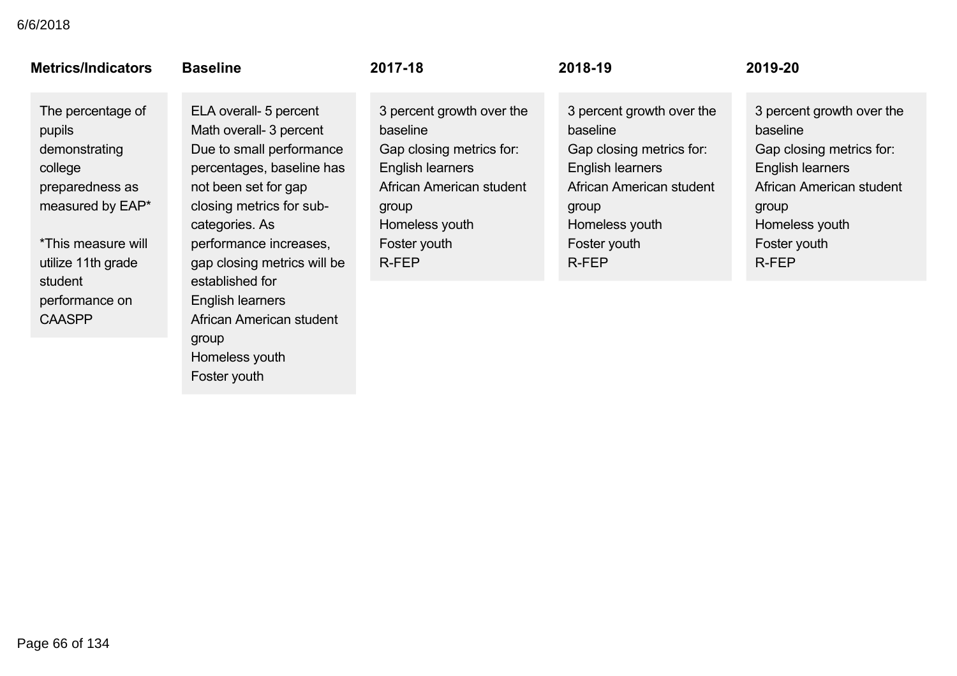| <b>Metrics/Indicators</b>                                                                                                                             | <b>Baseline</b>                                                                                                                                                                                                                                              | 2017-18                                                                                                                                                               | 2018-19                                                                                                                                                                      | 2019-20                                                                                                                                                               |
|-------------------------------------------------------------------------------------------------------------------------------------------------------|--------------------------------------------------------------------------------------------------------------------------------------------------------------------------------------------------------------------------------------------------------------|-----------------------------------------------------------------------------------------------------------------------------------------------------------------------|------------------------------------------------------------------------------------------------------------------------------------------------------------------------------|-----------------------------------------------------------------------------------------------------------------------------------------------------------------------|
| The percentage of<br>pupils<br>demonstrating<br>college<br>preparedness as<br>measured by EAP*<br>*This measure will<br>utilize 11th grade<br>student | ELA overall- 5 percent<br>Math overall- 3 percent<br>Due to small performance<br>percentages, baseline has<br>not been set for gap<br>closing metrics for sub-<br>categories. As<br>performance increases,<br>gap closing metrics will be<br>established for | 3 percent growth over the<br>baseline<br>Gap closing metrics for:<br>English learners<br>African American student<br>group<br>Homeless youth<br>Foster youth<br>R-FEP | 3 percent growth over the<br>baseline<br>Gap closing metrics for:<br><b>English learners</b><br>African American student<br>group<br>Homeless youth<br>Foster youth<br>R-FEP | 3 percent growth over the<br>baseline<br>Gap closing metrics for:<br>English learners<br>African American student<br>group<br>Homeless youth<br>Foster youth<br>R-FEP |
| performance on<br><b>CAASPP</b>                                                                                                                       | English learners<br>African American student<br>group<br>Homeless youth                                                                                                                                                                                      |                                                                                                                                                                       |                                                                                                                                                                              |                                                                                                                                                                       |

Foster youth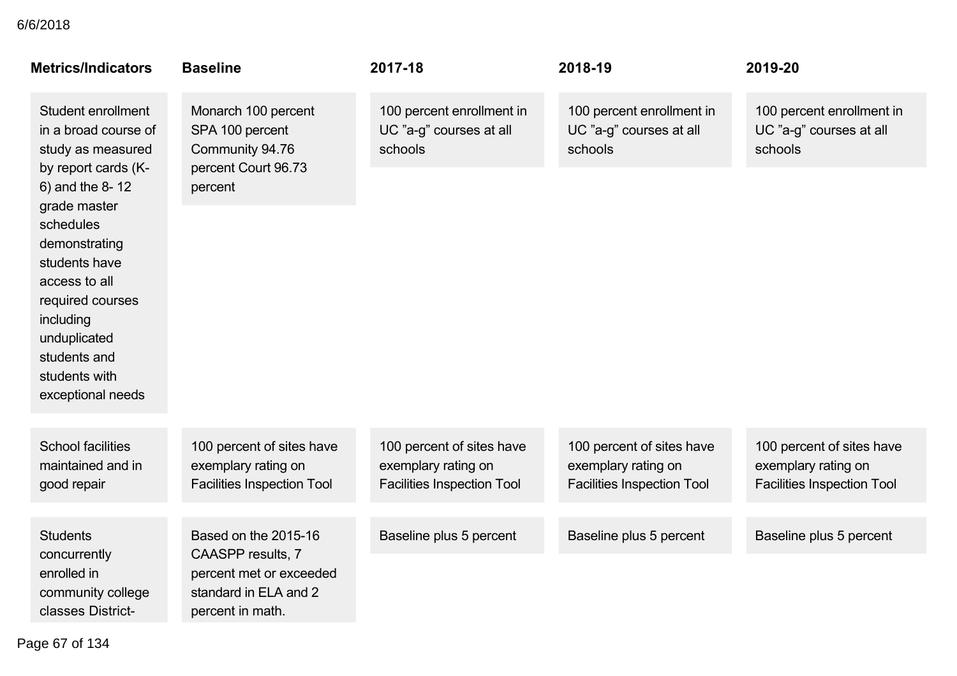| <b>Metrics/Indicators</b>                                                                                                                                                                                                     | <b>Baseline</b>                                                                           | 2017-18                                                                               | 2018-19                                                                               | 2019-20                                                                               |
|-------------------------------------------------------------------------------------------------------------------------------------------------------------------------------------------------------------------------------|-------------------------------------------------------------------------------------------|---------------------------------------------------------------------------------------|---------------------------------------------------------------------------------------|---------------------------------------------------------------------------------------|
| Student enrollment<br>in a broad course of<br>study as measured                                                                                                                                                               | Monarch 100 percent<br>SPA 100 percent<br>Community 94.76                                 | 100 percent enrollment in<br>UC "a-g" courses at all<br>schools                       | 100 percent enrollment in<br>UC "a-g" courses at all<br>schools                       | 100 percent enrollment in<br>UC "a-g" courses at all<br>schools                       |
| by report cards (K-<br>6) and the 8-12<br>grade master<br>schedules<br>demonstrating<br>students have<br>access to all<br>required courses<br>including<br>unduplicated<br>students and<br>students with<br>exceptional needs | percent Court 96.73<br>percent                                                            |                                                                                       |                                                                                       |                                                                                       |
| <b>School facilities</b><br>maintained and in<br>good repair                                                                                                                                                                  | 100 percent of sites have<br>exemplary rating on<br><b>Facilities Inspection Tool</b>     | 100 percent of sites have<br>exemplary rating on<br><b>Facilities Inspection Tool</b> | 100 percent of sites have<br>exemplary rating on<br><b>Facilities Inspection Tool</b> | 100 percent of sites have<br>exemplary rating on<br><b>Facilities Inspection Tool</b> |
| <b>Students</b>                                                                                                                                                                                                               | Based on the 2015-16                                                                      | Baseline plus 5 percent                                                               | Baseline plus 5 percent                                                               | Baseline plus 5 percent                                                               |
| concurrently<br>enrolled in<br>community college<br>classes District-                                                                                                                                                         | CAASPP results, 7<br>percent met or exceeded<br>standard in ELA and 2<br>percent in math. |                                                                                       |                                                                                       |                                                                                       |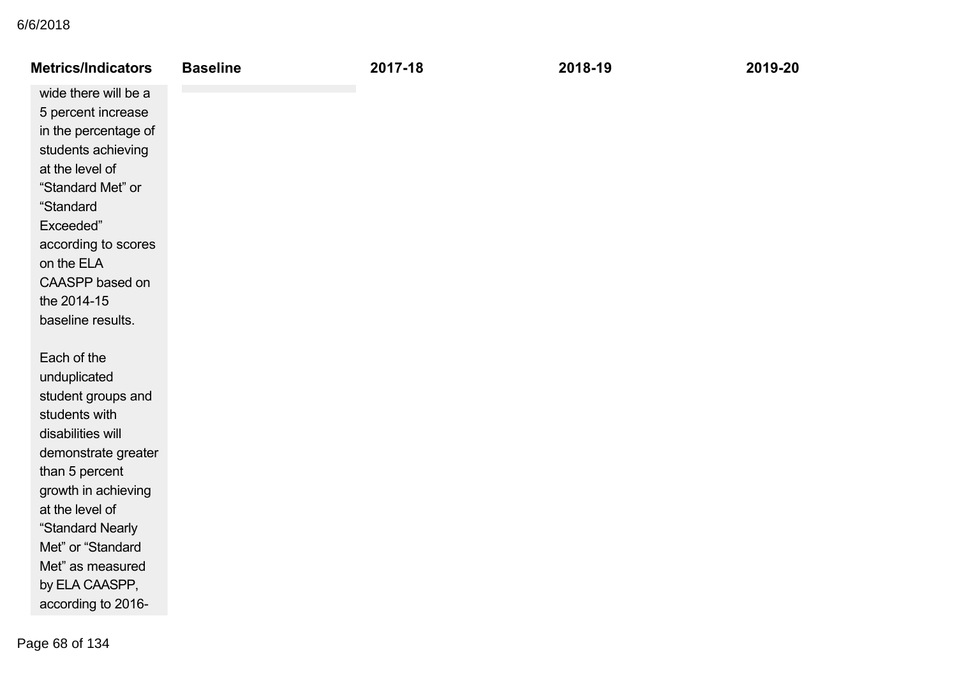| <b>Metrics/Indicators</b> | <b>Baseline</b> | 2017-18 | 2018-19 | 2019-20 |
|---------------------------|-----------------|---------|---------|---------|
| wide there will be a      |                 |         |         |         |
| 5 percent increase        |                 |         |         |         |
| in the percentage of      |                 |         |         |         |
| students achieving        |                 |         |         |         |
| at the level of           |                 |         |         |         |
| "Standard Met" or         |                 |         |         |         |
| "Standard                 |                 |         |         |         |
| Exceeded"                 |                 |         |         |         |
| according to scores       |                 |         |         |         |
| on the ELA                |                 |         |         |         |
| CAASPP based on           |                 |         |         |         |
| the 2014-15               |                 |         |         |         |
| baseline results.         |                 |         |         |         |
| Each of the               |                 |         |         |         |
| unduplicated              |                 |         |         |         |
| student groups and        |                 |         |         |         |
| students with             |                 |         |         |         |
| disabilities will         |                 |         |         |         |
| demonstrate greater       |                 |         |         |         |
| than 5 percent            |                 |         |         |         |
| growth in achieving       |                 |         |         |         |
| at the level of           |                 |         |         |         |
| "Standard Nearly          |                 |         |         |         |
| Met" or "Standard         |                 |         |         |         |
| Met" as measured          |                 |         |         |         |
| by ELA CAASPP,            |                 |         |         |         |
| according to 2016-        |                 |         |         |         |
|                           |                 |         |         |         |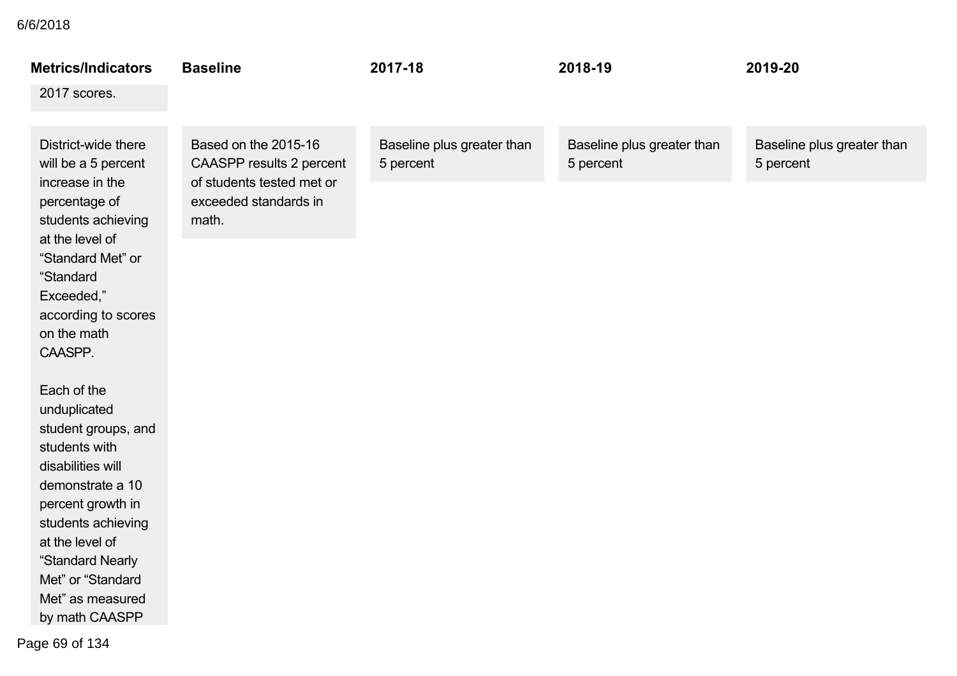| <b>Metrics/Indicators</b>                                                                                                                                                                                                                                 | <b>Baseline</b>                                                                                                 | 2017-18                                 | 2018-19                                 | 2019-20                                 |
|-----------------------------------------------------------------------------------------------------------------------------------------------------------------------------------------------------------------------------------------------------------|-----------------------------------------------------------------------------------------------------------------|-----------------------------------------|-----------------------------------------|-----------------------------------------|
| 2017 scores.                                                                                                                                                                                                                                              |                                                                                                                 |                                         |                                         |                                         |
| District-wide there<br>will be a 5 percent                                                                                                                                                                                                                | Based on the 2015-16<br>CAASPP results 2 percent<br>of students tested met or<br>exceeded standards in<br>math. | Baseline plus greater than<br>5 percent | Baseline plus greater than<br>5 percent | Baseline plus greater than<br>5 percent |
| increase in the<br>percentage of<br>students achieving                                                                                                                                                                                                    |                                                                                                                 |                                         |                                         |                                         |
| at the level of<br>"Standard Met" or<br>"Standard                                                                                                                                                                                                         |                                                                                                                 |                                         |                                         |                                         |
| Exceeded,"<br>according to scores<br>on the math<br>CAASPP.                                                                                                                                                                                               |                                                                                                                 |                                         |                                         |                                         |
| Each of the<br>unduplicated<br>student groups, and<br>students with<br>disabilities will<br>demonstrate a 10<br>percent growth in<br>students achieving<br>at the level of<br>"Standard Nearly<br>Met" or "Standard<br>Met" as measured<br>by math CAASPP |                                                                                                                 |                                         |                                         |                                         |

to 201617 scores. Page 69 of 134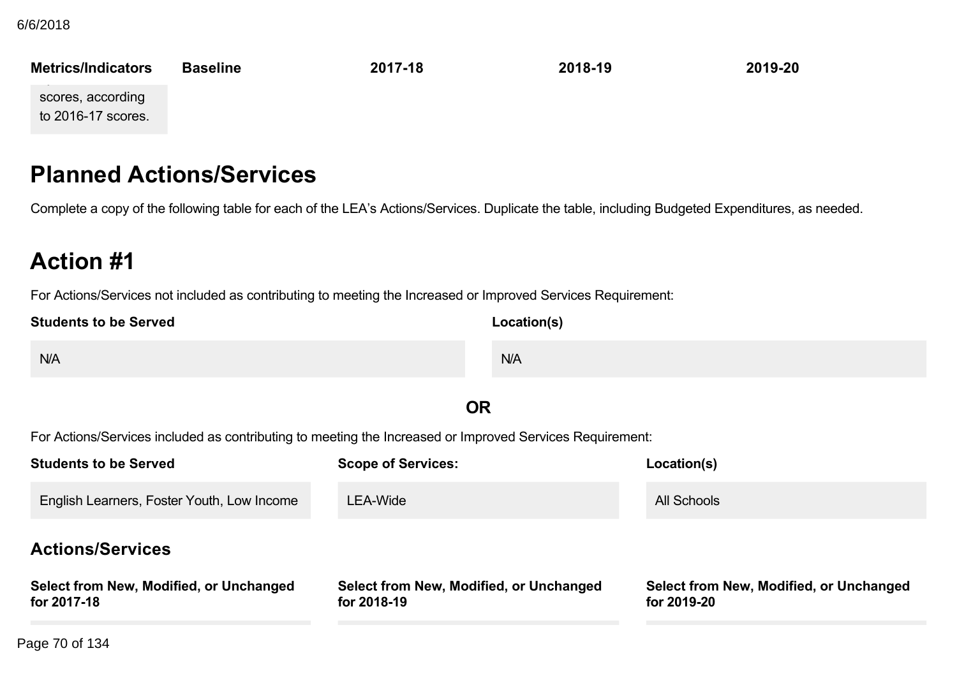**Metrics/Indicators Baseline 201718 201819 201920** Met" as measured by mathematics. scores, according to  $2016-17$  scores.

## **Planned Actions/Services**

Complete a copy of the following table for each of the LEA's Actions/Services. Duplicate the table, including Budgeted Expenditures, as needed.

# **Action #1**

For Actions/Services not included as contributing to meeting the Increased or Improved Services Requirement:

| <b>Students to be Served</b>                           | Location(s)                                                                                              |                                                        |
|--------------------------------------------------------|----------------------------------------------------------------------------------------------------------|--------------------------------------------------------|
| N/A                                                    | N/A                                                                                                      |                                                        |
|                                                        | <b>OR</b>                                                                                                |                                                        |
|                                                        | For Actions/Services included as contributing to meeting the Increased or Improved Services Requirement: |                                                        |
| <b>Students to be Served</b>                           | <b>Scope of Services:</b>                                                                                | Location(s)                                            |
| English Learners, Foster Youth, Low Income             | <b>LEA-Wide</b>                                                                                          | <b>All Schools</b>                                     |
| <b>Actions/Services</b>                                |                                                                                                          |                                                        |
| Select from New, Modified, or Unchanged<br>for 2017-18 | Select from New, Modified, or Unchanged<br>for 2018-19                                                   | Select from New, Modified, or Unchanged<br>for 2019-20 |
| age 70 of 134                                          |                                                                                                          |                                                        |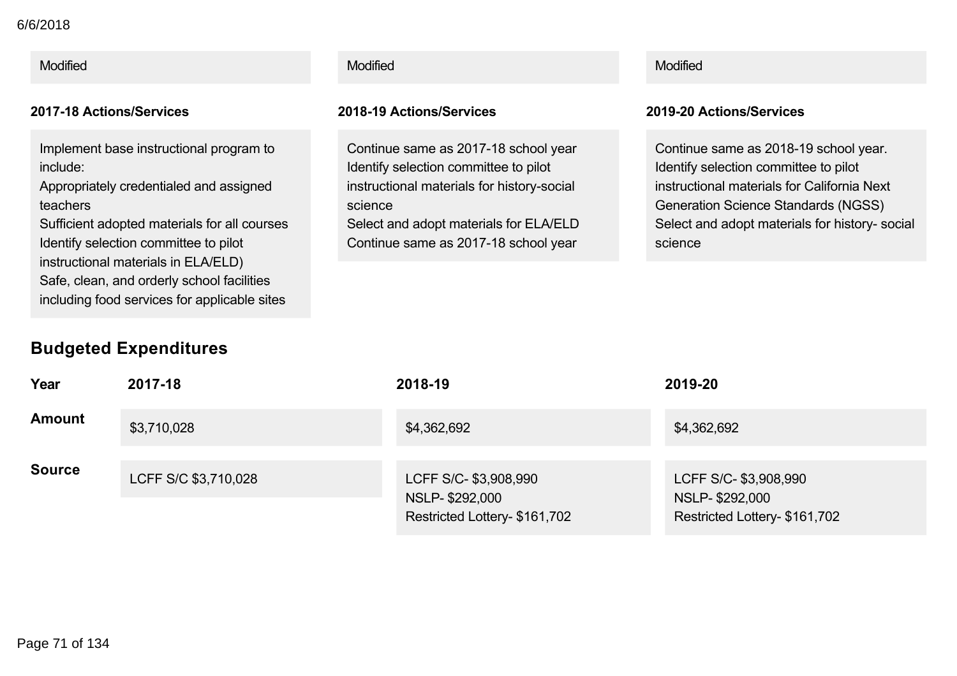#### Modified Modified Modified

Implement base instructional program to include:

Appropriately credentialed and assigned teachers

Sufficient adopted materials for all courses Identify selection committee to pilot instructional materials in ELA/ELD) Safe, clean, and orderly school facilities including food services for applicable sites

### **Budgeted Expenditures**

## **Year 201718 201819 201920 Amount** \$3,710,028 \$4,362,692 \$4,362,692 \$4,362,692 \$4,362,692 **Source** LCFF S/C \$3,710,028 LCFF S/C- \$3,908,990 NSLP-\$292,000 Restricted Lottery- \$161,702 LCFF S/C- \$3,908,990 NSLP \$292,000 Restricted Lottery- \$161,702

#### **201718 Actions/Services 201819 Actions/Services 201920 Actions/Services**

Continue same as 2017-18 school year Identify selection committee to pilot instructional materials for history-social science Select and adopt materials for ELA/ELD

Continue same as 2017-18 school year

Continue same as 2018-19 school year. Identify selection committee to pilot instructional materials for California Next Generation Science Standards (NGSS) Select and adopt materials for history- social science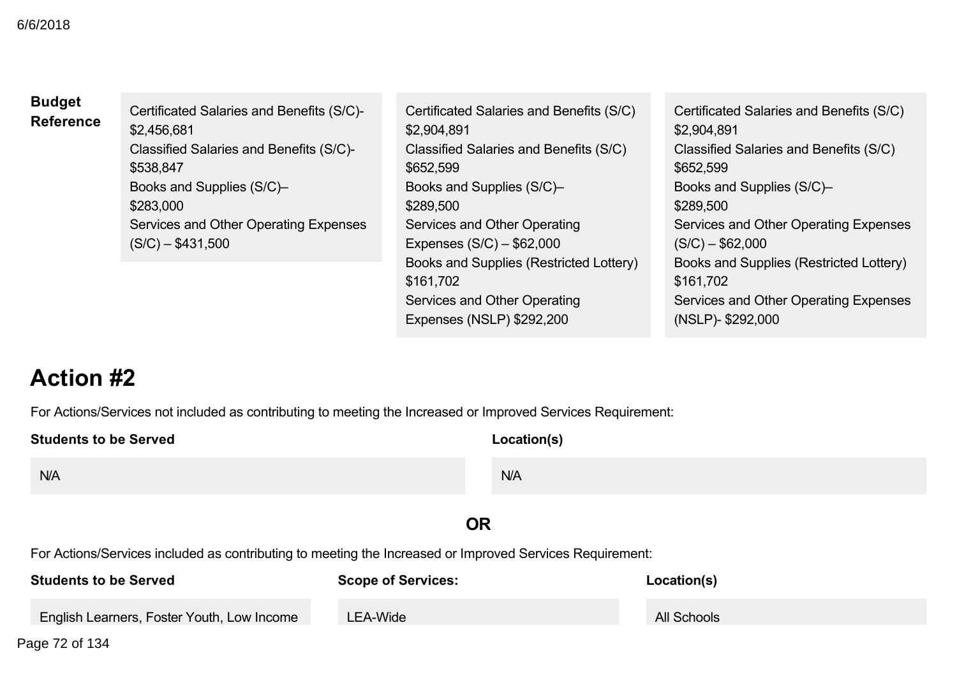| <b>Budget</b><br><b>Reference</b> | Certificated Salaries and Benefits (S/C)-<br>\$2,456,681<br>Classified Salaries and Benefits (S/C)- | Certificated Salaries and Benefits (S/C)<br>\$2,904,891<br>Classified Salaries and Benefits (S/C)                 | Certificated Salaries and Benefits (S/C)<br>\$2,904,891<br>Classified Salaries and Benefits (S/C)                 |
|-----------------------------------|-----------------------------------------------------------------------------------------------------|-------------------------------------------------------------------------------------------------------------------|-------------------------------------------------------------------------------------------------------------------|
|                                   | \$538,847                                                                                           | \$652,599                                                                                                         | \$652,599                                                                                                         |
|                                   | Books and Supplies (S/C)-                                                                           | Books and Supplies (S/C)-                                                                                         | Books and Supplies (S/C)-                                                                                         |
|                                   | \$283,000                                                                                           | \$289,500                                                                                                         | \$289,500                                                                                                         |
|                                   | Services and Other Operating Expenses                                                               | Services and Other Operating                                                                                      | Services and Other Operating Expenses                                                                             |
|                                   | $(S/C) - $431,500$                                                                                  | Expenses $(S/C) - $62,000$                                                                                        | $(S/C) - $62,000$                                                                                                 |
|                                   |                                                                                                     | Books and Supplies (Restricted Lottery)<br>\$161,702<br>Services and Other Operating<br>Expenses (NSLP) \$292,200 | Books and Supplies (Restricted Lottery)<br>\$161,702<br>Services and Other Operating Expenses<br>(NSLP)-\$292,000 |

# **Action #2**

For Actions/Services not included as contributing to meeting the Increased or Improved Services Requirement:

| <b>Students to be Served</b>                                                                             |                           | Location(s) |  |
|----------------------------------------------------------------------------------------------------------|---------------------------|-------------|--|
| N/A                                                                                                      | N/A                       |             |  |
|                                                                                                          | OR                        |             |  |
| For Actions/Services included as contributing to meeting the Increased or Improved Services Requirement: |                           |             |  |
| <b>Students to be Served</b>                                                                             | <b>Scope of Services:</b> | Location(s) |  |

| <b>Students to be Served</b>               | <b>Scope of Services:</b> | Location(s) |
|--------------------------------------------|---------------------------|-------------|
| English Learners, Foster Youth, Low Income | LEA-Wide                  | All Schools |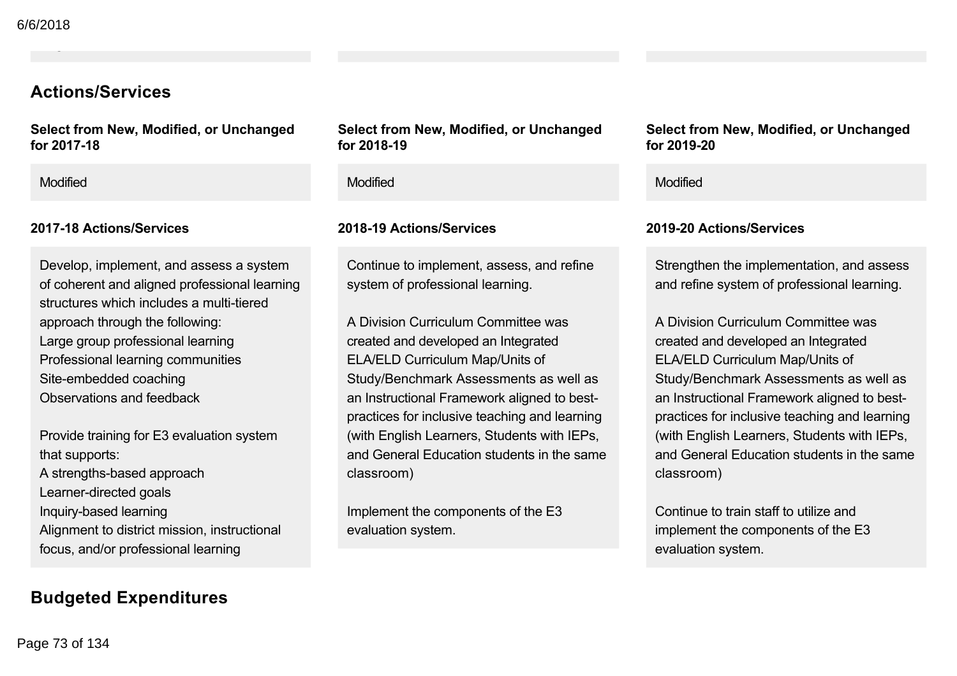### **Actions/Services**

**Select from New, Modified, or Unchanged** for 2017-18

English Learners, Foster Youth, Low Income

### **201718 Actions/Services 201819 Actions/Services 201920 Actions/Services**

Develop, implement, and assess a system of coherent and aligned professional learning structures which includes a multi-tiered approach through the following: Large group professional learning Professional learning communities Site-embedded coaching Observations and feedback

Provide training for E3 evaluation system that supports: A strengths-based approach Learner-directed goals Inquiry-based learning Alignment to district mission, instructional focus, and/or professional learning

## **Budgeted Expenditures**

**Select from New, Modified, or Unchanged** for 2018-19

Continue to implement, assess, and refine system of professional learning.

A Division Curriculum Committee was created and developed an Integrated ELA/ELD Curriculum Map/Units of Study/Benchmark Assessments as well as an Instructional Framework aligned to bestpractices for inclusive teaching and learning (with English Learners, Students with IEPs, and General Education students in the same classroom)

Implement the components of the E3 evaluation system.

**Select from New, Modified, or Unchanged for 201920**

### Modified Modified Modified

Strengthen the implementation, and assess and refine system of professional learning.

A Division Curriculum Committee was created and developed an Integrated ELA/ELD Curriculum Map/Units of Study/Benchmark Assessments as well as an Instructional Framework aligned to bestpractices for inclusive teaching and learning (with English Learners, Students with IEPs, and General Education students in the same classroom)

Continue to train staff to utilize and implement the components of the E3 evaluation system.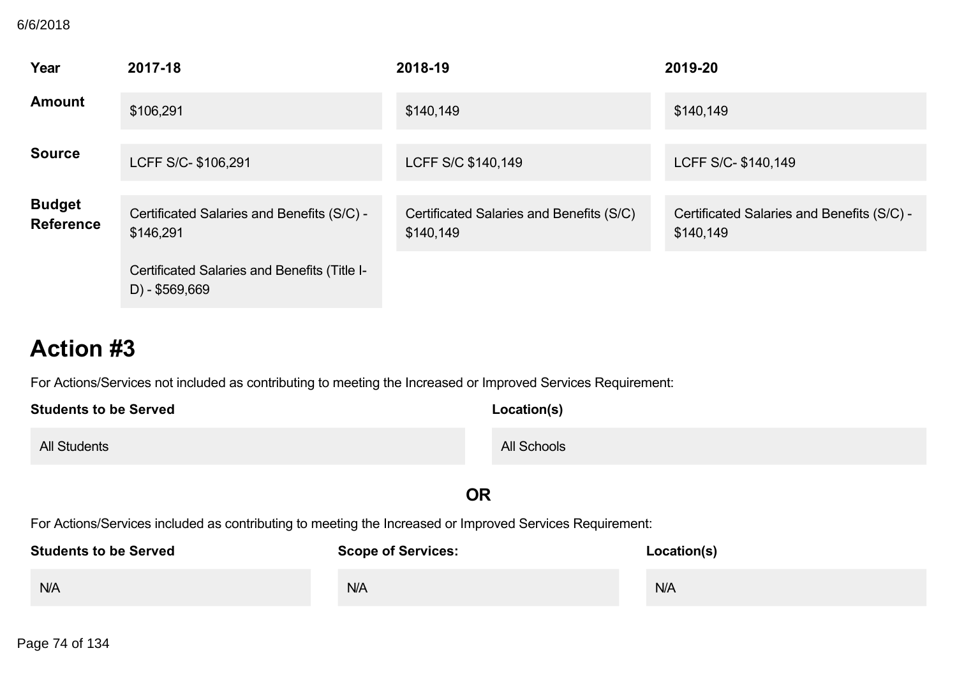### **B** 6/6/2018

| Year                              | 2017-18                                                        | 2018-19                                               | 2019-20                                                 |
|-----------------------------------|----------------------------------------------------------------|-------------------------------------------------------|---------------------------------------------------------|
| <b>Amount</b>                     | \$106,291                                                      | \$140,149                                             | \$140,149                                               |
| <b>Source</b>                     | LCFF S/C- \$106,291                                            | LCFF S/C \$140,149                                    | LCFF S/C- \$140,149                                     |
| <b>Budget</b><br><b>Reference</b> | Certificated Salaries and Benefits (S/C) -<br>\$146,291        | Certificated Salaries and Benefits (S/C)<br>\$140,149 | Certificated Salaries and Benefits (S/C) -<br>\$140,149 |
|                                   | Certificated Salaries and Benefits (Title I-<br>D) - \$569,669 |                                                       |                                                         |

# **Action #3**

For Actions/Services not included as contributing to meeting the Increased or Improved Services Requirement:

| <b>Students to be Served</b> | Location(s) |  |
|------------------------------|-------------|--|
| <b>All Students</b>          | All Schools |  |

## **OR**

For Actions/Services included as contributing to meeting the Increased or Improved Services Requirement:

| <b>Students to be Served</b> | <b>Scope of Services:</b> | Location(s) |
|------------------------------|---------------------------|-------------|
| N/A                          | N/A                       | N/A         |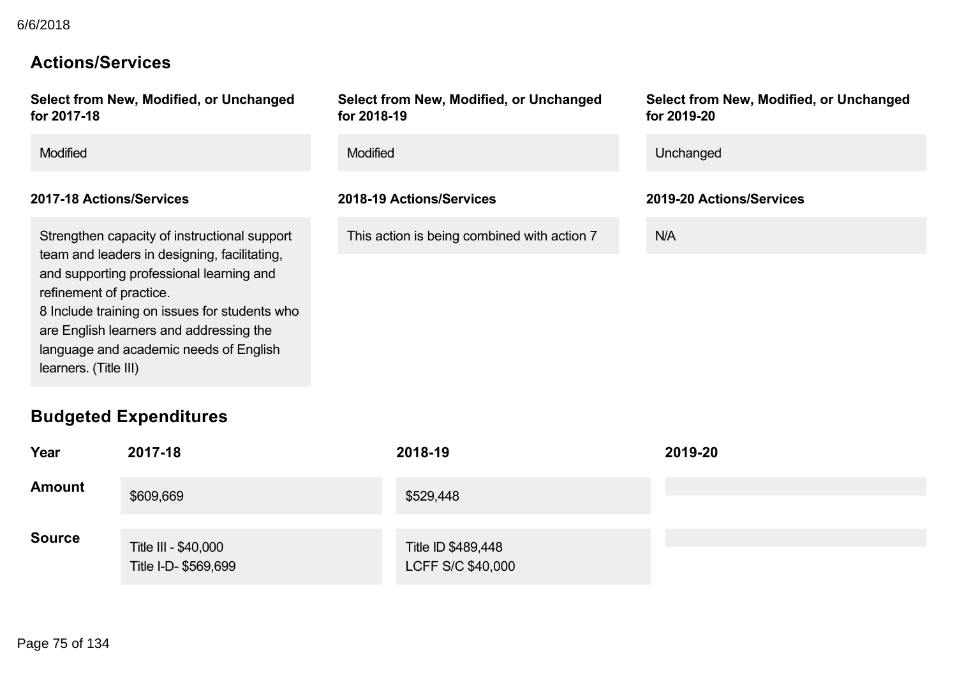### **Actions/Services**

**Select from New, Modified, or Unchanged for 201718**

### **201718 Actions/Services 201819 Actions/Services 201920 Actions/Services**

Strengthen capacity of instructional support team and leaders in designing, facilitating, and supporting professional learning and refinement of practice. 8 Include training on issues for students who are English learners and addressing the language and academic needs of English learners. (Title III)

### **Budgeted Expenditures**

**Select from New, Modified, or Unchanged for 201819**

This action is being combined with action 7 N/A

**Select from New, Modified, or Unchanged for 201920**

| <b>Modified</b><br>Modified<br>Unchanged |
|------------------------------------------|
|------------------------------------------|

| Year          | 2017-18                                      | 2018-19                                 | 2019-20 |
|---------------|----------------------------------------------|-----------------------------------------|---------|
| <b>Amount</b> | \$609,669                                    | \$529,448                               |         |
| <b>Source</b> | Title III - \$40,000<br>Title I-D- \$569,699 | Title ID \$489,448<br>LCFF S/C \$40,000 |         |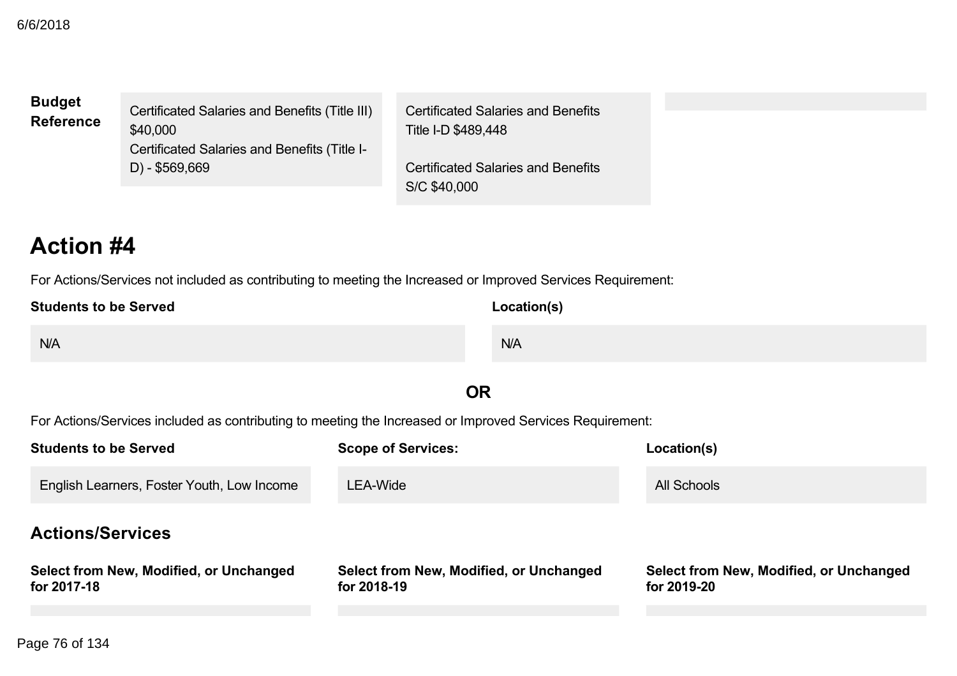### **Budget Reference**

Certificated Salaries and Benefits (Title III) \$40,000 Certificated Salaries and Benefits (Title I- $D) - $569,669$ 

Certificated Salaries and Benefits Title I-D \$489,448

Certificated Salaries and Benefits S/C \$40,000

# **Action #4**

For Actions/Services not included as contributing to meeting the Increased or Improved Services Requirement:

| <b>Students to be Served</b> | <b>Location(s)</b> |
|------------------------------|--------------------|
| N/A                          | N/A                |
|                              |                    |

## **OR**

For Actions/Services included as contributing to meeting the Increased or Improved Services Requirement:

| <b>Students to be Served</b>                           | <b>Scope of Services:</b>                              | Location(s)                                            |  |  |
|--------------------------------------------------------|--------------------------------------------------------|--------------------------------------------------------|--|--|
| English Learners, Foster Youth, Low Income             | LEA-Wide                                               | <b>All Schools</b>                                     |  |  |
| <b>Actions/Services</b>                                |                                                        |                                                        |  |  |
| Select from New, Modified, or Unchanged<br>for 2017-18 | Select from New, Modified, or Unchanged<br>for 2018-19 | Select from New, Modified, or Unchanged<br>for 2019-20 |  |  |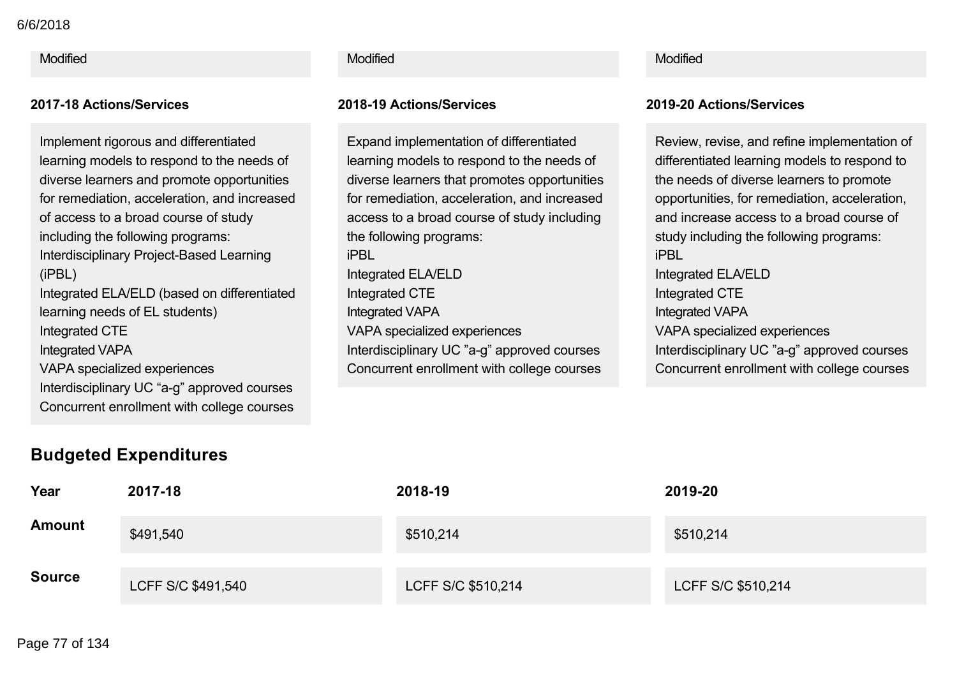Modified Modified Modified

Implement rigorous and differentiated learning models to respond to the needs of diverse learners and promote opportunities for remediation, acceleration, and increased of access to a broad course of study including the following programs: Interdisciplinary Project-Based Learning (iPBL) Integrated ELA/ELD (based on differentiated learning needs of EL students) Integrated CTE Integrated VAPA VAPA specialized experiences Interdisciplinary UC "a-g" approved courses Concurrent enrollment with college courses

### **201718 Actions/Services 201819 Actions/Services 201920 Actions/Services**

Expand implementation of differentiated learning models to respond to the needs of diverse learners that promotes opportunities for remediation, acceleration, and increased access to a broad course of study including the following programs: iPBL Integrated ELA/ELD Integrated CTE Integrated VAPA VAPA specialized experiences Interdisciplinary UC "a-g" approved courses Concurrent enrollment with college courses

Review, revise, and refine implementation of differentiated learning models to respond to the needs of diverse learners to promote opportunities, for remediation, acceleration, and increase access to a broad course of study including the following programs: iPBL Integrated ELA/ELD Integrated CTE Integrated VAPA VAPA specialized experiences Interdisciplinary UC "a-g" approved courses Concurrent enrollment with college courses

## **Budgeted Expenditures**

| Year          | 2017-18            | 2018-19            | 2019-20            |
|---------------|--------------------|--------------------|--------------------|
| <b>Amount</b> | \$491,540          | \$510,214          | \$510,214          |
| <b>Source</b> | LCFF S/C \$491,540 | LCFF S/C \$510,214 | LCFF S/C \$510,214 |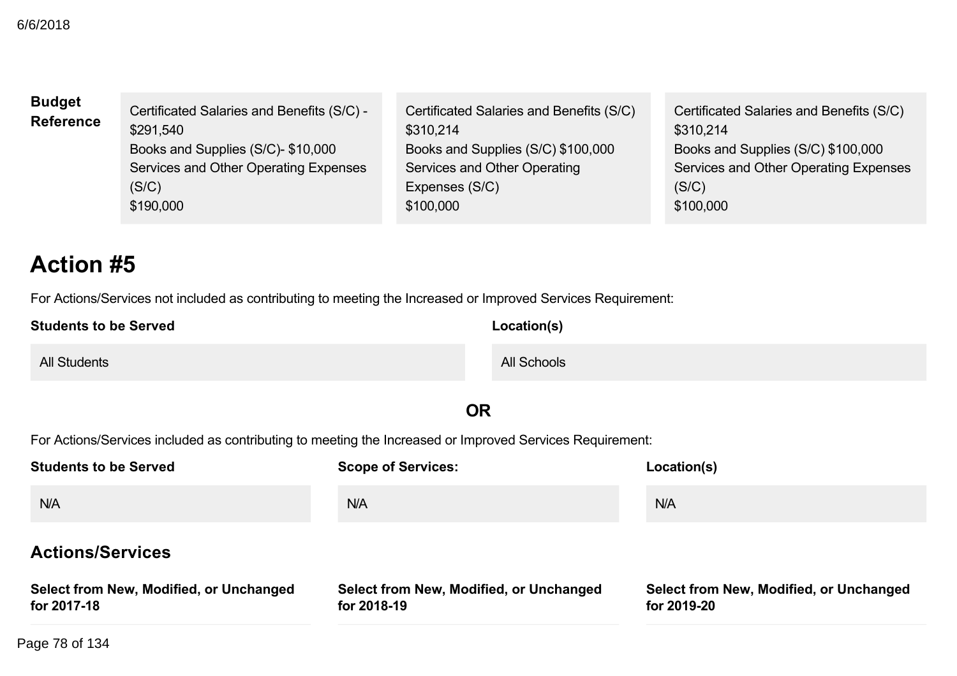| <b>Budget</b><br><b>Reference</b> | Certificated Salaries and Benefits (S/C) -<br>\$291.540<br>Books and Supplies (S/C)- \$10,000<br>Services and Other Operating Expenses<br>(S/C)<br>\$190,000 | Certificated Salaries and Benefits (S/C)<br>\$310.214<br>Books and Supplies (S/C) \$100,000<br>Services and Other Operating<br>Expenses (S/C)<br>\$100,000 | Certificated Salaries and Benefits (S/C)<br>\$310,214<br>Books and Supplies (S/C) \$100,000<br>Services and Other Operating Expenses<br>(S/C)<br>\$100,000 |
|-----------------------------------|--------------------------------------------------------------------------------------------------------------------------------------------------------------|------------------------------------------------------------------------------------------------------------------------------------------------------------|------------------------------------------------------------------------------------------------------------------------------------------------------------|
|-----------------------------------|--------------------------------------------------------------------------------------------------------------------------------------------------------------|------------------------------------------------------------------------------------------------------------------------------------------------------------|------------------------------------------------------------------------------------------------------------------------------------------------------------|

# **Action #5**

For Actions/Services not included as contributing to meeting the Increased or Improved Services Requirement:

| <b>Students to be Served</b> | Location(s) |  |
|------------------------------|-------------|--|
| <b>All Students</b>          | All Schools |  |

## **OR**

For Actions/Services included as contributing to meeting the Increased or Improved Services Requirement:

| <b>Students to be Served</b>                           | <b>Scope of Services:</b>                              | Location(s)                                            |  |
|--------------------------------------------------------|--------------------------------------------------------|--------------------------------------------------------|--|
| N/A                                                    | <b>N/A</b>                                             | N/A                                                    |  |
| <b>Actions/Services</b>                                |                                                        |                                                        |  |
| Select from New, Modified, or Unchanged<br>for 2017-18 | Select from New, Modified, or Unchanged<br>for 2018-19 | Select from New, Modified, or Unchanged<br>for 2019-20 |  |

Page 78 of 134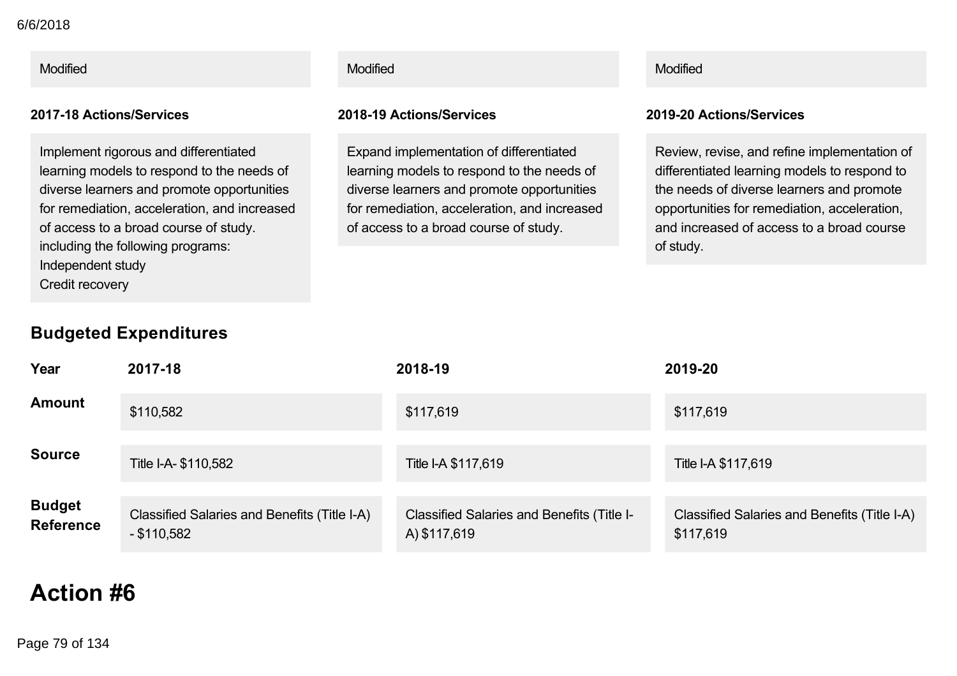Modified Modified Modified

Implement rigorous and differentiated learning models to respond to the needs of diverse learners and promote opportunities for remediation, acceleration, and increased of access to a broad course of study. including the following programs: Independent study Credit recovery

### **201718 Actions/Services 201819 Actions/Services 201920 Actions/Services**

Expand implementation of differentiated learning models to respond to the needs of diverse learners and promote opportunities for remediation, acceleration, and increased of access to a broad course of study.

Review, revise, and refine implementation of differentiated learning models to respond to the needs of diverse learners and promote opportunities for remediation, acceleration, and increased of access to a broad course of study.

## **Budgeted Expenditures**

| Year                              | 2017-18                                                       | 2018-19                                                           | 2019-20                                                   |
|-----------------------------------|---------------------------------------------------------------|-------------------------------------------------------------------|-----------------------------------------------------------|
| <b>Amount</b>                     | \$110,582                                                     | \$117,619                                                         | \$117,619                                                 |
| <b>Source</b>                     | Title I-A- \$110,582                                          | Title I-A \$117,619                                               | Title I-A \$117,619                                       |
| <b>Budget</b><br><b>Reference</b> | Classified Salaries and Benefits (Title I-A)<br>$-$ \$110,582 | <b>Classified Salaries and Benefits (Title I-</b><br>A) \$117,619 | Classified Salaries and Benefits (Title I-A)<br>\$117,619 |

# **Action #6**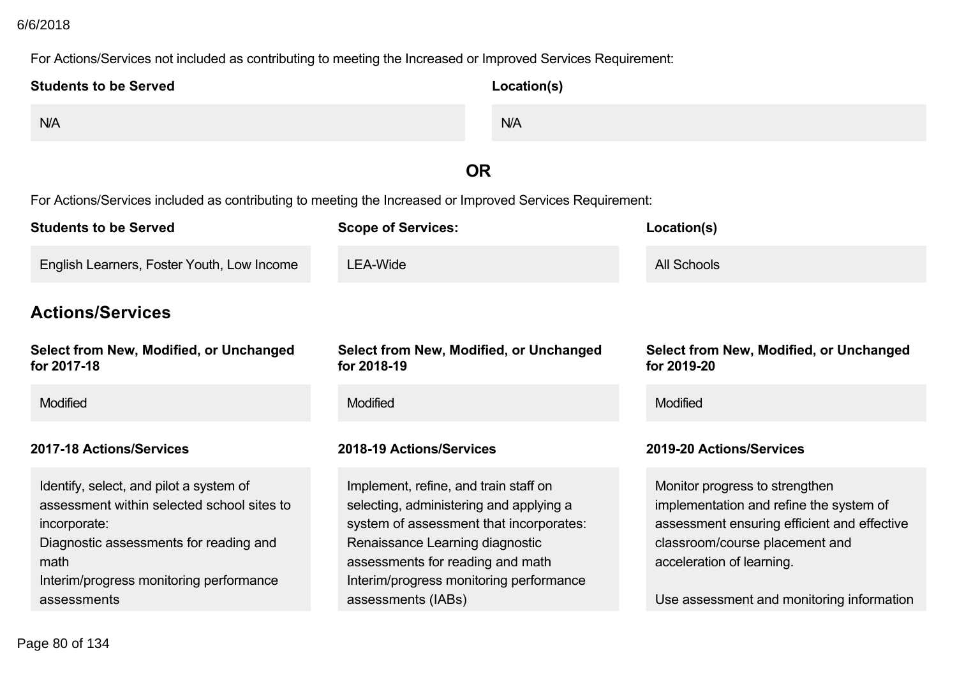## **Action #6** 6/6/2018

### For Actions/Services not included as contributing to meeting the Increased or Improved Services Requirement:

| <b>Students to be Served</b>                                                                                                                                                                                      | Location(s)                                                                                                                                                                                                                                                         |                                                                                                                                                                                                                                      |  |  |
|-------------------------------------------------------------------------------------------------------------------------------------------------------------------------------------------------------------------|---------------------------------------------------------------------------------------------------------------------------------------------------------------------------------------------------------------------------------------------------------------------|--------------------------------------------------------------------------------------------------------------------------------------------------------------------------------------------------------------------------------------|--|--|
| N/A                                                                                                                                                                                                               | N/A                                                                                                                                                                                                                                                                 |                                                                                                                                                                                                                                      |  |  |
|                                                                                                                                                                                                                   | <b>OR</b>                                                                                                                                                                                                                                                           |                                                                                                                                                                                                                                      |  |  |
|                                                                                                                                                                                                                   | For Actions/Services included as contributing to meeting the Increased or Improved Services Requirement:                                                                                                                                                            |                                                                                                                                                                                                                                      |  |  |
| <b>Students to be Served</b>                                                                                                                                                                                      | <b>Scope of Services:</b>                                                                                                                                                                                                                                           | Location(s)                                                                                                                                                                                                                          |  |  |
| English Learners, Foster Youth, Low Income                                                                                                                                                                        | <b>LEA-Wide</b>                                                                                                                                                                                                                                                     | <b>All Schools</b>                                                                                                                                                                                                                   |  |  |
| <b>Actions/Services</b>                                                                                                                                                                                           |                                                                                                                                                                                                                                                                     |                                                                                                                                                                                                                                      |  |  |
| Select from New, Modified, or Unchanged<br>for 2017-18                                                                                                                                                            | Select from New, Modified, or Unchanged<br>for 2018-19                                                                                                                                                                                                              | Select from New, Modified, or Unchanged<br>for 2019-20                                                                                                                                                                               |  |  |
| Modified                                                                                                                                                                                                          | Modified                                                                                                                                                                                                                                                            | Modified                                                                                                                                                                                                                             |  |  |
| 2017-18 Actions/Services                                                                                                                                                                                          | 2018-19 Actions/Services                                                                                                                                                                                                                                            | 2019-20 Actions/Services                                                                                                                                                                                                             |  |  |
| Identify, select, and pilot a system of<br>assessment within selected school sites to<br>incorporate:<br>Diagnostic assessments for reading and<br>math<br>Interim/progress monitoring performance<br>assessments | Implement, refine, and train staff on<br>selecting, administering and applying a<br>system of assessment that incorporates:<br>Renaissance Learning diagnostic<br>assessments for reading and math<br>Interim/progress monitoring performance<br>assessments (IABs) | Monitor progress to strengthen<br>implementation and refine the system of<br>assessment ensuring efficient and effective<br>classroom/course placement and<br>acceleration of learning.<br>Use assessment and monitoring information |  |  |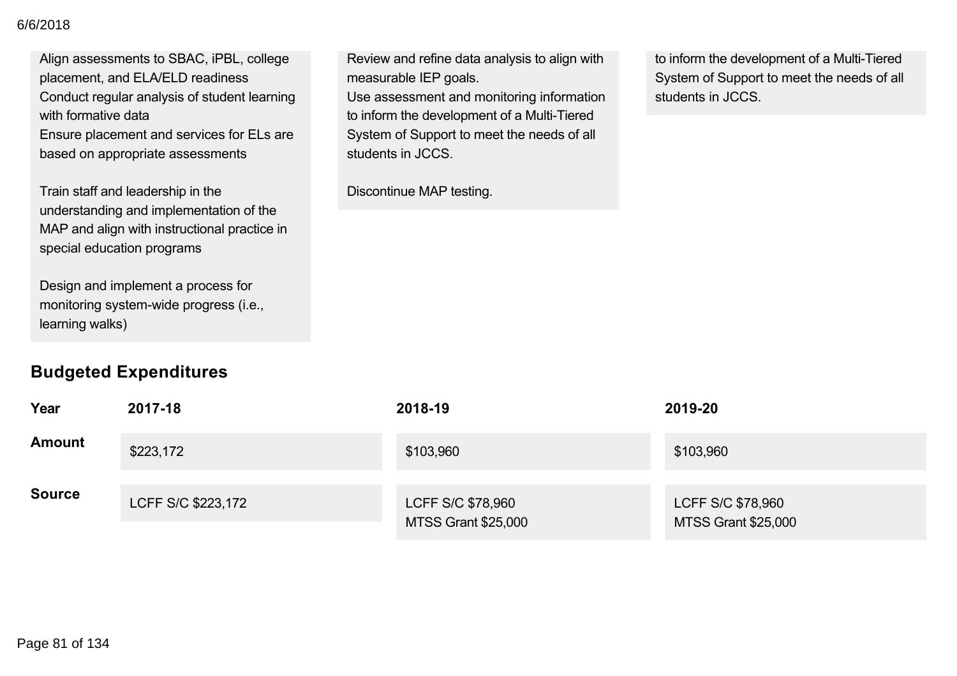### Interim/progress monitoring performance 6/6/2018

Align assessments to SBAC, iPBL, college placement, and ELA/ELD readiness Conduct regular analysis of student learning with formative data Ensure placement and services for ELs are

based on appropriate assessments

Train staff and leadership in the understanding and implementation of the MAP and align with instructional practice in special education programs

Design and implement a process for monitoring system-wide progress (i.e., learning walks)

## **Budgeted Expenditures**

Review and refine data analysis to align with measurable IEP goals. Use assessment and monitoring information to inform the development of a Multi-Tiered System of Support to meet the needs of all students in JCCS.

Discontinue MAP testing.

to inform the development of a Multi-Tiered System of Support to meet the needs of all students in JCCS.

| Year          | 2017-18            | 2018-19                                         | 2019-20                                         |
|---------------|--------------------|-------------------------------------------------|-------------------------------------------------|
| <b>Amount</b> | \$223,172          | \$103,960                                       | \$103,960                                       |
| <b>Source</b> | LCFF S/C \$223,172 | LCFF S/C \$78,960<br><b>MTSS Grant \$25,000</b> | LCFF S/C \$78,960<br><b>MTSS Grant \$25,000</b> |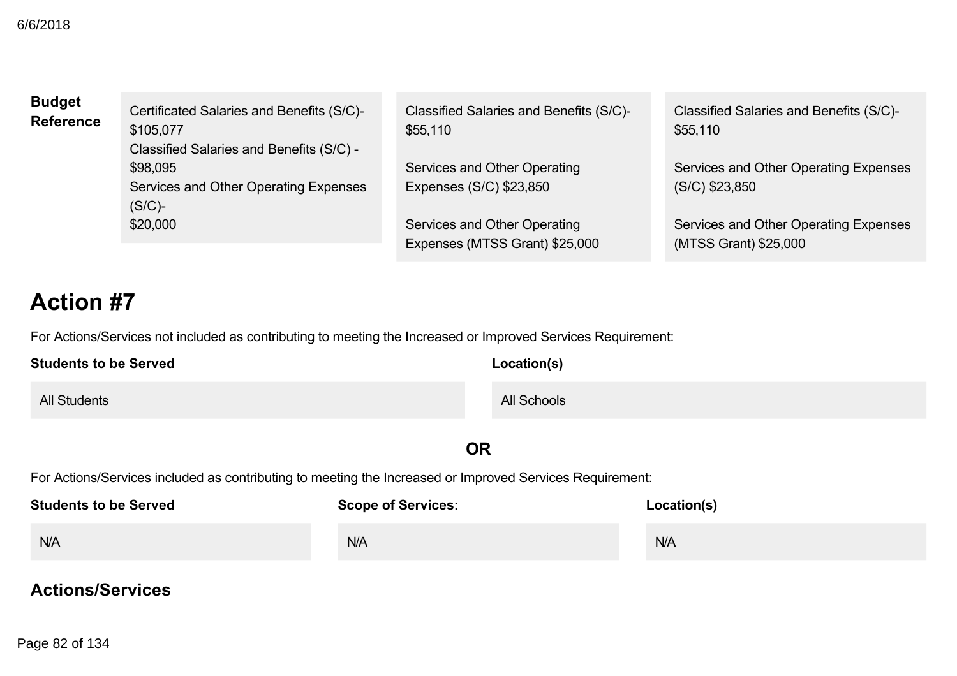| <b>Budget</b><br><b>Reference</b> | Certificated Salaries and Benefits (S/C)-<br>\$105,077<br>Classified Salaries and Benefits (S/C) - | Classified Salaries and Benefits (S/C)-<br>\$55,110            | Classified Salaries and Benefits (S/C)-<br>\$55,110            |
|-----------------------------------|----------------------------------------------------------------------------------------------------|----------------------------------------------------------------|----------------------------------------------------------------|
|                                   | \$98,095<br>Services and Other Operating Expenses<br>$(S/C)$ -                                     | Services and Other Operating<br>Expenses (S/C) \$23,850        | Services and Other Operating Expenses<br>$(S/C)$ \$23,850      |
|                                   | \$20,000                                                                                           | Services and Other Operating<br>Expenses (MTSS Grant) \$25,000 | Services and Other Operating Expenses<br>(MTSS Grant) \$25,000 |

# **Action #7**

For Actions/Services not included as contributing to meeting the Increased or Improved Services Requirement:

| <b>Students to be Served</b> | Location(s) |
|------------------------------|-------------|
| <b>All Students</b>          | All Schools |

**OR**

For Actions/Services included as contributing to meeting the Increased or Improved Services Requirement:

| <b>Students to be Served</b> | <b>Scope of Services:</b> | Location(s) |
|------------------------------|---------------------------|-------------|
| N/A                          | N/A                       | N/A         |

### **Actions/Services**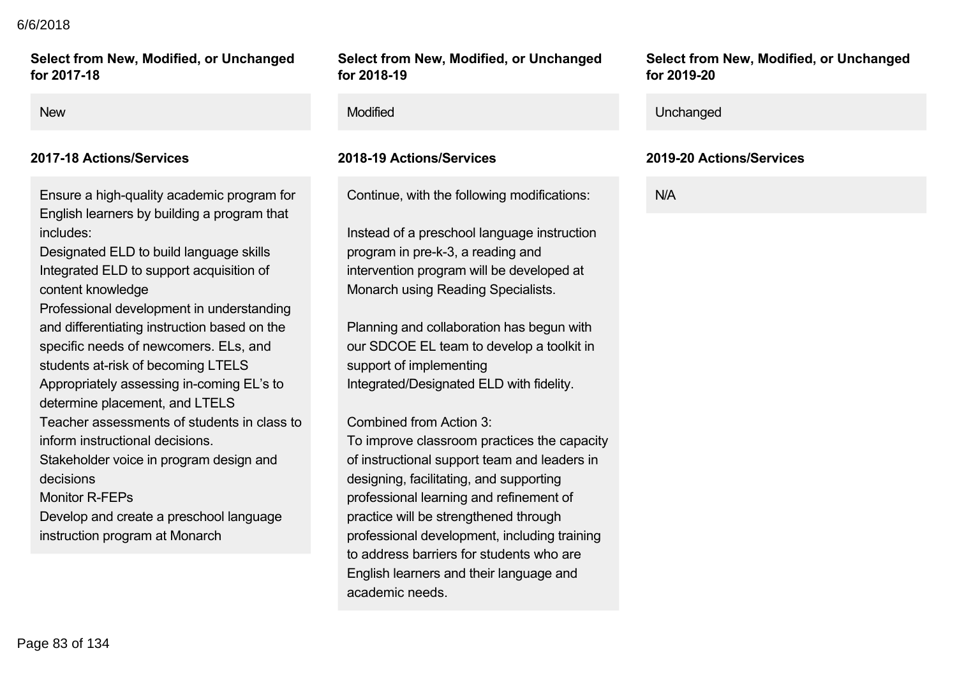### **Actions/Services** 6/6/2018

**Select from New, Modified, or Unchanged** for 2017-18

Ensure a high-quality academic program for English learners by building a program that includes:

Designated ELD to build language skills Integrated ELD to support acquisition of content knowledge

Professional development in understanding and differentiating instruction based on the specific needs of newcomers. ELs, and students at-risk of becoming LTELS Appropriately assessing in-coming EL's to determine placement, and LTELS Teacher assessments of students in class to inform instructional decisions. Stakeholder voice in program design and decisions Monitor R-FFPs Develop and create a preschool language

instruction program at Monarch

### **Select from New, Modified, or Unchanged for 201819**

Continue, with the following modifications:

Instead of a preschool language instruction program in pre-k-3, a reading and intervention program will be developed at Monarch using Reading Specialists.

Planning and collaboration has begun with our SDCOE EL team to develop a toolkit in support of implementing Integrated/Designated ELD with fidelity.

Combined from Action 3:

To improve classroom practices the capacity of instructional support team and leaders in designing, facilitating, and supporting professional learning and refinement of practice will be strengthened through professional development, including training to address barriers for students who are English learners and their language and academic needs.

**Select from New, Modified, or Unchanged for 201920**

### New **New Service Contract Contract Contract Contract Contract Contract Contract Contract Contract Contract Contract Contract Contract Contract Contract Contract Contract Contract Contract Contract Contract Contract Contrac**

### **201718 Actions/Services 201819 Actions/Services 201920 Actions/Services**

N/A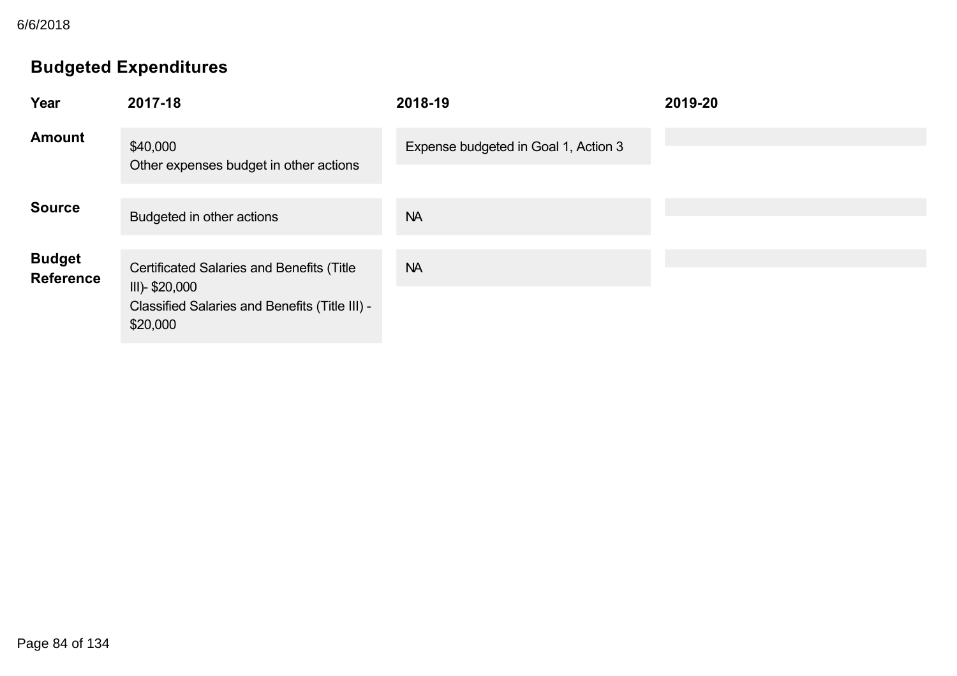6/6/2018

## **Budgeted Expenditures**

| Year                              | 2017-18                                                                                                                          | 2018-19                              | 2019-20 |
|-----------------------------------|----------------------------------------------------------------------------------------------------------------------------------|--------------------------------------|---------|
| <b>Amount</b>                     | \$40,000<br>Other expenses budget in other actions                                                                               | Expense budgeted in Goal 1, Action 3 |         |
| <b>Source</b>                     | Budgeted in other actions                                                                                                        | <b>NA</b>                            |         |
| <b>Budget</b><br><b>Reference</b> | <b>Certificated Salaries and Benefits (Title</b><br>III)- \$20,000<br>Classified Salaries and Benefits (Title III) -<br>\$20,000 | <b>NA</b>                            |         |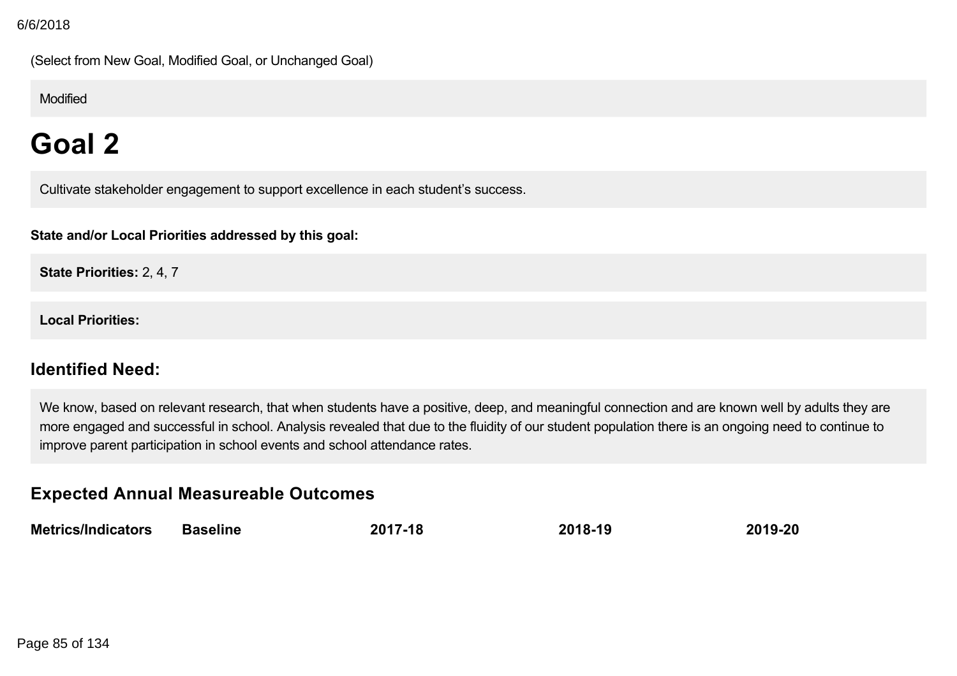(Select from New Goal, Modified Goal, or Unchanged Goal)

Modified

# **Goal 2**

Cultivate stakeholder engagement to support excellence in each student's success.

**State and/or Local Priorities addressed by this goal:**

**State Priorities:** 2, 4, 7

**Local Priorities:**

## **Identified Need:**

We know, based on relevant research, that when students have a positive, deep, and meaningful connection and are known well by adults they are more engaged and successful in school. Analysis revealed that due to the fluidity of our student population there is an ongoing need to continue to improve parent participation in school events and school attendance rates.

## **Expected Annual Measureable Outcomes**

| <b>Metrics/Indicators</b> | <b>Baseline</b> | 2017-18 | 2018-19 | 2019-20 |
|---------------------------|-----------------|---------|---------|---------|
|                           |                 |         |         |         |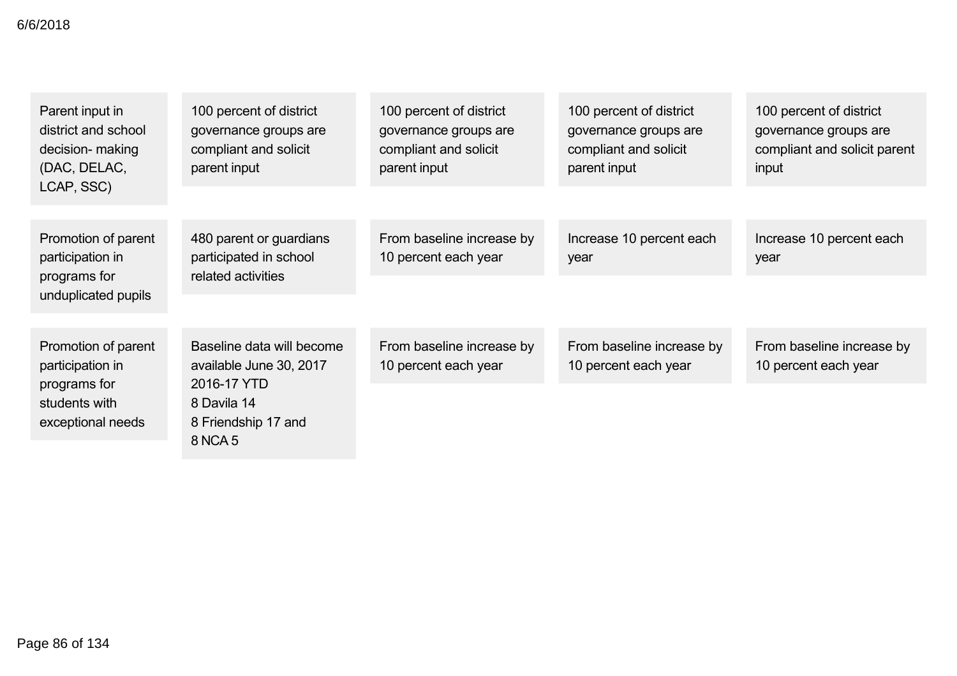| Parent input in<br>district and school<br>decision- making<br>(DAC, DELAC,     | 100 percent of district<br>governance groups are<br>compliant and solicit<br>parent input | 100 percent of district<br>governance groups are<br>compliant and solicit<br>parent input | 100 percent of district<br>governance groups are<br>compliant and solicit<br>parent input | 100 percent of district<br>governance groups are<br>compliant and solicit parent<br>input |
|--------------------------------------------------------------------------------|-------------------------------------------------------------------------------------------|-------------------------------------------------------------------------------------------|-------------------------------------------------------------------------------------------|-------------------------------------------------------------------------------------------|
| LCAP, SSC)                                                                     |                                                                                           |                                                                                           |                                                                                           |                                                                                           |
| Promotion of parent<br>participation in<br>programs for<br>unduplicated pupils | 480 parent or guardians<br>participated in school<br>related activities                   | From baseline increase by<br>10 percent each year                                         | Increase 10 percent each<br>year                                                          | Increase 10 percent each<br>year                                                          |
|                                                                                |                                                                                           |                                                                                           |                                                                                           |                                                                                           |
| Promotion of parent<br>participation in                                        | Baseline data will become<br>available June 30, 2017                                      | From baseline increase by<br>10 percent each year                                         | From baseline increase by<br>10 percent each year                                         | From baseline increase by<br>10 percent each year                                         |
| programs for<br>students with<br>exceptional needs                             | 2016-17 YTD<br>8 Davila 14<br>8 Friendship 17 and<br>8 NCA 5                              |                                                                                           |                                                                                           |                                                                                           |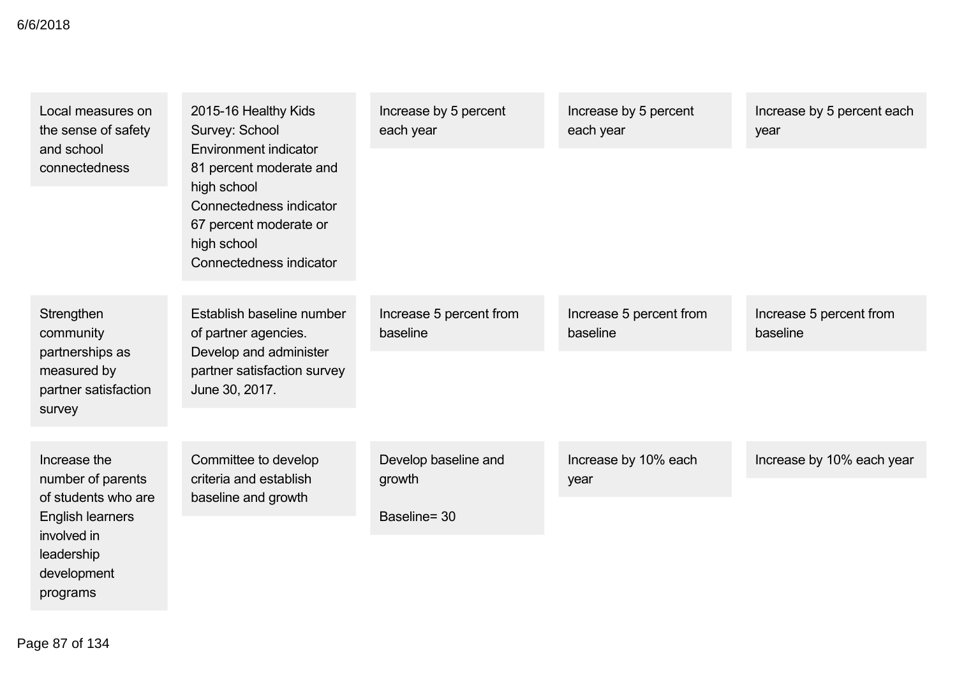| Local measures on<br>the sense of safety                                                    | 2015-16 Healthy Kids<br>Survey: School<br>Environment indicator<br>81 percent moderate and<br>high school<br>Connectedness indicator<br>67 percent moderate or<br>high school<br>Connectedness indicator | Increase by 5 percent<br>each year  | Increase by 5 percent<br>each year  | Increase by 5 percent each<br>year  |
|---------------------------------------------------------------------------------------------|----------------------------------------------------------------------------------------------------------------------------------------------------------------------------------------------------------|-------------------------------------|-------------------------------------|-------------------------------------|
| and school<br>connectedness                                                                 |                                                                                                                                                                                                          |                                     |                                     |                                     |
| Strengthen<br>community<br>partnerships as<br>measured by<br>partner satisfaction<br>survey | Establish baseline number<br>of partner agencies.<br>Develop and administer<br>partner satisfaction survey<br>June 30, 2017.                                                                             | Increase 5 percent from<br>baseline | Increase 5 percent from<br>baseline | Increase 5 percent from<br>baseline |
|                                                                                             |                                                                                                                                                                                                          |                                     |                                     |                                     |
| Increase the                                                                                | Committee to develop<br>criteria and establish                                                                                                                                                           | Develop baseline and                | Increase by 10% each                | Increase by 10% each year           |
| number of parents<br>of students who are<br><b>English learners</b>                         | baseline and growth                                                                                                                                                                                      | growth                              | year                                |                                     |
|                                                                                             |                                                                                                                                                                                                          | Baseline= 30                        |                                     |                                     |
| involved in<br>leadership                                                                   |                                                                                                                                                                                                          |                                     |                                     |                                     |

development programs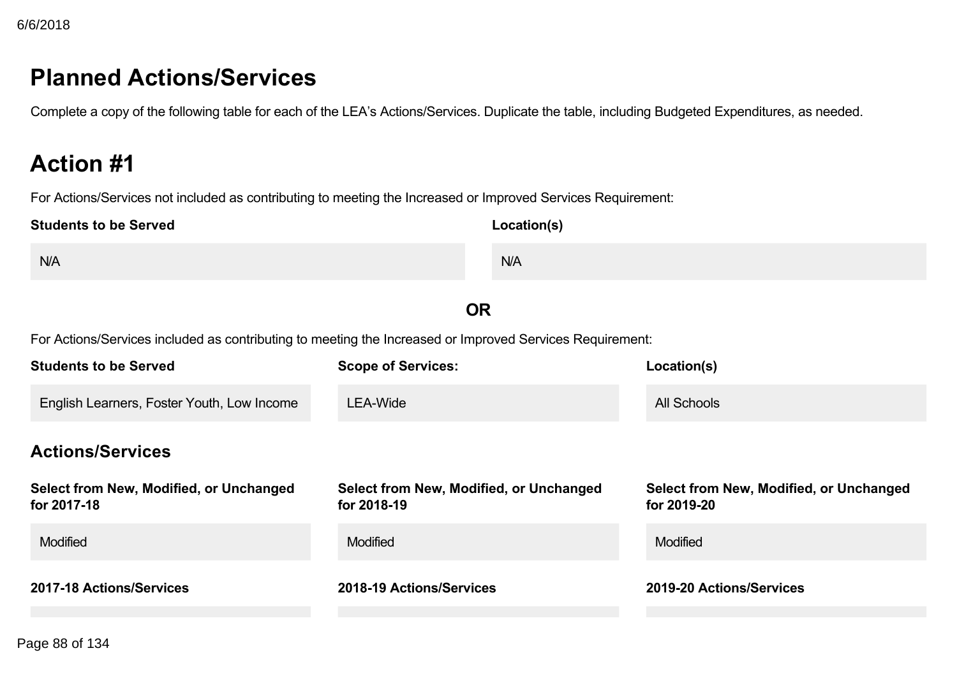# **Planned Actions/Services**

Complete a copy of the following table for each of the LEA's Actions/Services. Duplicate the table, including Budgeted Expenditures, as needed.

# **Action #1**

For Actions/Services not included as contributing to meeting the Increased or Improved Services Requirement:

| <b>Students to be Served</b>                                                                             | Location(s)                                            |                                                               |
|----------------------------------------------------------------------------------------------------------|--------------------------------------------------------|---------------------------------------------------------------|
| N/A                                                                                                      | N/A                                                    |                                                               |
|                                                                                                          | <b>OR</b>                                              |                                                               |
| For Actions/Services included as contributing to meeting the Increased or Improved Services Requirement: |                                                        |                                                               |
| <b>Students to be Served</b>                                                                             | <b>Scope of Services:</b>                              | Location(s)                                                   |
| English Learners, Foster Youth, Low Income                                                               | <b>LEA-Wide</b>                                        | <b>All Schools</b>                                            |
| <b>Actions/Services</b>                                                                                  |                                                        |                                                               |
| Select from New, Modified, or Unchanged<br>for 2017-18                                                   | Select from New, Modified, or Unchanged<br>for 2018-19 | <b>Select from New, Modified, or Unchanged</b><br>for 2019-20 |
| <b>Modified</b>                                                                                          | <b>Modified</b>                                        | Modified                                                      |
| 2017-18 Actions/Services                                                                                 | 2018-19 Actions/Services                               | 2019-20 Actions/Services                                      |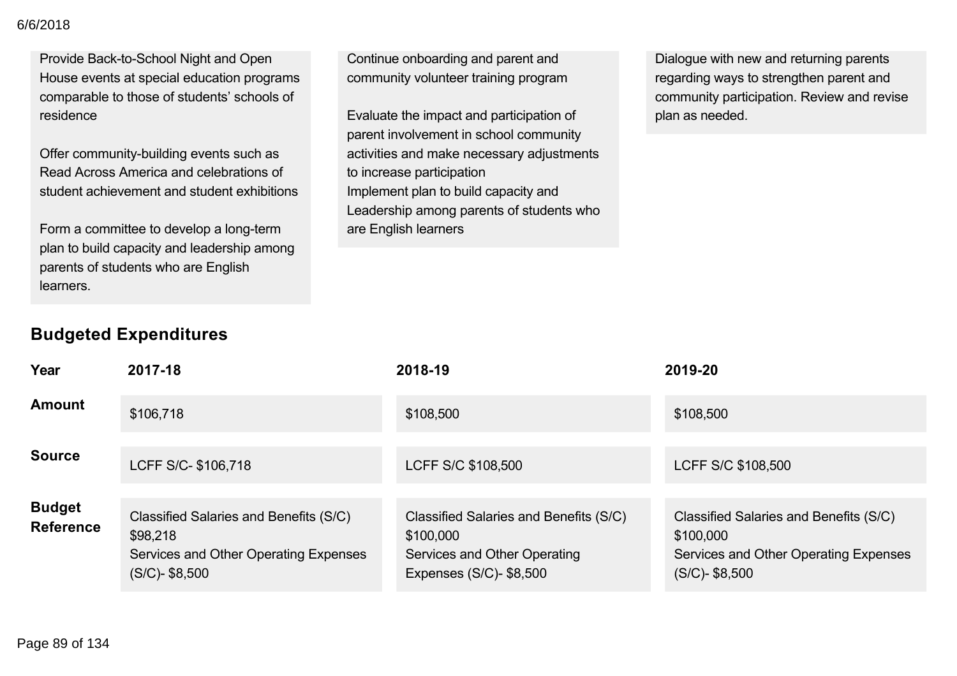Provide Back-to-School Night and Open House events at special education programs comparable to those of students' schools of residence

Offer community-building events such as Read Across America and celebrations of student achievement and student exhibitions

Form a committee to develop a long-term plan to build capacity and leadership among parents of students who are English learners.

Continue onboarding and parent and community volunteer training program

Evaluate the impact and participation of parent involvement in school community activities and make necessary adjustments to increase participation Implement plan to build capacity and Leadership among parents of students who are English learners

Dialogue with new and returning parents regarding ways to strengthen parent and community participation. Review and revise plan as needed.

| Year                              | 2017-18                                                                                                          | 2018-19                                                                                                        | 2019-20                                                                                                           |
|-----------------------------------|------------------------------------------------------------------------------------------------------------------|----------------------------------------------------------------------------------------------------------------|-------------------------------------------------------------------------------------------------------------------|
| <b>Amount</b>                     | \$106,718                                                                                                        | \$108,500                                                                                                      | \$108,500                                                                                                         |
| <b>Source</b>                     | LCFF S/C- \$106,718                                                                                              | LCFF S/C \$108,500                                                                                             | LCFF S/C \$108,500                                                                                                |
| <b>Budget</b><br><b>Reference</b> | Classified Salaries and Benefits (S/C)<br>\$98,218<br>Services and Other Operating Expenses<br>$(S/C)$ - \$8,500 | Classified Salaries and Benefits (S/C)<br>\$100,000<br>Services and Other Operating<br>Expenses (S/C)- \$8,500 | Classified Salaries and Benefits (S/C)<br>\$100,000<br>Services and Other Operating Expenses<br>$(S/C)$ - \$8,500 |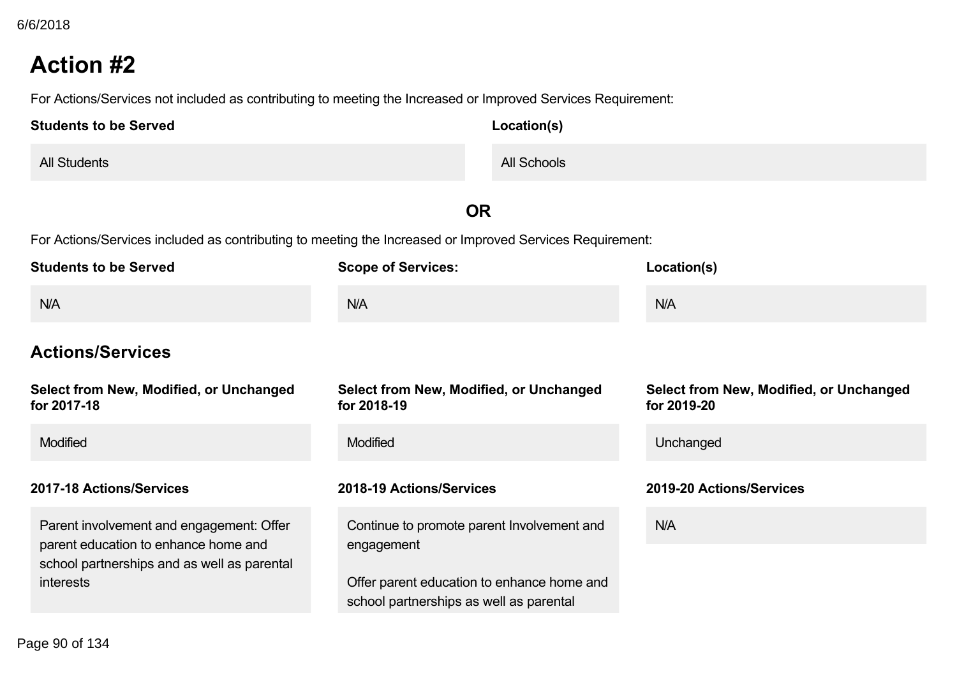# **Action #2**

For Actions/Services not included as contributing to meeting the Increased or Improved Services Requirement:

| <b>Students to be Served</b> | Location(s) |
|------------------------------|-------------|
| <b>All Students</b>          | All Schools |

## **OR**

For Actions/Services included as contributing to meeting the Increased or Improved Services Requirement:

| <b>Students to be Served</b>                                                                                                    | <b>Scope of Services:</b>                                                             | Location(s)                                            |
|---------------------------------------------------------------------------------------------------------------------------------|---------------------------------------------------------------------------------------|--------------------------------------------------------|
| N/A                                                                                                                             | N/A                                                                                   | N/A                                                    |
| <b>Actions/Services</b>                                                                                                         |                                                                                       |                                                        |
| Select from New, Modified, or Unchanged<br>for 2017-18                                                                          | Select from New, Modified, or Unchanged<br>for 2018-19                                | Select from New, Modified, or Unchanged<br>for 2019-20 |
| <b>Modified</b>                                                                                                                 | Modified                                                                              | Unchanged                                              |
| 2017-18 Actions/Services                                                                                                        | 2018-19 Actions/Services                                                              | 2019-20 Actions/Services                               |
| Parent involvement and engagement: Offer<br>parent education to enhance home and<br>school partnerships and as well as parental | Continue to promote parent Involvement and<br>engagement                              | N/A                                                    |
| <i>interests</i>                                                                                                                | Offer parent education to enhance home and<br>school partnerships as well as parental |                                                        |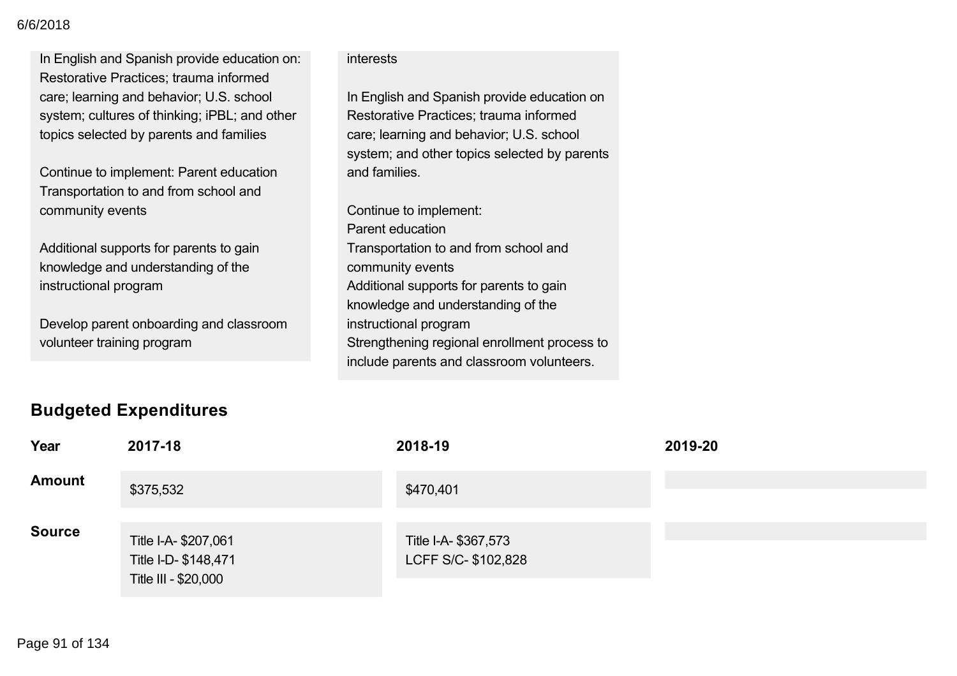In English and Spanish provide education on: Restorative Practices; trauma informed care; learning and behavior; U.S. school system; cultures of thinking; iPBL; and other topics selected by parents and families

Continue to implement: Parent education Transportation to and from school and community events

Additional supports for parents to gain knowledge and understanding of the instructional program

Develop parent onboarding and classroom volunteer training program

### interests

In English and Spanish provide education on Restorative Practices; trauma informed care; learning and behavior; U.S. school system; and other topics selected by parents and families.

Continue to implement: Parent education Transportation to and from school and community events Additional supports for parents to gain knowledge and understanding of the instructional program Strengthening regional enrollment process to include parents and classroom volunteers.

## **Budgeted Expenditures**

| Year          | 2017-18                                                             | 2018-19                                     | 2019-20 |
|---------------|---------------------------------------------------------------------|---------------------------------------------|---------|
| <b>Amount</b> | \$375,532                                                           | \$470,401                                   |         |
| <b>Source</b> | Title I-A-\$207,061<br>Title I-D- \$148,471<br>Title III - \$20,000 | Title I-A- \$367,573<br>LCFF S/C- \$102,828 |         |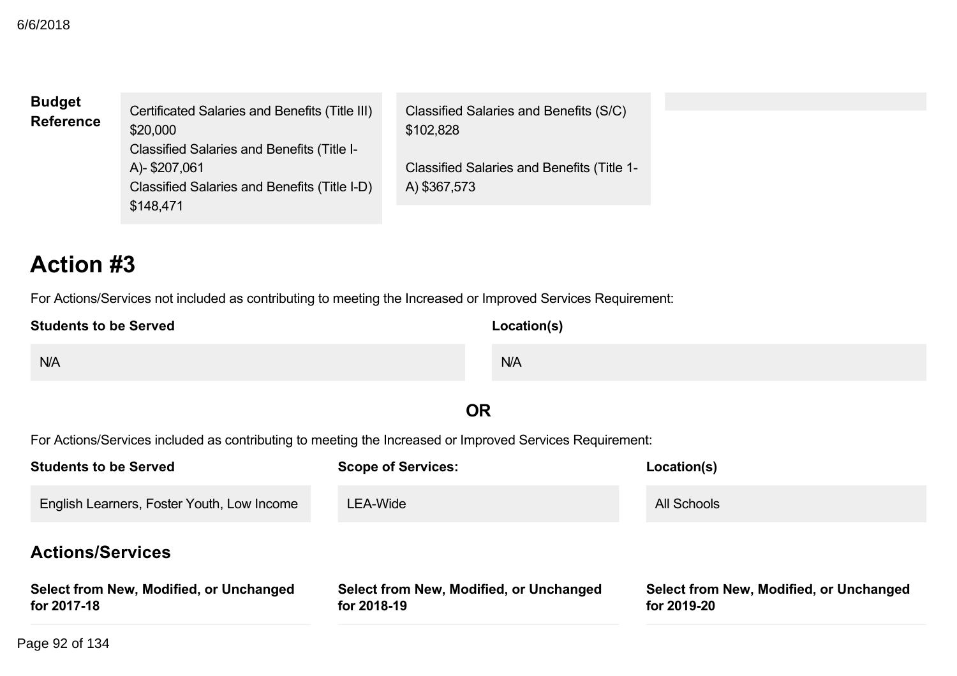| <b>Budget</b><br><b>Reference</b> | Certificated Salaries and Benefits (Title III)<br>\$20,000<br><b>Classified Salaries and Benefits (Title I-</b> | Classified Salaries and Benefits (S/C)<br>\$102,828        |  |
|-----------------------------------|-----------------------------------------------------------------------------------------------------------------|------------------------------------------------------------|--|
|                                   | A)-\$207,061<br>Classified Salaries and Benefits (Title I-D)<br>\$148,471                                       | Classified Salaries and Benefits (Title 1-<br>A) \$367,573 |  |

# **Action #3**

For Actions/Services not included as contributing to meeting the Increased or Improved Services Requirement:

| <b>Students to be Served</b> | Location(s) |
|------------------------------|-------------|
| N/A                          | N/A         |

## **OR**

For Actions/Services included as contributing to meeting the Increased or Improved Services Requirement:

| <b>Students to be Served</b>                           | <b>Scope of Services:</b>                              | Location(s)                                            |
|--------------------------------------------------------|--------------------------------------------------------|--------------------------------------------------------|
| English Learners, Foster Youth, Low Income             | LEA-Wide                                               | All Schools                                            |
| <b>Actions/Services</b>                                |                                                        |                                                        |
| Select from New, Modified, or Unchanged<br>for 2017-18 | Select from New, Modified, or Unchanged<br>for 2018-19 | Select from New, Modified, or Unchanged<br>for 2019-20 |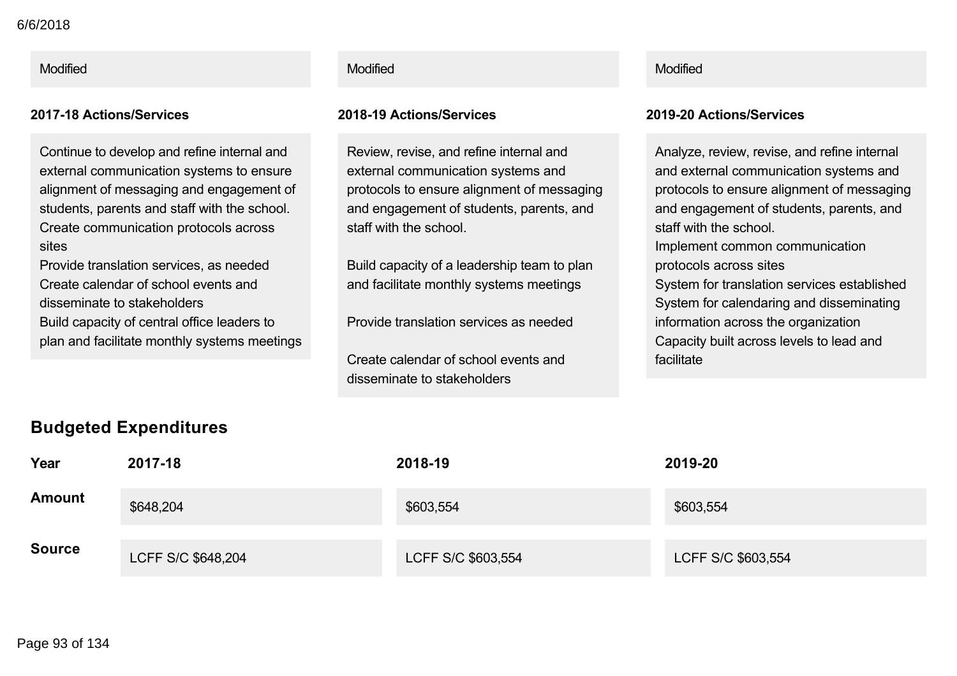Continue to develop and refine internal and external communication systems to ensure alignment of messaging and engagement of students, parents and staff with the school. Create communication protocols across sites

Provide translation services, as needed Create calendar of school events and disseminate to stakeholders Build capacity of central office leaders to plan and facilitate monthly systems meetings

### Modified Modified Modified

### **201718 Actions/Services 201819 Actions/Services 201920 Actions/Services**

Review, revise, and refine internal and external communication systems and protocols to ensure alignment of messaging and engagement of students, parents, and staff with the school.

Build capacity of a leadership team to plan and facilitate monthly systems meetings

Provide translation services as needed

Create calendar of school events and disseminate to stakeholders

Analyze, review, revise, and refine internal and external communication systems and protocols to ensure alignment of messaging and engagement of students, parents, and staff with the school. Implement common communication protocols across sites System for translation services established System for calendaring and disseminating information across the organization Capacity built across levels to lead and facilitate

| _<br>Year     | 2017-18            | 2018-19            | 2019-20            |
|---------------|--------------------|--------------------|--------------------|
| <b>Amount</b> | \$648,204          | \$603,554          | \$603,554          |
| <b>Source</b> | LCFF S/C \$648,204 | LCFF S/C \$603,554 | LCFF S/C \$603,554 |

### **Budgeted Expenditures**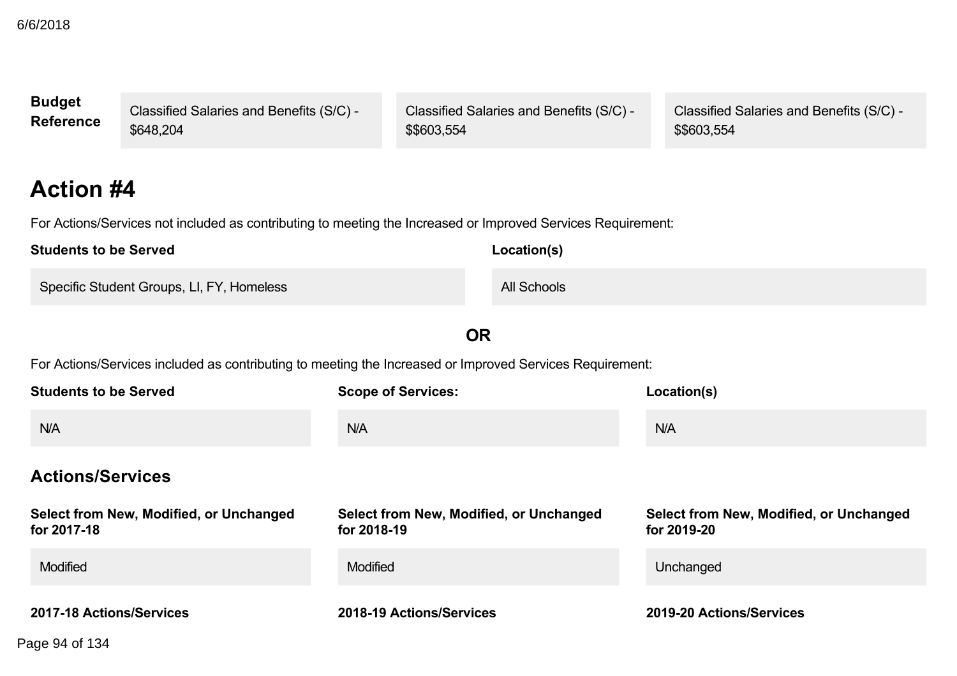| <b>Budget</b>    | Classified Salaries and Benefits (S/C) - | <b>Classified Salaries and Benefits (S/C) -</b> | Classified Salaries and Benefits (S/C) - |
|------------------|------------------------------------------|-------------------------------------------------|------------------------------------------|
| <b>Reference</b> | \$648,204                                | \$\$603,554                                     | \$\$603,554                              |
|                  |                                          |                                                 |                                          |

# **Action #4**

For Actions/Services not included as contributing to meeting the Increased or Improved Services Requirement:

| <b>Students to be Served</b>              | Location(s) |
|-------------------------------------------|-------------|
| Specific Student Groups, LI, FY, Homeless | All Schools |

**OR**

For Actions/Services included as contributing to meeting the Increased or Improved Services Requirement:

| <b>Students to be Served</b>                           | <b>Scope of Services:</b>                              | Location(s)                                            |
|--------------------------------------------------------|--------------------------------------------------------|--------------------------------------------------------|
| N/A                                                    | N/A                                                    | N/A                                                    |
| <b>Actions/Services</b>                                |                                                        |                                                        |
| Select from New, Modified, or Unchanged<br>for 2017-18 | Select from New, Modified, or Unchanged<br>for 2018-19 | Select from New, Modified, or Unchanged<br>for 2019-20 |
| <b>Modified</b>                                        | <b>Modified</b>                                        | Unchanged                                              |
| 2017-18 Actions/Services                               | 2018-19 Actions/Services                               | 2019-20 Actions/Services                               |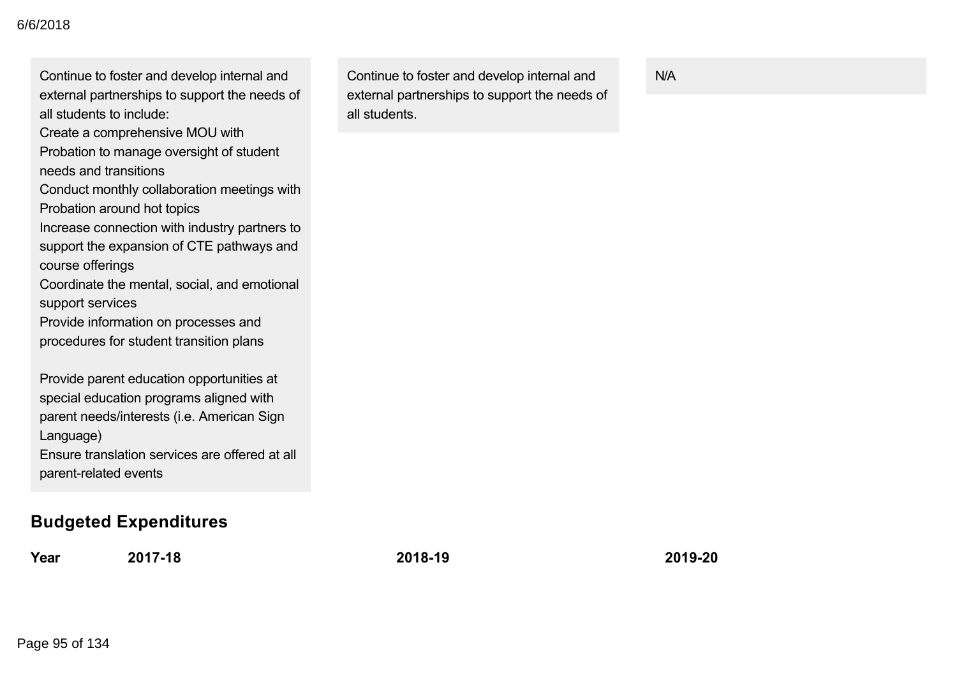| external partnerships to support the needs of<br>all students to include: |
|---------------------------------------------------------------------------|
|                                                                           |
| Create a comprehensive MOU with                                           |
| Probation to manage oversight of student                                  |
| needs and transitions                                                     |
| Conduct monthly collaboration meetings with                               |
| Probation around hot topics                                               |
| Increase connection with industry partners to                             |
| support the expansion of CTE pathways and                                 |
| course offerings                                                          |
| Coordinate the mental, social, and emotional                              |
| support services                                                          |
| Provide information on processes and                                      |
| procedures for student transition plans                                   |
| Provide parent education opportunities at                                 |
| special education programs aligned with                                   |
| parent needs/interests (i.e. American Sign                                |
| Language)                                                                 |
| Ensure translation services are offered at all                            |
| parent-related events                                                     |
|                                                                           |
|                                                                           |
| <b>Budgeted Expenditures</b>                                              |
|                                                                           |

Continue to foster and develop internal and

**Year 201718 201819 201920**

Continue to foster and develop internal and external partnerships to support the needs of all students.

N/A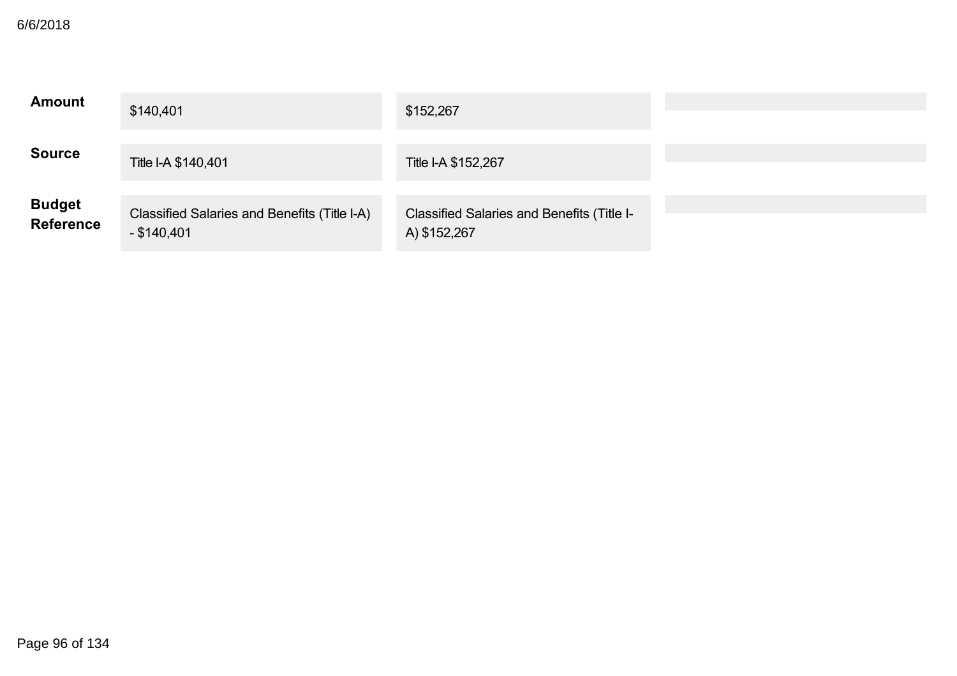| <b>Amount</b>               | \$140,401                                                     | \$152,267                                                         |  |
|-----------------------------|---------------------------------------------------------------|-------------------------------------------------------------------|--|
| <b>Source</b>               | Title I-A \$140,401                                           | Title I-A \$152,267                                               |  |
| <b>Budget<br/>Reference</b> | Classified Salaries and Benefits (Title I-A)<br>$-$ \$140,401 | <b>Classified Salaries and Benefits (Title I-</b><br>A) \$152,267 |  |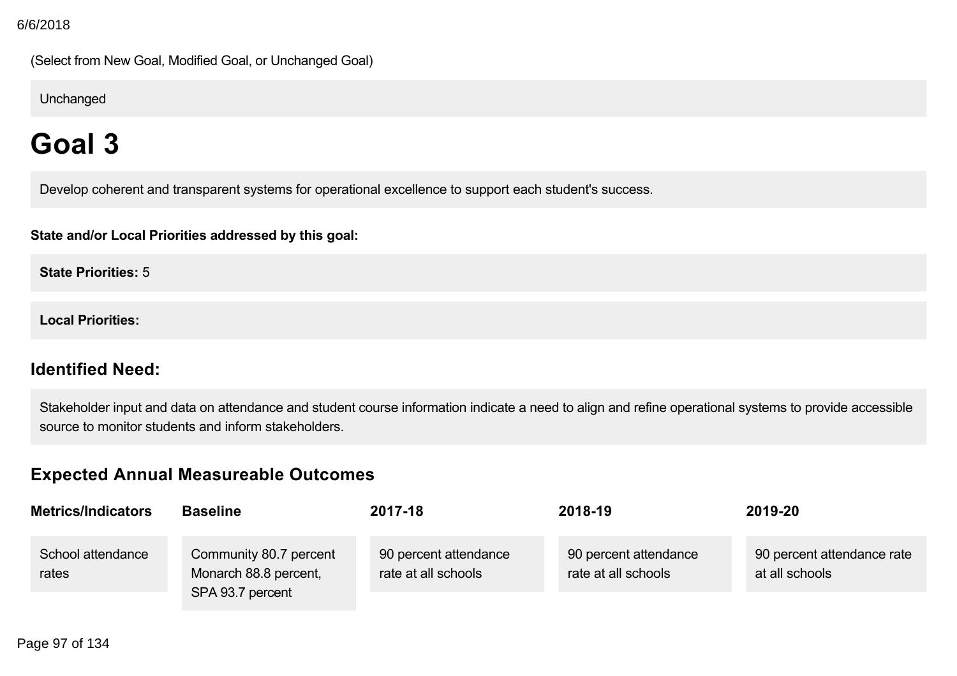(Select from New Goal, Modified Goal, or Unchanged Goal)

Unchanged

# **Goal 3**

Develop coherent and transparent systems for operational excellence to support each student's success.

**State and/or Local Priorities addressed by this goal:**

**State Priorities:** 5

**Local Priorities:**

## **Identified Need:**

Stakeholder input and data on attendance and student course information indicate a need to align and refine operational systems to provide accessible source to monitor students and inform stakeholders.

## **Expected Annual Measureable Outcomes**

| <b>Metrics/Indicators</b>  | <b>Baseline</b>                                                     | 2017-18                                      | 2018-19                                      | 2019-20                                      |
|----------------------------|---------------------------------------------------------------------|----------------------------------------------|----------------------------------------------|----------------------------------------------|
| School attendance<br>rates | Community 80.7 percent<br>Monarch 88.8 percent,<br>SPA 93.7 percent | 90 percent attendance<br>rate at all schools | 90 percent attendance<br>rate at all schools | 90 percent attendance rate<br>at all schools |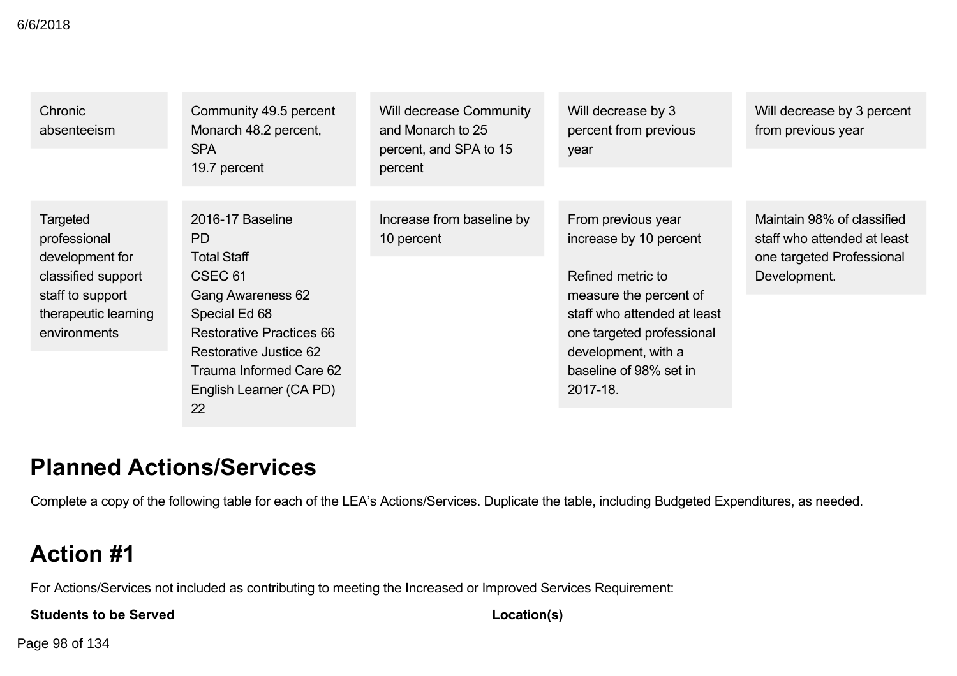### 6/6/2018

| Chronic<br>absenteeism                                                                                                        | Community 49.5 percent<br>Monarch 48.2 percent,<br><b>SPA</b><br>19.7 percent                                                                                                                                                             | <b>Will decrease Community</b><br>and Monarch to 25<br>percent, and SPA to 15<br>percent | Will decrease by 3<br>percent from previous<br>year                                                                                                                                                                  | Will decrease by 3 percent<br>from previous year                                                       |
|-------------------------------------------------------------------------------------------------------------------------------|-------------------------------------------------------------------------------------------------------------------------------------------------------------------------------------------------------------------------------------------|------------------------------------------------------------------------------------------|----------------------------------------------------------------------------------------------------------------------------------------------------------------------------------------------------------------------|--------------------------------------------------------------------------------------------------------|
| Targeted<br>professional<br>development for<br>classified support<br>staff to support<br>therapeutic learning<br>environments | 2016-17 Baseline<br>PD.<br><b>Total Staff</b><br>CSEC <sub>61</sub><br><b>Gang Awareness 62</b><br>Special Ed 68<br><b>Restorative Practices 66</b><br>Restorative Justice 62<br>Trauma Informed Care 62<br>English Learner (CA PD)<br>22 | Increase from baseline by<br>10 percent                                                  | From previous year<br>increase by 10 percent<br>Refined metric to<br>measure the percent of<br>staff who attended at least<br>one targeted professional<br>development, with a<br>baseline of 98% set in<br>2017-18. | Maintain 98% of classified<br>staff who attended at least<br>one targeted Professional<br>Development. |

# **Planned Actions/Services**

Complete a copy of the following table for each of the LEA's Actions/Services. Duplicate the table, including Budgeted Expenditures, as needed.

# **Action #1**

For Actions/Services not included as contributing to meeting the Increased or Improved Services Requirement:

**Students to be Served**

**Location(s)**

Page 98 of 134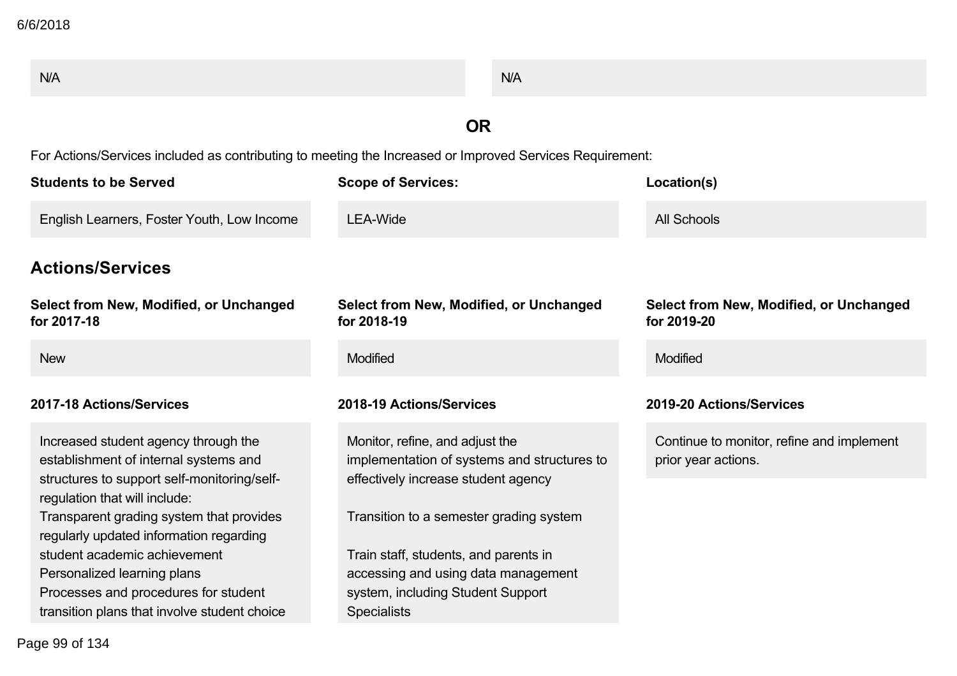| N/A                                                                                                      |                                                                                | N/A |                                                                  |
|----------------------------------------------------------------------------------------------------------|--------------------------------------------------------------------------------|-----|------------------------------------------------------------------|
|                                                                                                          | <b>OR</b>                                                                      |     |                                                                  |
| For Actions/Services included as contributing to meeting the Increased or Improved Services Requirement: |                                                                                |     |                                                                  |
| <b>Students to be Served</b>                                                                             | <b>Scope of Services:</b>                                                      |     | Location(s)                                                      |
| English Learners, Foster Youth, Low Income                                                               | <b>LEA-Wide</b>                                                                |     | <b>All Schools</b>                                               |
| <b>Actions/Services</b>                                                                                  |                                                                                |     |                                                                  |
| Select from New, Modified, or Unchanged<br>for 2017-18                                                   | Select from New, Modified, or Unchanged<br>for 2018-19                         |     | Select from New, Modified, or Unchanged<br>for 2019-20           |
| <b>New</b>                                                                                               | Modified                                                                       |     | Modified                                                         |
| 2017-18 Actions/Services                                                                                 | 2018-19 Actions/Services                                                       |     | 2019-20 Actions/Services                                         |
| Increased student agency through the<br>establishment of internal systems and                            | Monitor, refine, and adjust the<br>implementation of systems and structures to |     | Continue to monitor, refine and implement<br>prior year actions. |
| structures to support self-monitoring/self-<br>regulation that will include:                             | effectively increase student agency                                            |     |                                                                  |
| Transparent grading system that provides<br>regularly updated information regarding                      | Transition to a semester grading system                                        |     |                                                                  |
| student academic achievement                                                                             | Train staff, students, and parents in                                          |     |                                                                  |
| Personalized learning plans<br>Processes and procedures for student                                      | accessing and using data management<br>system, including Student Support       |     |                                                                  |
| transition plans that involve student choice                                                             | <b>Specialists</b>                                                             |     |                                                                  |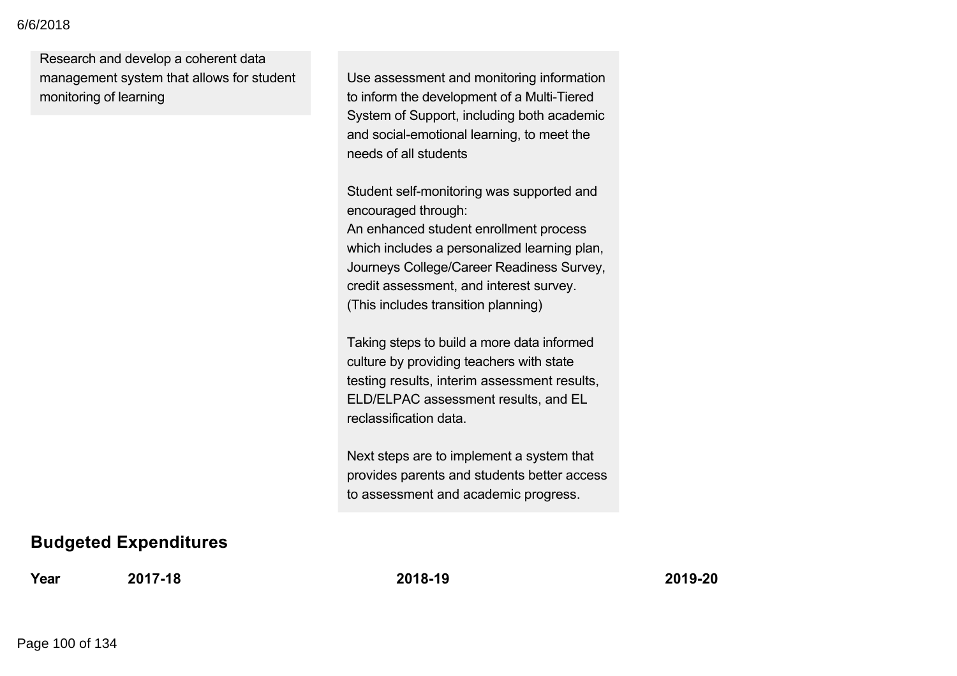### Processes and procedures for student 6/6/2018

Research and develop a coherent data management system that allows for student monitoring of learning

Use assessment and monitoring information to inform the development of a Multi-Tiered System of Support, including both academic and social-emotional learning, to meet the needs of all students

Student self-monitoring was supported and encouraged through:

An enhanced student enrollment process which includes a personalized learning plan, Journeys College/Career Readiness Survey, credit assessment, and interest survey. (This includes transition planning)

Taking steps to build a more data informed culture by providing teachers with state testing results, interim assessment results, ELD/ELPAC assessment results, and EL reclassification data.

Next steps are to implement a system that provides parents and students better access to assessment and academic progress.

### **Budgeted Expenditures**

**Year 201718 201819 201920**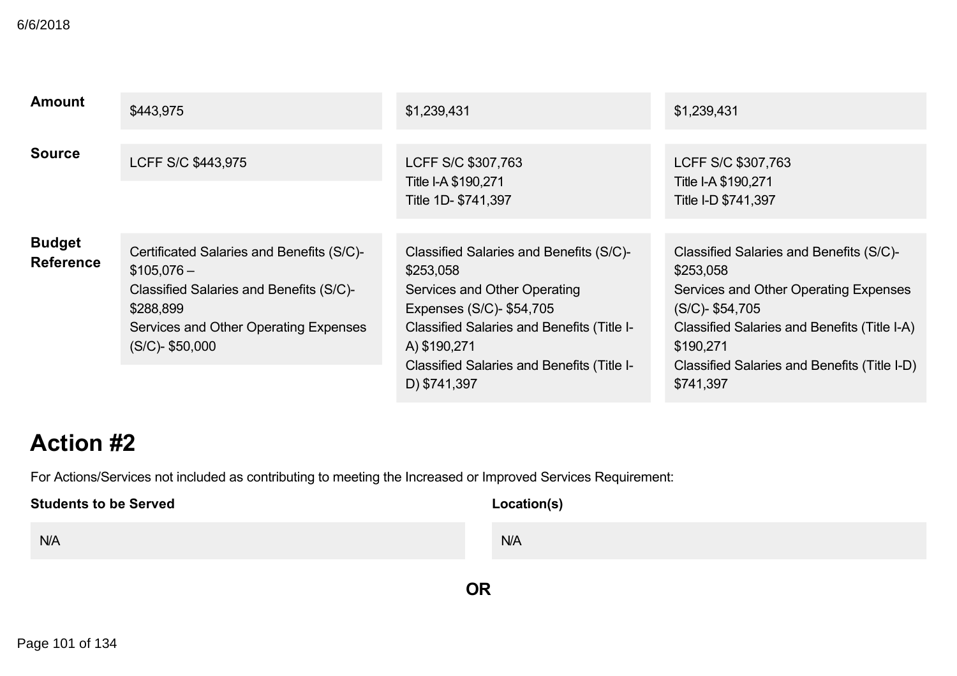| <b>Amount</b>                     | \$443,975                                                                                                                                                                       | \$1,239,431                                                                                                                                                                                                                                         | \$1,239,431                                                                                                                                                                                                                                   |
|-----------------------------------|---------------------------------------------------------------------------------------------------------------------------------------------------------------------------------|-----------------------------------------------------------------------------------------------------------------------------------------------------------------------------------------------------------------------------------------------------|-----------------------------------------------------------------------------------------------------------------------------------------------------------------------------------------------------------------------------------------------|
| <b>Source</b>                     | LCFF S/C \$443,975                                                                                                                                                              | LCFF S/C \$307,763<br>Title I-A \$190,271<br>Title 1D- \$741,397                                                                                                                                                                                    | LCFF S/C \$307,763<br>Title I-A \$190,271<br>Title I-D \$741,397                                                                                                                                                                              |
| <b>Budget</b><br><b>Reference</b> | Certificated Salaries and Benefits (S/C)-<br>$$105,076-$<br>Classified Salaries and Benefits (S/C)-<br>\$288,899<br>Services and Other Operating Expenses<br>$(S/C)$ - \$50,000 | Classified Salaries and Benefits (S/C)-<br>\$253,058<br>Services and Other Operating<br>Expenses (S/C)- \$54,705<br>Classified Salaries and Benefits (Title I-<br>A) \$190,271<br><b>Classified Salaries and Benefits (Title I-</b><br>D) \$741,397 | Classified Salaries and Benefits (S/C)-<br>\$253,058<br>Services and Other Operating Expenses<br>$(S/C)$ - \$54,705<br>Classified Salaries and Benefits (Title I-A)<br>\$190,271<br>Classified Salaries and Benefits (Title I-D)<br>\$741,397 |

# **Action #2**

For Actions/Services not included as contributing to meeting the Increased or Improved Services Requirement:

## **Students to be Served** N/A **Location(s)** N/A

**OR**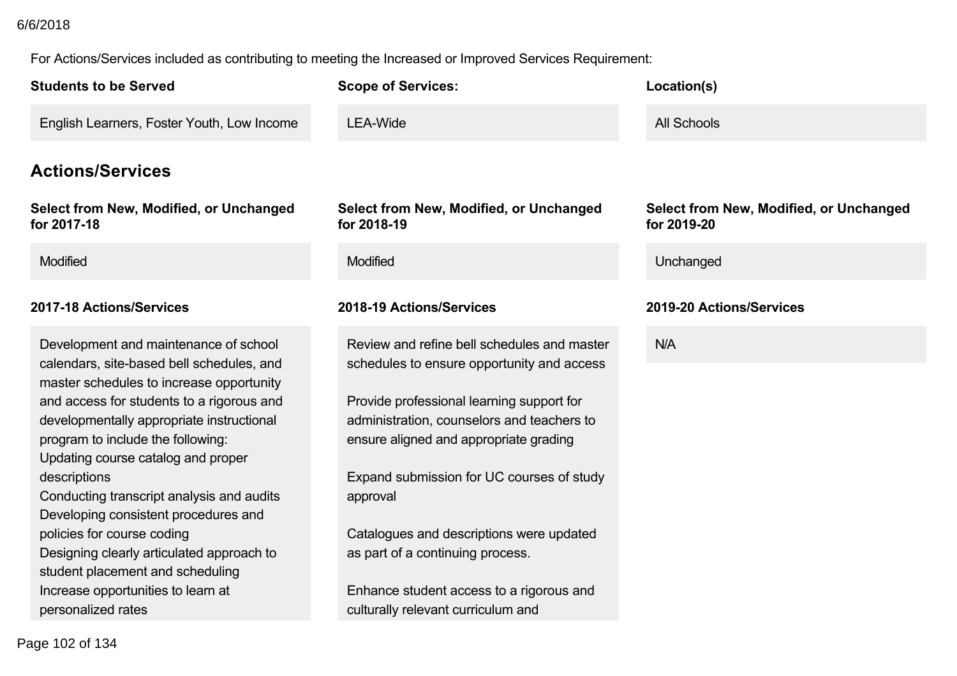### 6/6/2018

For Actions/Services included as contributing to meeting the Increased or Improved Services Requirement:

| <b>Students to be Served</b>                                                                                                                                                                                                                                                                                                                                                                                                                                                                                                                                                        | <b>Scope of Services:</b>                                                                                                                                                                                                                                                                                                                                                                                                                                 | Location(s)                                            |
|-------------------------------------------------------------------------------------------------------------------------------------------------------------------------------------------------------------------------------------------------------------------------------------------------------------------------------------------------------------------------------------------------------------------------------------------------------------------------------------------------------------------------------------------------------------------------------------|-----------------------------------------------------------------------------------------------------------------------------------------------------------------------------------------------------------------------------------------------------------------------------------------------------------------------------------------------------------------------------------------------------------------------------------------------------------|--------------------------------------------------------|
| English Learners, Foster Youth, Low Income                                                                                                                                                                                                                                                                                                                                                                                                                                                                                                                                          | <b>LEA-Wide</b>                                                                                                                                                                                                                                                                                                                                                                                                                                           | <b>All Schools</b>                                     |
| <b>Actions/Services</b>                                                                                                                                                                                                                                                                                                                                                                                                                                                                                                                                                             |                                                                                                                                                                                                                                                                                                                                                                                                                                                           |                                                        |
| Select from New, Modified, or Unchanged<br>for 2017-18                                                                                                                                                                                                                                                                                                                                                                                                                                                                                                                              | Select from New, Modified, or Unchanged<br>for 2018-19                                                                                                                                                                                                                                                                                                                                                                                                    | Select from New, Modified, or Unchanged<br>for 2019-20 |
| Modified                                                                                                                                                                                                                                                                                                                                                                                                                                                                                                                                                                            | Modified                                                                                                                                                                                                                                                                                                                                                                                                                                                  | Unchanged                                              |
| 2017-18 Actions/Services                                                                                                                                                                                                                                                                                                                                                                                                                                                                                                                                                            | 2018-19 Actions/Services                                                                                                                                                                                                                                                                                                                                                                                                                                  | 2019-20 Actions/Services                               |
| Development and maintenance of school<br>calendars, site-based bell schedules, and<br>master schedules to increase opportunity<br>and access for students to a rigorous and<br>developmentally appropriate instructional<br>program to include the following:<br>Updating course catalog and proper<br>descriptions<br>Conducting transcript analysis and audits<br>Developing consistent procedures and<br>policies for course coding<br>Designing clearly articulated approach to<br>student placement and scheduling<br>Increase opportunities to learn at<br>personalized rates | Review and refine bell schedules and master<br>schedules to ensure opportunity and access<br>Provide professional learning support for<br>administration, counselors and teachers to<br>ensure aligned and appropriate grading<br>Expand submission for UC courses of study<br>approval<br>Catalogues and descriptions were updated<br>as part of a continuing process.<br>Enhance student access to a rigorous and<br>culturally relevant curriculum and | N/A                                                    |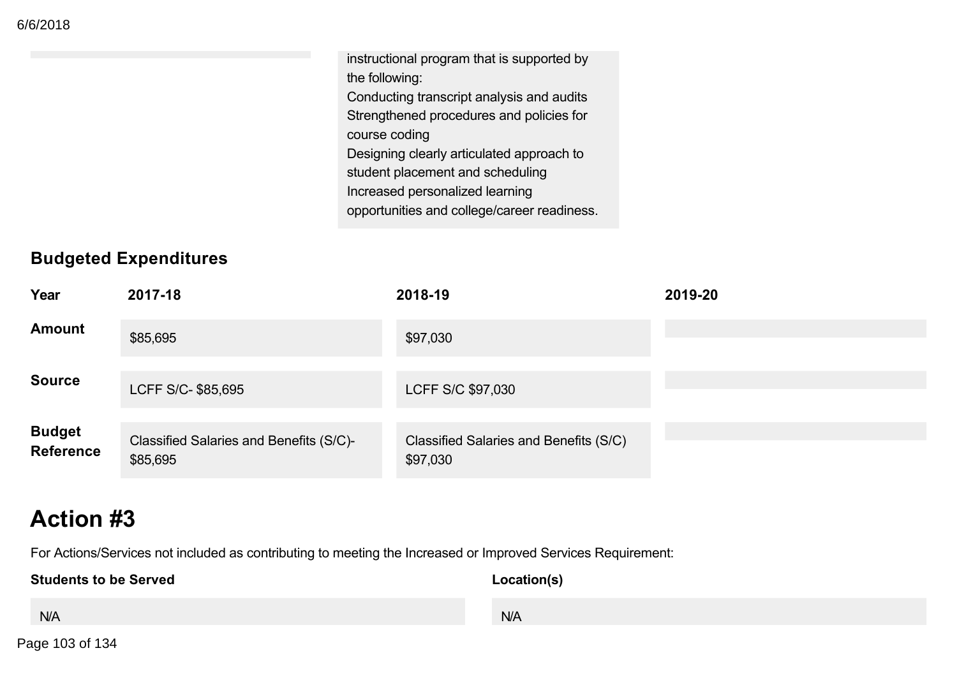instructional program that is supported by the following: Conducting transcript analysis and audits Strengthened procedures and policies for course coding Designing clearly articulated approach to student placement and scheduling Increased personalized learning opportunities and college/career readiness.

## **Budgeted Expenditures**

| Year                              | 2017-18                                             | 2018-19                                            | 2019-20 |
|-----------------------------------|-----------------------------------------------------|----------------------------------------------------|---------|
| <b>Amount</b>                     | \$85,695                                            | \$97,030                                           |         |
| <b>Source</b>                     | LCFF S/C- \$85,695                                  | LCFF S/C \$97,030                                  |         |
| <b>Budget</b><br><b>Reference</b> | Classified Salaries and Benefits (S/C)-<br>\$85,695 | Classified Salaries and Benefits (S/C)<br>\$97,030 |         |

# **Action #3**

For Actions/Services not included as contributing to meeting the Increased or Improved Services Requirement:

**Students to be Served** N/A **Location(s)** N/A

Page 103 of 134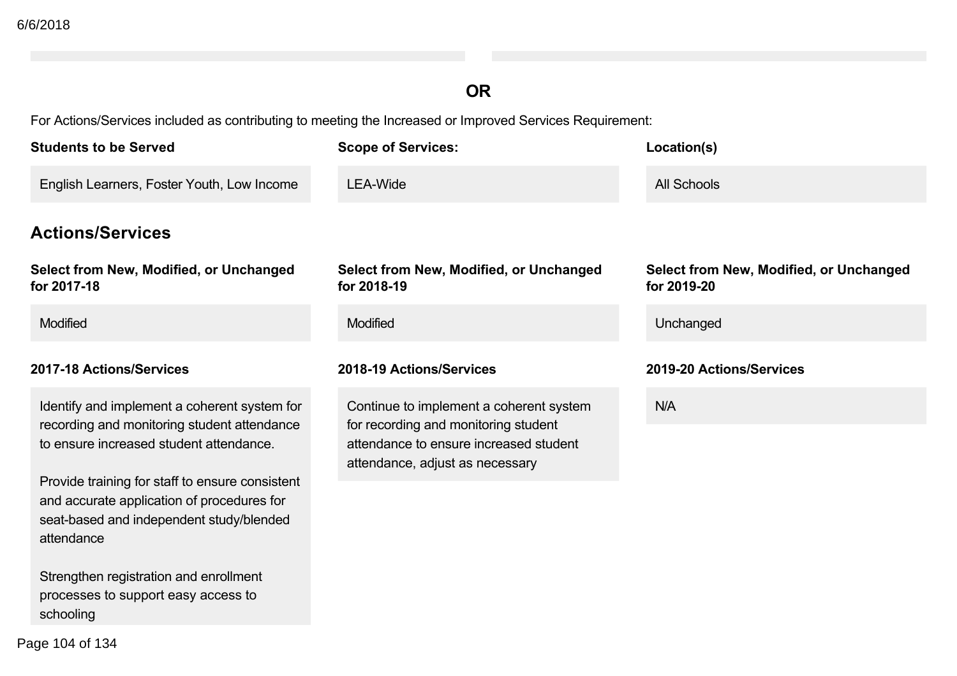## **OR**

For Actions/Services included as contributing to meeting the Increased or Improved Services Requirement:

| <b>Students to be Served</b>                                                                                                                                                                                                                                                                      | <b>Scope of Services:</b>                                                                                                                                    | Location(s)                                            |
|---------------------------------------------------------------------------------------------------------------------------------------------------------------------------------------------------------------------------------------------------------------------------------------------------|--------------------------------------------------------------------------------------------------------------------------------------------------------------|--------------------------------------------------------|
| English Learners, Foster Youth, Low Income                                                                                                                                                                                                                                                        | <b>LEA-Wide</b>                                                                                                                                              | <b>All Schools</b>                                     |
| <b>Actions/Services</b>                                                                                                                                                                                                                                                                           |                                                                                                                                                              |                                                        |
| Select from New, Modified, or Unchanged<br>for 2017-18                                                                                                                                                                                                                                            | Select from New, Modified, or Unchanged<br>for 2018-19                                                                                                       | Select from New, Modified, or Unchanged<br>for 2019-20 |
| Modified                                                                                                                                                                                                                                                                                          | Modified                                                                                                                                                     | Unchanged                                              |
| 2017-18 Actions/Services                                                                                                                                                                                                                                                                          | 2018-19 Actions/Services                                                                                                                                     | 2019-20 Actions/Services                               |
| Identify and implement a coherent system for<br>recording and monitoring student attendance<br>to ensure increased student attendance.<br>Provide training for staff to ensure consistent<br>and accurate application of procedures for<br>seat-based and independent study/blended<br>attendance | Continue to implement a coherent system<br>for recording and monitoring student<br>attendance to ensure increased student<br>attendance, adjust as necessary | N/A                                                    |

Strengthen registration and enrollment processes to support easy access to schooling

Page 104 of 134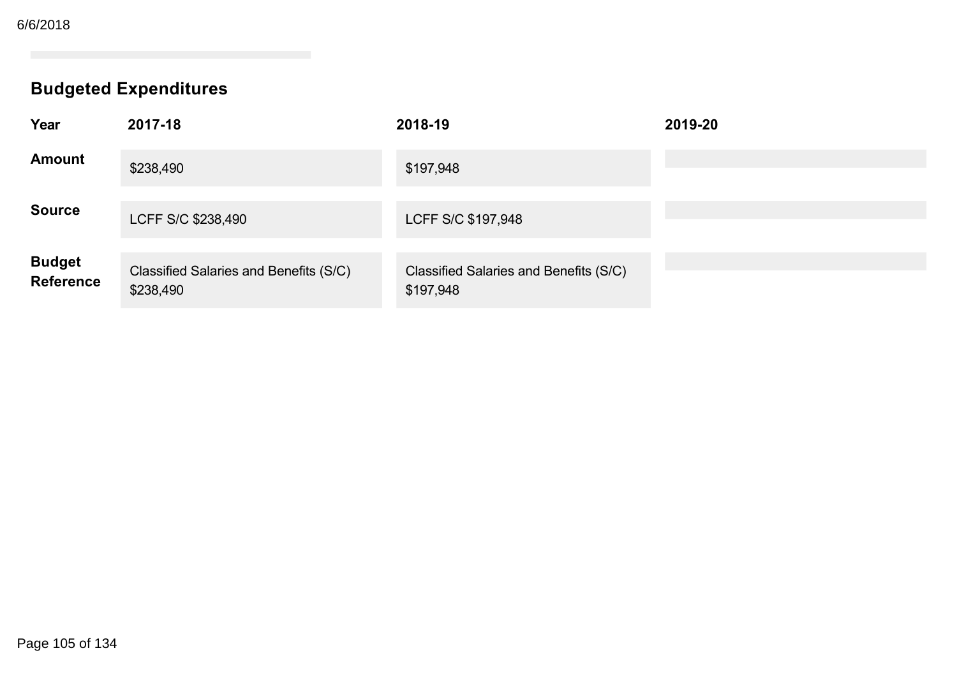# **Budgeted Expenditures**

| Year                        | 2017-18                                             | 2018-19                                             | 2019-20 |
|-----------------------------|-----------------------------------------------------|-----------------------------------------------------|---------|
| <b>Amount</b>               | \$238,490                                           | \$197,948                                           |         |
| <b>Source</b>               | LCFF S/C \$238,490                                  | LCFF S/C \$197,948                                  |         |
| <b>Budget<br/>Reference</b> | Classified Salaries and Benefits (S/C)<br>\$238,490 | Classified Salaries and Benefits (S/C)<br>\$197,948 |         |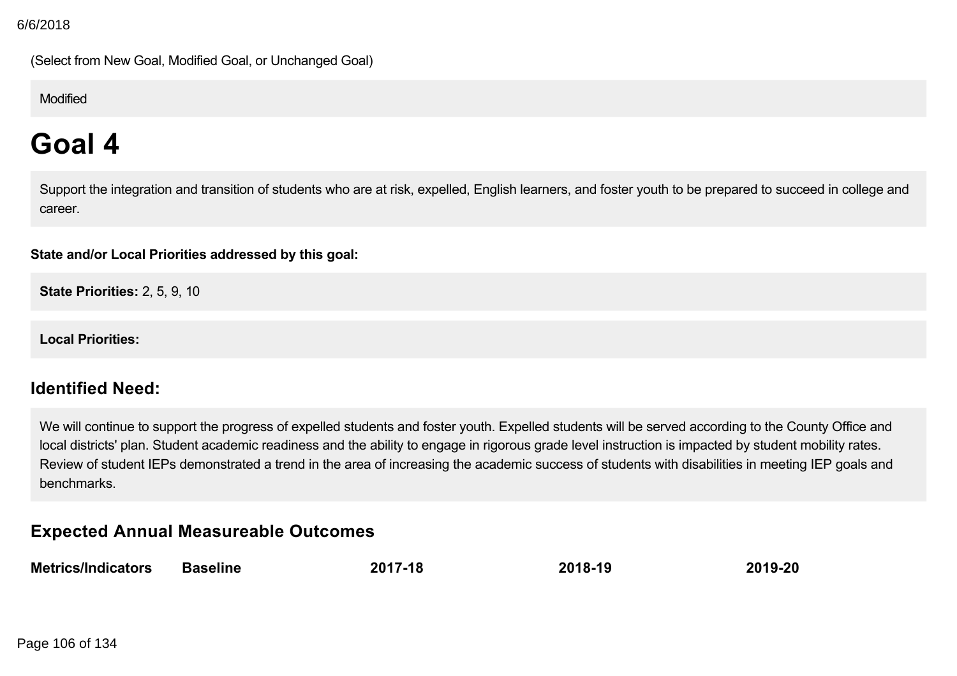(Select from New Goal, Modified Goal, or Unchanged Goal)

### Modified

# **Goal 4**

Support the integration and transition of students who are at risk, expelled, English learners, and foster youth to be prepared to succeed in college and career.

### **State and/or Local Priorities addressed by this goal:**

**State Priorities:** 2, 5, 9, 10

**Local Priorities:**

### **Identified Need:**

We will continue to support the progress of expelled students and foster youth. Expelled students will be served according to the County Office and local districts' plan. Student academic readiness and the ability to engage in rigorous grade level instruction is impacted by student mobility rates. Review of student IEPs demonstrated a trend in the area of increasing the academic success of students with disabilities in meeting IEP goals and benchmarks.

### **Expected Annual Measureable Outcomes**

| <b>Metrics/Indicators</b> | Baseline | 2017-18 | 2018-19 | 2019-20 |
|---------------------------|----------|---------|---------|---------|
|---------------------------|----------|---------|---------|---------|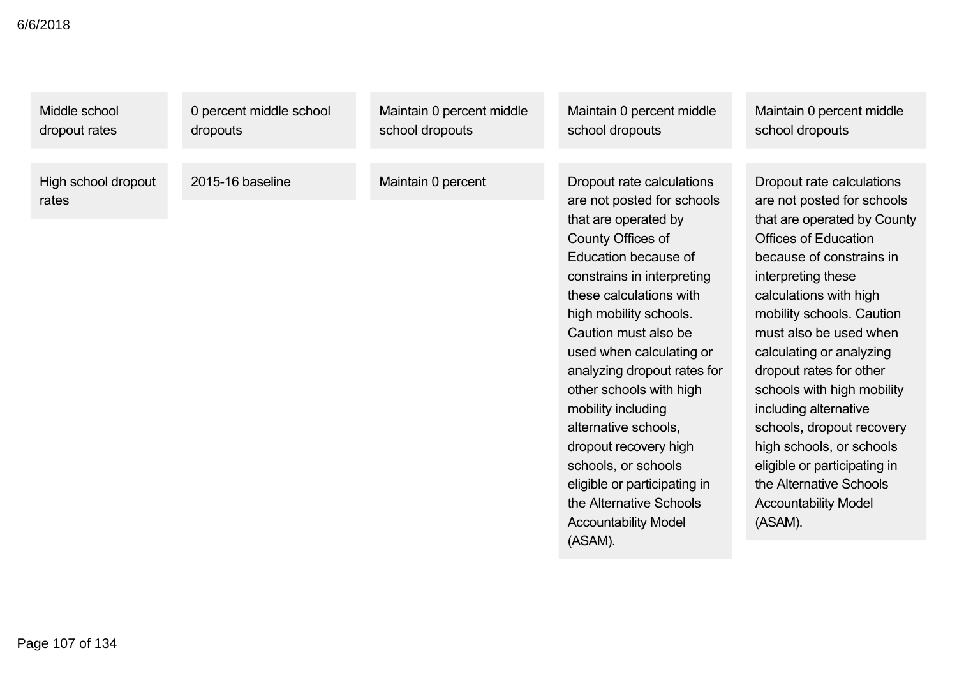| Middle school                | 0 percent middle school | Maintain 0 percent middle | Maintain 0 percent middle                                                                                                                                                                                                                                                                                                                                                                                                                                                                                                        | Maintain 0 percent middle                                                                                                                                                                                                                                                                                                                                                                                                                                                                                                            |
|------------------------------|-------------------------|---------------------------|----------------------------------------------------------------------------------------------------------------------------------------------------------------------------------------------------------------------------------------------------------------------------------------------------------------------------------------------------------------------------------------------------------------------------------------------------------------------------------------------------------------------------------|--------------------------------------------------------------------------------------------------------------------------------------------------------------------------------------------------------------------------------------------------------------------------------------------------------------------------------------------------------------------------------------------------------------------------------------------------------------------------------------------------------------------------------------|
| dropout rates                | dropouts                | school dropouts           | school dropouts                                                                                                                                                                                                                                                                                                                                                                                                                                                                                                                  | school dropouts                                                                                                                                                                                                                                                                                                                                                                                                                                                                                                                      |
| High school dropout<br>rates | 2015-16 baseline        | Maintain 0 percent        | Dropout rate calculations<br>are not posted for schools<br>that are operated by<br>County Offices of<br>Education because of<br>constrains in interpreting<br>these calculations with<br>high mobility schools.<br>Caution must also be<br>used when calculating or<br>analyzing dropout rates for<br>other schools with high<br>mobility including<br>alternative schools,<br>dropout recovery high<br>schools, or schools<br>eligible or participating in<br>the Alternative Schools<br><b>Accountability Model</b><br>(ASAM). | Dropout rate calculations<br>are not posted for schools<br>that are operated by County<br><b>Offices of Education</b><br>because of constrains in<br>interpreting these<br>calculations with high<br>mobility schools. Caution<br>must also be used when<br>calculating or analyzing<br>dropout rates for other<br>schools with high mobility<br>including alternative<br>schools, dropout recovery<br>high schools, or schools<br>eligible or participating in<br>the Alternative Schools<br><b>Accountability Model</b><br>(ASAM). |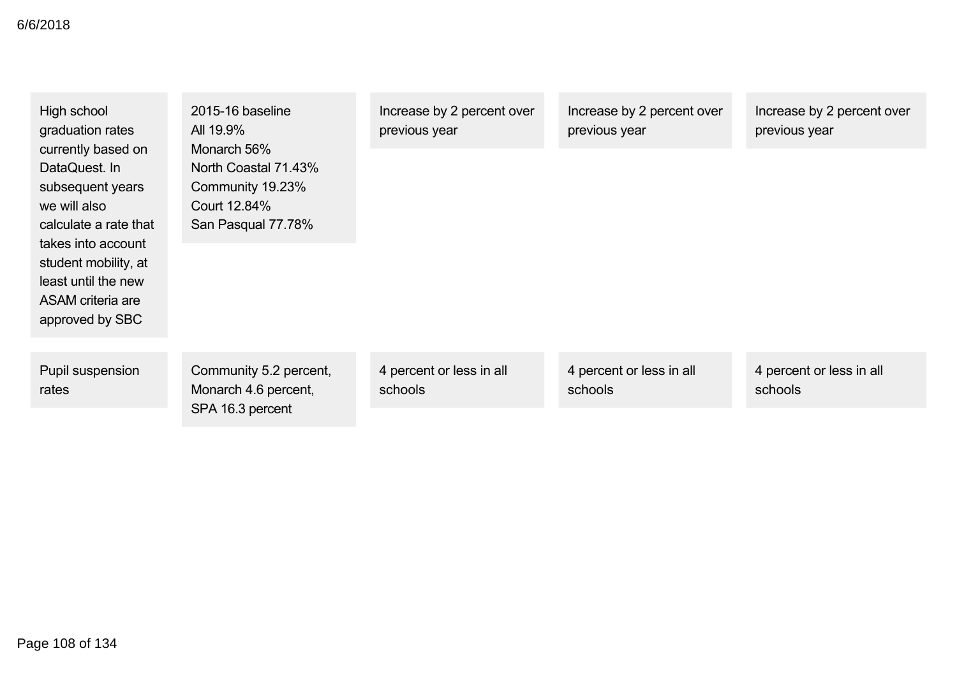| High school<br>graduation rates<br>currently based on<br>DataQuest. In<br>subsequent years<br>we will also<br>calculate a rate that<br>takes into account<br>student mobility, at<br>least until the new<br>ASAM criteria are<br>approved by SBC | 2015-16 baseline<br>All 19.9%<br>Monarch 56%<br>North Coastal 71.43%<br>Community 19.23%<br>Court 12.84%<br>San Pasqual 77.78% | Increase by 2 percent over<br>previous year | Increase by 2 percent over<br>previous year | Increase by 2 percent over<br>previous year |
|--------------------------------------------------------------------------------------------------------------------------------------------------------------------------------------------------------------------------------------------------|--------------------------------------------------------------------------------------------------------------------------------|---------------------------------------------|---------------------------------------------|---------------------------------------------|
|                                                                                                                                                                                                                                                  |                                                                                                                                |                                             |                                             |                                             |
| Pupil suspension<br>rates                                                                                                                                                                                                                        | Community 5.2 percent,<br>Monarch 4.6 percent,                                                                                 | 4 percent or less in all<br>schools         | 4 percent or less in all<br>schools         | 4 percent or less in all<br>schools         |
|                                                                                                                                                                                                                                                  | SPA 16.3 percent                                                                                                               |                                             |                                             |                                             |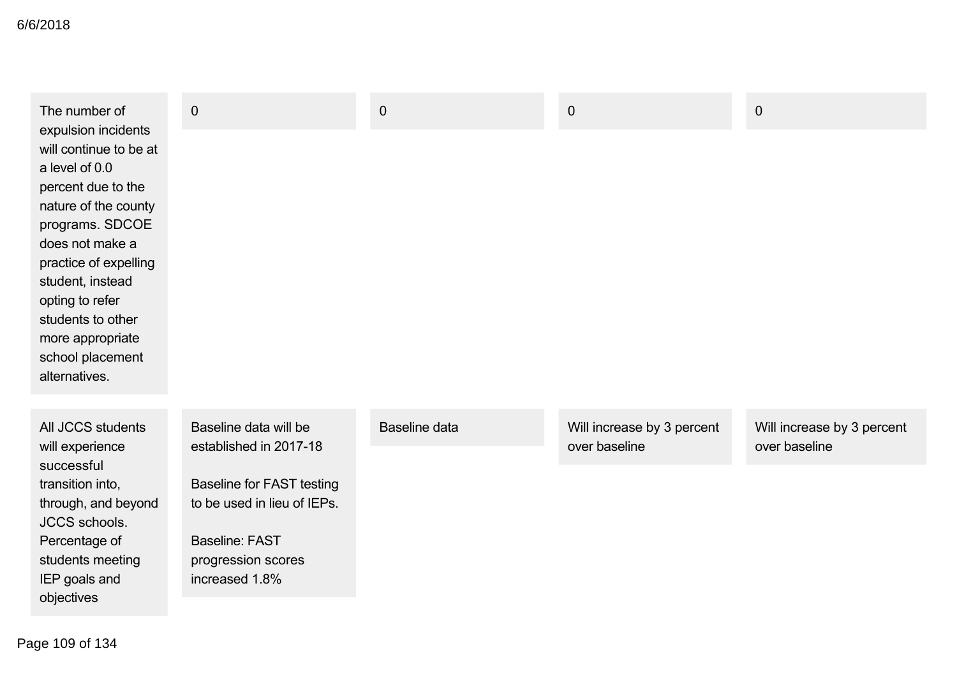| The number of<br>expulsion incidents<br>will continue to be at<br>a level of 0.0<br>percent due to the<br>nature of the county<br>programs. SDCOE | $\mathbf 0$                                     | $\pmb{0}$            | $\pmb{0}$                                   | $\mathbf 0$                                 |
|---------------------------------------------------------------------------------------------------------------------------------------------------|-------------------------------------------------|----------------------|---------------------------------------------|---------------------------------------------|
| does not make a<br>practice of expelling                                                                                                          |                                                 |                      |                                             |                                             |
| student, instead<br>opting to refer                                                                                                               |                                                 |                      |                                             |                                             |
| students to other                                                                                                                                 |                                                 |                      |                                             |                                             |
| more appropriate<br>school placement                                                                                                              |                                                 |                      |                                             |                                             |
| alternatives.                                                                                                                                     |                                                 |                      |                                             |                                             |
|                                                                                                                                                   |                                                 |                      |                                             |                                             |
| All JCCS students<br>will experience                                                                                                              | Baseline data will be<br>established in 2017-18 | <b>Baseline data</b> | Will increase by 3 percent<br>over baseline | Will increase by 3 percent<br>over baseline |
| successful<br>transition into,                                                                                                                    | <b>Baseline for FAST testing</b>                |                      |                                             |                                             |
| through, and beyond<br><b>JCCS</b> schools.                                                                                                       | to be used in lieu of IEPs.                     |                      |                                             |                                             |
| Percentage of<br>students meeting                                                                                                                 | <b>Baseline: FAST</b><br>progression scores     |                      |                                             |                                             |
| IEP goals and                                                                                                                                     | increased 1.8%                                  |                      |                                             |                                             |
| objectives                                                                                                                                        |                                                 |                      |                                             |                                             |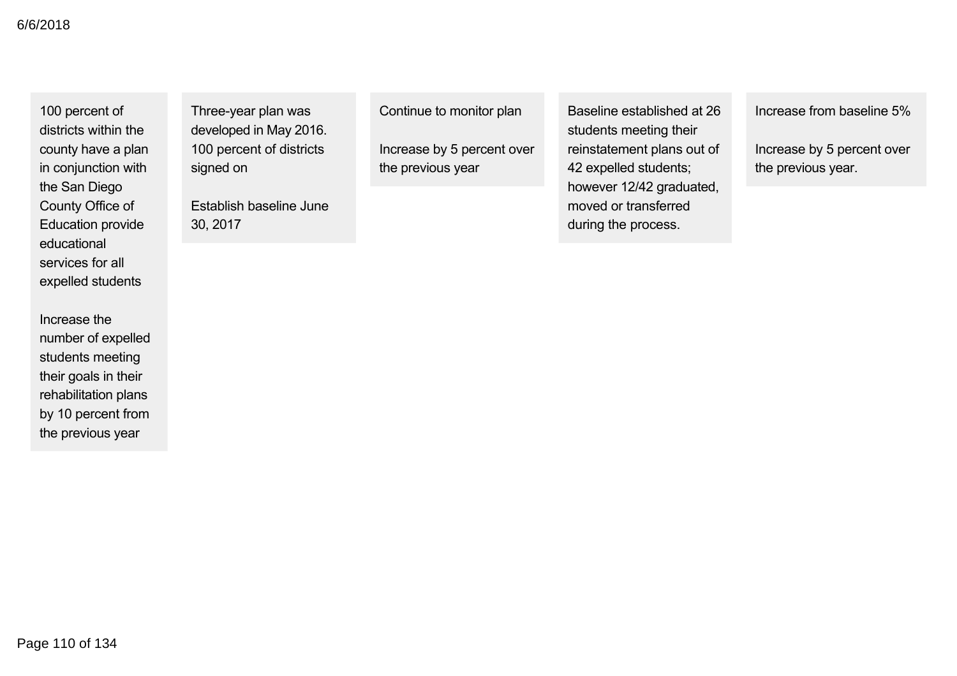100 percent of districts within the county have a plan in conjunction with the San Diego County Office of Education provide educational services for all expelled students

Increase the number of expelled students meeting their goals in their rehabilitation plans by 10 percent from the previous year

Three-year plan was developed in May 2016. 100 percent of districts signed on

Establish baseline June 30, 2017

Continue to monitor plan

Increase by 5 percent over the previous year

Baseline established at 26 students meeting their reinstatement plans out of 42 expelled students; however 12/42 graduated, moved or transferred during the process.

Increase from baseline 5%

Increase by 5 percent over the previous year.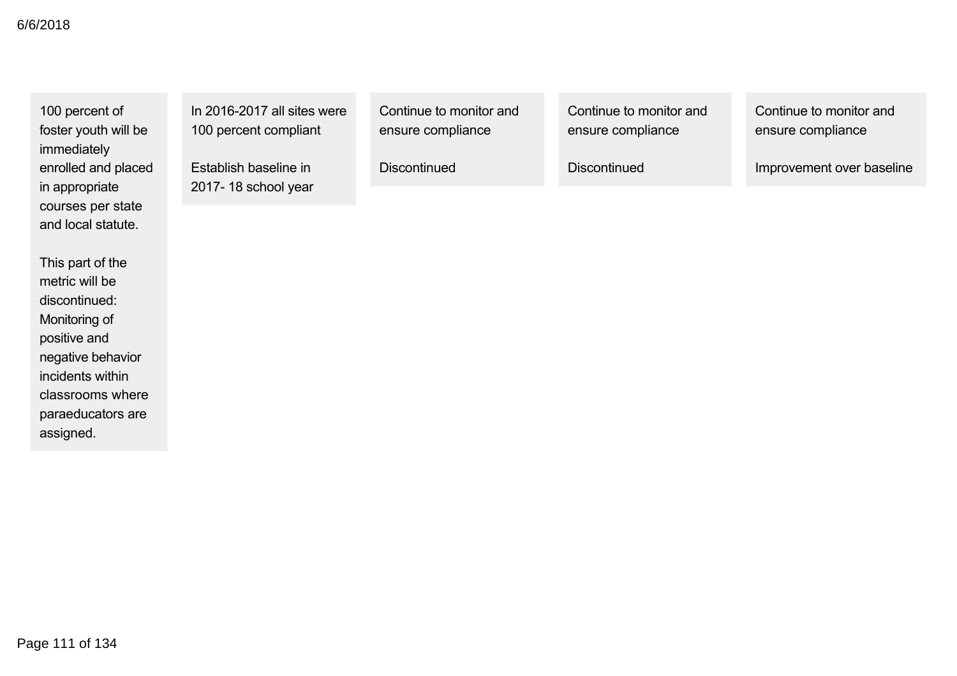100 percent of foster youth will be immediately enrolled and placed in appropriate courses per state and local statute.

This part of the metric will be discontinued: Monitoring of positive and negative behavior incidents within classrooms where paraeducators are assigned.

In  $2016 - 2017$  all sites were 100 percent compliant

Establish baseline in 2017-18 school year Continue to monitor and ensure compliance

**Discontinued** 

Continue to monitor and ensure compliance

**Discontinued** 

Continue to monitor and ensure compliance

Improvement over baseline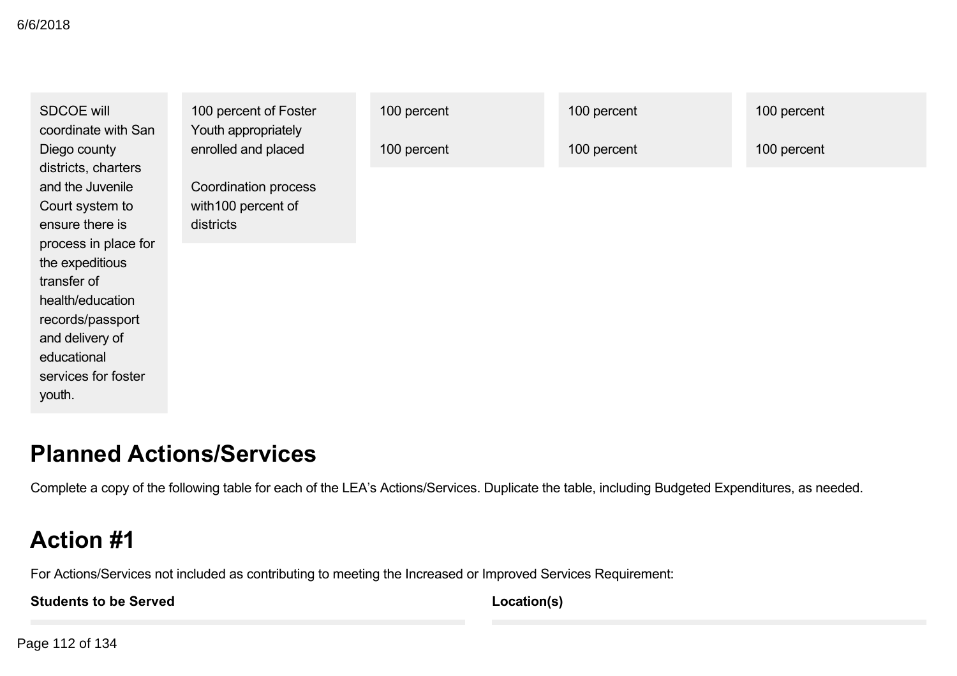| <b>SDCOE will</b><br>coordinate with San<br>Diego county                                                                                                                                                                                           | 100 percent of Foster<br>Youth appropriately<br>enrolled and placed | 100 percent<br>100 percent | 100 percent<br>100 percent | 100 percent<br>100 percent |
|----------------------------------------------------------------------------------------------------------------------------------------------------------------------------------------------------------------------------------------------------|---------------------------------------------------------------------|----------------------------|----------------------------|----------------------------|
| districts, charters<br>and the Juvenile<br>Court system to<br>ensure there is<br>process in place for<br>the expeditious<br>transfer of<br>health/education<br>records/passport<br>and delivery of<br>educational<br>services for foster<br>youth. | <b>Coordination process</b><br>with 100 percent of<br>districts     |                            |                            |                            |

# **Planned Actions/Services**

Complete a copy of the following table for each of the LEA's Actions/Services. Duplicate the table, including Budgeted Expenditures, as needed.

# **Action #1**

For Actions/Services not included as contributing to meeting the Increased or Improved Services Requirement:

**Students to be Served**

**Location(s)**

Page 112 of 134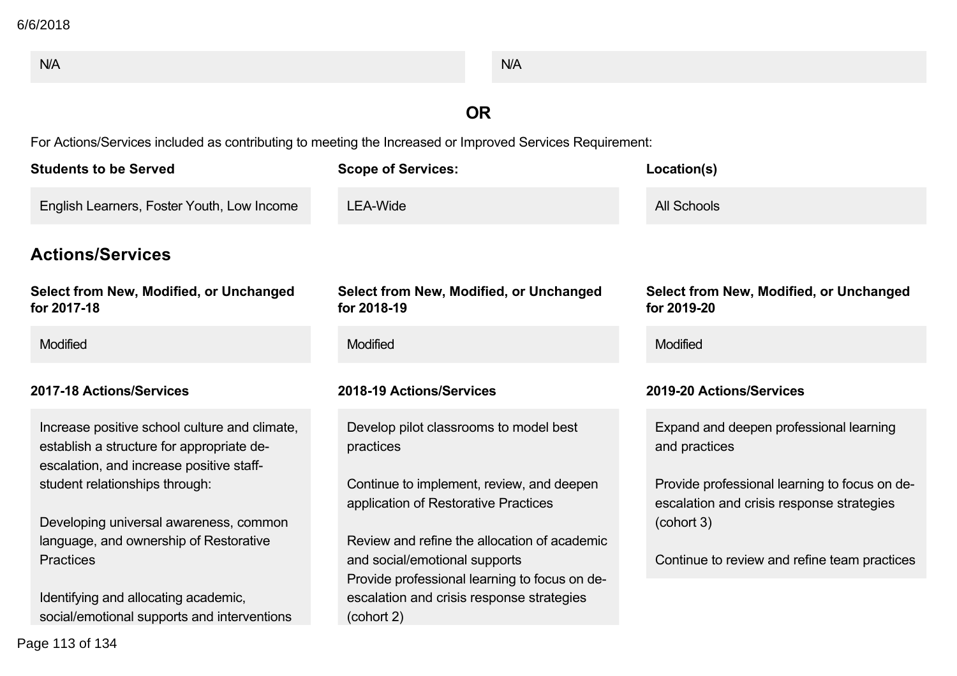| N/A                                                                                                                                    | N/A                                                                                                      |                                                                                            |
|----------------------------------------------------------------------------------------------------------------------------------------|----------------------------------------------------------------------------------------------------------|--------------------------------------------------------------------------------------------|
|                                                                                                                                        | <b>OR</b>                                                                                                |                                                                                            |
| For Actions/Services included as contributing to meeting the Increased or Improved Services Requirement:                               |                                                                                                          |                                                                                            |
| <b>Students to be Served</b>                                                                                                           | <b>Scope of Services:</b>                                                                                | Location(s)                                                                                |
| English Learners, Foster Youth, Low Income                                                                                             | <b>LEA-Wide</b>                                                                                          | <b>All Schools</b>                                                                         |
| <b>Actions/Services</b>                                                                                                                |                                                                                                          |                                                                                            |
| Select from New, Modified, or Unchanged<br>for 2017-18                                                                                 | <b>Select from New, Modified, or Unchanged</b><br>for 2018-19                                            | Select from New, Modified, or Unchanged<br>for 2019-20                                     |
| Modified                                                                                                                               | <b>Modified</b>                                                                                          | Modified                                                                                   |
| 2017-18 Actions/Services                                                                                                               | 2018-19 Actions/Services                                                                                 | 2019-20 Actions/Services                                                                   |
| Increase positive school culture and climate,<br>establish a structure for appropriate de-<br>escalation, and increase positive staff- | Develop pilot classrooms to model best<br>practices                                                      | Expand and deepen professional learning<br>and practices                                   |
| student relationships through:                                                                                                         | Continue to implement, review, and deepen<br>application of Restorative Practices                        | Provide professional learning to focus on de-<br>escalation and crisis response strategies |
| Developing universal awareness, common<br>language, and ownership of Restorative                                                       | Review and refine the allocation of academic                                                             | (cohort 3)                                                                                 |
| <b>Practices</b>                                                                                                                       | and social/emotional supports                                                                            | Continue to review and refine team practices                                               |
| Identifying and allocating academic,<br>social/emotional supports and interventions                                                    | Provide professional learning to focus on de-<br>escalation and crisis response strategies<br>(cohort 2) |                                                                                            |
| Page 113 of 134                                                                                                                        |                                                                                                          |                                                                                            |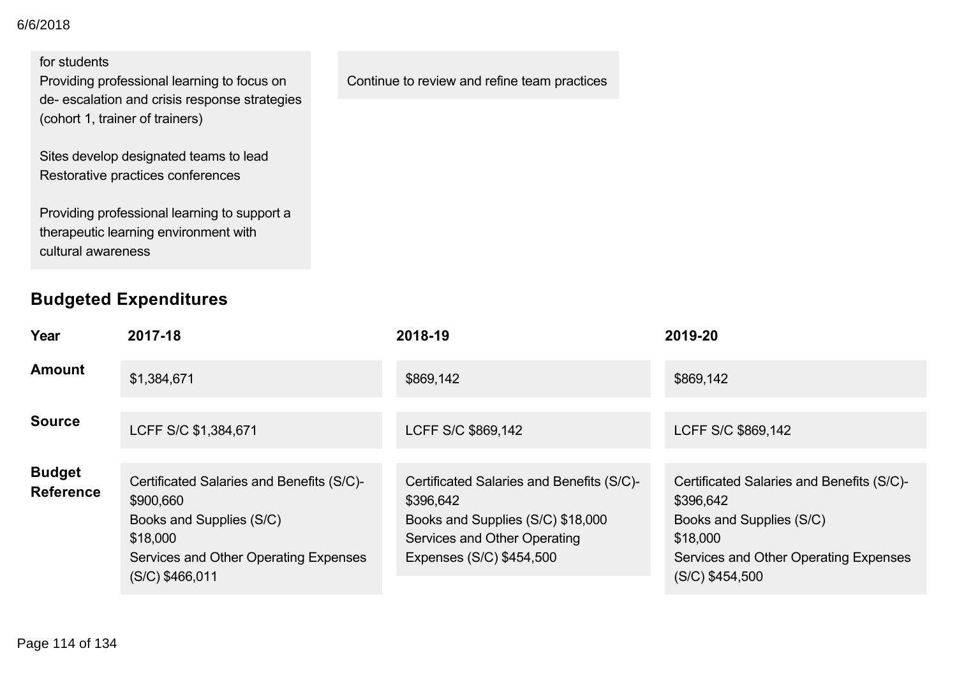#### for students

Providing professional learning to focus on de- escalation and crisis response strategies (cohort 1, trainer of trainers)

Sites develop designated teams to lead Restorative practices conferences

Providing professional learning to support a therapeutic learning environment with cultural awareness

## **Budgeted Expenditures**

**Year 201718 201819 201920 Amount** \$1,384,671 \$869,142 \$869,142 \$869,142 \$869,142 **Source** LCFF S/C \$1,384,671 LCFF S/C \$869,142 LCFF S/C \$869,142 **Budget Reference** Certificated Salaries and Benefits (S/C) \$900,660 Books and Supplies (S/C) \$18,000 Services and Other Operating Expenses (S/C) \$466,011 Certificated Salaries and Benefits (S/C) \$396,642 Books and Supplies (S/C) \$18,000 Services and Other Operating Expenses (S/C) \$454,500 Certificated Salaries and Benefits (S/C) \$396,642 Books and Supplies (S/C) \$18,000 Services and Other Operating Expenses (S/C) \$454,500

Continue to review and refine team practices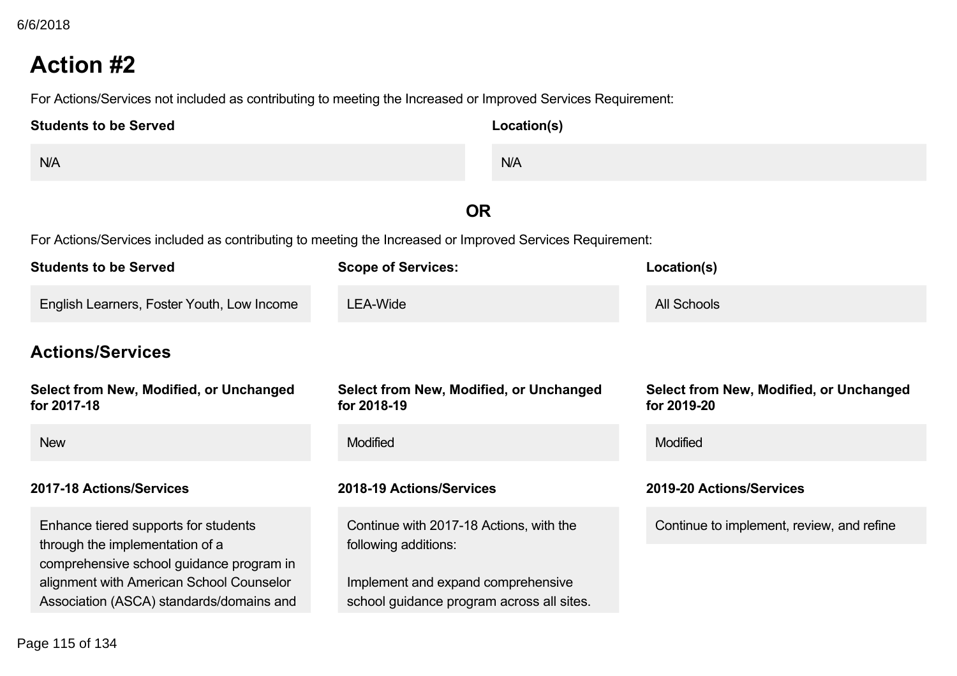For Actions/Services not included as contributing to meeting the Increased or Improved Services Requirement:

| <b>Students to be Served</b> | Location(s) |
|------------------------------|-------------|
| N/A                          | N/A         |

# **OR**

| <b>Students to be Served</b>                                                         | <b>Scope of Services:</b>                                                       | Location(s)                                            |
|--------------------------------------------------------------------------------------|---------------------------------------------------------------------------------|--------------------------------------------------------|
| English Learners, Foster Youth, Low Income                                           | LEA-Wide                                                                        | All Schools                                            |
| <b>Actions/Services</b>                                                              |                                                                                 |                                                        |
| Select from New, Modified, or Unchanged<br>for 2017-18                               | Select from New, Modified, or Unchanged<br>for 2018-19                          | Select from New, Modified, or Unchanged<br>for 2019-20 |
| <b>New</b>                                                                           | <b>Modified</b>                                                                 | <b>Modified</b>                                        |
| 2017-18 Actions/Services                                                             | 2018-19 Actions/Services                                                        | 2019-20 Actions/Services                               |
| Enhance tiered supports for students                                                 | Continue with 2017-18 Actions, with the                                         | Continue to implement, review, and refine              |
| through the implementation of a<br>comprehensive school guidance program in          | following additions:                                                            |                                                        |
| alignment with American School Counselor<br>Association (ASCA) standards/domains and | Implement and expand comprehensive<br>school guidance program across all sites. |                                                        |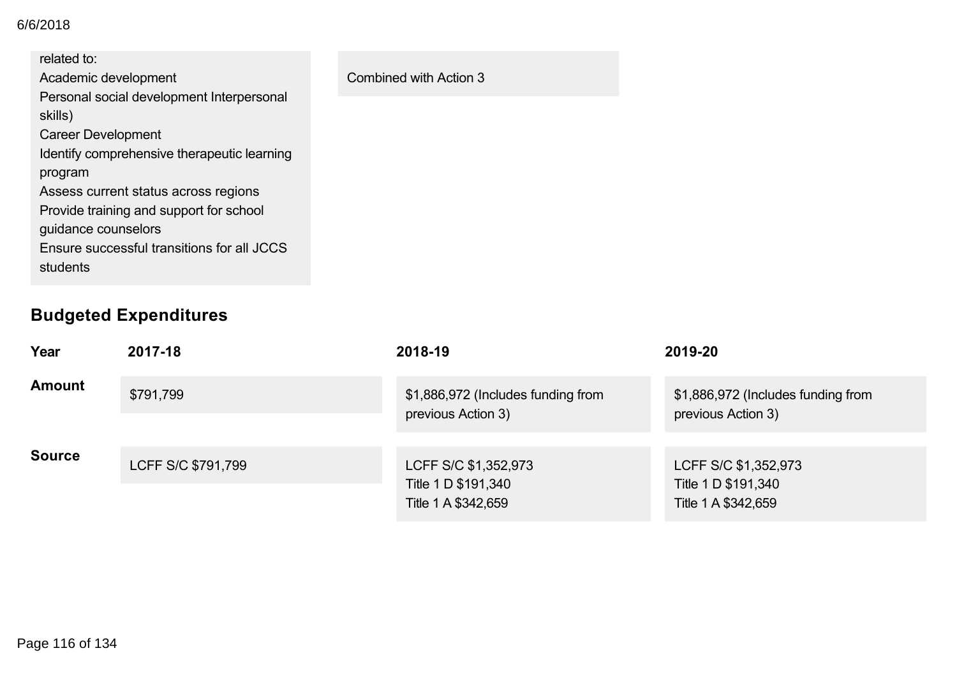#### alignment with American School Counselor 6/6/2018

| related to:                                          |                        |
|------------------------------------------------------|------------------------|
| Academic development                                 | Combined with Action 3 |
| Personal social development Interpersonal<br>skills) |                        |
| <b>Career Development</b>                            |                        |
| Identify comprehensive therapeutic learning          |                        |
| program                                              |                        |
| Assess current status across regions                 |                        |
| Provide training and support for school              |                        |
| guidance counselors                                  |                        |
| Ensure successful transitions for all JCCS           |                        |
| students                                             |                        |
|                                                      |                        |

# **Budgeted Expenditures**

| Year          | 2017-18            | 2018-19                                                            | 2019-20                                                            |
|---------------|--------------------|--------------------------------------------------------------------|--------------------------------------------------------------------|
| <b>Amount</b> | \$791,799          | \$1,886,972 (Includes funding from<br>previous Action 3)           | \$1,886,972 (Includes funding from<br>previous Action 3)           |
| <b>Source</b> | LCFF S/C \$791,799 | LCFF S/C \$1,352,973<br>Title 1 D \$191,340<br>Title 1 A \$342,659 | LCFF S/C \$1,352,973<br>Title 1 D \$191,340<br>Title 1 A \$342,659 |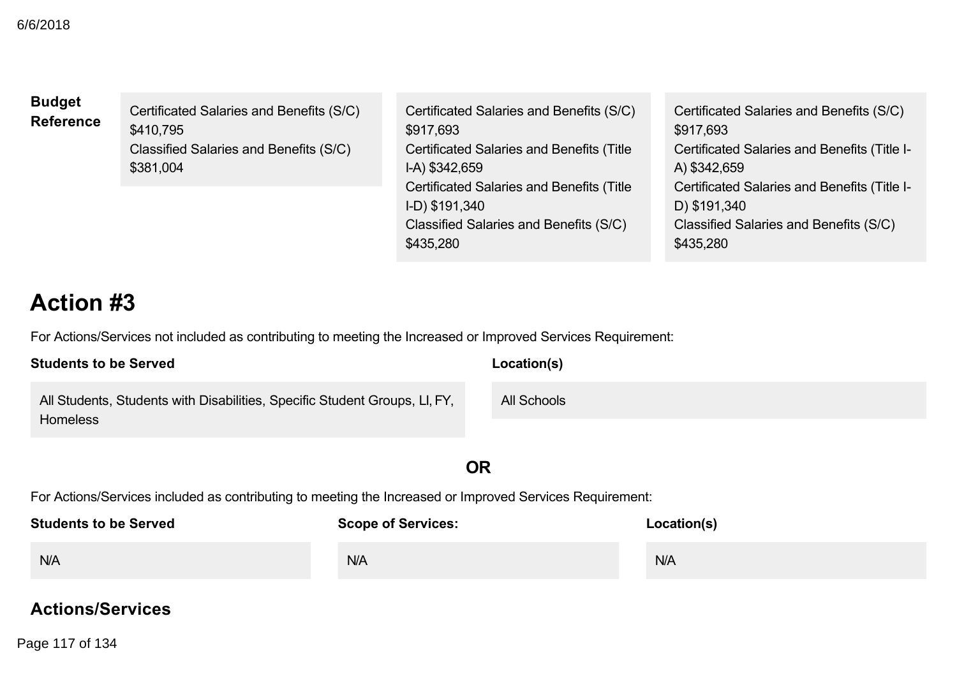| <b>Budget</b>    |
|------------------|
| <b>Reference</b> |

Certificated Salaries and Benefits (S/C) \$410,795 Classified Salaries and Benefits (S/C) \$381,004

Certificated Salaries and Benefits (S/C) \$917,693 Certificated Salaries and Benefits (Title IA) \$342,659 Certificated Salaries and Benefits (Title ID) \$191,340 Classified Salaries and Benefits (S/C) \$435,280

Certificated Salaries and Benefits (S/C) \$917,693 Certificated Salaries and Benefits (Title I-A) \$342,659 Certificated Salaries and Benefits (Title I-D) \$191,340 Classified Salaries and Benefits (S/C) \$435,280

# **Action #3**

For Actions/Services not included as contributing to meeting the Increased or Improved Services Requirement:

| <b>Students to be Served</b>                                                                  | Location(s) |
|-----------------------------------------------------------------------------------------------|-------------|
| All Students, Students with Disabilities, Specific Student Groups, LI, FY,<br><b>Homeless</b> | All Schools |

# **OR**

For Actions/Services included as contributing to meeting the Increased or Improved Services Requirement:

| <b>Students to be Served</b> | <b>Scope of Services:</b> | Location(s) |
|------------------------------|---------------------------|-------------|
| N/A                          | N/A                       | N/A         |

## **Actions/Services**

**Select from New, Modified, or Unchanged** Page 117 of 134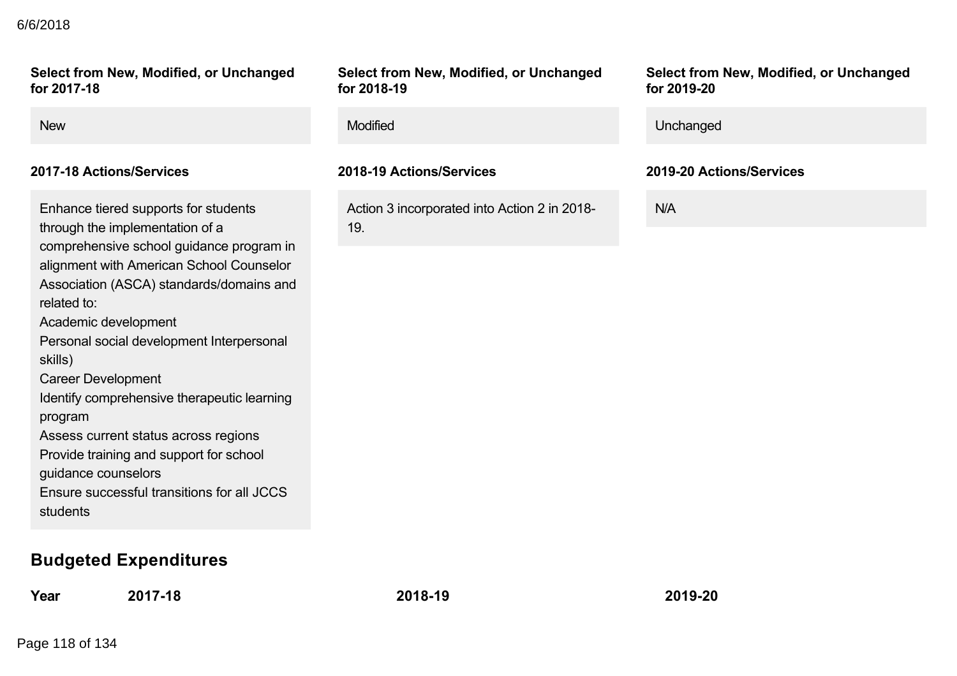#### **Actions/Services** 6/6/2018

#### **Select from New, Modified, or Unchanged for 201718**

#### **201718 Actions/Services 201819 Actions/Services 201920 Actions/Services**

Enhance tiered supports for students through the implementation of a comprehensive school guidance program in alignment with American School Counselor Association (ASCA) standards/domains and related to: Academic development Personal social development Interpersonal skills) Career Development Identify comprehensive therapeutic learning program Assess current status across regions Provide training and support for school guidance counselors Ensure successful transitions for all JCCS

students

## **Budgeted Expenditures**

**Year 201718 201819 201920**

**Select from New, Modified, or Unchanged for 201819**

Action 3 incorporated into Action 2 in 2018 19.

**Select from New, Modified, or Unchanged for 201920**

| <b>New</b> | <b>Modified</b> | Unchanged |
|------------|-----------------|-----------|
|            |                 |           |

N/A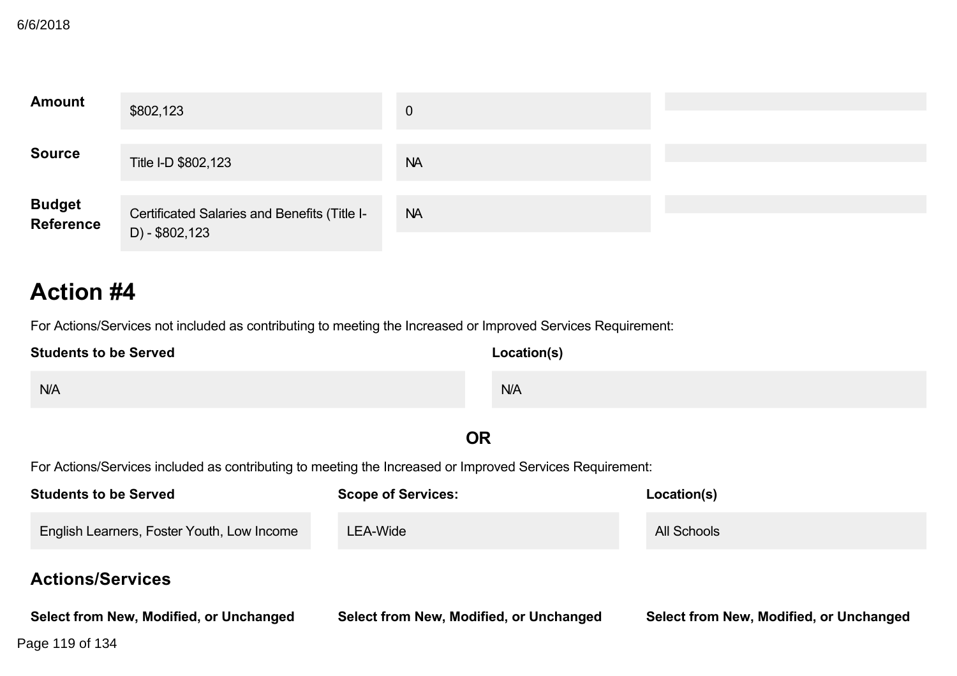| <b>Amount</b>               | \$802,123                                                      | $\mathbf{0}$ |  |
|-----------------------------|----------------------------------------------------------------|--------------|--|
| <b>Source</b>               | Title I-D \$802,123                                            | <b>NA</b>    |  |
| <b>Budget<br/>Reference</b> | Certificated Salaries and Benefits (Title I-<br>D) - \$802,123 | <b>NA</b>    |  |

For Actions/Services not included as contributing to meeting the Increased or Improved Services Requirement:

| <b>Students to be Served</b> | Location(s) |
|------------------------------|-------------|
| N/A                          | N/A         |

# **OR**

| <b>Students to be Served</b>               | <b>Scope of Services:</b>               | Location(s)                             |
|--------------------------------------------|-----------------------------------------|-----------------------------------------|
| English Learners, Foster Youth, Low Income | LEA-Wide                                | All Schools                             |
| <b>Actions/Services</b>                    |                                         |                                         |
| Select from New, Modified, or Unchanged    | Select from New, Modified, or Unchanged | Select from New, Modified, or Unchanged |
| Page 119 of 134                            |                                         |                                         |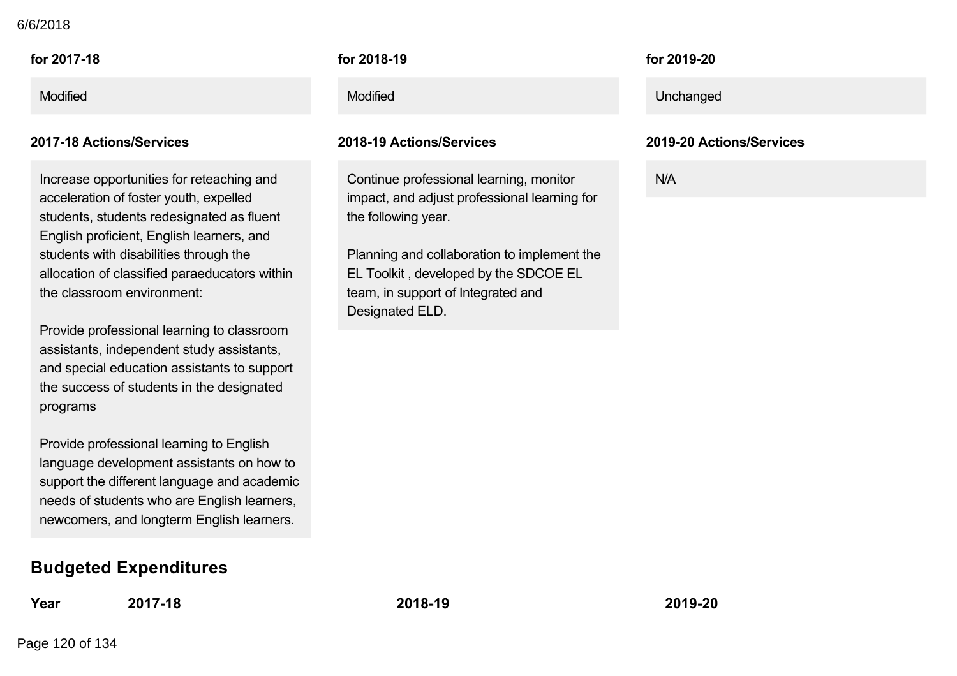#### 6/6/2018

Increase opportunities for reteaching and acceleration of foster youth, expelled students, students redesignated as fluent English proficient, English learners, and students with disabilities through the allocation of classified paraeducators within the classroom environment:

Provide professional learning to classroom assistants, independent study assistants, and special education assistants to support the success of students in the designated programs

Provide professional learning to English language development assistants on how to support the different language and academic needs of students who are English learners, newcomers, and longterm English learners.

## **Budgeted Expenditures**

**Year 201718 201819 201920**

**for 201819**

#### **201718 Actions/Services 201819 Actions/Services 201920 Actions/Services**

Continue professional learning, monitor impact, and adjust professional learning for the following year.

Planning and collaboration to implement the EL Toolkit , developed by the SDCOE EL team, in support of Integrated and Designated ELD.

**for 201920**

Modified Modified Unchanged

N/A

Page 120 of 134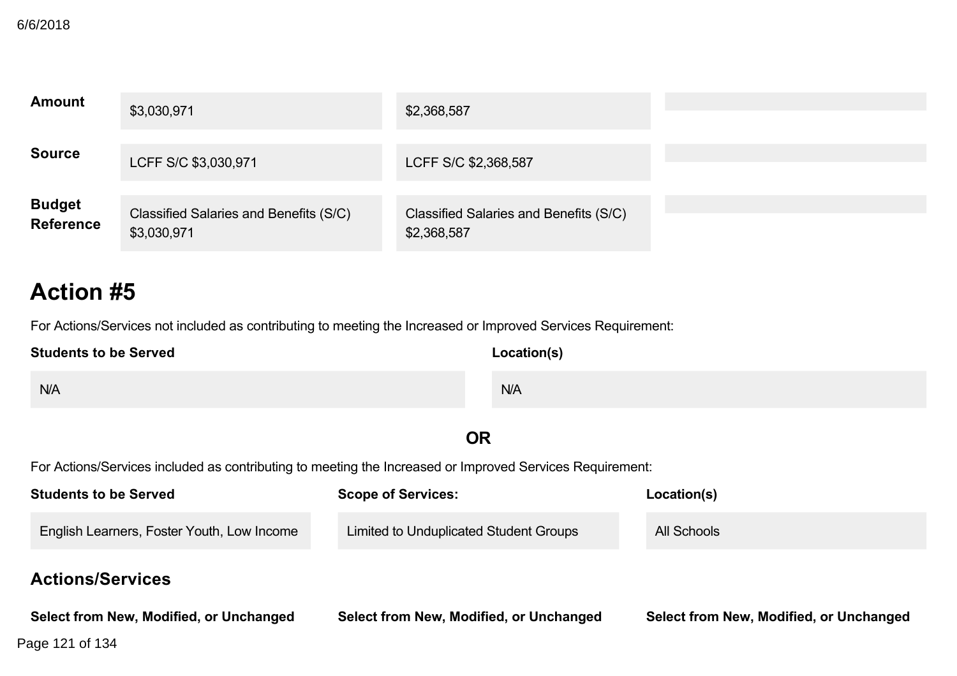| <b>Amount</b>               | \$3,030,971                                           | \$2,368,587                                           |  |
|-----------------------------|-------------------------------------------------------|-------------------------------------------------------|--|
| <b>Source</b>               | LCFF S/C \$3,030,971                                  | LCFF S/C \$2,368,587                                  |  |
| <b>Budget<br/>Reference</b> | Classified Salaries and Benefits (S/C)<br>\$3,030,971 | Classified Salaries and Benefits (S/C)<br>\$2,368,587 |  |

For Actions/Services not included as contributing to meeting the Increased or Improved Services Requirement:

| <b>Students to be Served</b> | Location(s) |  |
|------------------------------|-------------|--|
| N/A                          | N/A         |  |

# **OR**

| <b>Students to be Served</b>               | <b>Scope of Services:</b>               | Location(s)                             |
|--------------------------------------------|-----------------------------------------|-----------------------------------------|
| English Learners, Foster Youth, Low Income | Limited to Unduplicated Student Groups  | All Schools                             |
| <b>Actions/Services</b>                    |                                         |                                         |
| Select from New, Modified, or Unchanged    | Select from New, Modified, or Unchanged | Select from New, Modified, or Unchanged |
| Page 121 of 134                            |                                         |                                         |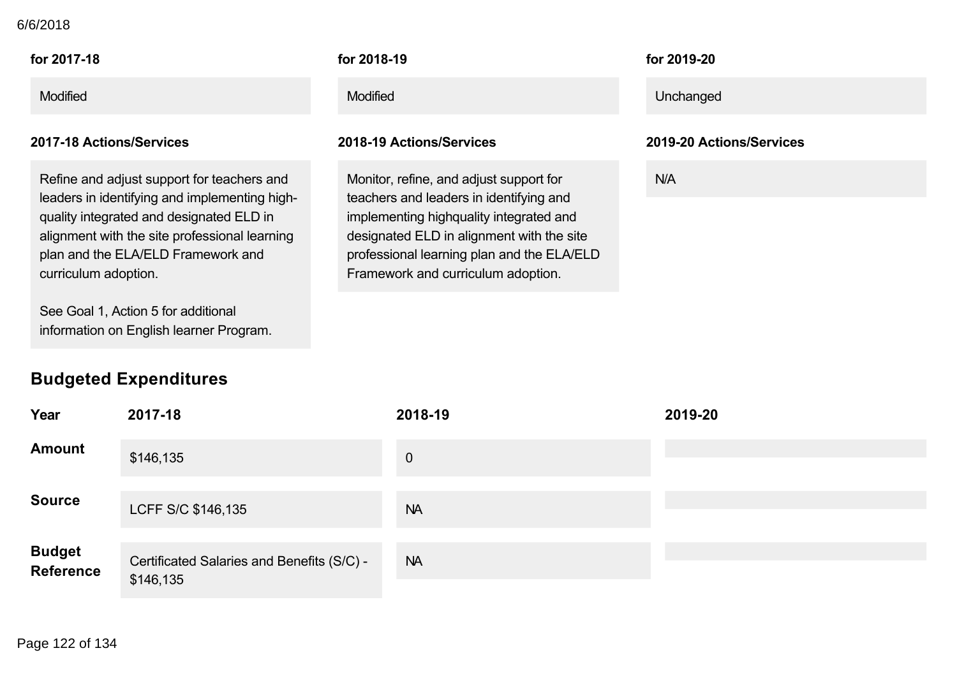#### 6/6/2018

| for 2017-18     | for 2018-19     | for 2019-20 |
|-----------------|-----------------|-------------|
| <b>Modified</b> | <b>Modified</b> | Unchanged   |

Refine and adjust support for teachers and leaders in identifying and implementing high quality integrated and designated ELD in alignment with the site professional learning plan and the ELA/ELD Framework and curriculum adoption.

See Goal 1, Action 5 for additional information on English learner Program.

## **Budgeted Expenditures**

#### **for 201819**

#### **201718 Actions/Services 201819 Actions/Services 201920 Actions/Services**

Monitor, refine, and adjust support for teachers and leaders in identifying and implementing highquality integrated and designated ELD in alignment with the site professional learning plan and the ELA/ELD Framework and curriculum adoption.

#### **for 201920**

N/A

| Year                        | 2017-18                                                 | 2018-19        | 2019-20 |
|-----------------------------|---------------------------------------------------------|----------------|---------|
| <b>Amount</b>               | \$146,135                                               | $\overline{0}$ |         |
| <b>Source</b>               | LCFF S/C \$146,135                                      | <b>NA</b>      |         |
| <b>Budget<br/>Reference</b> | Certificated Salaries and Benefits (S/C) -<br>\$146,135 | <b>NA</b>      |         |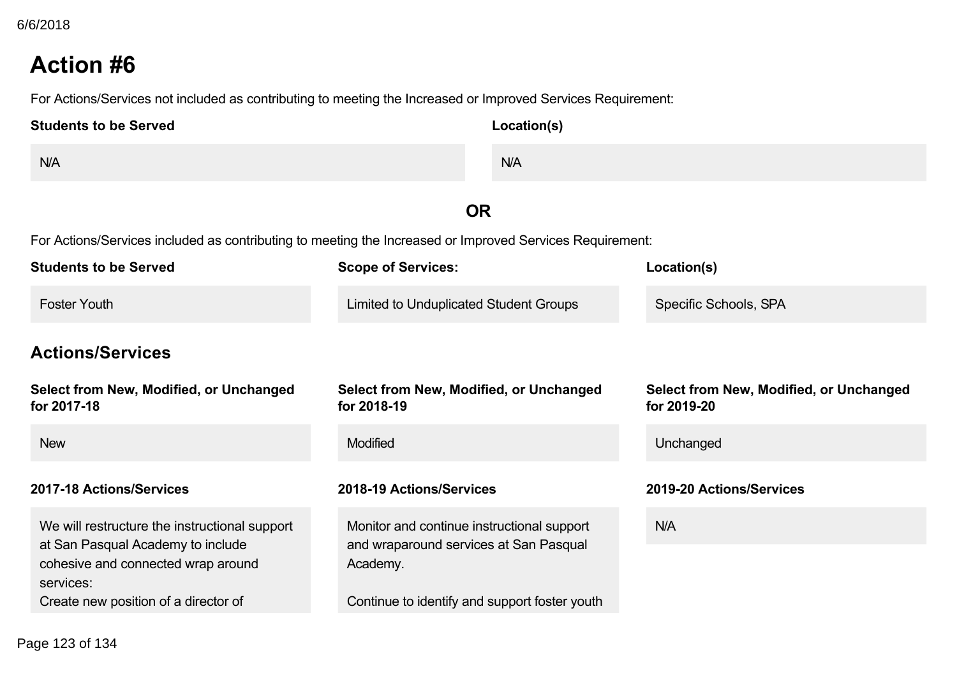For Actions/Services not included as contributing to meeting the Increased or Improved Services Requirement:

| <b>Students to be Served</b> | Location(s) |
|------------------------------|-------------|
| N/A                          | N/A         |

# **OR**

| <b>Students to be Served</b>                                                                                                                                                  | <b>Scope of Services:</b>                                                                                                                         | Location(s)                                            |
|-------------------------------------------------------------------------------------------------------------------------------------------------------------------------------|---------------------------------------------------------------------------------------------------------------------------------------------------|--------------------------------------------------------|
| <b>Foster Youth</b>                                                                                                                                                           | <b>Limited to Unduplicated Student Groups</b>                                                                                                     | Specific Schools, SPA                                  |
| <b>Actions/Services</b>                                                                                                                                                       |                                                                                                                                                   |                                                        |
| Select from New, Modified, or Unchanged<br>for 2017-18                                                                                                                        | Select from New, Modified, or Unchanged<br>for 2018-19                                                                                            | Select from New, Modified, or Unchanged<br>for 2019-20 |
| <b>New</b>                                                                                                                                                                    | <b>Modified</b>                                                                                                                                   | Unchanged                                              |
| 2017-18 Actions/Services                                                                                                                                                      | 2018-19 Actions/Services                                                                                                                          | 2019-20 Actions/Services                               |
| We will restructure the instructional support<br>at San Pasqual Academy to include<br>cohesive and connected wrap around<br>services:<br>Create new position of a director of | Monitor and continue instructional support<br>and wraparound services at San Pasqual<br>Academy.<br>Continue to identify and support foster youth | <b>N/A</b>                                             |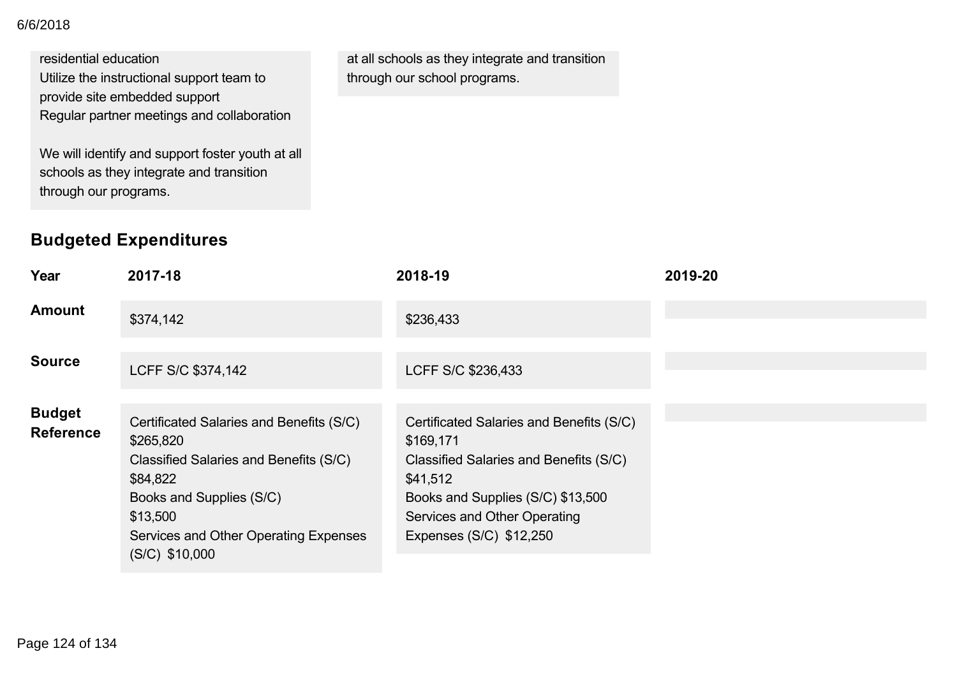#### 6/6/2018

#### residential education

Utilize the instructional support team to provide site embedded support

Regular partner meetings and collaboration

We will identify and support foster youth at all schools as they integrate and transition through our programs.

# **Budgeted Expenditures**

at all schools as they integrate and transition through our school programs.

| Year                              | 2017-18                                                                                                                                                                                                          | 2018-19                                                                                                                                                                                                     | 2019-20 |
|-----------------------------------|------------------------------------------------------------------------------------------------------------------------------------------------------------------------------------------------------------------|-------------------------------------------------------------------------------------------------------------------------------------------------------------------------------------------------------------|---------|
| Amount                            | \$374,142                                                                                                                                                                                                        | \$236,433                                                                                                                                                                                                   |         |
| Source                            | LCFF S/C \$374,142                                                                                                                                                                                               | LCFF S/C \$236,433                                                                                                                                                                                          |         |
| <b>Budget</b><br><b>Reference</b> | Certificated Salaries and Benefits (S/C)<br>\$265,820<br>Classified Salaries and Benefits (S/C)<br>\$84,822<br>Books and Supplies (S/C)<br>\$13,500<br>Services and Other Operating Expenses<br>$(S/C)$ \$10,000 | Certificated Salaries and Benefits (S/C)<br>\$169,171<br>Classified Salaries and Benefits (S/C)<br>\$41,512<br>Books and Supplies (S/C) \$13,500<br>Services and Other Operating<br>Expenses (S/C) \$12,250 |         |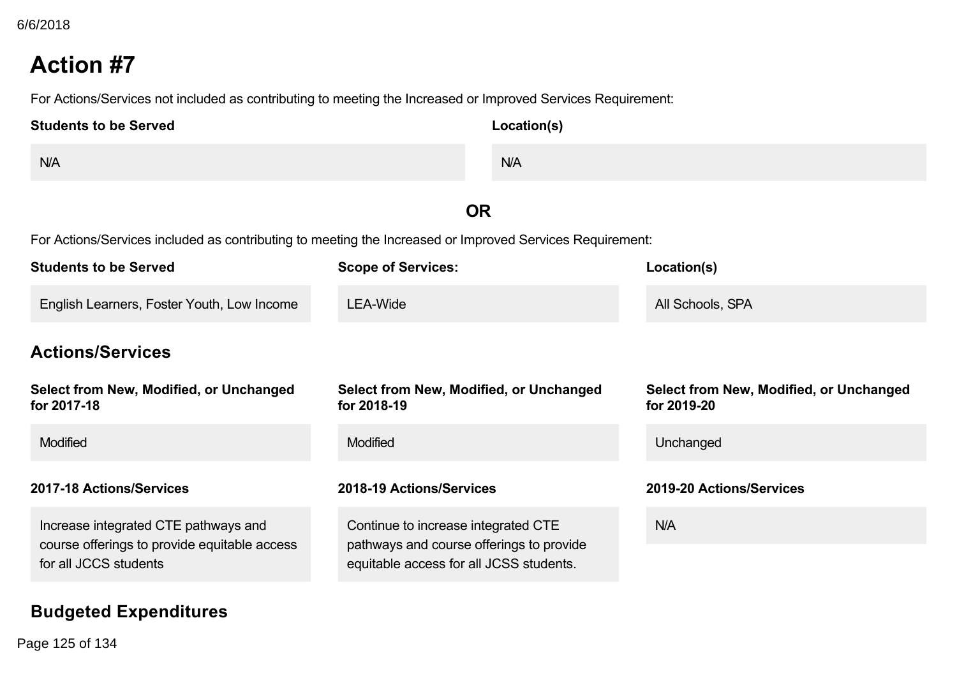For Actions/Services not included as contributing to meeting the Increased or Improved Services Requirement:

| <b>Students to be Served</b> | Location(s) |
|------------------------------|-------------|
| N/A                          | N/A         |
|                              |             |

# **OR**

For Actions/Services included as contributing to meeting the Increased or Improved Services Requirement:

| <b>Students to be Served</b>                                          | <b>Scope of Services:</b>                                                           | Location(s)                                            |
|-----------------------------------------------------------------------|-------------------------------------------------------------------------------------|--------------------------------------------------------|
| English Learners, Foster Youth, Low Income                            | LEA-Wide                                                                            | All Schools, SPA                                       |
| <b>Actions/Services</b>                                               |                                                                                     |                                                        |
| Select from New, Modified, or Unchanged<br>for 2017-18                | Select from New, Modified, or Unchanged<br>for 2018-19                              | Select from New, Modified, or Unchanged<br>for 2019-20 |
| <b>Modified</b>                                                       | <b>Modified</b>                                                                     | Unchanged                                              |
| 2017-18 Actions/Services                                              | 2018-19 Actions/Services                                                            | 2019-20 Actions/Services                               |
| Increase integrated CTE pathways and                                  | Continue to increase integrated CTE                                                 | N/A                                                    |
| course offerings to provide equitable access<br>for all JCCS students | pathways and course offerings to provide<br>equitable access for all JCSS students. |                                                        |

## **Budgeted Expenditures**

**Year 201718 201819 201920** Page 125 of 134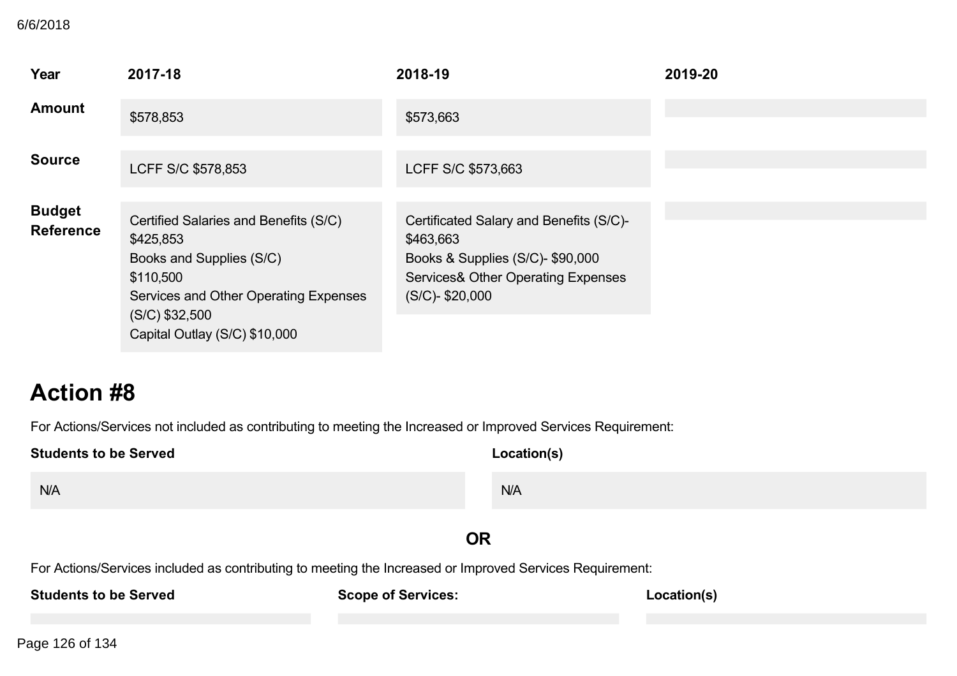#### 6/6/2018

| 6/6/2018                            |                                                                                                              |                                                                                     |             |
|-------------------------------------|--------------------------------------------------------------------------------------------------------------|-------------------------------------------------------------------------------------|-------------|
| Year<br><b>Amount</b>               | 2017-18<br>\$578,853                                                                                         | 2018-19<br>\$573,663                                                                | 2019-20     |
| <b>Source</b>                       | LCFF S/C \$578,853                                                                                           | LCFF S/C \$573,663                                                                  |             |
| <b>Budget</b>                       | Certified Salaries and Benefits (S/C)                                                                        | Certificated Salary and Benefits (S/C)-                                             |             |
| <b>Reference</b>                    | \$425,853<br>Books and Supplies (S/C)<br>\$110,500                                                           | \$463,663<br>Books & Supplies (S/C)- \$90,000<br>Services& Other Operating Expenses |             |
|                                     | Services and Other Operating Expenses<br>$(S/C)$ \$32,500<br>Capital Outlay (S/C) \$10,000                   | (S/C)-\$20,000                                                                      |             |
| <b>Action #8</b>                    |                                                                                                              |                                                                                     |             |
|                                     | For Actions/Services not included as contributing to meeting the Increased or Improved Services Requirement: |                                                                                     |             |
| <b>Students to be Served</b><br>N/A |                                                                                                              | Location(s)<br>N/A                                                                  |             |
|                                     |                                                                                                              | <b>OR</b>                                                                           |             |
| <b>Students to be Served</b>        | For Actions/Services included as contributing to meeting the Increased or Improved Services Requirement:     | <b>Scope of Services:</b>                                                           | Location(s) |
| Page 126 of 134                     |                                                                                                              |                                                                                     |             |
|                                     |                                                                                                              |                                                                                     |             |
|                                     |                                                                                                              |                                                                                     |             |
|                                     |                                                                                                              |                                                                                     |             |
|                                     |                                                                                                              |                                                                                     |             |
|                                     |                                                                                                              |                                                                                     |             |
|                                     |                                                                                                              |                                                                                     |             |
|                                     |                                                                                                              |                                                                                     |             |
|                                     |                                                                                                              |                                                                                     |             |
|                                     |                                                                                                              |                                                                                     |             |
|                                     |                                                                                                              |                                                                                     |             |
|                                     |                                                                                                              |                                                                                     |             |
|                                     |                                                                                                              |                                                                                     |             |
|                                     |                                                                                                              |                                                                                     |             |
|                                     |                                                                                                              |                                                                                     |             |
|                                     |                                                                                                              |                                                                                     |             |
|                                     |                                                                                                              |                                                                                     |             |
|                                     |                                                                                                              |                                                                                     |             |
|                                     |                                                                                                              |                                                                                     |             |
|                                     |                                                                                                              |                                                                                     |             |
|                                     |                                                                                                              |                                                                                     |             |
|                                     |                                                                                                              |                                                                                     |             |
|                                     |                                                                                                              |                                                                                     |             |
|                                     |                                                                                                              |                                                                                     |             |
|                                     |                                                                                                              |                                                                                     |             |
|                                     |                                                                                                              |                                                                                     |             |
|                                     |                                                                                                              |                                                                                     |             |
|                                     |                                                                                                              |                                                                                     |             |
|                                     |                                                                                                              |                                                                                     |             |
|                                     |                                                                                                              |                                                                                     |             |
|                                     |                                                                                                              |                                                                                     |             |
|                                     |                                                                                                              |                                                                                     |             |
|                                     |                                                                                                              |                                                                                     |             |
|                                     |                                                                                                              |                                                                                     |             |
|                                     |                                                                                                              |                                                                                     |             |
|                                     |                                                                                                              |                                                                                     |             |
|                                     |                                                                                                              |                                                                                     |             |
|                                     |                                                                                                              |                                                                                     |             |
|                                     |                                                                                                              |                                                                                     |             |
|                                     |                                                                                                              |                                                                                     |             |
|                                     |                                                                                                              |                                                                                     |             |
|                                     |                                                                                                              |                                                                                     |             |
|                                     |                                                                                                              |                                                                                     |             |
|                                     |                                                                                                              |                                                                                     |             |
|                                     |                                                                                                              |                                                                                     |             |
|                                     |                                                                                                              |                                                                                     |             |
|                                     |                                                                                                              |                                                                                     |             |
|                                     |                                                                                                              |                                                                                     |             |
|                                     |                                                                                                              |                                                                                     |             |
|                                     |                                                                                                              |                                                                                     |             |
|                                     |                                                                                                              |                                                                                     |             |
|                                     |                                                                                                              |                                                                                     |             |
|                                     |                                                                                                              |                                                                                     |             |
|                                     |                                                                                                              |                                                                                     |             |
|                                     |                                                                                                              |                                                                                     |             |
|                                     |                                                                                                              |                                                                                     |             |
|                                     |                                                                                                              |                                                                                     |             |
|                                     |                                                                                                              |                                                                                     |             |
|                                     |                                                                                                              |                                                                                     |             |
|                                     |                                                                                                              |                                                                                     |             |
|                                     |                                                                                                              |                                                                                     |             |
|                                     |                                                                                                              |                                                                                     |             |
|                                     |                                                                                                              |                                                                                     |             |
|                                     |                                                                                                              |                                                                                     |             |
|                                     |                                                                                                              |                                                                                     |             |

# **Action #8**

| <b>Students to be Served</b> | Location(s) |
|------------------------------|-------------|
| N/A                          | N/A         |
|                              |             |

## **OR**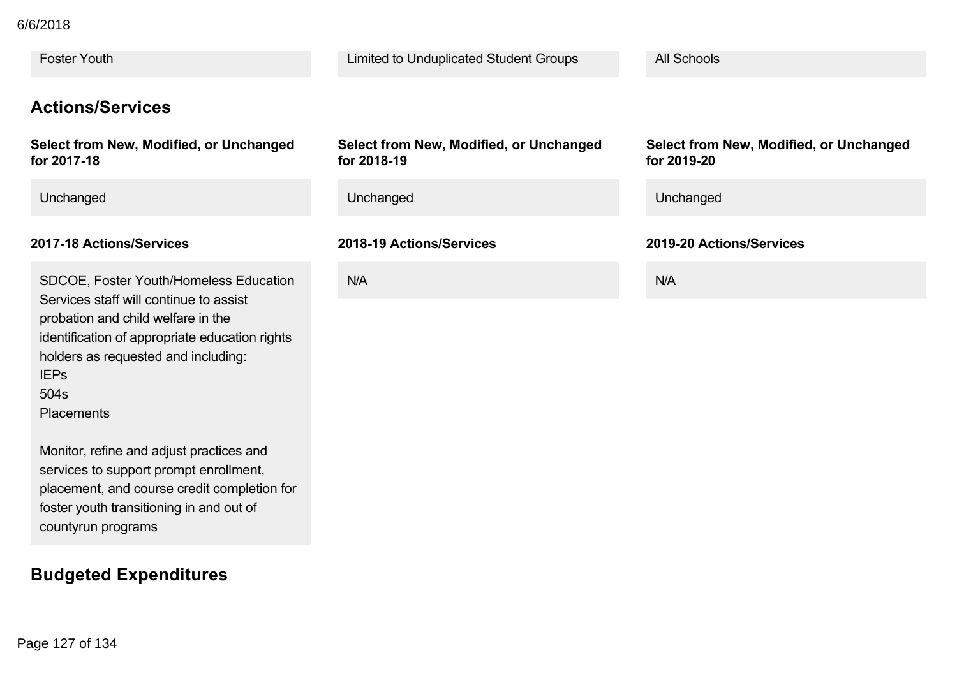Foster Youth Limited to Unduplicated Student Groups All Schools **Actions/Services Select from New, Modified, or Unchanged for 201718 Select from New, Modified, or Unchanged for 201819 for 201920** Unchanged Unchanged Unchanged **201718 Actions/Services 201819 Actions/Services 201920 Actions/Services** SDCOE, Foster Youth/Homeless Education Services staff will continue to assist probation and child welfare in the identification of appropriate education rights holders as requested and including: IEPs N/A N/A Froster Youffi<br>
Actions/Services<br>
Select from New, Modified, or Unchanged<br>
Select from New, Modified, or Unchanged<br>
My 2717-5<br>
Wedificated from New, Modified, or Unchanged<br>
Unchanged<br>
Unchanged<br>
Unchanged<br>
2017-19 Actions/

504s **Placements** 

Monitor, refine and adjust practices and services to support prompt enrollment, placement, and course credit completion for foster youth transitioning in and out of countyrun programs

# **Budgeted Expenditures**

# **Select from New, Modified, or Unchanged**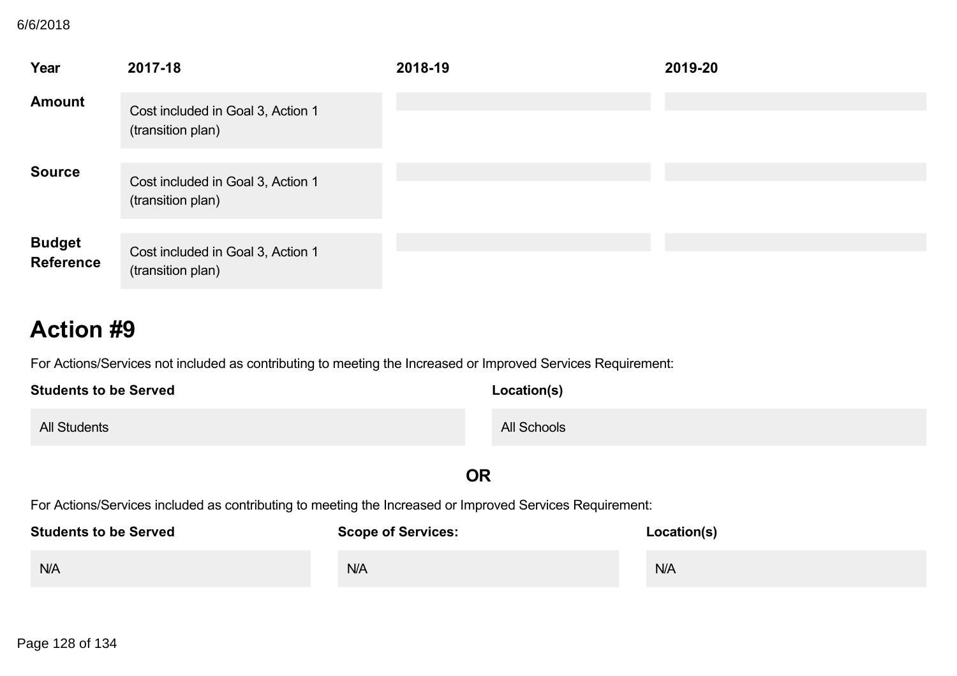# **B**

| 2017-18<br>2018-19<br>2019-20<br>Cost included in Goal 3, Action 1<br>(transition plan)<br>Cost included in Goal 3, Action 1<br>(transition plan)<br>Cost included in Goal 3, Action 1<br>(transition plan)<br><b>Action #9</b><br>For Actions/Services not included as contributing to meeting the Increased or Improved Services Requirement:<br><b>Students to be Served</b><br>Location(s)<br>All Schools<br>OR<br>For Actions/Services included as contributing to meeting the Increased or Improved Services Requirement:<br>Students to be Served Scope of Services: Scope Containers (Services: Location(s)<br>N/A<br>N/A<br>N/A<br>Page 128 of 134 | 6/6/2018                          |  |  |  |
|-------------------------------------------------------------------------------------------------------------------------------------------------------------------------------------------------------------------------------------------------------------------------------------------------------------------------------------------------------------------------------------------------------------------------------------------------------------------------------------------------------------------------------------------------------------------------------------------------------------------------------------------------------------|-----------------------------------|--|--|--|
|                                                                                                                                                                                                                                                                                                                                                                                                                                                                                                                                                                                                                                                             | Year<br><b>Amount</b>             |  |  |  |
|                                                                                                                                                                                                                                                                                                                                                                                                                                                                                                                                                                                                                                                             |                                   |  |  |  |
|                                                                                                                                                                                                                                                                                                                                                                                                                                                                                                                                                                                                                                                             | <b>Source</b>                     |  |  |  |
|                                                                                                                                                                                                                                                                                                                                                                                                                                                                                                                                                                                                                                                             | <b>Budget</b><br><b>Reference</b> |  |  |  |
|                                                                                                                                                                                                                                                                                                                                                                                                                                                                                                                                                                                                                                                             |                                   |  |  |  |
|                                                                                                                                                                                                                                                                                                                                                                                                                                                                                                                                                                                                                                                             |                                   |  |  |  |
|                                                                                                                                                                                                                                                                                                                                                                                                                                                                                                                                                                                                                                                             | <b>All Students</b>               |  |  |  |
|                                                                                                                                                                                                                                                                                                                                                                                                                                                                                                                                                                                                                                                             |                                   |  |  |  |
|                                                                                                                                                                                                                                                                                                                                                                                                                                                                                                                                                                                                                                                             |                                   |  |  |  |
|                                                                                                                                                                                                                                                                                                                                                                                                                                                                                                                                                                                                                                                             |                                   |  |  |  |
|                                                                                                                                                                                                                                                                                                                                                                                                                                                                                                                                                                                                                                                             |                                   |  |  |  |
|                                                                                                                                                                                                                                                                                                                                                                                                                                                                                                                                                                                                                                                             |                                   |  |  |  |
|                                                                                                                                                                                                                                                                                                                                                                                                                                                                                                                                                                                                                                                             |                                   |  |  |  |
|                                                                                                                                                                                                                                                                                                                                                                                                                                                                                                                                                                                                                                                             |                                   |  |  |  |
|                                                                                                                                                                                                                                                                                                                                                                                                                                                                                                                                                                                                                                                             |                                   |  |  |  |
|                                                                                                                                                                                                                                                                                                                                                                                                                                                                                                                                                                                                                                                             |                                   |  |  |  |
|                                                                                                                                                                                                                                                                                                                                                                                                                                                                                                                                                                                                                                                             |                                   |  |  |  |
|                                                                                                                                                                                                                                                                                                                                                                                                                                                                                                                                                                                                                                                             |                                   |  |  |  |
|                                                                                                                                                                                                                                                                                                                                                                                                                                                                                                                                                                                                                                                             |                                   |  |  |  |
|                                                                                                                                                                                                                                                                                                                                                                                                                                                                                                                                                                                                                                                             |                                   |  |  |  |
|                                                                                                                                                                                                                                                                                                                                                                                                                                                                                                                                                                                                                                                             |                                   |  |  |  |
|                                                                                                                                                                                                                                                                                                                                                                                                                                                                                                                                                                                                                                                             |                                   |  |  |  |
|                                                                                                                                                                                                                                                                                                                                                                                                                                                                                                                                                                                                                                                             |                                   |  |  |  |
|                                                                                                                                                                                                                                                                                                                                                                                                                                                                                                                                                                                                                                                             |                                   |  |  |  |
|                                                                                                                                                                                                                                                                                                                                                                                                                                                                                                                                                                                                                                                             |                                   |  |  |  |
|                                                                                                                                                                                                                                                                                                                                                                                                                                                                                                                                                                                                                                                             |                                   |  |  |  |
|                                                                                                                                                                                                                                                                                                                                                                                                                                                                                                                                                                                                                                                             |                                   |  |  |  |
|                                                                                                                                                                                                                                                                                                                                                                                                                                                                                                                                                                                                                                                             |                                   |  |  |  |
|                                                                                                                                                                                                                                                                                                                                                                                                                                                                                                                                                                                                                                                             |                                   |  |  |  |
|                                                                                                                                                                                                                                                                                                                                                                                                                                                                                                                                                                                                                                                             |                                   |  |  |  |
|                                                                                                                                                                                                                                                                                                                                                                                                                                                                                                                                                                                                                                                             |                                   |  |  |  |
|                                                                                                                                                                                                                                                                                                                                                                                                                                                                                                                                                                                                                                                             |                                   |  |  |  |
|                                                                                                                                                                                                                                                                                                                                                                                                                                                                                                                                                                                                                                                             |                                   |  |  |  |
|                                                                                                                                                                                                                                                                                                                                                                                                                                                                                                                                                                                                                                                             |                                   |  |  |  |
|                                                                                                                                                                                                                                                                                                                                                                                                                                                                                                                                                                                                                                                             |                                   |  |  |  |
|                                                                                                                                                                                                                                                                                                                                                                                                                                                                                                                                                                                                                                                             |                                   |  |  |  |
|                                                                                                                                                                                                                                                                                                                                                                                                                                                                                                                                                                                                                                                             |                                   |  |  |  |
|                                                                                                                                                                                                                                                                                                                                                                                                                                                                                                                                                                                                                                                             |                                   |  |  |  |
|                                                                                                                                                                                                                                                                                                                                                                                                                                                                                                                                                                                                                                                             |                                   |  |  |  |
|                                                                                                                                                                                                                                                                                                                                                                                                                                                                                                                                                                                                                                                             |                                   |  |  |  |
|                                                                                                                                                                                                                                                                                                                                                                                                                                                                                                                                                                                                                                                             |                                   |  |  |  |
|                                                                                                                                                                                                                                                                                                                                                                                                                                                                                                                                                                                                                                                             |                                   |  |  |  |
|                                                                                                                                                                                                                                                                                                                                                                                                                                                                                                                                                                                                                                                             |                                   |  |  |  |
|                                                                                                                                                                                                                                                                                                                                                                                                                                                                                                                                                                                                                                                             |                                   |  |  |  |
|                                                                                                                                                                                                                                                                                                                                                                                                                                                                                                                                                                                                                                                             |                                   |  |  |  |
|                                                                                                                                                                                                                                                                                                                                                                                                                                                                                                                                                                                                                                                             |                                   |  |  |  |
|                                                                                                                                                                                                                                                                                                                                                                                                                                                                                                                                                                                                                                                             |                                   |  |  |  |
|                                                                                                                                                                                                                                                                                                                                                                                                                                                                                                                                                                                                                                                             |                                   |  |  |  |
|                                                                                                                                                                                                                                                                                                                                                                                                                                                                                                                                                                                                                                                             |                                   |  |  |  |
|                                                                                                                                                                                                                                                                                                                                                                                                                                                                                                                                                                                                                                                             |                                   |  |  |  |
|                                                                                                                                                                                                                                                                                                                                                                                                                                                                                                                                                                                                                                                             |                                   |  |  |  |
|                                                                                                                                                                                                                                                                                                                                                                                                                                                                                                                                                                                                                                                             |                                   |  |  |  |
|                                                                                                                                                                                                                                                                                                                                                                                                                                                                                                                                                                                                                                                             |                                   |  |  |  |
|                                                                                                                                                                                                                                                                                                                                                                                                                                                                                                                                                                                                                                                             |                                   |  |  |  |
|                                                                                                                                                                                                                                                                                                                                                                                                                                                                                                                                                                                                                                                             |                                   |  |  |  |
|                                                                                                                                                                                                                                                                                                                                                                                                                                                                                                                                                                                                                                                             |                                   |  |  |  |
|                                                                                                                                                                                                                                                                                                                                                                                                                                                                                                                                                                                                                                                             |                                   |  |  |  |
|                                                                                                                                                                                                                                                                                                                                                                                                                                                                                                                                                                                                                                                             |                                   |  |  |  |
|                                                                                                                                                                                                                                                                                                                                                                                                                                                                                                                                                                                                                                                             |                                   |  |  |  |
|                                                                                                                                                                                                                                                                                                                                                                                                                                                                                                                                                                                                                                                             |                                   |  |  |  |
|                                                                                                                                                                                                                                                                                                                                                                                                                                                                                                                                                                                                                                                             |                                   |  |  |  |
|                                                                                                                                                                                                                                                                                                                                                                                                                                                                                                                                                                                                                                                             |                                   |  |  |  |
|                                                                                                                                                                                                                                                                                                                                                                                                                                                                                                                                                                                                                                                             |                                   |  |  |  |

# **Action #9**

| <b>Students to be Served</b> | Location(s) |
|------------------------------|-------------|
| <b>All Students</b>          | All Schools |

## **OR**

| <b>Students to be Served</b> | <b>Scope of Services:</b> | Location(s) |
|------------------------------|---------------------------|-------------|
| N/A                          | N/A                       | N/A         |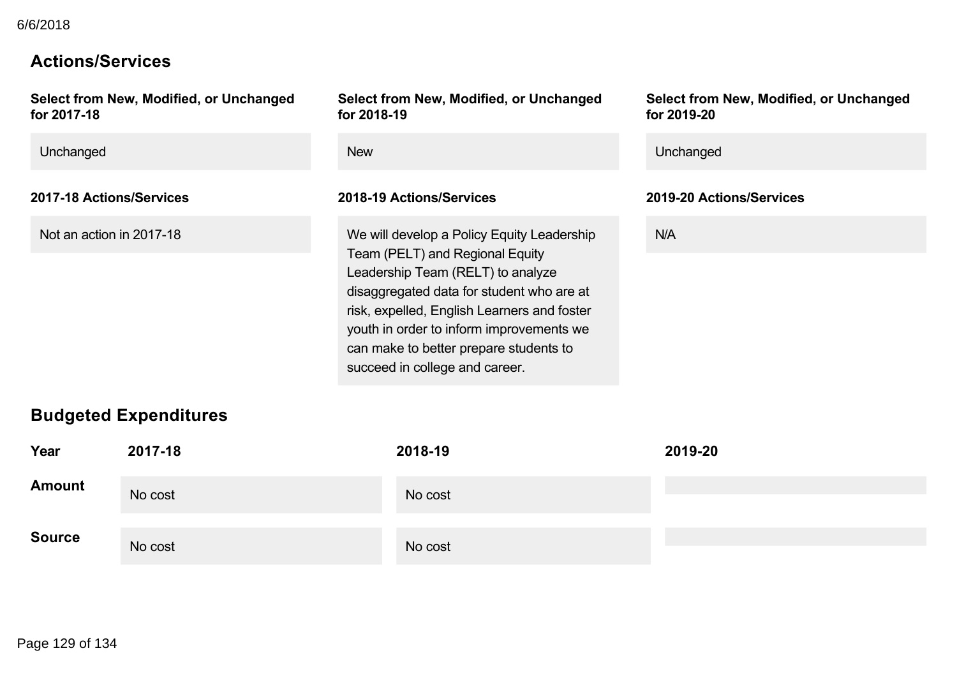# **Actions/Services**

| New<br>Unchanged<br>2017-18 Actions/Services<br>2018-19 Actions/Services<br>2019-20 Actions/Services<br>N/A<br>Not an action in 2017-18<br>We will develop a Policy Equity Leadership<br>Team (PELT) and Regional Equity<br>Leadership Team (RELT) to analyze<br>disaggregated data for student who are at<br>risk, expelled, English Learners and foster<br>youth in order to inform improvements we<br>can make to better prepare students to<br>succeed in college and career.<br><b>Budgeted Expenditures</b><br>2017-18<br>Year<br>2018-19<br>2019-20<br>No cost<br>No cost<br>No cost<br>No cost<br>Page 129 of 134 | for 2017-18   | Select from New, Modified, or Unchanged | for 2018-19 | Select from New, Modified, or Unchanged | Select from New, Modified, or Unchanged<br>for 2019-20 |
|---------------------------------------------------------------------------------------------------------------------------------------------------------------------------------------------------------------------------------------------------------------------------------------------------------------------------------------------------------------------------------------------------------------------------------------------------------------------------------------------------------------------------------------------------------------------------------------------------------------------------|---------------|-----------------------------------------|-------------|-----------------------------------------|--------------------------------------------------------|
|                                                                                                                                                                                                                                                                                                                                                                                                                                                                                                                                                                                                                           | Unchanged     |                                         |             |                                         |                                                        |
|                                                                                                                                                                                                                                                                                                                                                                                                                                                                                                                                                                                                                           |               |                                         |             |                                         |                                                        |
|                                                                                                                                                                                                                                                                                                                                                                                                                                                                                                                                                                                                                           |               |                                         |             |                                         |                                                        |
|                                                                                                                                                                                                                                                                                                                                                                                                                                                                                                                                                                                                                           |               |                                         |             |                                         |                                                        |
|                                                                                                                                                                                                                                                                                                                                                                                                                                                                                                                                                                                                                           | <b>Amount</b> |                                         |             |                                         |                                                        |
|                                                                                                                                                                                                                                                                                                                                                                                                                                                                                                                                                                                                                           | <b>Source</b> |                                         |             |                                         |                                                        |
|                                                                                                                                                                                                                                                                                                                                                                                                                                                                                                                                                                                                                           |               |                                         |             |                                         |                                                        |
|                                                                                                                                                                                                                                                                                                                                                                                                                                                                                                                                                                                                                           |               |                                         |             |                                         |                                                        |
|                                                                                                                                                                                                                                                                                                                                                                                                                                                                                                                                                                                                                           |               |                                         |             |                                         |                                                        |
|                                                                                                                                                                                                                                                                                                                                                                                                                                                                                                                                                                                                                           |               |                                         |             |                                         |                                                        |
|                                                                                                                                                                                                                                                                                                                                                                                                                                                                                                                                                                                                                           |               |                                         |             |                                         |                                                        |
|                                                                                                                                                                                                                                                                                                                                                                                                                                                                                                                                                                                                                           |               |                                         |             |                                         |                                                        |
|                                                                                                                                                                                                                                                                                                                                                                                                                                                                                                                                                                                                                           |               |                                         |             |                                         |                                                        |
|                                                                                                                                                                                                                                                                                                                                                                                                                                                                                                                                                                                                                           |               |                                         |             |                                         |                                                        |
|                                                                                                                                                                                                                                                                                                                                                                                                                                                                                                                                                                                                                           |               |                                         |             |                                         |                                                        |
|                                                                                                                                                                                                                                                                                                                                                                                                                                                                                                                                                                                                                           |               |                                         |             |                                         |                                                        |
|                                                                                                                                                                                                                                                                                                                                                                                                                                                                                                                                                                                                                           |               |                                         |             |                                         |                                                        |
|                                                                                                                                                                                                                                                                                                                                                                                                                                                                                                                                                                                                                           |               |                                         |             |                                         |                                                        |
|                                                                                                                                                                                                                                                                                                                                                                                                                                                                                                                                                                                                                           |               |                                         |             |                                         |                                                        |
|                                                                                                                                                                                                                                                                                                                                                                                                                                                                                                                                                                                                                           |               |                                         |             |                                         |                                                        |
|                                                                                                                                                                                                                                                                                                                                                                                                                                                                                                                                                                                                                           |               |                                         |             |                                         |                                                        |
|                                                                                                                                                                                                                                                                                                                                                                                                                                                                                                                                                                                                                           |               |                                         |             |                                         |                                                        |
|                                                                                                                                                                                                                                                                                                                                                                                                                                                                                                                                                                                                                           |               |                                         |             |                                         |                                                        |
|                                                                                                                                                                                                                                                                                                                                                                                                                                                                                                                                                                                                                           |               |                                         |             |                                         |                                                        |
|                                                                                                                                                                                                                                                                                                                                                                                                                                                                                                                                                                                                                           |               |                                         |             |                                         |                                                        |
|                                                                                                                                                                                                                                                                                                                                                                                                                                                                                                                                                                                                                           |               |                                         |             |                                         |                                                        |
|                                                                                                                                                                                                                                                                                                                                                                                                                                                                                                                                                                                                                           |               |                                         |             |                                         |                                                        |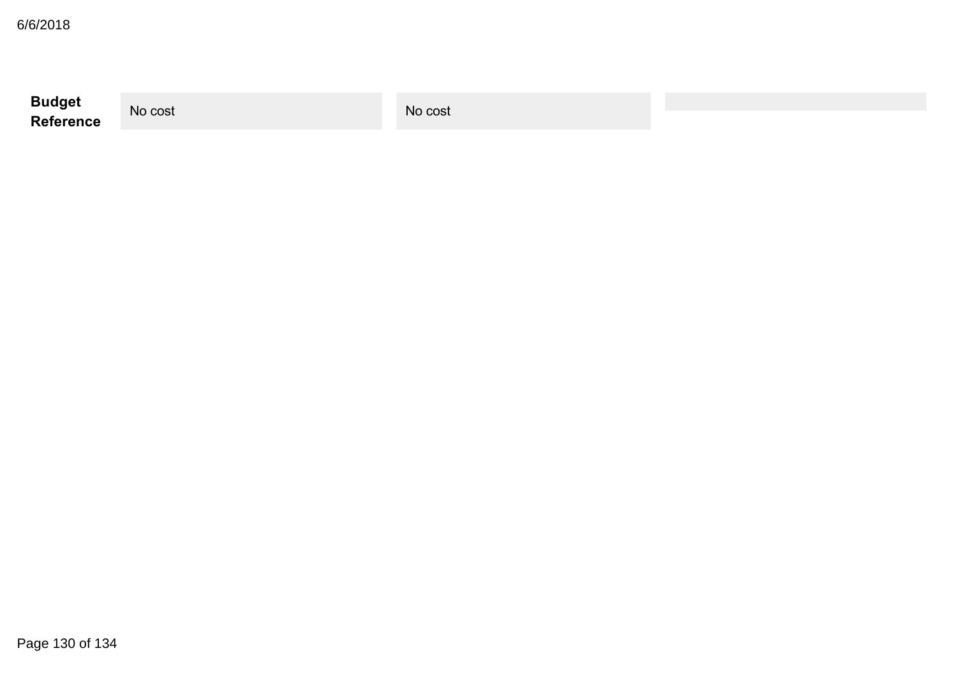| 6/6/2018            |         |         |  |
|---------------------|---------|---------|--|
| Budget<br>Reference | No cost | No cost |  |
|                     |         |         |  |
|                     |         |         |  |
|                     |         |         |  |
|                     |         |         |  |
|                     |         |         |  |
|                     |         |         |  |
|                     |         |         |  |
|                     |         |         |  |
|                     |         |         |  |
| Page 130 of 134     |         |         |  |
|                     |         |         |  |
|                     |         |         |  |
|                     |         |         |  |
|                     |         |         |  |
|                     |         |         |  |
|                     |         |         |  |
|                     |         |         |  |
|                     |         |         |  |
|                     |         |         |  |
|                     |         |         |  |
|                     |         |         |  |
|                     |         |         |  |
|                     |         |         |  |
|                     |         |         |  |
|                     |         |         |  |
|                     |         |         |  |
|                     |         |         |  |
|                     |         |         |  |
|                     |         |         |  |
|                     |         |         |  |
|                     |         |         |  |
|                     |         |         |  |
|                     |         |         |  |
|                     |         |         |  |
|                     |         |         |  |
|                     |         |         |  |
|                     |         |         |  |
|                     |         |         |  |
|                     |         |         |  |
|                     |         |         |  |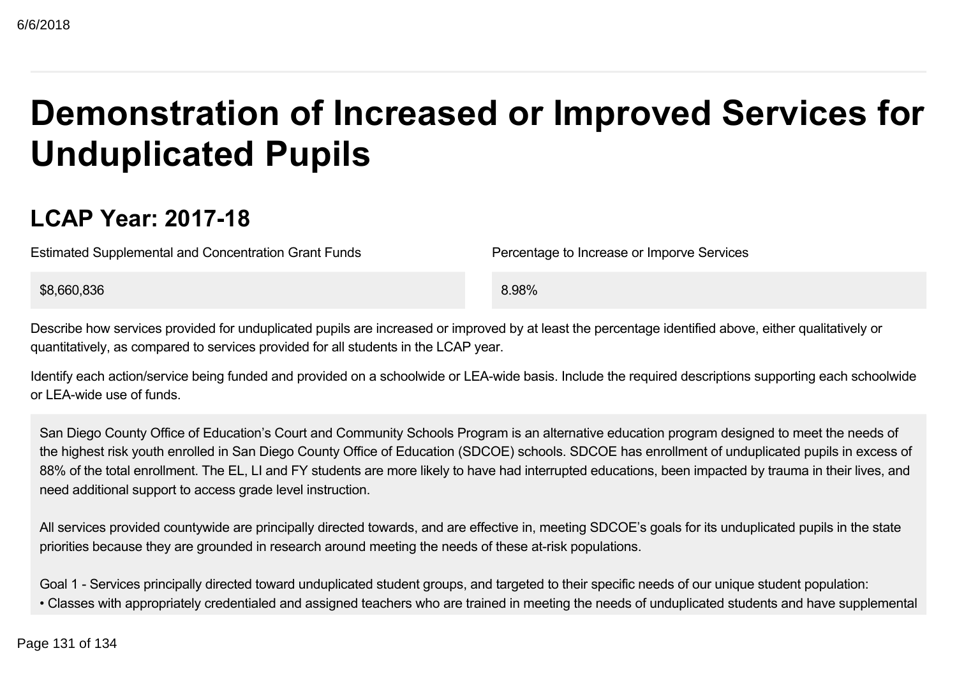# **Demonstration of Increased or Improved Services for Unduplicated Pupils COMPRESS COURS AND ANY 11 CONSERVATE COURS ACCESS CONSERVATE CONSERVATE CONSERVATE CONSERVATE CONSERVATE CONSERVATE CONSERVATE CONSERVATE CONSERVATE CONSERVATE CONSERVATE CONSERVATE CONSERVATE CONSERVATE CONSERVATE CONSER**

# **LCAP Year: 2017-18**

Estimated Supplemental and Concentration Grant Funds Percentage to Increase or Imporve Services

\$8,660,836 8.98%

Describe how services provided for unduplicated pupils are increased or improved by at least the percentage identified above, either qualitatively or quantitatively, as compared to services provided for all students in the LCAP year.

Identify each action/service being funded and provided on a schoolwide or LEA-wide basis. Include the required descriptions supporting each schoolwide or LEAwide use of funds.

San Diego County Office of Education's Court and Community Schools Program is an alternative education program designed to meet the needs of the highest risk youth enrolled in San Diego County Office of Education (SDCOE) schools. SDCOE has enrollment of unduplicated pupils in excess of 88% of the total enrollment. The EL, LI and FY students are more likely to have had interrupted educations, been impacted by trauma in their lives, and need additional support to access grade level instruction.

All services provided countywide are principally directed towards, and are effective in, meeting SDCOE's goals for its unduplicated pupils in the state priorities because they are grounded in research around meeting the needs of these at-risk populations.

Goal 1 - Services principally directed toward unduplicated student groups, and targeted to their specific needs of our unique student population: • Classes with appropriately credentialed and assigned teachers who are trained in meeting the needs of unduplicated students and have supplemental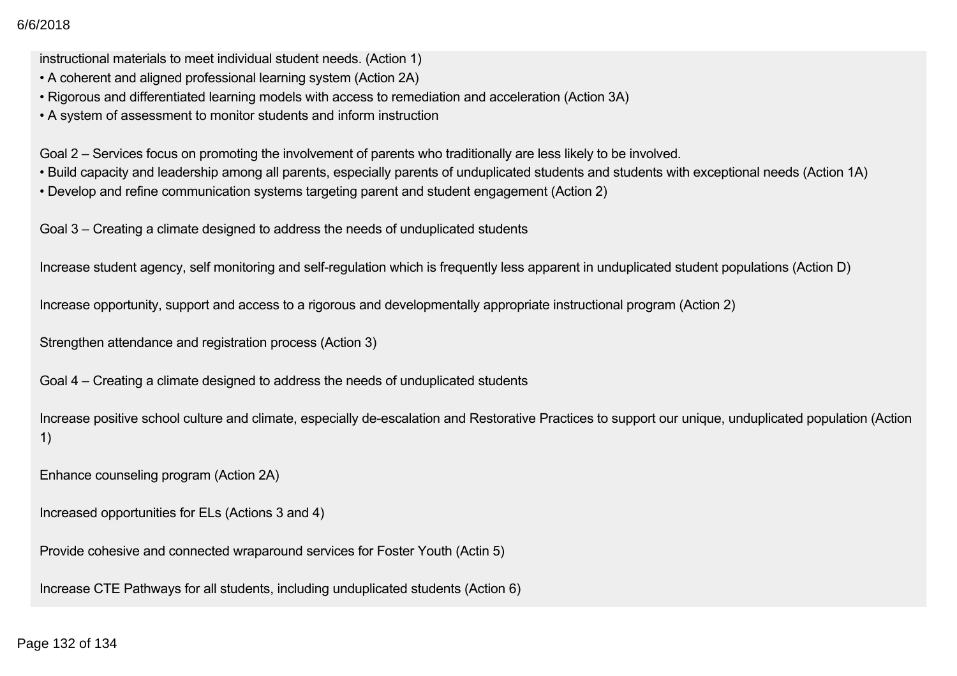$\sim 2018$ 

instructional materials to meet individual student needs. (Action 1)

- A coherent and aligned professional learning system (Action 2A)
- Rigorous and differentiated learning models with access to remediation and acceleration (Action 3A)
- A system of assessment to monitor students and inform instruction

Goal 2 – Services focus on promoting the involvement of parents who traditionally are less likely to be involved.

- Build capacity and leadership among all parents, especially parents of unduplicated students and students with exceptional needs (Action 1A)
- Develop and refine communication systems targeting parent and student engagement (Action 2)

Goal 3 – Creating a climate designed to address the needs of unduplicated students

Increase student agency, self monitoring and self-regulation which is frequently less apparent in unduplicated student populations (Action D)

Increase opportunity, support and access to a rigorous and developmentally appropriate instructional program (Action 2)

Strengthen attendance and registration process (Action 3)

Goal 4 – Creating a climate designed to address the needs of unduplicated students

Increase positive school culture and climate, especially de-escalation and Restorative Practices to support our unique, unduplicated population (Action 1) 8782018<br>
Instructional materials to moothnofindual student needs. (Action 1)<br>
• A coherent and aligned professional learning models with access to remediation and acceleration (Action 3A)<br>• Rigorous and differentiated lear

Enhance counseling program (Action 2A)

Increased opportunities for ELs (Actions 3 and 4)

Provide cohesive and connected wraparound services for Foster Youth (Actin 5)

Increase CTE Pathways for all students, including unduplicated students (Action 6)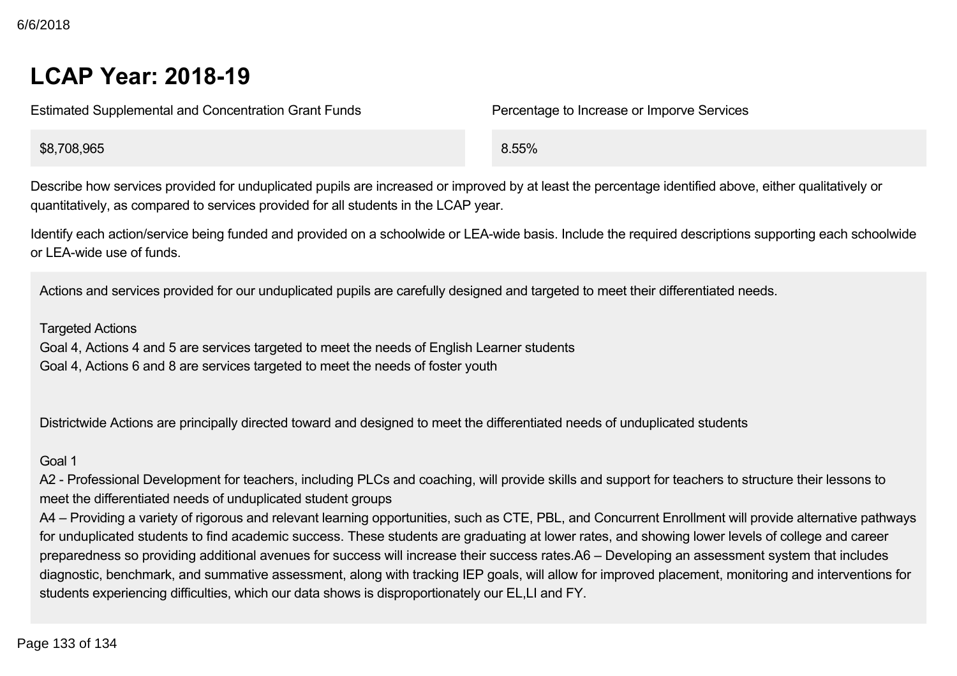# **LCAP Year: 201819**

Estimated Supplemental and Concentration Grant Funds Percentage to Increase or Imporve Services

\$8,708,965 8.55%

Describe how services provided for unduplicated pupils are increased or improved by at least the percentage identified above, either qualitatively or quantitatively, as compared to services provided for all students in the LCAP year.

Identify each action/service being funded and provided on a schoolwide or LEA-wide basis. Include the required descriptions supporting each schoolwide or LEAwide use of funds.

Actions and services provided for our unduplicated pupils are carefully designed and targeted to meet their differentiated needs.

#### Targeted Actions

Goal 4, Actions 4 and 5 are services targeted to meet the needs of English Learner students Goal 4, Actions 6 and 8 are services targeted to meet the needs of foster youth

Districtwide Actions are principally directed toward and designed to meet the differentiated needs of unduplicated students

#### Goal 1

A2 - Professional Development for teachers, including PLCs and coaching, will provide skills and support for teachers to structure their lessons to meet the differentiated needs of unduplicated student groups

A4 – Providing a variety of rigorous and relevant learning opportunities, such as CTE, PBL, and Concurrent Enrollment will provide alternative pathways for unduplicated students to find academic success. These students are graduating at lower rates, and showing lower levels of college and career preparedness so providing additional avenues for success will increase their success rates.A6 – Developing an assessment system that includes diagnostic, benchmark, and summative assessment, along with tracking IEP goals, will allow for improved placement, monitoring and interventions for students experiencing difficulties, which our data shows is disproportionately our EL,LI and FY. **LCAP Year: 2018-19**<br>
Estimated Supplemental and Concentration Grant Funds<br>
8.708,965<br>
06scribe how servives provided for unduplicated pupils are increased or improved by at least the percentage identified above, equilibri